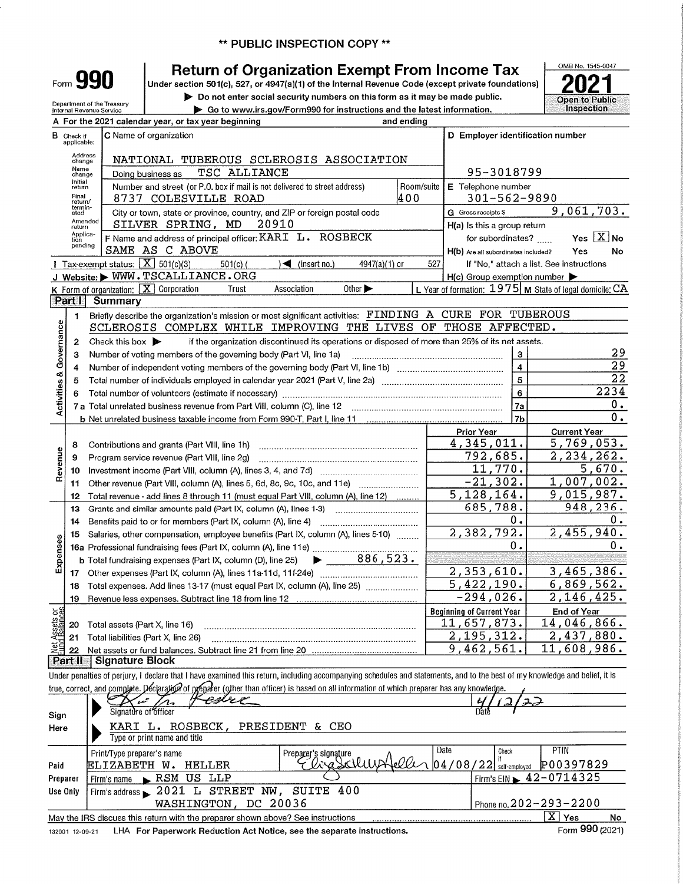## \*\* PUBLIC INSPECTION COPY \*\*

|                                | Form <b>990</b>                       |                                                        | <b>Return of Organization Exempt From Income Tax</b><br>Under section 501(c), 527, or 4947(a)(1) of the Internal Revenue Code (except private foundations)                 |                                                          | OMB No. 1545-0047                                       |
|--------------------------------|---------------------------------------|--------------------------------------------------------|----------------------------------------------------------------------------------------------------------------------------------------------------------------------------|----------------------------------------------------------|---------------------------------------------------------|
|                                |                                       |                                                        | Do not enter social security numbers on this form as it may be made public.                                                                                                |                                                          | <b>Open to Public</b>                                   |
|                                |                                       | Department of the Treasury<br>Internal Revenue Service | Go to www.irs.gov/Form990 for instructions and the latest information.                                                                                                     |                                                          | <b>Inspection</b>                                       |
|                                |                                       |                                                        | A For the 2021 calendar year, or tax year beginning<br>and ending                                                                                                          |                                                          |                                                         |
|                                | <b>B</b> Check if<br>applicable:      |                                                        | C Name of organization                                                                                                                                                     | D Employer identification number                         |                                                         |
|                                | Address<br>change                     |                                                        | NATIONAL TUBEROUS SCLEROSIS ASSOCIATION                                                                                                                                    |                                                          |                                                         |
|                                | Name<br>change                        |                                                        | TSC ALLIANCE<br>Doing business as                                                                                                                                          | 95-3018799                                               |                                                         |
|                                | Initial<br>return<br>Final<br>return/ |                                                        | Number and street (or P.O. box if mail is not delivered to street address)<br>Room/suite<br>1400<br>8737 COLESVILLE ROAD                                                   | E Telephone number<br>$301 - 562 - 9890$                 |                                                         |
|                                | termin-<br>ated<br>Amended<br>return  |                                                        | City or town, state or province, country, and ZIP or foreign postal code<br>SILVER SPRING, MD<br>20910                                                                     | G Gross receipts \$<br>H(a) Is this a group return       | 9,061,703.                                              |
|                                | Applica-<br>tion<br>pending           |                                                        | F Name and address of principal officer: KARI L. ROSBECK<br>SAME AS C ABOVE                                                                                                | for subordinates?<br>H(b) Are all subordinates included? | Yes $\boxed{\text{X}}$ No<br>Yes<br>No                  |
|                                |                                       | 1 Tax-exempt status: $\boxed{\mathbf{X}}$ 501(c)(3)    | $501(c)$ (<br>$\blacktriangleright$ (insert no.)<br>4947(a)(1) or                                                                                                          | 527                                                      | If "No," attach a list. See instructions                |
|                                |                                       |                                                        | J Website: WWW.TSCALLIANCE.ORG                                                                                                                                             | $H(c)$ Group exemption number $\blacktriangleright$      |                                                         |
|                                |                                       |                                                        | K Form of organization: X Corporation<br>Association<br>Other $\blacktriangleright$<br>Trust                                                                               |                                                          | L Year of formation: 1975 M State of legal domicile: CA |
|                                | Part I                                | Summary                                                |                                                                                                                                                                            |                                                          |                                                         |
|                                | 1.                                    |                                                        | Briefly describe the organization's mission or most significant activities: FINDING A CURE FOR TUBEROUS                                                                    |                                                          |                                                         |
| Activities & Governance        |                                       |                                                        | SCLEROSIS COMPLEX WHILE IMPROVING THE LIVES OF                                                                                                                             | THOSE AFFECTED.                                          |                                                         |
|                                | 2                                     | Check this box $\blacktriangleright$                   | if the organization discontinued its operations or disposed of more than 25% of its net assets.                                                                            |                                                          |                                                         |
|                                | 3                                     |                                                        | Number of voting members of the governing body (Part VI, line 1a)                                                                                                          | 3                                                        | 29                                                      |
|                                | 4                                     |                                                        |                                                                                                                                                                            | $\overline{\mathbf{4}}$                                  | $\overline{29}$                                         |
|                                | 5                                     |                                                        | Total number of individuals employed in calendar year 2021 (Part V, line 2a) manufacture controller to individuals                                                         | 5                                                        | $\overline{22}$                                         |
|                                | 6                                     |                                                        |                                                                                                                                                                            | 6                                                        | 2234                                                    |
|                                |                                       |                                                        |                                                                                                                                                                            | 7a                                                       | $0$ .                                                   |
|                                |                                       |                                                        |                                                                                                                                                                            | 7 <sub>b</sub>                                           | 0.                                                      |
|                                |                                       |                                                        |                                                                                                                                                                            | Prior Year                                               | <b>Current Year</b>                                     |
|                                | 8                                     |                                                        | Contributions and grants (Part VIII, line 1h)                                                                                                                              | 4,345,011.                                               | 5,769,053.                                              |
| Revenue                        | 9                                     |                                                        | Program service revenue (Part VIII, line 2g)                                                                                                                               | 792,685.                                                 | 2,234,262.                                              |
|                                | 10                                    |                                                        |                                                                                                                                                                            | 11,770.                                                  | 5,670.                                                  |
|                                | 11                                    |                                                        | Other revenue (Part VIII, column (A), lines 5, 6d, 8c, 9c, 10c, and 11e)                                                                                                   | $-21,302.$                                               | 1,007,002.                                              |
|                                | 12                                    |                                                        | Total revenue - add lines 8 through 11 (must equal Part VIII, column (A), line 12)                                                                                         | 5,128,164.                                               | 9,015,987.                                              |
|                                | 13                                    |                                                        | Grants and similar amounts paid (Part IX, column (A), lines 1-3)                                                                                                           | 685,788.                                                 | 948,236.                                                |
|                                | 14                                    |                                                        | Benefits paid to or for members (Part IX, column (A), line 4)                                                                                                              | Ο.                                                       | 0.                                                      |
|                                | 15                                    |                                                        | Salaries, other compensation, employee benefits (Part IX, column (A), lines 5-10)                                                                                          | 2,382,792.                                               | 2,455,940.                                              |
| nses                           |                                       |                                                        |                                                                                                                                                                            | Ο.                                                       | 0.                                                      |
| Expe                           |                                       |                                                        | 886,523.<br>b Total fundraising expenses (Part IX, column (D), line 25)                                                                                                    |                                                          |                                                         |
|                                | 17                                    |                                                        | Other expenses (Part IX, column (A), lines 11a-11d, 11f-24e)                                                                                                               | 2,353,610.                                               | 3,465,386.                                              |
|                                | 18                                    |                                                        | Total expenses. Add lines 13-17 (must equal Part IX, column (A), line 25)                                                                                                  | 5,422,190.                                               | 6,869,562.                                              |
|                                | 19                                    |                                                        | Revenue less expenses. Subtract line 18 from line 12                                                                                                                       | $-294,026$ .                                             | 2,146,425.                                              |
|                                |                                       |                                                        |                                                                                                                                                                            | <b>Beginning of Current Year</b>                         | <b>End of Year</b>                                      |
|                                | 20                                    | Total assets (Part X, line 16)                         |                                                                                                                                                                            | 11,657,873.                                              | 14,046,866.                                             |
| Net Assets or<br>Fund Balances | 21                                    |                                                        | Total liabilities (Part X, line 26)                                                                                                                                        | 2,195,312.                                               | 2,437,880.                                              |
|                                | 22                                    |                                                        |                                                                                                                                                                            | 9,462,561.                                               | 11,608,986.                                             |
|                                | Part II                               | <b>Signature Block</b>                                 |                                                                                                                                                                            |                                                          |                                                         |
|                                |                                       |                                                        | Under penalties of perjury, I declare that I have examined this return, including accompanying schedules and statements, and to the best of my knowledge and belief, it is |                                                          |                                                         |
|                                |                                       |                                                        | true, correct, and complete. Declaration of preparer (other than officer) is based on all information of which preparer has any knowledge.                                 |                                                          |                                                         |
|                                |                                       |                                                        | へ                                                                                                                                                                          |                                                          |                                                         |
| Sign                           |                                       | Signature of officer                                   |                                                                                                                                                                            |                                                          |                                                         |
| Here                           |                                       |                                                        | KARI L. ROSBECK,<br>PRESIDENT & CEO                                                                                                                                        |                                                          |                                                         |
|                                |                                       |                                                        | Type or print name and title                                                                                                                                               |                                                          |                                                         |
|                                |                                       | Print/Type preparer's name                             | Preparer's signature                                                                                                                                                       | Date<br>Check<br>if                                      | PTIN                                                    |
| Paid                           |                                       |                                                        | bredalli<br>ELIZABETH W. HELLER                                                                                                                                            | $04/08/22$ self-employed                                 | P00397829                                               |
| Preparer                       |                                       | Firm's name                                            | RSM US LLP                                                                                                                                                                 |                                                          | $Firm's EIN$ $42-0714325$                               |
| Use Only                       |                                       |                                                        | Firm's address 2021 L STREET NW, SUITE<br>400                                                                                                                              |                                                          |                                                         |
|                                |                                       |                                                        | WASHINGTON, DC 20036                                                                                                                                                       |                                                          | Phone no. 202-293-2200                                  |
|                                |                                       |                                                        | May the IRS discuss this return with the preparer shown above? See instructions                                                                                            |                                                          | $\overline{X}$ Yes<br>No.                               |
|                                | 132001 12-09-21                       |                                                        | LHA For Paperwork Reduction Act Notice, see the separate instructions.                                                                                                     |                                                          | Form 990 (2021)                                         |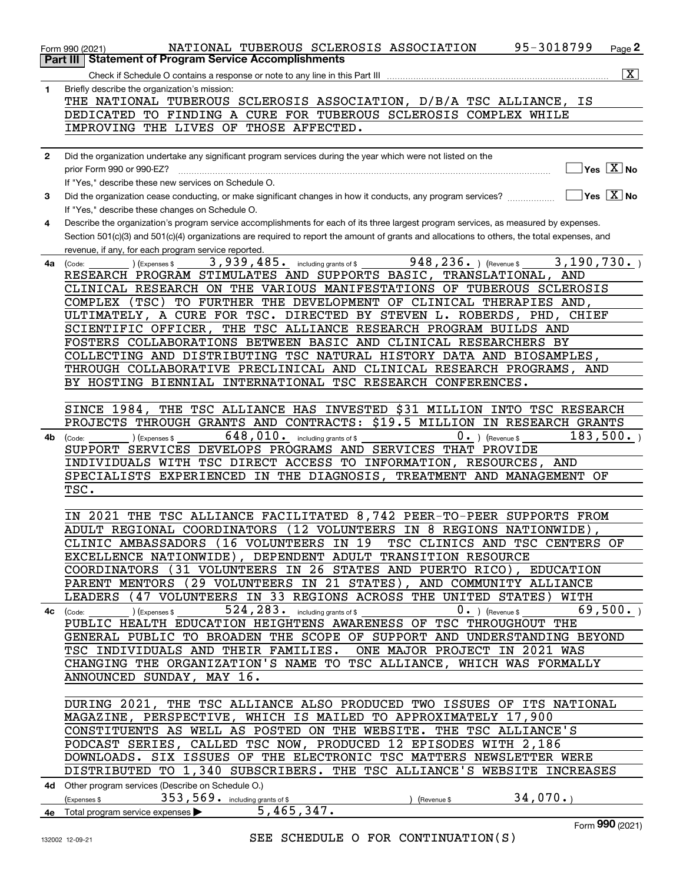|              | 95-3018799<br>NATIONAL TUBEROUS SCLEROSIS ASSOCIATION<br>$Page$ 2<br>Form 990 (2021)<br><b>Statement of Program Service Accomplishments</b><br>Part III                        |
|--------------|--------------------------------------------------------------------------------------------------------------------------------------------------------------------------------|
|              | $\overline{\mathbf{x}}$<br>Check if Schedule O contains a response or note to any line in this Part III                                                                        |
| $\mathbf{1}$ | Briefly describe the organization's mission:                                                                                                                                   |
|              | THE NATIONAL TUBEROUS SCLEROSIS ASSOCIATION, D/B/A TSC ALLIANCE,<br>ΙS                                                                                                         |
|              | DEDICATED TO FINDING A CURE FOR TUBEROUS SCLEROSIS COMPLEX WHILE                                                                                                               |
|              | IMPROVING THE LIVES OF THOSE AFFECTED.                                                                                                                                         |
|              |                                                                                                                                                                                |
| $\mathbf{2}$ | Did the organization undertake any significant program services during the year which were not listed on the                                                                   |
|              | $Yes \quad X$ No<br>prior Form 990 or 990-EZ?                                                                                                                                  |
|              | If "Yes," describe these new services on Schedule O.                                                                                                                           |
| 3            | $\overline{\ }$ Yes $\overline{\ \ X}$ No<br>Did the organization cease conducting, or make significant changes in how it conducts, any program services?                      |
|              | If "Yes," describe these changes on Schedule O.                                                                                                                                |
| 4            | Describe the organization's program service accomplishments for each of its three largest program services, as measured by expenses.                                           |
|              | Section 501(c)(3) and 501(c)(4) organizations are required to report the amount of grants and allocations to others, the total expenses, and                                   |
|              | revenue, if any, for each program service reported.<br>948, 236. ) (Revenue \$<br>3, 190, 730.<br>$3,939,485$ . including grants of \$                                         |
| 4a           | (Expenses \$<br>(Code:<br>RESEARCH PROGRAM STIMULATES AND SUPPORTS BASIC, TRANSLATIONAL,<br>AND                                                                                |
|              | CLINICAL RESEARCH ON THE VARIOUS MANIFESTATIONS OF TUBEROUS SCLEROSIS                                                                                                          |
|              | COMPLEX<br>(TSC)<br>TO FURTHER THE DEVELOPMENT OF CLINICAL THERAPIES AND,                                                                                                      |
|              | ULTIMATELY, A CURE FOR TSC. DIRECTED BY STEVEN L. ROBERDS, PHD,<br><b>CHIEF</b>                                                                                                |
|              | SCIENTIFIC OFFICER, THE TSC ALLIANCE RESEARCH PROGRAM BUILDS AND                                                                                                               |
|              | FOSTERS COLLABORATIONS BETWEEN BASIC AND CLINICAL RESEARCHERS BY                                                                                                               |
|              | COLLECTING AND DISTRIBUTING TSC NATURAL HISTORY DATA AND BIOSAMPLES,                                                                                                           |
|              | THROUGH COLLABORATIVE PRECLINICAL AND CLINICAL RESEARCH PROGRAMS, AND                                                                                                          |
|              | BY HOSTING BIENNIAL INTERNATIONAL TSC RESEARCH CONFERENCES.                                                                                                                    |
|              |                                                                                                                                                                                |
|              | SINCE 1984, THE TSC ALLIANCE HAS INVESTED \$31 MILLION INTO TSC RESEARCH                                                                                                       |
|              | PROJECTS THROUGH GRANTS AND CONTRACTS: \$19.5 MILLION IN RESEARCH GRANTS                                                                                                       |
| 4b           | $648,010$ . including grants of \$<br>183,500.<br>$0 \cdot$ ) (Revenue \$<br>(Expenses \$<br>(Code:                                                                            |
|              | SUPPORT SERVICES DEVELOPS PROGRAMS AND SERVICES THAT PROVIDE<br>INDIVIDUALS WITH TSC DIRECT ACCESS TO INFORMATION, RESOURCES,<br>AND                                           |
|              | SPECIALISTS EXPERIENCED IN THE DIAGNOSIS, TREATMENT AND MANAGEMENT OF                                                                                                          |
|              | TSC.                                                                                                                                                                           |
|              |                                                                                                                                                                                |
|              | 2021 THE TSC ALLIANCE FACILITATED 8,742 PEER-TO-PEER SUPPORTS FROM<br>IΝ                                                                                                       |
|              | ADULT REGIONAL COORDINATORS (12 VOLUNTEERS IN 8 REGIONS NATIONWIDE),                                                                                                           |
|              | CLINIC AMBASSADORS (16 VOLUNTEERS IN 19 TSC CLINICS AND TSC CENTERS OF                                                                                                         |
|              | EXCELLENCE NATIONWIDE), DEPENDENT ADULT TRANSITION RESOURCE                                                                                                                    |
|              | COORDINATORS (31 VOLUNTEERS IN 26 STATES AND PUERTO RICO), EDUCATION                                                                                                           |
|              | PARENT MENTORS (29 VOLUNTEERS IN 21 STATES), AND COMMUNITY ALLIANCE                                                                                                            |
|              | LEADERS (47 VOLUNTEERS IN 33 REGIONS ACROSS THE UNITED STATES)<br>WITH                                                                                                         |
|              | <b>4c</b> (Code: ) (Expenses \$ $524, 283$ a including grants of \$<br>69,500.<br>$0 \cdot$ ) (Revenue \$<br>PUBLIC HEALTH EDUCATION HEIGHTENS AWARENESS OF TSC THROUGHOUT THE |
|              | GENERAL PUBLIC TO BROADEN THE SCOPE OF SUPPORT AND UNDERSTANDING BEYOND                                                                                                        |
|              | TSC INDIVIDUALS AND THEIR FAMILIES. ONE MAJOR PROJECT IN 2021 WAS                                                                                                              |
|              | CHANGING THE ORGANIZATION'S NAME TO TSC ALLIANCE, WHICH WAS FORMALLY                                                                                                           |
|              | ANNOUNCED SUNDAY, MAY 16.                                                                                                                                                      |
|              |                                                                                                                                                                                |
|              | DURING 2021, THE TSC ALLIANCE ALSO PRODUCED TWO ISSUES OF ITS NATIONAL                                                                                                         |
|              | MAGAZINE, PERSPECTIVE, WHICH IS MAILED TO APPROXIMATELY 17,900                                                                                                                 |
|              | CONSTITUENTS AS WELL AS POSTED ON THE WEBSITE. THE TSC ALLIANCE'S                                                                                                              |
|              | PODCAST SERIES, CALLED TSC NOW, PRODUCED 12 EPISODES WITH 2,186                                                                                                                |
|              | DOWNLOADS. SIX ISSUES OF THE ELECTRONIC TSC MATTERS NEWSLETTER WERE                                                                                                            |
|              | DISTRIBUTED TO 1,340 SUBSCRIBERS. THE TSC ALLIANCE'S WEBSITE INCREASES                                                                                                         |
|              | 4d Other program services (Describe on Schedule O.)<br>34,070.<br>353,569. including grants of \$                                                                              |
|              | (Expenses \$<br>(Revenue \$<br>$5,465,347$ .<br>4e Total program service expenses                                                                                              |
|              | Form 990 (2021)                                                                                                                                                                |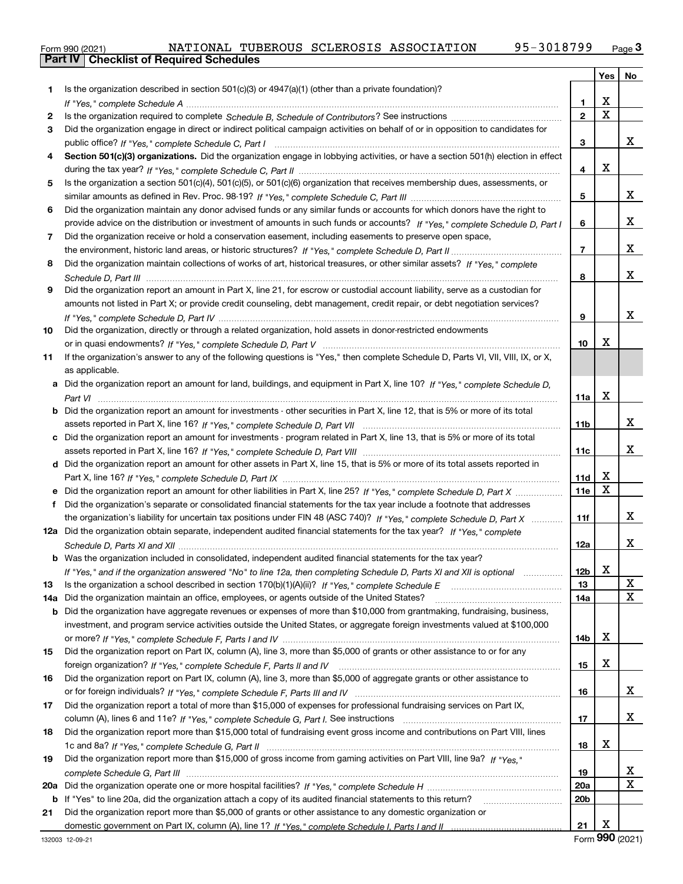| Form 990 (2021) |                                                  |  | NATIONAL TUBEROUS SCLEROSIS ASSOCIATION | 95-3018799 | $Page$ <sup>3</sup> |
|-----------------|--------------------------------------------------|--|-----------------------------------------|------------|---------------------|
|                 | <b>Part IV   Checklist of Required Schedules</b> |  |                                         |            |                     |

|     |                                                                                                                                                                                                                                                                |                 |             | Yes   No |
|-----|----------------------------------------------------------------------------------------------------------------------------------------------------------------------------------------------------------------------------------------------------------------|-----------------|-------------|----------|
| 1.  | Is the organization described in section $501(c)(3)$ or $4947(a)(1)$ (other than a private foundation)?                                                                                                                                                        |                 |             |          |
|     |                                                                                                                                                                                                                                                                | 1               | X           |          |
| 2   |                                                                                                                                                                                                                                                                | $\overline{2}$  | $\mathbf X$ |          |
| 3   | Did the organization engage in direct or indirect political campaign activities on behalf of or in opposition to candidates for                                                                                                                                |                 |             |          |
|     |                                                                                                                                                                                                                                                                | 3               |             | x        |
| 4   | Section 501(c)(3) organizations. Did the organization engage in lobbying activities, or have a section 501(h) election in effect                                                                                                                               |                 |             |          |
|     |                                                                                                                                                                                                                                                                | 4               | X           |          |
| 5   | Is the organization a section 501(c)(4), 501(c)(5), or 501(c)(6) organization that receives membership dues, assessments, or                                                                                                                                   |                 |             |          |
|     |                                                                                                                                                                                                                                                                | 5               |             | x        |
| 6   | Did the organization maintain any donor advised funds or any similar funds or accounts for which donors have the right to                                                                                                                                      |                 |             |          |
|     | provide advice on the distribution or investment of amounts in such funds or accounts? If "Yes," complete Schedule D, Part I                                                                                                                                   | 6               |             | x        |
| 7   | Did the organization receive or hold a conservation easement, including easements to preserve open space,                                                                                                                                                      |                 |             |          |
|     |                                                                                                                                                                                                                                                                | $\overline{7}$  |             | x        |
| 8   | Did the organization maintain collections of works of art, historical treasures, or other similar assets? If "Yes," complete                                                                                                                                   |                 |             |          |
|     |                                                                                                                                                                                                                                                                | 8               |             | x        |
| 9   | Did the organization report an amount in Part X, line 21, for escrow or custodial account liability, serve as a custodian for                                                                                                                                  |                 |             |          |
|     | amounts not listed in Part X; or provide credit counseling, debt management, credit repair, or debt negotiation services?                                                                                                                                      |                 |             |          |
|     |                                                                                                                                                                                                                                                                | 9               |             | x        |
| 10  | Did the organization, directly or through a related organization, hold assets in donor-restricted endowments                                                                                                                                                   |                 |             |          |
|     |                                                                                                                                                                                                                                                                | 10              | x           |          |
| 11  | If the organization's answer to any of the following questions is "Yes," then complete Schedule D, Parts VI, VII, VIII, IX, or X,                                                                                                                              |                 |             |          |
|     | as applicable.                                                                                                                                                                                                                                                 |                 |             |          |
|     | a Did the organization report an amount for land, buildings, and equipment in Part X, line 10? If "Yes," complete Schedule D.                                                                                                                                  |                 |             |          |
|     |                                                                                                                                                                                                                                                                | 11a             | X           |          |
|     | <b>b</b> Did the organization report an amount for investments - other securities in Part X, line 12, that is 5% or more of its total                                                                                                                          |                 |             |          |
|     |                                                                                                                                                                                                                                                                | 11b             |             | x        |
|     | Did the organization report an amount for investments - program related in Part X, line 13, that is 5% or more of its total                                                                                                                                    |                 |             |          |
|     |                                                                                                                                                                                                                                                                | 11c             |             | x        |
|     | d Did the organization report an amount for other assets in Part X, line 15, that is 5% or more of its total assets reported in                                                                                                                                |                 |             |          |
|     |                                                                                                                                                                                                                                                                | 11d             | х<br>X      |          |
|     | e Did the organization report an amount for other liabilities in Part X, line 25? If "Yes," complete Schedule D, Part X                                                                                                                                        | 11e             |             |          |
| f   | Did the organization's separate or consolidated financial statements for the tax year include a footnote that addresses                                                                                                                                        |                 |             |          |
|     | the organization's liability for uncertain tax positions under FIN 48 (ASC 740)? If "Yes," complete Schedule D, Part X                                                                                                                                         | 11f             |             | x        |
|     | 12a Did the organization obtain separate, independent audited financial statements for the tax year? If "Yes," complete                                                                                                                                        |                 |             | х        |
|     |                                                                                                                                                                                                                                                                | 12a             |             |          |
|     | <b>b</b> Was the organization included in consolidated, independent audited financial statements for the tax year?                                                                                                                                             |                 | X           |          |
|     | If "Yes," and if the organization answered "No" to line 12a, then completing Schedule D, Parts XI and XII is optional                                                                                                                                          | סצר             |             | х        |
| 13  | Is the organization a school described in section $170(b)(1)(A)(ii)?$ If "Yes," complete Schedule E                                                                                                                                                            | 13              |             | X        |
| 14a | Did the organization maintain an office, employees, or agents outside of the United States?                                                                                                                                                                    | 14a             |             |          |
|     | <b>b</b> Did the organization have aggregate revenues or expenses of more than \$10,000 from grantmaking, fundraising, business,<br>investment, and program service activities outside the United States, or aggregate foreign investments valued at \$100,000 |                 |             |          |
|     |                                                                                                                                                                                                                                                                | 14b             | х           |          |
| 15  | Did the organization report on Part IX, column (A), line 3, more than \$5,000 of grants or other assistance to or for any                                                                                                                                      |                 |             |          |
|     |                                                                                                                                                                                                                                                                | 15              | х           |          |
| 16  | Did the organization report on Part IX, column (A), line 3, more than \$5,000 of aggregate grants or other assistance to                                                                                                                                       |                 |             |          |
|     |                                                                                                                                                                                                                                                                | 16              |             | x        |
| 17  | Did the organization report a total of more than \$15,000 of expenses for professional fundraising services on Part IX,                                                                                                                                        |                 |             |          |
|     |                                                                                                                                                                                                                                                                | 17              |             | x        |
| 18  | Did the organization report more than \$15,000 total of fundraising event gross income and contributions on Part VIII, lines                                                                                                                                   |                 |             |          |
|     |                                                                                                                                                                                                                                                                | 18              | х           |          |
| 19  | Did the organization report more than \$15,000 of gross income from gaming activities on Part VIII, line 9a? If "Yes."                                                                                                                                         |                 |             |          |
|     |                                                                                                                                                                                                                                                                | 19              |             | х        |
| 20a |                                                                                                                                                                                                                                                                | 20a             |             | x        |
|     | <b>b</b> If "Yes" to line 20a, did the organization attach a copy of its audited financial statements to this return?                                                                                                                                          | 20 <sub>b</sub> |             |          |
| 21  | Did the organization report more than \$5,000 of grants or other assistance to any domestic organization or                                                                                                                                                    |                 |             |          |
|     |                                                                                                                                                                                                                                                                | 21              | X           |          |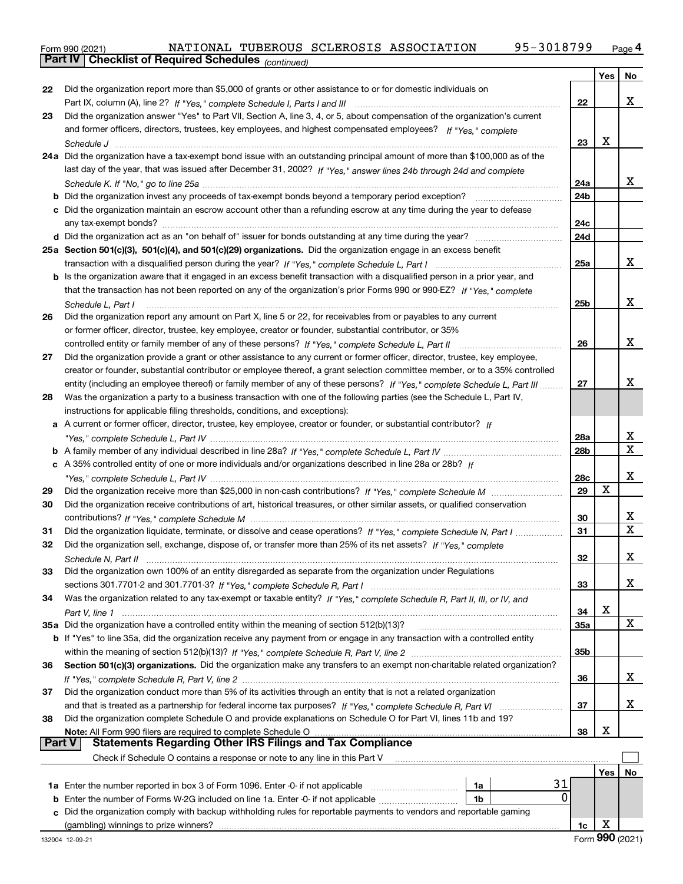Form 990 (2021) NATIONAL TUBEROUS SCLEROSIS ASSOCIATION 95–3018799 <sub>Page</sub> 4<br>**Part IV | Checklist of Required Schedules** <sub>(continued)</sub>

|    | <b>Part IV</b>   GNECKIISTOI REQUITED SCREDUIES $_{(continued)}$                                                                   |                 |     |     |
|----|------------------------------------------------------------------------------------------------------------------------------------|-----------------|-----|-----|
|    |                                                                                                                                    |                 | Yes | No. |
| 22 | Did the organization report more than \$5,000 of grants or other assistance to or for domestic individuals on                      |                 |     |     |
|    |                                                                                                                                    | 22              |     | x   |
| 23 | Did the organization answer "Yes" to Part VII, Section A, line 3, 4, or 5, about compensation of the organization's current        |                 |     |     |
|    | and former officers, directors, trustees, key employees, and highest compensated employees? If "Yes," complete                     |                 |     |     |
|    |                                                                                                                                    | 23              | x   |     |
|    | 24a Did the organization have a tax-exempt bond issue with an outstanding principal amount of more than \$100,000 as of the        |                 |     |     |
|    | last day of the year, that was issued after December 31, 2002? If "Yes," answer lines 24b through 24d and complete                 |                 |     |     |
|    |                                                                                                                                    | 24a             |     | x   |
|    | <b>b</b> Did the organization invest any proceeds of tax-exempt bonds beyond a temporary period exception?                         | 24 <sub>b</sub> |     |     |
|    | c Did the organization maintain an escrow account other than a refunding escrow at any time during the year to defease             |                 |     |     |
|    |                                                                                                                                    | 24c             |     |     |
|    | d Did the organization act as an "on behalf of" issuer for bonds outstanding at any time during the year?                          | 24d             |     |     |
|    | 25a Section 501(c)(3), 501(c)(4), and 501(c)(29) organizations. Did the organization engage in an excess benefit                   |                 |     |     |
|    |                                                                                                                                    | 25a             |     | x   |
|    | b Is the organization aware that it engaged in an excess benefit transaction with a disqualified person in a prior year, and       |                 |     |     |
|    | that the transaction has not been reported on any of the organization's prior Forms 990 or 990-EZ? If "Yes," complete              |                 |     |     |
|    | Schedule L, Part I                                                                                                                 | 25b             |     | x   |
| 26 | Did the organization report any amount on Part X, line 5 or 22, for receivables from or payables to any current                    |                 |     |     |
|    | or former officer, director, trustee, key employee, creator or founder, substantial contributor, or 35%                            |                 |     |     |
|    |                                                                                                                                    | 26              |     | x   |
| 27 | Did the organization provide a grant or other assistance to any current or former officer, director, trustee, key employee,        |                 |     |     |
|    | creator or founder, substantial contributor or employee thereof, a grant selection committee member, or to a 35% controlled        |                 |     |     |
|    | entity (including an employee thereof) or family member of any of these persons? If "Yes," complete Schedule L, Part III           | 27              |     | x   |
| 28 | Was the organization a party to a business transaction with one of the following parties (see the Schedule L, Part IV,             |                 |     |     |
|    | instructions for applicable filing thresholds, conditions, and exceptions):                                                        |                 |     |     |
|    | a A current or former officer, director, trustee, key employee, creator or founder, or substantial contributor? If                 |                 |     |     |
|    |                                                                                                                                    | 28a             |     | х   |
|    |                                                                                                                                    | 28 <sub>b</sub> |     | X   |
|    | c A 35% controlled entity of one or more individuals and/or organizations described in line 28a or 28b? If                         |                 |     |     |
|    |                                                                                                                                    | 28c             |     | х   |
| 29 |                                                                                                                                    | 29              | X   |     |
| 30 | Did the organization receive contributions of art, historical treasures, or other similar assets, or qualified conservation        |                 |     |     |
|    |                                                                                                                                    | 30              |     | х   |
| 31 | Did the organization liquidate, terminate, or dissolve and cease operations? If "Yes," complete Schedule N, Part I                 | 31              |     | X   |
| 32 | Did the organization sell, exchange, dispose of, or transfer more than 25% of its net assets? If "Yes," complete                   |                 |     |     |
|    | Schedule N, Part II                                                                                                                | 32              |     | х   |
| 33 | Did the organization own 100% of an entity disregarded as separate from the organization under Regulations                         |                 |     |     |
|    |                                                                                                                                    | 33              |     | x   |
| 34 | Was the organization related to any tax-exempt or taxable entity? If "Yes," complete Schedule R, Part II, III, or IV, and          |                 |     |     |
|    |                                                                                                                                    | 34              | X   |     |
|    | 35a Did the organization have a controlled entity within the meaning of section 512(b)(13)?                                        | 35a             |     | X   |
|    | <b>b</b> If "Yes" to line 35a, did the organization receive any payment from or engage in any transaction with a controlled entity |                 |     |     |
|    |                                                                                                                                    | 35b             |     |     |
| 36 | Section 501(c)(3) organizations. Did the organization make any transfers to an exempt non-charitable related organization?         |                 |     |     |
|    |                                                                                                                                    | 36              |     | x   |
| 37 | Did the organization conduct more than 5% of its activities through an entity that is not a related organization                   |                 |     |     |
|    |                                                                                                                                    | 37              |     | х   |
| 38 | Did the organization complete Schedule O and provide explanations on Schedule O for Part VI, lines 11b and 19?                     |                 |     |     |
|    | Note: All Form 990 filers are required to complete Schedule O                                                                      | 38              | X   |     |
|    | Part V<br><b>Statements Regarding Other IRS Filings and Tax Compliance</b>                                                         |                 |     |     |
|    | Check if Schedule O contains a response or note to any line in this Part V                                                         |                 |     |     |
|    |                                                                                                                                    |                 | Yes | No  |
|    | 31<br>1a                                                                                                                           |                 |     |     |
| b  | 0<br>Enter the number of Forms W-2G included on line 1a. Enter -0- if not applicable <i>manumumum</i><br>1b                        |                 |     |     |
| c  | Did the organization comply with backup withholding rules for reportable payments to vendors and reportable gaming                 |                 |     |     |
|    | (gambling) winnings to prize winners?                                                                                              | 1c              | X   |     |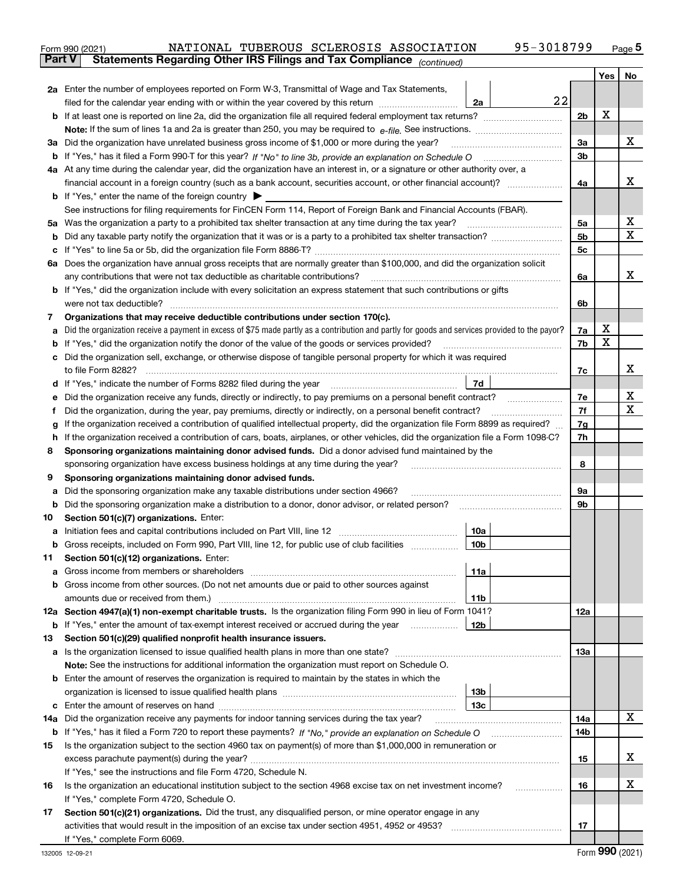|               | 95-3018799<br>NATIONAL TUBEROUS SCLEROSIS ASSOCIATION<br>Form 990 (2021)                                                                        |                |     | $_{\text{Page}}$ 5 |  |  |  |  |  |
|---------------|-------------------------------------------------------------------------------------------------------------------------------------------------|----------------|-----|--------------------|--|--|--|--|--|
| <b>Part V</b> | Statements Regarding Other IRS Filings and Tax Compliance (continued)                                                                           |                |     |                    |  |  |  |  |  |
|               |                                                                                                                                                 |                | Yes | No                 |  |  |  |  |  |
|               | 2a Enter the number of employees reported on Form W-3, Transmittal of Wage and Tax Statements,                                                  |                |     |                    |  |  |  |  |  |
|               | 22<br>filed for the calendar year ending with or within the year covered by this return<br>2a                                                   |                | х   |                    |  |  |  |  |  |
|               |                                                                                                                                                 |                |     |                    |  |  |  |  |  |
|               |                                                                                                                                                 |                |     |                    |  |  |  |  |  |
| За            | Did the organization have unrelated business gross income of \$1,000 or more during the year?                                                   | 3a             |     | x                  |  |  |  |  |  |
| b             |                                                                                                                                                 | 3 <sub>b</sub> |     |                    |  |  |  |  |  |
|               | 4a At any time during the calendar year, did the organization have an interest in, or a signature or other authority over, a                    |                |     |                    |  |  |  |  |  |
|               |                                                                                                                                                 | 4a             |     | х                  |  |  |  |  |  |
|               | <b>b</b> If "Yes," enter the name of the foreign country $\blacktriangleright$                                                                  |                |     |                    |  |  |  |  |  |
|               | See instructions for filing requirements for FinCEN Form 114, Report of Foreign Bank and Financial Accounts (FBAR).                             |                |     |                    |  |  |  |  |  |
| 5a            | Was the organization a party to a prohibited tax shelter transaction at any time during the tax year?                                           | 5a             |     | х                  |  |  |  |  |  |
| b             |                                                                                                                                                 | 5b             |     | X                  |  |  |  |  |  |
| с             |                                                                                                                                                 | 5c             |     |                    |  |  |  |  |  |
|               | 6a Does the organization have annual gross receipts that are normally greater than \$100,000, and did the organization solicit                  |                |     |                    |  |  |  |  |  |
|               | any contributions that were not tax deductible as charitable contributions?                                                                     | 6a             |     | x                  |  |  |  |  |  |
|               | <b>b</b> If "Yes," did the organization include with every solicitation an express statement that such contributions or gifts                   |                |     |                    |  |  |  |  |  |
|               | were not tax deductible?                                                                                                                        | 6b             |     |                    |  |  |  |  |  |
| 7             | Organizations that may receive deductible contributions under section 170(c).                                                                   |                |     |                    |  |  |  |  |  |
| а             | Did the organization receive a payment in excess of \$75 made partly as a contribution and partly for goods and services provided to the payor? | 7a             | х   |                    |  |  |  |  |  |
| b             | If "Yes," did the organization notify the donor of the value of the goods or services provided?                                                 | 7b             | X   |                    |  |  |  |  |  |
|               | Did the organization sell, exchange, or otherwise dispose of tangible personal property for which it was required                               |                |     |                    |  |  |  |  |  |
|               |                                                                                                                                                 | 7c             |     | х                  |  |  |  |  |  |
| d             | 7d                                                                                                                                              |                |     |                    |  |  |  |  |  |
| е             |                                                                                                                                                 | 7e             |     | х                  |  |  |  |  |  |
| f             | Did the organization, during the year, pay premiums, directly or indirectly, on a personal benefit contract?                                    | 7f             |     | X                  |  |  |  |  |  |
| g             | If the organization received a contribution of qualified intellectual property, did the organization file Form 8899 as required?                | 7g             |     |                    |  |  |  |  |  |
| h             | If the organization received a contribution of cars, boats, airplanes, or other vehicles, did the organization file a Form 1098-C?              | 7h             |     |                    |  |  |  |  |  |
| 8             | Sponsoring organizations maintaining donor advised funds. Did a donor advised fund maintained by the                                            |                |     |                    |  |  |  |  |  |
|               | sponsoring organization have excess business holdings at any time during the year?                                                              | 8              |     |                    |  |  |  |  |  |
| 9             | Sponsoring organizations maintaining donor advised funds.                                                                                       |                |     |                    |  |  |  |  |  |
| а             | Did the sponsoring organization make any taxable distributions under section 4966?                                                              | 9а             |     |                    |  |  |  |  |  |
| b             | Did the sponsoring organization make a distribution to a donor, donor advisor, or related person?                                               | 9b             |     |                    |  |  |  |  |  |
| 10            | Section 501(c)(7) organizations. Enter:                                                                                                         |                |     |                    |  |  |  |  |  |
| а             | 10a<br>Initiation fees and capital contributions included on Part VIII, line 12 [111] [11] [12] [11] [12] [11] [12] [                           |                |     |                    |  |  |  |  |  |
|               | 10b <br>Gross receipts, included on Form 990, Part VIII, line 12, for public use of club facilities                                             |                |     |                    |  |  |  |  |  |
| 11            | Section 501(c)(12) organizations. Enter:                                                                                                        |                |     |                    |  |  |  |  |  |
| а             | Gross income from members or shareholders<br>11a                                                                                                |                |     |                    |  |  |  |  |  |
| b             | Gross income from other sources. (Do not net amounts due or paid to other sources against                                                       |                |     |                    |  |  |  |  |  |
|               | 11 <sub>b</sub><br>amounts due or received from them.)                                                                                          |                |     |                    |  |  |  |  |  |
|               | 12a Section 4947(a)(1) non-exempt charitable trusts. Is the organization filing Form 990 in lieu of Form 1041?                                  | 12a            |     |                    |  |  |  |  |  |
|               | 12b<br><b>b</b> If "Yes," enter the amount of tax-exempt interest received or accrued during the year <i>manument</i> of                        |                |     |                    |  |  |  |  |  |
| 13            | Section 501(c)(29) qualified nonprofit health insurance issuers.                                                                                |                |     |                    |  |  |  |  |  |
| a             | Is the organization licensed to issue qualified health plans in more than one state?                                                            | 13a            |     |                    |  |  |  |  |  |
|               | Note: See the instructions for additional information the organization must report on Schedule O.                                               |                |     |                    |  |  |  |  |  |
| b             | Enter the amount of reserves the organization is required to maintain by the states in which the                                                |                |     |                    |  |  |  |  |  |
|               | 13 <sub>b</sub>                                                                                                                                 |                |     |                    |  |  |  |  |  |
| с             | 13 <sub>c</sub>                                                                                                                                 |                |     |                    |  |  |  |  |  |
| 14a           | Did the organization receive any payments for indoor tanning services during the tax year?                                                      | 14a            |     | x                  |  |  |  |  |  |
|               | <b>b</b> If "Yes," has it filed a Form 720 to report these payments? If "No," provide an explanation on Schedule O                              | 14b            |     |                    |  |  |  |  |  |
| 15            | Is the organization subject to the section 4960 tax on payment(s) of more than \$1,000,000 in remuneration or                                   |                |     |                    |  |  |  |  |  |
|               |                                                                                                                                                 | 15             |     | х                  |  |  |  |  |  |
|               | If "Yes," see the instructions and file Form 4720, Schedule N.                                                                                  |                |     |                    |  |  |  |  |  |
| 16            | Is the organization an educational institution subject to the section 4968 excise tax on net investment income?                                 | 16             |     | х                  |  |  |  |  |  |
|               | If "Yes," complete Form 4720, Schedule O.                                                                                                       |                |     |                    |  |  |  |  |  |
| 17            | Section 501(c)(21) organizations. Did the trust, any disqualified person, or mine operator engage in any                                        |                |     |                    |  |  |  |  |  |
|               | activities that would result in the imposition of an excise tax under section 4951, 4952 or 4953?                                               | 17             |     |                    |  |  |  |  |  |
|               | If "Yes," complete Form 6069.                                                                                                                   |                |     |                    |  |  |  |  |  |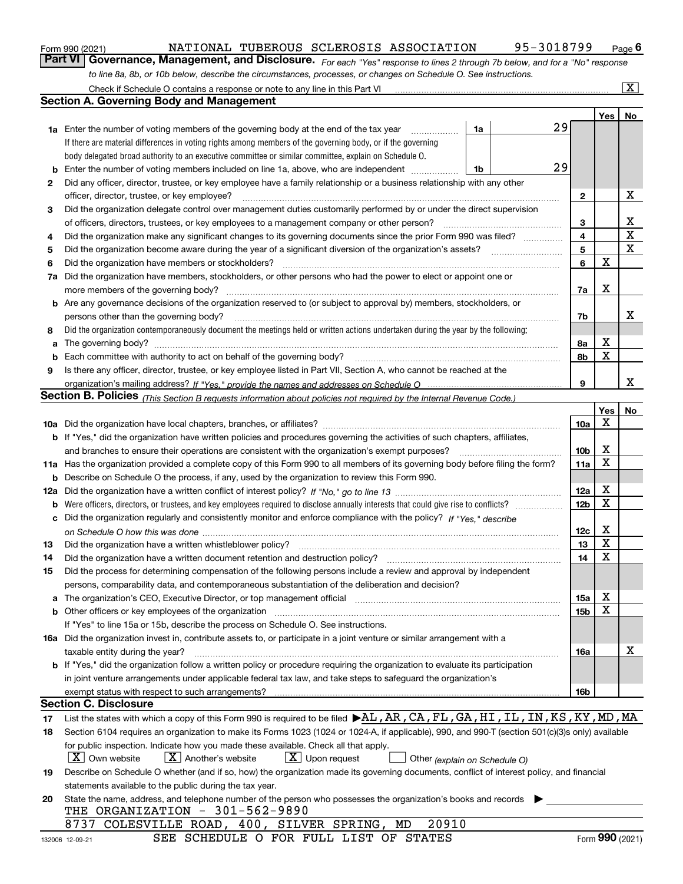|  | Form 990 (2021) |
|--|-----------------|
|  |                 |

*For each "Yes" response to lines 2 through 7b below, and for a "No" response to line 8a, 8b, or 10b below, describe the circumstances, processes, or changes on Schedule O. See instructions.* Form 990 (2021) **Container State Concilent Property Concept Page 6** Page **6** Page **6** Page 6 Page 6 Page 6 Page 6 Page 6 Page 6 Page 6 Page 6 Page 6 Page 6 Page 6 Page 6 Page 6 Page 6 Page 6 Page 6 Page 6 Page 6 Page 7 Pag

|     | Check if Schedule O contains a response or note to any line in this Part VI                                                                                                                                                   |    |    |                 |                 | $\overline{\mathbf{X}}$ $\overline{\mathbf{X}}$ |
|-----|-------------------------------------------------------------------------------------------------------------------------------------------------------------------------------------------------------------------------------|----|----|-----------------|-----------------|-------------------------------------------------|
|     | Section A. Governing Body and Management                                                                                                                                                                                      |    |    |                 |                 |                                                 |
|     |                                                                                                                                                                                                                               |    |    |                 | Yes             | No                                              |
|     | 1a Enter the number of voting members of the governing body at the end of the tax year                                                                                                                                        | 1a | 29 |                 |                 |                                                 |
|     | If there are material differences in voting rights among members of the governing body, or if the governing                                                                                                                   |    |    |                 |                 |                                                 |
|     | body delegated broad authority to an executive committee or similar committee, explain on Schedule O.                                                                                                                         |    |    |                 |                 |                                                 |
| b   | Enter the number of voting members included on line 1a, above, who are independent                                                                                                                                            | 1b | 29 |                 |                 |                                                 |
| 2   | Did any officer, director, trustee, or key employee have a family relationship or a business relationship with any other                                                                                                      |    |    |                 |                 |                                                 |
|     | officer, director, trustee, or key employee?                                                                                                                                                                                  |    |    | 2               |                 | х                                               |
| 3   | Did the organization delegate control over management duties customarily performed by or under the direct supervision                                                                                                         |    |    |                 |                 |                                                 |
|     | of officers, directors, trustees, or key employees to a management company or other person?                                                                                                                                   |    |    | 3               |                 | x                                               |
| 4   | Did the organization make any significant changes to its governing documents since the prior Form 990 was filed?                                                                                                              |    |    | 4               |                 | $\mathbf X$                                     |
| 5   |                                                                                                                                                                                                                               |    |    | 5               |                 | X                                               |
| 6   | Did the organization have members or stockholders?                                                                                                                                                                            |    |    | 6               | X               |                                                 |
|     | Did the organization have members, stockholders, or other persons who had the power to elect or appoint one or                                                                                                                |    |    |                 |                 |                                                 |
| 7a  | more members of the governing body?                                                                                                                                                                                           |    |    | 7a              | х               |                                                 |
|     | Are any governance decisions of the organization reserved to (or subject to approval by) members, stockholders, or                                                                                                            |    |    |                 |                 |                                                 |
| b   |                                                                                                                                                                                                                               |    |    |                 |                 | х                                               |
|     | persons other than the governing body?                                                                                                                                                                                        |    |    | 7b              |                 |                                                 |
| 8   | Did the organization contemporaneously document the meetings held or written actions undertaken during the year by the following:                                                                                             |    |    |                 |                 |                                                 |
| a   |                                                                                                                                                                                                                               |    |    | 8а              | х               |                                                 |
| b   |                                                                                                                                                                                                                               |    |    | 8b              | X               |                                                 |
| 9   | Is there any officer, director, trustee, or key employee listed in Part VII, Section A, who cannot be reached at the                                                                                                          |    |    |                 |                 |                                                 |
|     |                                                                                                                                                                                                                               |    |    | 9               |                 | x                                               |
|     | <b>Section B. Policies</b> (This Section B requests information about policies not required by the Internal Revenue Code.)                                                                                                    |    |    |                 |                 |                                                 |
|     |                                                                                                                                                                                                                               |    |    |                 | Yes             | No                                              |
|     |                                                                                                                                                                                                                               |    |    | 10a             | Х               |                                                 |
|     | <b>b</b> If "Yes," did the organization have written policies and procedures governing the activities of such chapters, affiliates,                                                                                           |    |    |                 |                 |                                                 |
|     | and branches to ensure their operations are consistent with the organization's exempt purposes?                                                                                                                               |    |    | 10 <sub>b</sub> | х               |                                                 |
|     | 11a Has the organization provided a complete copy of this Form 990 to all members of its governing body before filing the form?                                                                                               |    |    | 11a             | X               |                                                 |
| b   | Describe on Schedule O the process, if any, used by the organization to review this Form 990.                                                                                                                                 |    |    |                 |                 |                                                 |
| 12a |                                                                                                                                                                                                                               |    |    | 12a             | X               |                                                 |
| b   |                                                                                                                                                                                                                               |    |    | 12 <sub>b</sub> | X               |                                                 |
| с   | Did the organization regularly and consistently monitor and enforce compliance with the policy? If "Yes." describe                                                                                                            |    |    |                 |                 |                                                 |
|     |                                                                                                                                                                                                                               |    |    | 12c             | х               |                                                 |
| 13  | Did the organization have a written whistleblower policy?                                                                                                                                                                     |    |    | 13              | X               |                                                 |
| 14  | Did the organization have a written document retention and destruction policy?                                                                                                                                                |    |    | 14              | X               |                                                 |
| 15  | Did the process for determining compensation of the following persons include a review and approval by independent                                                                                                            |    |    |                 |                 |                                                 |
|     | persons, comparability data, and contemporaneous substantiation of the deliberation and decision?                                                                                                                             |    |    |                 |                 |                                                 |
| a   | The organization's CEO, Executive Director, or top management official manufactured content content of the organization's CEO, Executive Director, or top management official manufactured content of the organization's CEO, |    |    | 15a             | х               |                                                 |
|     | Other officers or key employees of the organization [11] continuum material continuum material contracts or key                                                                                                               |    |    | 15b             | х               |                                                 |
|     | If "Yes" to line 15a or 15b, describe the process on Schedule O. See instructions.                                                                                                                                            |    |    |                 |                 |                                                 |
|     | 16a Did the organization invest in, contribute assets to, or participate in a joint venture or similar arrangement with a                                                                                                     |    |    |                 |                 |                                                 |
|     | taxable entity during the year?                                                                                                                                                                                               |    |    | 16a             |                 | х                                               |
|     | b If "Yes," did the organization follow a written policy or procedure requiring the organization to evaluate its participation                                                                                                |    |    |                 |                 |                                                 |
|     | in joint venture arrangements under applicable federal tax law, and take steps to safequard the organization's                                                                                                                |    |    |                 |                 |                                                 |
|     | exempt status with respect to such arrangements?                                                                                                                                                                              |    |    | 16b             |                 |                                                 |
|     | <b>Section C. Disclosure</b>                                                                                                                                                                                                  |    |    |                 |                 |                                                 |
| 17  | List the states with which a copy of this Form 990 is required to be filed $\blacktriangleright$ AL, AR, CA, FL, GA, HI, IL, IN, KS, KY, MD, MA                                                                               |    |    |                 |                 |                                                 |
| 18  | Section 6104 requires an organization to make its Forms 1023 (1024 or 1024-A, if applicable), 990, and 990-T (section 501(c)(3)s only) available                                                                              |    |    |                 |                 |                                                 |
|     | for public inspection. Indicate how you made these available. Check all that apply.                                                                                                                                           |    |    |                 |                 |                                                 |
|     | $\lfloor X \rfloor$ Own website<br>$X$ Another's website<br>$X$ Upon request<br>Other (explain on Schedule O)                                                                                                                 |    |    |                 |                 |                                                 |
| 19  | Describe on Schedule O whether (and if so, how) the organization made its governing documents, conflict of interest policy, and financial                                                                                     |    |    |                 |                 |                                                 |
|     | statements available to the public during the tax year.                                                                                                                                                                       |    |    |                 |                 |                                                 |
| 20  | State the name, address, and telephone number of the person who possesses the organization's books and records                                                                                                                |    |    |                 |                 |                                                 |
|     | THE ORGANIZATION - 301-562-9890                                                                                                                                                                                               |    |    |                 |                 |                                                 |
|     | 20910<br>8737 COLESVILLE ROAD, 400, SILVER SPRING,<br>MD                                                                                                                                                                      |    |    |                 |                 |                                                 |
|     | SEE SCHEDULE O FOR FULL LIST OF STATES<br>132006 12-09-21                                                                                                                                                                     |    |    |                 | Form 990 (2021) |                                                 |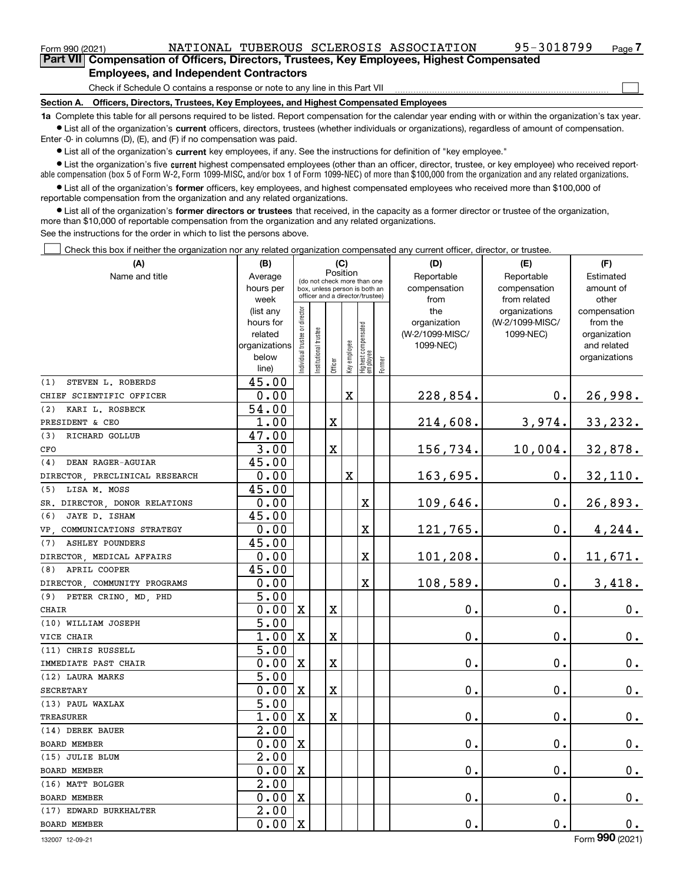| Form 990 (2021)                                                                            |                                                                              |  |  | NATIONAL TUBEROUS SCLEROSIS ASSOCIATION | 95-3018799 | Page / |  |  |  |
|--------------------------------------------------------------------------------------------|------------------------------------------------------------------------------|--|--|-----------------------------------------|------------|--------|--|--|--|
| Part VII Compensation of Officers, Directors, Trustees, Key Employees, Highest Compensated |                                                                              |  |  |                                         |            |        |  |  |  |
|                                                                                            | <b>Employees, and Independent Contractors</b>                                |  |  |                                         |            |        |  |  |  |
|                                                                                            | Check if Schedule O contains a response or note to any line in this Part VII |  |  |                                         |            |        |  |  |  |

**Section A. Officers, Directors, Trustees, Key Employees, and Highest Compensated Employees**

**1a**  Complete this table for all persons required to be listed. Report compensation for the calendar year ending with or within the organization's tax year.

**•** List all of the organization's current officers, directors, trustees (whether individuals or organizations), regardless of amount of compensation. Enter -0- in columns (D), (E), and (F) if no compensation was paid.

 $\bullet$  List all of the organization's  $\sf current$  key employees, if any. See the instructions for definition of "key employee."

• List the organization's five current highest compensated employees (other than an officer, director, trustee, or key employee) who received report-■ List the organization's five current highest compensated employees (other than an officer, director, trustee, or key employee) who received report-<br>able compensation (box 5 of Form W-2, Form 1099-MISC, and/or box 1 of F

**•** List all of the organization's former officers, key employees, and highest compensated employees who received more than \$100,000 of reportable compensation from the organization and any related organizations.

**former directors or trustees**  ¥ List all of the organization's that received, in the capacity as a former director or trustee of the organization, more than \$10,000 of reportable compensation from the organization and any related organizations.

See the instructions for the order in which to list the persons above.

Check this box if neither the organization nor any related organization compensated any current officer, director, or trustee.  $\mathcal{L}^{\text{max}}$ 

| (A)                           | (B)                |                                         |                                                                  | (C)         |              |                                   |        | (D)             | (E)                           | (F)                   |  |
|-------------------------------|--------------------|-----------------------------------------|------------------------------------------------------------------|-------------|--------------|-----------------------------------|--------|-----------------|-------------------------------|-----------------------|--|
| Name and title                | Average            | Position<br>(do not check more than one |                                                                  |             |              |                                   |        | Reportable      | Reportable                    | Estimated             |  |
|                               | hours per          |                                         | box, unless person is both an<br>officer and a director/trustee) |             |              |                                   |        | compensation    | compensation                  | amount of             |  |
|                               | week<br>(list any  |                                         |                                                                  |             |              |                                   |        | from<br>the     | from related<br>organizations | other<br>compensation |  |
|                               | hours for          |                                         |                                                                  |             |              |                                   |        | organization    | (W-2/1099-MISC/               | from the              |  |
|                               | related            |                                         |                                                                  |             |              |                                   |        | (W-2/1099-MISC/ | 1099-NEC)                     | organization          |  |
|                               | organizations      |                                         |                                                                  |             |              |                                   |        | 1099-NEC)       |                               | and related           |  |
|                               | below              | ndividual trustee or director           | Institutional trustee                                            |             | Key employee |                                   |        |                 |                               | organizations         |  |
|                               | line)              |                                         |                                                                  | Officer     |              | Highest compensated<br>  employee | Former |                 |                               |                       |  |
| STEVEN L. ROBERDS<br>(1)      | 45.00              |                                         |                                                                  |             |              |                                   |        |                 |                               |                       |  |
| CHIEF SCIENTIFIC OFFICER      | 0.00               |                                         |                                                                  |             | $\mathbf X$  |                                   |        | 228,854.        | 0.                            | 26,998.               |  |
| KARI L. ROSBECK<br>(2)        | 54.00              |                                         |                                                                  |             |              |                                   |        |                 |                               |                       |  |
| PRESIDENT & CEO               | 1.00               |                                         |                                                                  | X           |              |                                   |        | 214,608.        | 3,974.                        | 33,232.               |  |
| RICHARD GOLLUB<br>(3)         | 47.00              |                                         |                                                                  |             |              |                                   |        |                 |                               |                       |  |
| CFO                           | 3.00               |                                         |                                                                  | X           |              |                                   |        | 156,734.        | 10,004.                       | 32,878.               |  |
| (4)<br>DEAN RAGER-AGUIAR      | 45.00              |                                         |                                                                  |             |              |                                   |        |                 |                               |                       |  |
| DIRECTOR PRECLINICAL RESEARCH | 0.00               |                                         |                                                                  |             | $\rm X$      |                                   |        | 163,695.        | 0.                            | 32,110.               |  |
| LISA M. MOSS<br>(5)           | 45.00              |                                         |                                                                  |             |              |                                   |        |                 |                               |                       |  |
| SR. DIRECTOR, DONOR RELATIONS | 0.00               |                                         |                                                                  |             |              | X                                 |        | 109,646.        | 0.                            | 26,893.               |  |
| (6)<br>JAYE D. ISHAM          | 45.00              |                                         |                                                                  |             |              |                                   |        |                 |                               |                       |  |
| VP, COMMUNICATIONS STRATEGY   | 0.00               |                                         |                                                                  |             |              | X                                 |        | 121,765.        | 0.                            | 4,244.                |  |
| <b>ASHLEY POUNDERS</b><br>(7) | 45.00              |                                         |                                                                  |             |              |                                   |        |                 |                               |                       |  |
| DIRECTOR, MEDICAL AFFAIRS     | 0.00               |                                         |                                                                  |             |              | $\overline{\textbf{X}}$           |        | 101,208.        | $\mathbf 0$ .                 | 11,671.               |  |
| APRIL COOPER<br>(8)           | 45.00              |                                         |                                                                  |             |              |                                   |        |                 |                               |                       |  |
| DIRECTOR, COMMUNITY PROGRAMS  | 0.00               |                                         |                                                                  |             |              | $\overline{\textbf{X}}$           |        | 108,589.        | 0.                            | 3,418.                |  |
| (9) PETER CRINO, MD, PHD      | 5.00               |                                         |                                                                  |             |              |                                   |        |                 |                               |                       |  |
| <b>CHAIR</b>                  | 0.00               | $\mathbf X$                             |                                                                  | $\mathbf X$ |              |                                   |        | 0.              | 0.                            | $0_{.}$               |  |
| (10) WILLIAM JOSEPH           | 5.00               |                                         |                                                                  |             |              |                                   |        |                 |                               |                       |  |
| VICE CHAIR                    | 1.00               | $\mathbf X$                             |                                                                  | X           |              |                                   |        | 0.              | 0.                            | 0.                    |  |
| (11) CHRIS RUSSELL            | 5.00               |                                         |                                                                  |             |              |                                   |        |                 |                               |                       |  |
| IMMEDIATE PAST CHAIR          | 0.00               | $\mathbf X$                             |                                                                  | $\mathbf X$ |              |                                   |        | 0.              | 0.                            | $0_{.}$               |  |
| (12) LAURA MARKS              | $\overline{5.00}$  |                                         |                                                                  |             |              |                                   |        |                 |                               |                       |  |
| <b>SECRETARY</b>              | 0.00               | $\mathbf X$                             |                                                                  | X           |              |                                   |        | 0.              | 0.                            | 0.                    |  |
| (13) PAUL WAXLAX              | 5.00               |                                         |                                                                  |             |              |                                   |        |                 |                               |                       |  |
| <b>TREASURER</b>              | 1.00               | $\mathbf X$                             |                                                                  | $\mathbf X$ |              |                                   |        | 0.              | 0.                            | $\mathbf 0$ .         |  |
| (14) DEREK BAUER              | $\overline{2}$ .00 |                                         |                                                                  |             |              |                                   |        |                 |                               |                       |  |
| <b>BOARD MEMBER</b>           | 0.00               | $\mathbf X$                             |                                                                  |             |              |                                   |        | $\mathbf 0$ .   | 0.                            | $0_{.}$               |  |
| (15) JULIE BLUM               | 2.00               |                                         |                                                                  |             |              |                                   |        |                 |                               |                       |  |
| <b>BOARD MEMBER</b>           | 0.00               | $\mathbf X$                             |                                                                  |             |              |                                   |        | 0.              | 0.                            | 0.                    |  |
| (16) MATT BOLGER              | 2.00               |                                         |                                                                  |             |              |                                   |        |                 |                               |                       |  |
| <b>BOARD MEMBER</b>           | 0.00               | $\mathbf X$                             |                                                                  |             |              |                                   |        | 0.              | 0.                            | 0.                    |  |
| (17) EDWARD BURKHALTER        | 2.00               |                                         |                                                                  |             |              |                                   |        |                 |                               |                       |  |
| <b>BOARD MEMBER</b>           | 0.00               | $\mathbf X$                             |                                                                  |             |              |                                   |        | 0.              | 0.                            | 0.                    |  |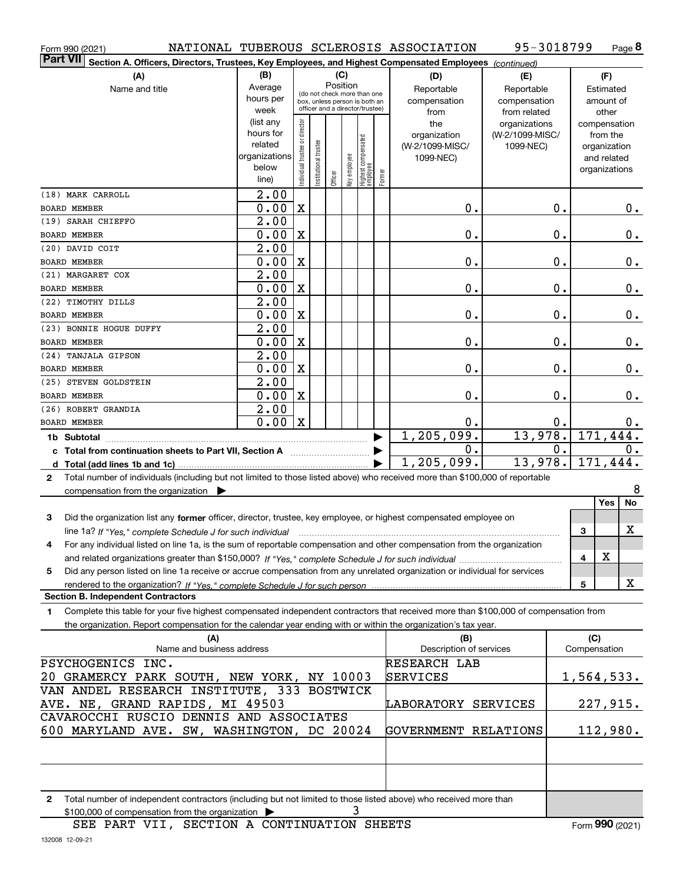|  |  |  |  | NATIONAL TUBEROUS SCLEROSIS ASSOCIATION | 95-3018799 |
|--|--|--|--|-----------------------------------------|------------|
|--|--|--|--|-----------------------------------------|------------|

| Form 990 (2021)                                                                                                                                |                      |                                |                       |         |                                         |                                   |        | NATIONAL TUBEROUS SCLEROSIS ASSOCIATION | 95-3018799      |   |                             | Page 8 |
|------------------------------------------------------------------------------------------------------------------------------------------------|----------------------|--------------------------------|-----------------------|---------|-----------------------------------------|-----------------------------------|--------|-----------------------------------------|-----------------|---|-----------------------------|--------|
| <b>Part VII</b><br>Section A. Officers, Directors, Trustees, Key Employees, and Highest Compensated Employees (continued)                      |                      |                                |                       |         |                                         |                                   |        |                                         |                 |   |                             |        |
| (A)                                                                                                                                            | (B)                  |                                |                       |         | (C)                                     |                                   |        | (D)                                     | (E)             |   | (F)                         |        |
| Name and title                                                                                                                                 | Average              |                                |                       |         | Position<br>(do not check more than one |                                   |        | Reportable                              | Reportable      |   | Estimated                   |        |
|                                                                                                                                                | hours per            |                                |                       |         | box, unless person is both an           |                                   |        | compensation                            | compensation    |   | amount of                   |        |
|                                                                                                                                                | week                 |                                |                       |         | officer and a director/trustee)         |                                   |        | from                                    | from related    |   | other                       |        |
|                                                                                                                                                | (list any            |                                |                       |         |                                         |                                   |        | the                                     | organizations   |   | compensation                |        |
|                                                                                                                                                | hours for<br>related |                                |                       |         |                                         |                                   |        | organization                            | (W-2/1099-MISC/ |   | from the                    |        |
|                                                                                                                                                | organizations        |                                |                       |         |                                         |                                   |        | (W-2/1099-MISC/                         | 1099-NEC)       |   | organization<br>and related |        |
|                                                                                                                                                | below                |                                |                       |         |                                         |                                   |        | 1099-NEC)                               |                 |   | organizations               |        |
|                                                                                                                                                | line)                | Individual trustee or director | Institutional trustee | Officer | key employee                            | Highest compensated<br>  employee | Former |                                         |                 |   |                             |        |
| (18) MARK CARROLL                                                                                                                              | $\overline{2.00}$    |                                |                       |         |                                         |                                   |        |                                         |                 |   |                             |        |
| <b>BOARD MEMBER</b>                                                                                                                            | 0.00                 | $\mathbf X$                    |                       |         |                                         |                                   |        | 0.                                      | $\mathbf 0$ .   |   |                             | $0$ .  |
| (19) SARAH CHIEFFO                                                                                                                             | 2.00                 |                                |                       |         |                                         |                                   |        |                                         |                 |   |                             |        |
| BOARD MEMBER                                                                                                                                   | 0.00                 | $\mathbf X$                    |                       |         |                                         |                                   |        | 0.                                      | $\mathbf 0$ .   |   |                             | 0.     |
| (20) DAVID COIT                                                                                                                                | 2.00                 |                                |                       |         |                                         |                                   |        |                                         |                 |   |                             |        |
| <b>BOARD MEMBER</b>                                                                                                                            | 0.00                 | $\mathbf X$                    |                       |         |                                         |                                   |        | 0.                                      | $\mathbf 0$ .   |   |                             | 0.     |
| (21) MARGARET COX                                                                                                                              | 2.00                 |                                |                       |         |                                         |                                   |        |                                         |                 |   |                             |        |
| <b>BOARD MEMBER</b>                                                                                                                            | 0.00                 | $\mathbf X$                    |                       |         |                                         |                                   |        | 0.                                      | $\mathbf 0$ .   |   |                             | 0.     |
| (22) TIMOTHY DILLS                                                                                                                             | 2.00                 |                                |                       |         |                                         |                                   |        |                                         |                 |   |                             |        |
| <b>BOARD MEMBER</b>                                                                                                                            | 0.00                 | $\mathbf X$                    |                       |         |                                         |                                   |        | 0.                                      | $\mathbf 0$ .   |   |                             | 0.     |
| (23) BONNIE HOGUE DUFFY                                                                                                                        | 2.00                 |                                |                       |         |                                         |                                   |        |                                         |                 |   |                             |        |
| <b>BOARD MEMBER</b>                                                                                                                            | 0.00                 | $\mathbf X$                    |                       |         |                                         |                                   |        | 0.                                      | $\mathbf 0$ .   |   |                             | 0.     |
| (24) TANJALA GIPSON                                                                                                                            | 2.00                 |                                |                       |         |                                         |                                   |        |                                         |                 |   |                             |        |
| <b>BOARD MEMBER</b>                                                                                                                            | 0.00                 | $\mathbf X$                    |                       |         |                                         |                                   |        | 0.                                      | 0.              |   |                             | $0$ .  |
| (25) STEVEN GOLDSTEIN                                                                                                                          | 2.00                 |                                |                       |         |                                         |                                   |        |                                         |                 |   |                             |        |
| <b>BOARD MEMBER</b>                                                                                                                            | 0.00                 | $\mathbf X$                    |                       |         |                                         |                                   |        | 0.                                      | $\mathbf 0$ .   |   |                             | $0$ .  |
| (26) ROBERT GRANDIA                                                                                                                            | 2.00                 |                                |                       |         |                                         |                                   |        |                                         |                 |   |                             |        |
| <b>BOARD MEMBER</b>                                                                                                                            | 0.00                 | $\mathbf x$                    |                       |         |                                         |                                   |        | 0.                                      | 0.<br>13,978.   |   |                             | 0.     |
| 1b Subtotal                                                                                                                                    |                      |                                |                       |         |                                         |                                   |        | 1, 205, 099.                            | 0.              |   | 171,444.                    |        |
|                                                                                                                                                |                      |                                |                       |         |                                         |                                   |        | 0.                                      | 13,978.         |   | 171,444.                    | 0.     |
|                                                                                                                                                |                      |                                |                       |         |                                         |                                   |        | 1, 205, 099.                            |                 |   |                             |        |
| Total number of individuals (including but not limited to those listed above) who received more than \$100,000 of reportable<br>$\mathbf{2}$   |                      |                                |                       |         |                                         |                                   |        |                                         |                 |   |                             | 8      |
| compensation from the organization                                                                                                             |                      |                                |                       |         |                                         |                                   |        |                                         |                 |   | Yes                         | No     |
| 3<br>Did the organization list any former officer, director, trustee, key employee, or highest compensated employee on                         |                      |                                |                       |         |                                         |                                   |        |                                         |                 |   |                             |        |
| line 1a? If "Yes," complete Schedule J for such individual manufactured contains and the 1a? If "Yes," complete Schedule J for such individual |                      |                                |                       |         |                                         |                                   |        |                                         |                 | 3 |                             | X      |
| For any individual listed on line 1a, is the sum of reportable compensation and other compensation from the organization                       |                      |                                |                       |         |                                         |                                   |        |                                         |                 |   |                             |        |
|                                                                                                                                                |                      |                                |                       |         |                                         |                                   |        |                                         |                 | 4 | X                           |        |
| Did any person listed on line 1a receive or accrue compensation from any unrelated organization or individual for services<br>5                |                      |                                |                       |         |                                         |                                   |        |                                         |                 |   |                             |        |
|                                                                                                                                                |                      |                                |                       |         |                                         |                                   |        |                                         |                 | 5 |                             | X      |
| <b>Section B. Independent Contractors</b>                                                                                                      |                      |                                |                       |         |                                         |                                   |        |                                         |                 |   |                             |        |
| Complete this table for your five highest compensated independent contractors that received more than \$100,000 of compensation from<br>1.     |                      |                                |                       |         |                                         |                                   |        |                                         |                 |   |                             |        |
| the organization. Report compensation for the calendar year ending with or within the organization's tax year.                                 |                      |                                |                       |         |                                         |                                   |        |                                         |                 |   |                             |        |

| (A)<br>Name and business address                                                                                      | (B)<br>Description of services | (C)<br>Compensation |  |
|-----------------------------------------------------------------------------------------------------------------------|--------------------------------|---------------------|--|
| PSYCHOGENICS INC.                                                                                                     | RESEARCH LAB                   |                     |  |
| 20 GRAMERCY PARK SOUTH, NEW YORK, NY 10003                                                                            | <b>SERVICES</b>                | 1,564,533.          |  |
| VAN ANDEL RESEARCH INSTITUTE, 333 BOSTWICK                                                                            |                                |                     |  |
| AVE. NE, GRAND RAPIDS, MI 49503                                                                                       | LABORATORY SERVICES            | 227,915.            |  |
| CAVAROCCHI RUSCIO DENNIS AND ASSOCIATES                                                                               |                                |                     |  |
| 600 MARYLAND AVE. SW, WASHINGTON, DC 20024                                                                            | GOVERNMENT RELATIONS           | 112,980.            |  |
|                                                                                                                       |                                |                     |  |
|                                                                                                                       |                                |                     |  |
|                                                                                                                       |                                |                     |  |
| Total number of independent contractors (including but not limited to those listed above) who received more than<br>2 |                                |                     |  |
| \$100,000 of compensation from the organization $\blacktriangleright$                                                 |                                |                     |  |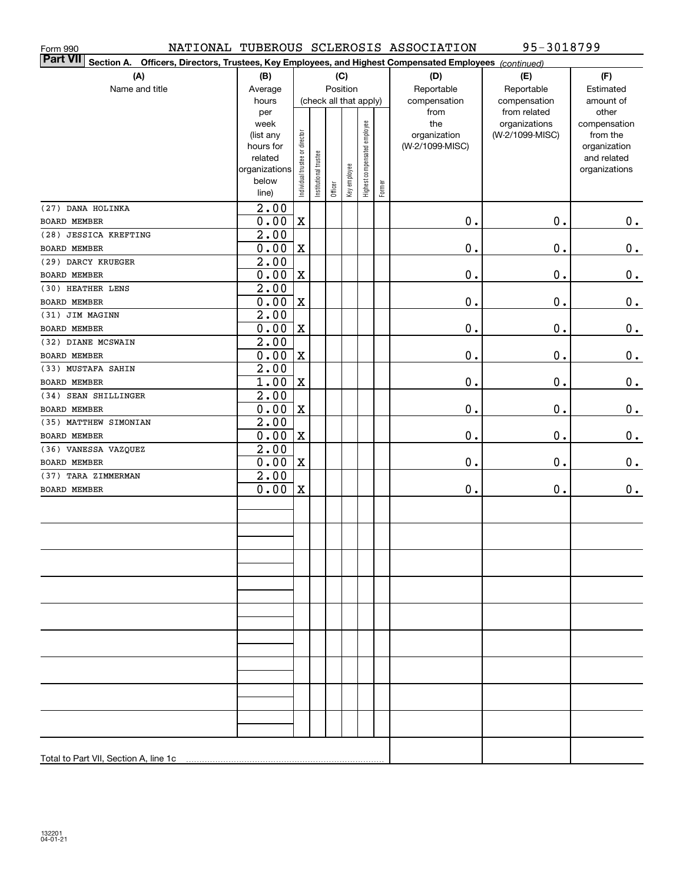| Form 990                                                                                                                     |                                                                              |                                                                                                                           |  |                        |                                                |                                                  | NATIONAL TUBEROUS SCLEROSIS ASSOCIATION                                           | 95-3018799    |               |
|------------------------------------------------------------------------------------------------------------------------------|------------------------------------------------------------------------------|---------------------------------------------------------------------------------------------------------------------------|--|------------------------|------------------------------------------------|--------------------------------------------------|-----------------------------------------------------------------------------------|---------------|---------------|
| <b>Part VII</b><br>Section A.<br>Officers, Directors, Trustees, Key Employees, and Highest Compensated Employees (continued) |                                                                              |                                                                                                                           |  |                        |                                                |                                                  |                                                                                   |               |               |
| (A)                                                                                                                          | (B)                                                                          |                                                                                                                           |  | (C)                    |                                                |                                                  | (D)                                                                               | (E)           | (F)           |
| Name and title                                                                                                               | Average                                                                      |                                                                                                                           |  | Position               |                                                |                                                  | Reportable                                                                        | Reportable    | Estimated     |
|                                                                                                                              | hours                                                                        |                                                                                                                           |  | (check all that apply) |                                                |                                                  | compensation                                                                      | compensation  | amount of     |
|                                                                                                                              | week<br>(list any<br>hours for<br>related<br>organizations<br>below<br>line) | per<br>Highest compensated employee<br>Individual trustee or director<br>Institutional trustee<br>Key employee<br>Officer |  | Former                 | from<br>the<br>organization<br>(W-2/1099-MISC) | from related<br>organizations<br>(W-2/1099-MISC) | other<br>compensation<br>from the<br>organization<br>and related<br>organizations |               |               |
|                                                                                                                              |                                                                              |                                                                                                                           |  |                        |                                                |                                                  |                                                                                   |               |               |
| (27) DANA HOLINKA                                                                                                            | $\overline{2.00}$                                                            |                                                                                                                           |  |                        |                                                |                                                  | 0.                                                                                | 0.            |               |
| <b>BOARD MEMBER</b><br>(28) JESSICA KREFTING                                                                                 | 0.00<br>$\overline{2.00}$                                                    | $\mathbf X$                                                                                                               |  |                        |                                                |                                                  |                                                                                   |               | $\mathbf 0$ . |
| BOARD MEMBER                                                                                                                 | 0.00                                                                         | $\mathbf X$                                                                                                               |  |                        |                                                |                                                  | 0.                                                                                | 0.            | $\mathbf 0$ . |
| (29) DARCY KRUEGER                                                                                                           | $\overline{2.00}$                                                            |                                                                                                                           |  |                        |                                                |                                                  |                                                                                   |               |               |
| BOARD MEMBER                                                                                                                 | 0.00                                                                         | $\mathbf X$                                                                                                               |  |                        |                                                |                                                  | 0.                                                                                | 0.            | $\mathbf 0$ . |
| (30) HEATHER LENS                                                                                                            | $\overline{2.00}$                                                            |                                                                                                                           |  |                        |                                                |                                                  |                                                                                   |               |               |
| <b>BOARD MEMBER</b>                                                                                                          | 0.00                                                                         | $\mathbf X$                                                                                                               |  |                        |                                                |                                                  | 0.                                                                                | 0.            | $\mathbf 0$ . |
| (31) JIM MAGINN                                                                                                              | $\overline{2.00}$                                                            |                                                                                                                           |  |                        |                                                |                                                  |                                                                                   |               |               |
| BOARD MEMBER                                                                                                                 | 0.00                                                                         | $\mathbf X$                                                                                                               |  |                        |                                                |                                                  | 0.                                                                                | 0.            | $\mathbf 0$ . |
| (32) DIANE MCSWAIN                                                                                                           | $\overline{2.00}$                                                            |                                                                                                                           |  |                        |                                                |                                                  |                                                                                   |               |               |
| BOARD MEMBER                                                                                                                 | 0.00                                                                         | $\mathbf X$                                                                                                               |  |                        |                                                |                                                  | 0.                                                                                | 0.            | $\mathbf 0$ . |
| (33) MUSTAFA SAHIN                                                                                                           | $\overline{2.00}$                                                            |                                                                                                                           |  |                        |                                                |                                                  |                                                                                   |               |               |
| BOARD MEMBER                                                                                                                 | 1.00                                                                         | $\mathbf X$                                                                                                               |  |                        |                                                |                                                  | 0.                                                                                | 0.            | $\mathbf 0$ . |
| (34) SEAN SHILLINGER                                                                                                         | $\overline{2.00}$                                                            |                                                                                                                           |  |                        |                                                |                                                  |                                                                                   |               |               |
| BOARD MEMBER                                                                                                                 | 0.00                                                                         | $\mathbf X$                                                                                                               |  |                        |                                                |                                                  | 0.                                                                                | 0.            | $\mathbf 0$ . |
| (35) MATTHEW SIMONIAN                                                                                                        | $\overline{2.00}$                                                            |                                                                                                                           |  |                        |                                                |                                                  |                                                                                   |               |               |
| BOARD MEMBER                                                                                                                 | 0.00                                                                         | $\mathbf X$                                                                                                               |  |                        |                                                |                                                  | 0.                                                                                | 0.            | $\mathbf 0$ . |
| (36) VANESSA VAZQUEZ                                                                                                         | $\overline{2.00}$                                                            |                                                                                                                           |  |                        |                                                |                                                  |                                                                                   |               |               |
| BOARD MEMBER                                                                                                                 | 0.00                                                                         | $\mathbf X$                                                                                                               |  |                        |                                                |                                                  | $0$ .                                                                             | 0.            | $\mathbf 0$ . |
| (37) TARA ZIMMERMAN                                                                                                          | $\overline{2.00}$                                                            |                                                                                                                           |  |                        |                                                |                                                  |                                                                                   |               |               |
| <b>BOARD MEMBER</b>                                                                                                          | 0.00                                                                         | X                                                                                                                         |  |                        |                                                |                                                  | $\mathbf 0$ .                                                                     | $\mathbf 0$ . | $\mathbf 0$ . |
|                                                                                                                              |                                                                              |                                                                                                                           |  |                        |                                                |                                                  |                                                                                   |               |               |
|                                                                                                                              |                                                                              |                                                                                                                           |  |                        |                                                |                                                  |                                                                                   |               |               |
|                                                                                                                              |                                                                              |                                                                                                                           |  |                        |                                                |                                                  |                                                                                   |               |               |
|                                                                                                                              |                                                                              |                                                                                                                           |  |                        |                                                |                                                  |                                                                                   |               |               |
|                                                                                                                              |                                                                              |                                                                                                                           |  |                        |                                                |                                                  |                                                                                   |               |               |
|                                                                                                                              |                                                                              |                                                                                                                           |  |                        |                                                |                                                  |                                                                                   |               |               |
|                                                                                                                              |                                                                              |                                                                                                                           |  |                        |                                                |                                                  |                                                                                   |               |               |
|                                                                                                                              |                                                                              |                                                                                                                           |  |                        |                                                |                                                  |                                                                                   |               |               |
|                                                                                                                              |                                                                              |                                                                                                                           |  |                        |                                                |                                                  |                                                                                   |               |               |
|                                                                                                                              |                                                                              |                                                                                                                           |  |                        |                                                |                                                  |                                                                                   |               |               |
|                                                                                                                              |                                                                              |                                                                                                                           |  |                        |                                                |                                                  |                                                                                   |               |               |
| Total to Part VII, Section A, line 1c                                                                                        |                                                                              |                                                                                                                           |  |                        |                                                |                                                  |                                                                                   |               |               |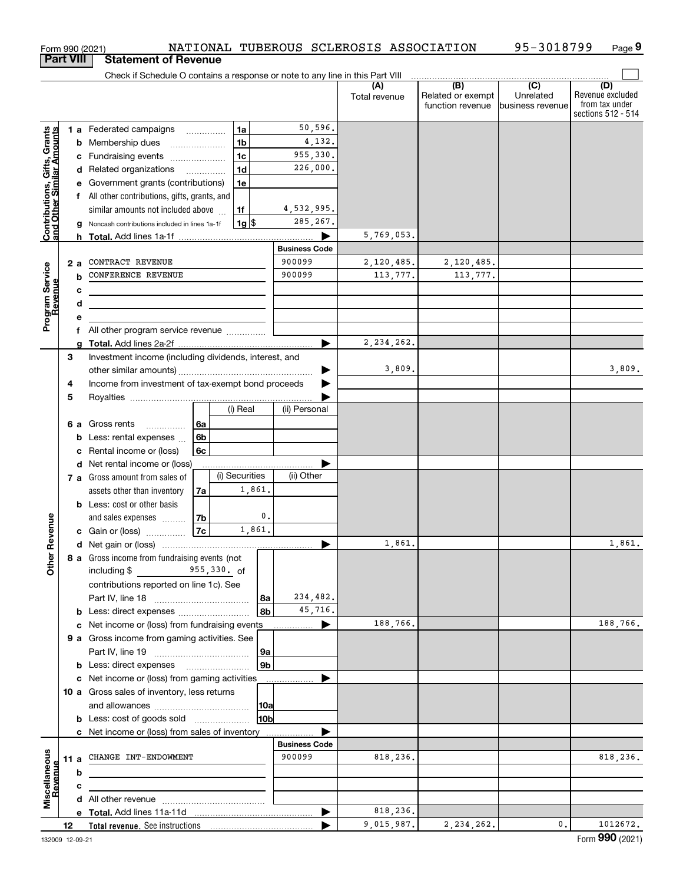|                                                           | <b>Part VIII</b> |   | Form 990 (2021)<br><b>Statement of Revenue</b>                                            |                |                |                      | NATIONAL TUBEROUS SCLEROSIS ASSOCIATION |                                                                 | 95-3018799                            | Page 9                                                          |
|-----------------------------------------------------------|------------------|---|-------------------------------------------------------------------------------------------|----------------|----------------|----------------------|-----------------------------------------|-----------------------------------------------------------------|---------------------------------------|-----------------------------------------------------------------|
|                                                           |                  |   | Check if Schedule O contains a response or note to any line in this Part VIII             |                |                |                      |                                         |                                                                 |                                       |                                                                 |
|                                                           |                  |   |                                                                                           |                |                |                      | (A)<br>Total revenue                    | $\overline{)}$ (B) (C)<br>Related or exempt<br>function revenue | Unrelated<br><b>Ibusiness revenue</b> | (D)<br>Revenue excluded<br>from tax under<br>sections 512 - 514 |
|                                                           |                  |   | 1 a Federated campaigns                                                                   | 1a             |                | 50,596.              |                                         |                                                                 |                                       |                                                                 |
| Contributions, Gifts, Grants<br>and Other Similar Amounts |                  |   | <b>b</b> Membership dues<br>$\ldots \ldots \ldots \ldots \ldots$                          | 1 <sub>b</sub> |                | 4,132.               |                                         |                                                                 |                                       |                                                                 |
|                                                           |                  |   | c Fundraising events                                                                      | 1 <sub>c</sub> |                | 955,330.             |                                         |                                                                 |                                       |                                                                 |
|                                                           |                  |   | d Related organizations                                                                   | 1 <sub>d</sub> |                | 226,000.             |                                         |                                                                 |                                       |                                                                 |
|                                                           |                  | е | Government grants (contributions)                                                         | 1e             |                |                      |                                         |                                                                 |                                       |                                                                 |
|                                                           |                  |   | f All other contributions, gifts, grants, and                                             |                |                |                      |                                         |                                                                 |                                       |                                                                 |
|                                                           |                  |   | similar amounts not included above                                                        | 1f             |                | 4,532,995.           |                                         |                                                                 |                                       |                                                                 |
|                                                           |                  | g | Noncash contributions included in lines 1a-1f                                             | $1g$ \$        |                | 285, 267.            |                                         |                                                                 |                                       |                                                                 |
|                                                           |                  |   |                                                                                           |                |                |                      | 5,769,053.                              |                                                                 |                                       |                                                                 |
|                                                           |                  |   |                                                                                           |                |                | <b>Business Code</b> |                                         |                                                                 |                                       |                                                                 |
|                                                           | 2a               |   | CONTRACT REVENUE                                                                          |                |                | 900099               | 2,120,485.                              | 2,120,485.                                                      |                                       |                                                                 |
| Program Service<br>Revenue                                |                  | b | <b>CONFERENCE REVENUE</b>                                                                 |                |                | 900099               | 113,777.                                | 113,777.                                                        |                                       |                                                                 |
|                                                           |                  |   |                                                                                           |                |                |                      |                                         |                                                                 |                                       |                                                                 |
|                                                           |                  | c |                                                                                           |                |                |                      |                                         |                                                                 |                                       |                                                                 |
|                                                           |                  | d | <u> 1989 - Johann Stein, marwolaethau (b. 1989)</u>                                       |                |                |                      |                                         |                                                                 |                                       |                                                                 |
|                                                           |                  | е |                                                                                           |                |                |                      |                                         |                                                                 |                                       |                                                                 |
|                                                           |                  |   | f All other program service revenue                                                       |                |                |                      |                                         |                                                                 |                                       |                                                                 |
|                                                           |                  |   |                                                                                           |                |                |                      | 2,234,262.                              |                                                                 |                                       |                                                                 |
|                                                           | 3                |   | Investment income (including dividends, interest, and                                     |                |                |                      |                                         |                                                                 |                                       |                                                                 |
|                                                           |                  |   |                                                                                           |                |                |                      | 3,809.                                  |                                                                 |                                       | 3,809.                                                          |
|                                                           | 4                |   | Income from investment of tax-exempt bond proceeds                                        |                |                |                      |                                         |                                                                 |                                       |                                                                 |
|                                                           | 5                |   |                                                                                           |                |                |                      |                                         |                                                                 |                                       |                                                                 |
|                                                           |                  |   |                                                                                           | (i) Real       |                | (ii) Personal        |                                         |                                                                 |                                       |                                                                 |
|                                                           |                  |   | 6a<br>6 a Gross rents                                                                     |                |                |                      |                                         |                                                                 |                                       |                                                                 |
|                                                           |                  |   | 6 <sub>b</sub><br><b>b</b> Less: rental expenses                                          |                |                |                      |                                         |                                                                 |                                       |                                                                 |
|                                                           |                  | c | 6c<br>Rental income or (loss)                                                             |                |                |                      |                                         |                                                                 |                                       |                                                                 |
|                                                           |                  |   | d Net rental income or (loss)                                                             |                |                |                      |                                         |                                                                 |                                       |                                                                 |
|                                                           |                  |   | 7 a Gross amount from sales of                                                            | (i) Securities |                | (ii) Other           |                                         |                                                                 |                                       |                                                                 |
|                                                           |                  |   | assets other than inventory<br>7a                                                         |                | 1,861.         |                      |                                         |                                                                 |                                       |                                                                 |
|                                                           |                  |   | <b>b</b> Less: cost or other basis                                                        |                |                |                      |                                         |                                                                 |                                       |                                                                 |
|                                                           |                  |   | 7b<br>and sales expenses                                                                  |                | 0.             |                      |                                         |                                                                 |                                       |                                                                 |
| evenue                                                    |                  |   | 7c<br>c Gain or (loss)                                                                    |                | 1,861.         |                      |                                         |                                                                 |                                       |                                                                 |
|                                                           |                  |   |                                                                                           |                |                |                      | 1,861.                                  |                                                                 |                                       | 1,861.                                                          |
| œ                                                         |                  |   | 8 a Gross income from fundraising events (not                                             |                |                |                      |                                         |                                                                 |                                       |                                                                 |
| Other                                                     |                  |   |                                                                                           |                |                |                      |                                         |                                                                 |                                       |                                                                 |
|                                                           |                  |   | contributions reported on line 1c). See                                                   |                |                |                      |                                         |                                                                 |                                       |                                                                 |
|                                                           |                  |   |                                                                                           |                | 8а             | 234,482.             |                                         |                                                                 |                                       |                                                                 |
|                                                           |                  |   |                                                                                           |                | 8b             | 45,716.              |                                         |                                                                 |                                       |                                                                 |
|                                                           |                  |   | c Net income or (loss) from fundraising events                                            |                |                | ▶                    | 188,766.                                |                                                                 |                                       | 188,766.                                                        |
|                                                           |                  |   |                                                                                           |                |                |                      |                                         |                                                                 |                                       |                                                                 |
|                                                           |                  |   | 9 a Gross income from gaming activities. See                                              |                |                |                      |                                         |                                                                 |                                       |                                                                 |
|                                                           |                  |   |                                                                                           |                | 9а             |                      |                                         |                                                                 |                                       |                                                                 |
|                                                           |                  |   | <b>b</b> Less: direct expenses <b>manually</b>                                            |                | 9 <sub>b</sub> |                      |                                         |                                                                 |                                       |                                                                 |
|                                                           |                  |   | c Net income or (loss) from gaming activities                                             |                |                | .                    |                                         |                                                                 |                                       |                                                                 |
|                                                           |                  |   | 10 a Gross sales of inventory, less returns                                               |                |                |                      |                                         |                                                                 |                                       |                                                                 |
|                                                           |                  |   |                                                                                           |                | 10a            |                      |                                         |                                                                 |                                       |                                                                 |
|                                                           |                  |   | <b>b</b> Less: cost of goods sold                                                         |                | 10bl           |                      |                                         |                                                                 |                                       |                                                                 |
|                                                           |                  |   | <b>c</b> Net income or (loss) from sales of inventory                                     |                |                |                      |                                         |                                                                 |                                       |                                                                 |
|                                                           |                  |   |                                                                                           |                |                | <b>Business Code</b> |                                         |                                                                 |                                       |                                                                 |
|                                                           |                  |   | 11 a CHANGE INT-ENDOWMENT                                                                 |                |                | 900099               | 818,236.                                |                                                                 |                                       | 818,236.                                                        |
|                                                           |                  | b |                                                                                           |                |                |                      |                                         |                                                                 |                                       |                                                                 |
| Miscellaneous<br><u>Revenu</u>                            |                  | с | the control of the control of the control of the control of the control of the control of |                |                |                      |                                         |                                                                 |                                       |                                                                 |
|                                                           |                  |   |                                                                                           |                |                |                      |                                         |                                                                 |                                       |                                                                 |
|                                                           |                  |   |                                                                                           |                |                |                      | 818,236.                                |                                                                 |                                       |                                                                 |
|                                                           | 12               |   |                                                                                           |                |                |                      | 9,015,987.                              | 2,234,262.                                                      | 0.                                    | 1012672.                                                        |
|                                                           |                  |   |                                                                                           |                |                |                      |                                         |                                                                 |                                       | Form 990 (2021)                                                 |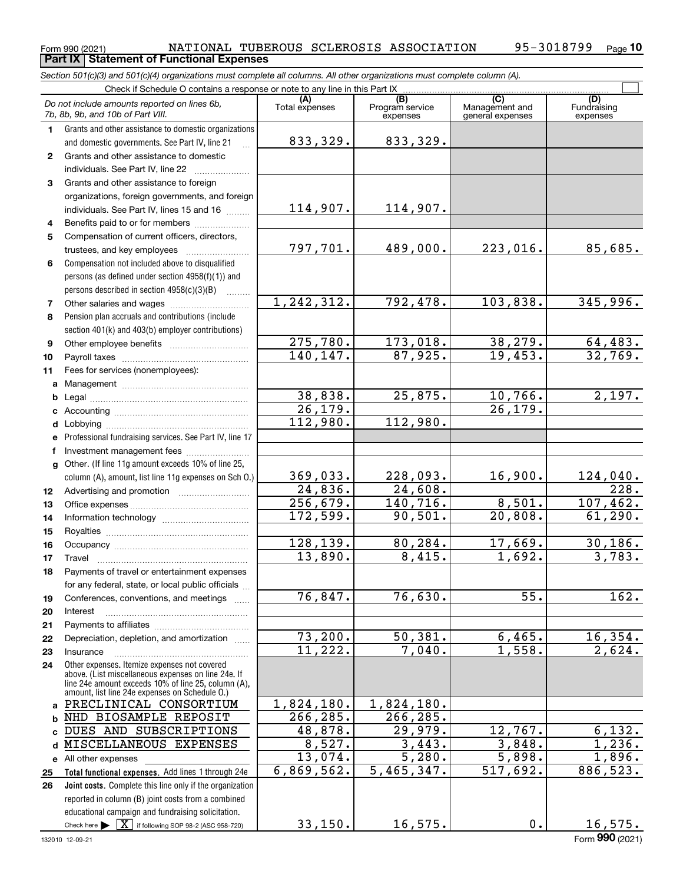Form 990 (2021) Page **Part IX Statement of Functional Expenses** NATIONAL TUBEROUS SCLEROSIS ASSOCIATION 95-3018799

**10**

| Section 501(c)(3) and 501(c)(4) organizations must complete all columns. All other organizations must complete column (A). |  |
|----------------------------------------------------------------------------------------------------------------------------|--|
| Check if Schedule O contains a response or note to any line in this Part IX                                                |  |

|              | Do not include amounts reported on lines 6b,<br>7b, 8b, 9b, and 10b of Part VIII.                                                                          | (A)<br>Total expenses | (B)<br>Program service<br>expenses | (C)<br>Management and<br>general expenses | (D)<br>Fundraising<br>expenses |  |  |  |  |
|--------------|------------------------------------------------------------------------------------------------------------------------------------------------------------|-----------------------|------------------------------------|-------------------------------------------|--------------------------------|--|--|--|--|
| 1.           | Grants and other assistance to domestic organizations                                                                                                      |                       |                                    |                                           |                                |  |  |  |  |
|              | and domestic governments. See Part IV, line 21                                                                                                             | 833,329.              | 833,329.                           |                                           |                                |  |  |  |  |
| $\mathbf{2}$ | Grants and other assistance to domestic                                                                                                                    |                       |                                    |                                           |                                |  |  |  |  |
|              | individuals. See Part IV, line 22                                                                                                                          |                       |                                    |                                           |                                |  |  |  |  |
| 3            | Grants and other assistance to foreign                                                                                                                     |                       |                                    |                                           |                                |  |  |  |  |
|              | organizations, foreign governments, and foreign                                                                                                            |                       |                                    |                                           |                                |  |  |  |  |
|              | individuals. See Part IV, lines 15 and 16                                                                                                                  | 114,907.              | 114,907.                           |                                           |                                |  |  |  |  |
| 4            | Benefits paid to or for members                                                                                                                            |                       |                                    |                                           |                                |  |  |  |  |
| 5            | Compensation of current officers, directors,                                                                                                               |                       |                                    |                                           |                                |  |  |  |  |
|              | trustees, and key employees                                                                                                                                | 797,701.              | 489,000.                           | 223,016.                                  | 85,685.                        |  |  |  |  |
| 6            | Compensation not included above to disqualified                                                                                                            |                       |                                    |                                           |                                |  |  |  |  |
|              | persons (as defined under section 4958(f)(1)) and                                                                                                          |                       |                                    |                                           |                                |  |  |  |  |
|              | persons described in section 4958(c)(3)(B)                                                                                                                 |                       |                                    |                                           |                                |  |  |  |  |
| 7            |                                                                                                                                                            | 1,242,312.            | 792,478.                           | 103,838.                                  | 345,996.                       |  |  |  |  |
| 8            | Pension plan accruals and contributions (include                                                                                                           |                       |                                    |                                           |                                |  |  |  |  |
|              | section 401(k) and 403(b) employer contributions)                                                                                                          |                       | 173,018.                           |                                           |                                |  |  |  |  |
| 9            |                                                                                                                                                            | 275,780.<br>140,147.  | 87,925.                            | 38,279.<br>19,453.                        | 64,483.<br>32,769.             |  |  |  |  |
| 10           |                                                                                                                                                            |                       |                                    |                                           |                                |  |  |  |  |
| 11           | Fees for services (nonemployees):                                                                                                                          |                       |                                    |                                           |                                |  |  |  |  |
|              |                                                                                                                                                            | 38,838.               | 25,875.                            | 10,766.                                   | 2,197.                         |  |  |  |  |
| b            |                                                                                                                                                            | 26, 179.              |                                    | 26, 179.                                  |                                |  |  |  |  |
| c<br>d       |                                                                                                                                                            | 112,980.              | 112,980.                           |                                           |                                |  |  |  |  |
| е            | Professional fundraising services. See Part IV, line 17                                                                                                    |                       |                                    |                                           |                                |  |  |  |  |
| f            | Investment management fees                                                                                                                                 |                       |                                    |                                           |                                |  |  |  |  |
| q            | Other. (If line 11g amount exceeds 10% of line 25,                                                                                                         |                       |                                    |                                           |                                |  |  |  |  |
|              | column (A), amount, list line 11g expenses on Sch O.)                                                                                                      | 369,033.              | 228,093.                           | 16,900.                                   | 124,040.                       |  |  |  |  |
| 12           |                                                                                                                                                            | 24,836.               | 24,608.                            |                                           | 228.                           |  |  |  |  |
| 13           |                                                                                                                                                            | 256,679.              | 140,716.                           | 8,501.                                    | 107,462.                       |  |  |  |  |
| 14           |                                                                                                                                                            | 172,599.              | 90,501.                            | 20,808.                                   | 61, 290.                       |  |  |  |  |
| 15           |                                                                                                                                                            |                       |                                    |                                           |                                |  |  |  |  |
| 16           |                                                                                                                                                            | 128,139.              | 80,284.                            | 17,669.                                   | 30, 186.                       |  |  |  |  |
| 17           | Travel                                                                                                                                                     | 13,890.               | 8,415.                             | 1,692.                                    | 3,783.                         |  |  |  |  |
| 18           | Payments of travel or entertainment expenses                                                                                                               |                       |                                    |                                           |                                |  |  |  |  |
|              | for any federal, state, or local public officials                                                                                                          |                       |                                    |                                           |                                |  |  |  |  |
| 19           | Conferences, conventions, and meetings                                                                                                                     | 76,847.               | 76,630.                            | $\overline{55}$ .                         | 162.                           |  |  |  |  |
| 20           | Interest                                                                                                                                                   |                       |                                    |                                           |                                |  |  |  |  |
| 21           |                                                                                                                                                            |                       |                                    |                                           |                                |  |  |  |  |
| 22           | Depreciation, depletion, and amortization                                                                                                                  | 73,200.               | 50,381.                            | 6,465.                                    | <u>16,354.</u>                 |  |  |  |  |
| 23           | Insurance                                                                                                                                                  | 11,222.               | 7,040.                             | 1,558.                                    | 2,624.                         |  |  |  |  |
| 24           | Other expenses. Itemize expenses not covered<br>above. (List miscellaneous expenses on line 24e. If<br>line 24e amount exceeds 10% of line 25, column (A), |                       |                                    |                                           |                                |  |  |  |  |
| a            | amount, list line 24e expenses on Schedule O.)<br>PRECLINICAL CONSORTIUM                                                                                   | 1,824,180.            | 1,824,180.                         |                                           |                                |  |  |  |  |
| b            | NHD BIOSAMPLE REPOSIT                                                                                                                                      | 266, 285.             | 266,285.                           |                                           |                                |  |  |  |  |
| C            | DUES AND SUBSCRIPTIONS                                                                                                                                     | 48,878.               | 29,979.                            | 12,767.                                   | 6, 132.                        |  |  |  |  |
| d            | MISCELLANEOUS EXPENSES                                                                                                                                     | 8,527.                | 3,443.                             | 3,848.                                    | 1,236.                         |  |  |  |  |
| е            | All other expenses                                                                                                                                         | 13,074.               | $\overline{5,280}$ .               | 5,898.                                    | 1,896.                         |  |  |  |  |
| 25           | Total functional expenses. Add lines 1 through 24e                                                                                                         | 6,869,562.            | 5,465,347.                         | 517,692.                                  | 886,523.                       |  |  |  |  |
| 26           | Joint costs. Complete this line only if the organization                                                                                                   |                       |                                    |                                           |                                |  |  |  |  |
|              | reported in column (B) joint costs from a combined                                                                                                         |                       |                                    |                                           |                                |  |  |  |  |
|              | educational campaign and fundraising solicitation.                                                                                                         |                       |                                    |                                           |                                |  |  |  |  |
|              | Check here $\blacktriangleright \boxed{\mathbf{X}}$ if following SOP 98-2 (ASC 958-720)                                                                    | 33,150.               | 16,575.                            | 0.                                        | 16,575.                        |  |  |  |  |
|              | 132010 12-09-21                                                                                                                                            |                       |                                    |                                           | Form 990 (2021)                |  |  |  |  |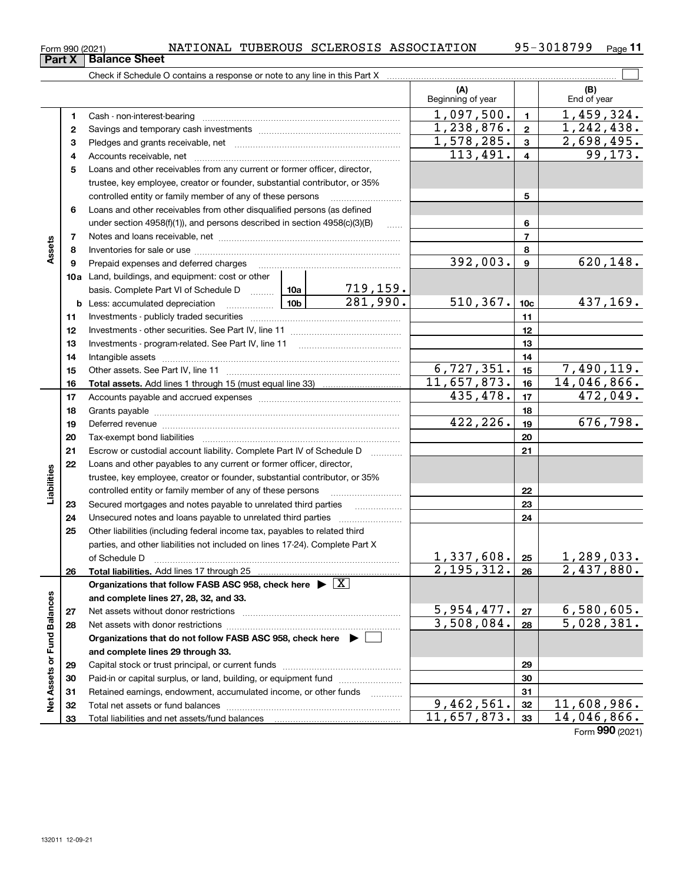**26**

**Total liabilities.** 

**and complete lines 27, 28, 32, and 33.**

**and complete lines 29 through 33.**

Total liabilities and net assets/fund balances

**Organizations that follow FASB ASC 958, check here** Add lines 17 through 25 | X

Net assets without donor restrictions <sub>…………………………………………………</sub>…… Net assets with donor restrictions ~~~~~~~~~~~~~~~~~~~~~~

Capital stock or trust principal, or current funds ~~~~~~~~~~~~~~~ Paid-in or capital surplus, or land, building, or equipment fund www.commun.com Retained earnings, endowment, accumulated income, or other funds we have all the Total net assets or fund balances ~~~~~~~~~~~~~~~~~~~~~~

**Organizations that do not follow FASB ASC 958, check here** |

**2728**

**Net Assets or Fund Balances**

Net Assets or Fund Balances

| Part X     | Form 990 (2021) | NATIONAL TUBEROUS SCLEROSIS ASSOCIATION<br><b>Balance Sheet</b>                                                                                                                                                                |            |                             |                          |              | 95-3018799<br>$Page$ 11 |
|------------|-----------------|--------------------------------------------------------------------------------------------------------------------------------------------------------------------------------------------------------------------------------|------------|-----------------------------|--------------------------|--------------|-------------------------|
|            |                 |                                                                                                                                                                                                                                |            |                             | (A)                      |              | (B)                     |
|            |                 |                                                                                                                                                                                                                                |            |                             | Beginning of year        |              | End of year             |
|            | 1.              |                                                                                                                                                                                                                                |            |                             | 1,097,500.               | $\mathbf 1$  | 1,459,324.              |
|            | 2               |                                                                                                                                                                                                                                |            |                             | 1,238,876.               | $\mathbf{2}$ | 1, 242, 438.            |
|            | 3               |                                                                                                                                                                                                                                |            |                             | $\overline{1,}578,285.$  | 3            | 2,698,495.              |
|            | 4               |                                                                                                                                                                                                                                |            |                             | 113,491.                 | 4            | 99, 173.                |
|            | 5               | Loans and other receivables from any current or former officer, director,                                                                                                                                                      |            |                             |                          |              |                         |
|            |                 | trustee, key employee, creator or founder, substantial contributor, or 35%                                                                                                                                                     |            |                             |                          |              |                         |
|            |                 | controlled entity or family member of any of these persons                                                                                                                                                                     |            |                             |                          | 5            |                         |
|            | 6               | Loans and other receivables from other disqualified persons (as defined                                                                                                                                                        |            |                             |                          |              |                         |
|            |                 | under section $4958(f)(1)$ , and persons described in section $4958(c)(3)(B)$                                                                                                                                                  |            | 6                           |                          |              |                         |
|            | 7               |                                                                                                                                                                                                                                |            |                             | 7                        |              |                         |
| Assets     | 8               |                                                                                                                                                                                                                                |            |                             |                          | 8            |                         |
|            | 9               | Prepaid expenses and deferred charges                                                                                                                                                                                          |            | 392,003.                    | 9                        | 620, 148.    |                         |
|            |                 | 10a Land, buildings, and equipment: cost or other                                                                                                                                                                              |            |                             |                          |              |                         |
|            |                 | basis. Complete Part VI of Schedule D  10a                                                                                                                                                                                     |            | <u>719,159.</u><br>281,990. | 510, 367.                |              | 437,169.                |
|            | 11              | $\frac{10b}{10b}$<br><b>b</b> Less: accumulated depreciation                                                                                                                                                                   |            |                             |                          | 10c<br>11    |                         |
|            | 12              |                                                                                                                                                                                                                                |            |                             |                          | 12           |                         |
|            | 13              |                                                                                                                                                                                                                                |            |                             |                          | 13           |                         |
|            | 14              |                                                                                                                                                                                                                                |            |                             |                          | 14           |                         |
|            | 15              |                                                                                                                                                                                                                                |            |                             | $\overline{6,727,351}$ . | 15           | 7,490,119.              |
|            | 16              |                                                                                                                                                                                                                                |            |                             | 11,657,873.              | 16           | 14,046,866.             |
|            | 17              |                                                                                                                                                                                                                                |            |                             | $\overline{435}$ , 478.  | 17           | 472,049.                |
|            | 18              |                                                                                                                                                                                                                                |            |                             |                          | 18           |                         |
|            | 19              | Deferred revenue information and contact the contract of the contract of the contract of the contract of the contract of the contract of the contract of the contract of the contract of the contract of the contract of the c |            |                             | 422,226.                 | 19           | 676,798.                |
|            | 20              |                                                                                                                                                                                                                                |            |                             |                          | 20           |                         |
|            | 21              | Escrow or custodial account liability. Complete Part IV of Schedule D                                                                                                                                                          |            | 1.1.1.1.1.1.1.1.1.1         |                          | 21           |                         |
| ΘS         | 22              | Loans and other payables to any current or former officer, director,                                                                                                                                                           |            |                             |                          |              |                         |
|            |                 | trustee, key employee, creator or founder, substantial contributor, or 35%                                                                                                                                                     |            |                             |                          |              |                         |
| Liabilitie |                 | controlled entity or family member of any of these persons                                                                                                                                                                     |            |                             |                          | 22           |                         |
|            | 23              | Secured mortgages and notes payable to unrelated third parties                                                                                                                                                                 |            |                             |                          | 23           |                         |
|            | 24              | Unsecured notes and loans payable to unrelated third parties                                                                                                                                                                   |            |                             |                          | 24           |                         |
|            | 25              | Other liabilities (including federal income tax, payables to related third                                                                                                                                                     |            |                             |                          |              |                         |
|            |                 | parties, and other liabilities not included on lines 17-24). Complete Part X                                                                                                                                                   |            |                             |                          |              |                         |
|            |                 | of Schedule D                                                                                                                                                                                                                  | 1,337,608. | 25                          | 1,289,033.               |              |                         |

Form (2021) **990**14,046,866.

<u>1,289,033.</u><br>2,437,880.

3,508,084. 5,028,381.

**26**

2,195,312.

**2728**

5,954,477. 27 6,580,605.<br>3,508,084. 28 5,028,381.

<u>9,462,561. 32 11,608,986.</u><br>11,657,873. 33 14,046,866.

# **Part**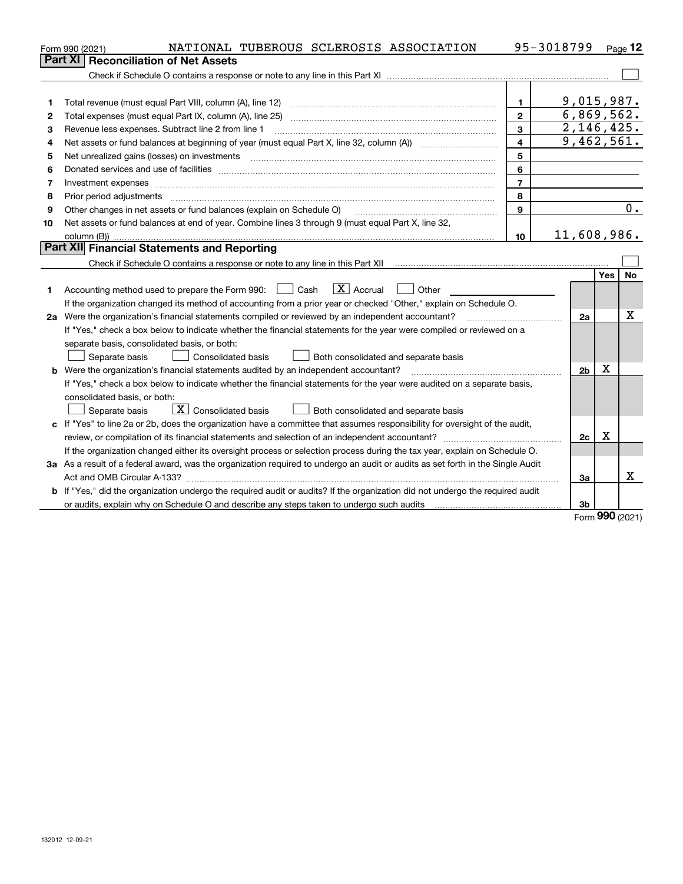|    | NATIONAL TUBEROUS SCLEROSIS ASSOCIATION<br>Form 990 (2021)                                                                      |                         | 95-3018799     |     | Page 12   |
|----|---------------------------------------------------------------------------------------------------------------------------------|-------------------------|----------------|-----|-----------|
|    | <b>Reconciliation of Net Assets</b><br>Part XI                                                                                  |                         |                |     |           |
|    |                                                                                                                                 |                         |                |     |           |
|    |                                                                                                                                 |                         |                |     |           |
| 1  | Total revenue (must equal Part VIII, column (A), line 12)                                                                       | $\mathbf{1}$            | 9,015,987.     |     |           |
| 2  |                                                                                                                                 | $\overline{2}$          | 6,869,562.     |     |           |
| 3  | Revenue less expenses. Subtract line 2 from line 1                                                                              | 3                       | 2,146,425.     |     |           |
| 4  |                                                                                                                                 | $\overline{\mathbf{4}}$ | 9,462,561.     |     |           |
| 5  |                                                                                                                                 | 5                       |                |     |           |
| 6  |                                                                                                                                 | 6                       |                |     |           |
| 7  |                                                                                                                                 | $\overline{7}$          |                |     |           |
| 8  | Prior period adjustments                                                                                                        | 8                       |                |     |           |
| 9  | Other changes in net assets or fund balances (explain on Schedule O)                                                            | 9                       |                |     | 0.        |
| 10 | Net assets or fund balances at end of year. Combine lines 3 through 9 (must equal Part X, line 32,                              |                         |                |     |           |
|    |                                                                                                                                 | 10 <sup>10</sup>        | 11,608,986.    |     |           |
|    | Part XII Financial Statements and Reporting                                                                                     |                         |                |     |           |
|    |                                                                                                                                 |                         |                |     |           |
|    |                                                                                                                                 |                         |                | Yes | <b>No</b> |
| 1  | $ X $ Accrual<br>Accounting method used to prepare the Form 990: <u>June</u> Cash<br>Other                                      |                         |                |     |           |
|    | If the organization changed its method of accounting from a prior year or checked "Other," explain on Schedule O.               |                         |                |     |           |
|    | 2a Were the organization's financial statements compiled or reviewed by an independent accountant?                              |                         | 2a             |     | X         |
|    | If "Yes," check a box below to indicate whether the financial statements for the year were compiled or reviewed on a            |                         |                |     |           |
|    | separate basis, consolidated basis, or both:                                                                                    |                         |                |     |           |
|    | Separate basis<br>Consolidated basis<br>Both consolidated and separate basis                                                    |                         |                |     |           |
|    | <b>b</b> Were the organization's financial statements audited by an independent accountant?                                     |                         | 2 <sub>b</sub> | Χ   |           |
|    | If "Yes," check a box below to indicate whether the financial statements for the year were audited on a separate basis,         |                         |                |     |           |
|    | consolidated basis, or both:                                                                                                    |                         |                |     |           |
|    | $\boxed{\mathbf{X}}$ Consolidated basis<br>Separate basis<br>Both consolidated and separate basis                               |                         |                |     |           |
|    | c If "Yes" to line 2a or 2b, does the organization have a committee that assumes responsibility for oversight of the audit,     |                         |                |     |           |
|    |                                                                                                                                 |                         | 2c             | х   |           |
|    | If the organization changed either its oversight process or selection process during the tax year, explain on Schedule O.       |                         |                |     |           |
|    | 3a As a result of a federal award, was the organization required to undergo an audit or audits as set forth in the Single Audit |                         |                |     |           |
|    |                                                                                                                                 |                         | За             |     | x         |
|    | b If "Yes," did the organization undergo the required audit or audits? If the organization did not undergo the required audit   |                         |                |     |           |
|    |                                                                                                                                 |                         | 3b             |     |           |

Form (2021) **990**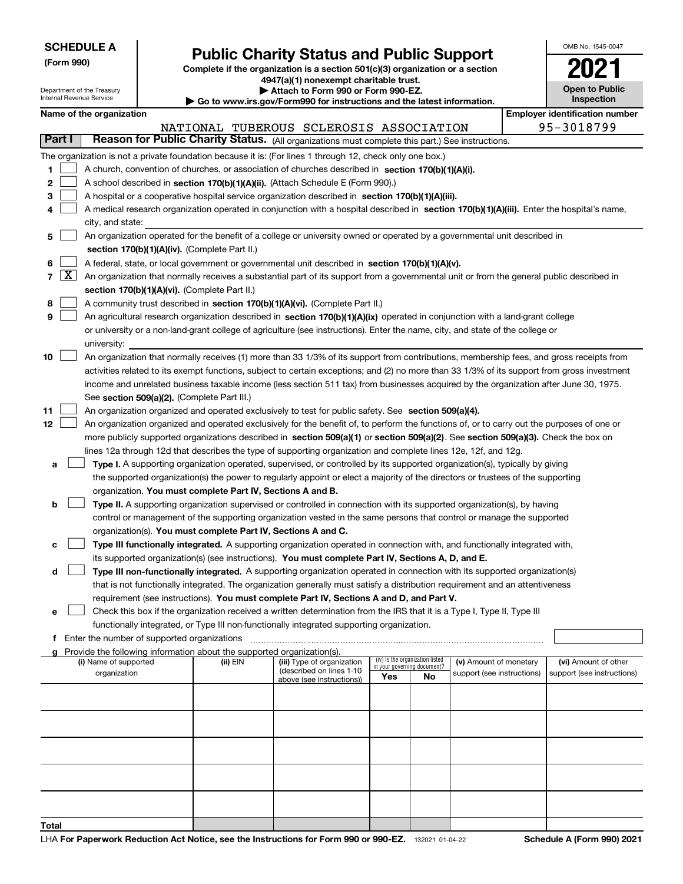Department of the Treasury Internal Revenue Service

**(Form 990)**

**Total**

## **Public Charity Status and Public Support**

**Complete if the organization is a section 501(c)(3) organization or a section 4947(a)(1) nonexempt charitable trust. | Attach to Form 990 or Form 990-EZ.** 

|  | $\blacktriangleright$ Allach to Form 550 or Form 550-LL.        |  |
|--|-----------------------------------------------------------------|--|
|  | unuu ire qoy/Eorm000 for inetructions and the latest informatio |  |

**| Go to www.irs.gov/Form990 for instructions and the latest information.**

| OMB No. 1545-0047                   |
|-------------------------------------|
|                                     |
| <b>Open to Public</b><br>Inspection |

|                     | Name of the organization                                                                                                                                                                                                                                                                                                                                                                                                                                                                                                                                  |                                                                                                                                                                                                                                                                                                |                                                                                                                                                                                                                                                                                                                                                               |     |                                                                      |                                                      |  | <b>Employer identification number</b>              |  |  |  |
|---------------------|-----------------------------------------------------------------------------------------------------------------------------------------------------------------------------------------------------------------------------------------------------------------------------------------------------------------------------------------------------------------------------------------------------------------------------------------------------------------------------------------------------------------------------------------------------------|------------------------------------------------------------------------------------------------------------------------------------------------------------------------------------------------------------------------------------------------------------------------------------------------|---------------------------------------------------------------------------------------------------------------------------------------------------------------------------------------------------------------------------------------------------------------------------------------------------------------------------------------------------------------|-----|----------------------------------------------------------------------|------------------------------------------------------|--|----------------------------------------------------|--|--|--|
|                     |                                                                                                                                                                                                                                                                                                                                                                                                                                                                                                                                                           |                                                                                                                                                                                                                                                                                                | NATIONAL TUBEROUS SCLEROSIS ASSOCIATION                                                                                                                                                                                                                                                                                                                       |     |                                                                      |                                                      |  | 95-3018799                                         |  |  |  |
| Part I              |                                                                                                                                                                                                                                                                                                                                                                                                                                                                                                                                                           |                                                                                                                                                                                                                                                                                                | Reason for Public Charity Status. (All organizations must complete this part.) See instructions.                                                                                                                                                                                                                                                              |     |                                                                      |                                                      |  |                                                    |  |  |  |
| 1.<br>2             | The organization is not a private foundation because it is: (For lines 1 through 12, check only one box.)<br>A church, convention of churches, or association of churches described in section $170(b)(1)(A)(i)$ .<br>A school described in section 170(b)(1)(A)(ii). (Attach Schedule E (Form 990).)                                                                                                                                                                                                                                                     |                                                                                                                                                                                                                                                                                                |                                                                                                                                                                                                                                                                                                                                                               |     |                                                                      |                                                      |  |                                                    |  |  |  |
| 3<br>4              | A hospital or a cooperative hospital service organization described in section 170(b)(1)(A)(iii).<br>A medical research organization operated in conjunction with a hospital described in section 170(b)(1)(A)(iii). Enter the hospital's name,<br>city, and state:                                                                                                                                                                                                                                                                                       |                                                                                                                                                                                                                                                                                                |                                                                                                                                                                                                                                                                                                                                                               |     |                                                                      |                                                      |  |                                                    |  |  |  |
| 5                   | An organization operated for the benefit of a college or university owned or operated by a governmental unit described in<br>section 170(b)(1)(A)(iv). (Complete Part II.)                                                                                                                                                                                                                                                                                                                                                                                |                                                                                                                                                                                                                                                                                                |                                                                                                                                                                                                                                                                                                                                                               |     |                                                                      |                                                      |  |                                                    |  |  |  |
| 6<br>$\overline{7}$ | X                                                                                                                                                                                                                                                                                                                                                                                                                                                                                                                                                         | A federal, state, or local government or governmental unit described in section 170(b)(1)(A)(v).<br>An organization that normally receives a substantial part of its support from a governmental unit or from the general public described in<br>section 170(b)(1)(A)(vi). (Complete Part II.) |                                                                                                                                                                                                                                                                                                                                                               |     |                                                                      |                                                      |  |                                                    |  |  |  |
| 8<br>9              | A community trust described in section 170(b)(1)(A)(vi). (Complete Part II.)<br>An agricultural research organization described in section 170(b)(1)(A)(ix) operated in conjunction with a land-grant college<br>or university or a non-land-grant college of agriculture (see instructions). Enter the name, city, and state of the college or<br>university:                                                                                                                                                                                            |                                                                                                                                                                                                                                                                                                |                                                                                                                                                                                                                                                                                                                                                               |     |                                                                      |                                                      |  |                                                    |  |  |  |
| 10                  | An organization that normally receives (1) more than 33 1/3% of its support from contributions, membership fees, and gross receipts from<br>activities related to its exempt functions, subject to certain exceptions; and (2) no more than 33 1/3% of its support from gross investment<br>income and unrelated business taxable income (less section 511 tax) from businesses acquired by the organization after June 30, 1975.                                                                                                                         |                                                                                                                                                                                                                                                                                                |                                                                                                                                                                                                                                                                                                                                                               |     |                                                                      |                                                      |  |                                                    |  |  |  |
| 11<br>12            | See section 509(a)(2). (Complete Part III.)<br>An organization organized and operated exclusively to test for public safety. See section 509(a)(4).<br>An organization organized and operated exclusively for the benefit of, to perform the functions of, or to carry out the purposes of one or<br>more publicly supported organizations described in section 509(a)(1) or section 509(a)(2). See section 509(a)(3). Check the box on<br>lines 12a through 12d that describes the type of supporting organization and complete lines 12e, 12f, and 12g. |                                                                                                                                                                                                                                                                                                |                                                                                                                                                                                                                                                                                                                                                               |     |                                                                      |                                                      |  |                                                    |  |  |  |
| а                   | organization. You must complete Part IV, Sections A and B.                                                                                                                                                                                                                                                                                                                                                                                                                                                                                                |                                                                                                                                                                                                                                                                                                | Type I. A supporting organization operated, supervised, or controlled by its supported organization(s), typically by giving<br>the supported organization(s) the power to regularly appoint or elect a majority of the directors or trustees of the supporting                                                                                                |     |                                                                      |                                                      |  |                                                    |  |  |  |
| b                   | organization(s). You must complete Part IV, Sections A and C.                                                                                                                                                                                                                                                                                                                                                                                                                                                                                             |                                                                                                                                                                                                                                                                                                | Type II. A supporting organization supervised or controlled in connection with its supported organization(s), by having<br>control or management of the supporting organization vested in the same persons that control or manage the supported                                                                                                               |     |                                                                      |                                                      |  |                                                    |  |  |  |
| c<br>d              |                                                                                                                                                                                                                                                                                                                                                                                                                                                                                                                                                           |                                                                                                                                                                                                                                                                                                | Type III functionally integrated. A supporting organization operated in connection with, and functionally integrated with,<br>its supported organization(s) (see instructions). You must complete Part IV, Sections A, D, and E.<br>Type III non-functionally integrated. A supporting organization operated in connection with its supported organization(s) |     |                                                                      |                                                      |  |                                                    |  |  |  |
| е                   |                                                                                                                                                                                                                                                                                                                                                                                                                                                                                                                                                           |                                                                                                                                                                                                                                                                                                | that is not functionally integrated. The organization generally must satisfy a distribution requirement and an attentiveness<br>requirement (see instructions). You must complete Part IV, Sections A and D, and Part V.<br>Check this box if the organization received a written determination from the IRS that it is a Type I, Type II, Type III           |     |                                                                      |                                                      |  |                                                    |  |  |  |
|                     | f Enter the number of supported organizations                                                                                                                                                                                                                                                                                                                                                                                                                                                                                                             |                                                                                                                                                                                                                                                                                                | functionally integrated, or Type III non-functionally integrated supporting organization.                                                                                                                                                                                                                                                                     |     |                                                                      |                                                      |  |                                                    |  |  |  |
| g                   | Provide the following information about the supported organization(s).<br>(i) Name of supported<br>organization                                                                                                                                                                                                                                                                                                                                                                                                                                           | (ii) EIN                                                                                                                                                                                                                                                                                       | (iii) Type of organization<br>(described on lines 1-10<br>above (see instructions))                                                                                                                                                                                                                                                                           | Yes | (iv) Is the organization listed<br>in your governing document?<br>No | (v) Amount of monetary<br>support (see instructions) |  | (vi) Amount of other<br>support (see instructions) |  |  |  |
|                     |                                                                                                                                                                                                                                                                                                                                                                                                                                                                                                                                                           |                                                                                                                                                                                                                                                                                                |                                                                                                                                                                                                                                                                                                                                                               |     |                                                                      |                                                      |  |                                                    |  |  |  |
|                     |                                                                                                                                                                                                                                                                                                                                                                                                                                                                                                                                                           |                                                                                                                                                                                                                                                                                                |                                                                                                                                                                                                                                                                                                                                                               |     |                                                                      |                                                      |  |                                                    |  |  |  |
|                     |                                                                                                                                                                                                                                                                                                                                                                                                                                                                                                                                                           |                                                                                                                                                                                                                                                                                                |                                                                                                                                                                                                                                                                                                                                                               |     |                                                                      |                                                      |  |                                                    |  |  |  |
|                     |                                                                                                                                                                                                                                                                                                                                                                                                                                                                                                                                                           |                                                                                                                                                                                                                                                                                                |                                                                                                                                                                                                                                                                                                                                                               |     |                                                                      |                                                      |  |                                                    |  |  |  |
|                     |                                                                                                                                                                                                                                                                                                                                                                                                                                                                                                                                                           |                                                                                                                                                                                                                                                                                                |                                                                                                                                                                                                                                                                                                                                                               |     |                                                                      |                                                      |  |                                                    |  |  |  |

٦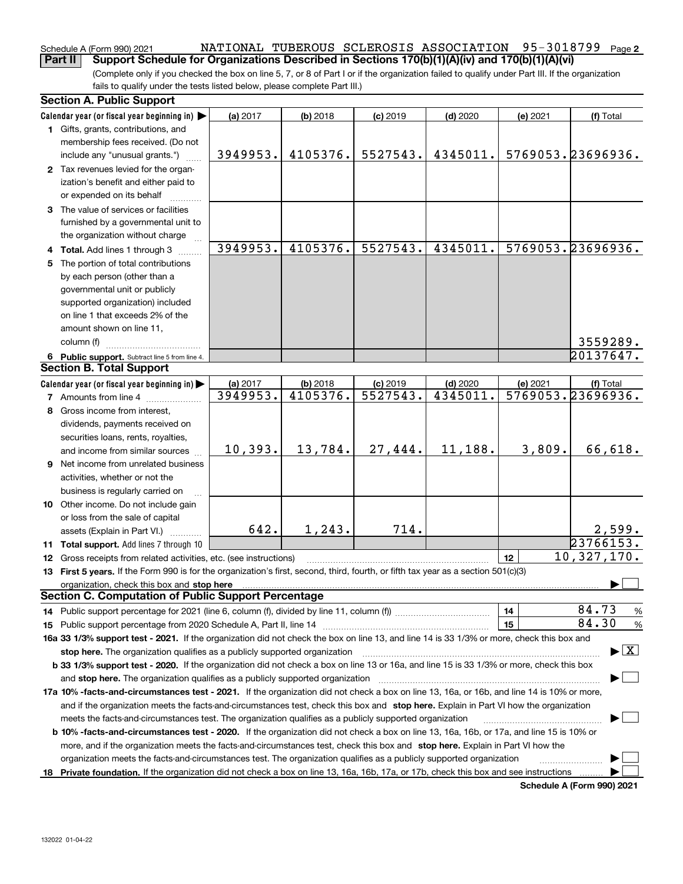### Schedule A (Form 990) 2021 NATIONAL TUBEROUS SCLEROSIS ASSOCIATION 95-3018799 <sub>Page **2**</sub> **Part II Support Schedule for Organizations Described in Sections 170(b)(1)(A)(iv) and 170(b)(1)(A)(vi)**

(Complete only if you checked the box on line 5, 7, or 8 of Part I or if the organization failed to qualify under Part III. If the organization fails to qualify under the tests listed below, please complete Part III.)

| <b>Section A. Public Support</b>                                                                                                               |          |            |            |            |                 |                                          |
|------------------------------------------------------------------------------------------------------------------------------------------------|----------|------------|------------|------------|-----------------|------------------------------------------|
| Calendar year (or fiscal year beginning in)                                                                                                    | (a) 2017 | (b) 2018   | $(c)$ 2019 | $(d)$ 2020 | (e) 2021        | (f) Total                                |
| 1 Gifts, grants, contributions, and                                                                                                            |          |            |            |            |                 |                                          |
| membership fees received. (Do not                                                                                                              |          |            |            |            |                 |                                          |
| include any "unusual grants.")                                                                                                                 | 3949953. | 4105376.   | 5527543.   | 4345011.   |                 | 5769053.23696936.                        |
| 2 Tax revenues levied for the organ-                                                                                                           |          |            |            |            |                 |                                          |
| ization's benefit and either paid to                                                                                                           |          |            |            |            |                 |                                          |
| or expended on its behalf                                                                                                                      |          |            |            |            |                 |                                          |
| 3 The value of services or facilities                                                                                                          |          |            |            |            |                 |                                          |
| furnished by a governmental unit to                                                                                                            |          |            |            |            |                 |                                          |
| the organization without charge                                                                                                                |          |            |            |            |                 |                                          |
| 4 Total. Add lines 1 through 3                                                                                                                 | 3949953. | 4105376.   | 5527543.   | 4345011.   |                 | 5769053.23696936.                        |
| 5 The portion of total contributions                                                                                                           |          |            |            |            |                 |                                          |
| by each person (other than a                                                                                                                   |          |            |            |            |                 |                                          |
| governmental unit or publicly                                                                                                                  |          |            |            |            |                 |                                          |
| supported organization) included                                                                                                               |          |            |            |            |                 |                                          |
| on line 1 that exceeds 2% of the                                                                                                               |          |            |            |            |                 |                                          |
| amount shown on line 11,                                                                                                                       |          |            |            |            |                 |                                          |
| column (f)                                                                                                                                     |          |            |            |            |                 | 3559289.                                 |
| 6 Public support. Subtract line 5 from line 4.                                                                                                 |          |            |            |            |                 | 20137647.                                |
| <b>Section B. Total Support</b>                                                                                                                |          |            |            |            |                 |                                          |
| Calendar year (or fiscal year beginning in)                                                                                                    | (a) 2017 | $(b)$ 2018 | $(c)$ 2019 | $(d)$ 2020 | (e) 2021        | (f) Total                                |
| <b>7</b> Amounts from line 4                                                                                                                   | 3949953. | 4105376.   | 5527543.   | 4345011.   |                 | 5769053.23696936.                        |
| 8 Gross income from interest,                                                                                                                  |          |            |            |            |                 |                                          |
| dividends, payments received on                                                                                                                |          |            |            |            |                 |                                          |
| securities loans, rents, royalties,                                                                                                            |          |            |            |            |                 |                                          |
| and income from similar sources                                                                                                                | 10,393.  | 13,784.    | 27,444.    | 11,188.    | 3,809.          | 66,618.                                  |
| 9 Net income from unrelated business                                                                                                           |          |            |            |            |                 |                                          |
| activities, whether or not the                                                                                                                 |          |            |            |            |                 |                                          |
| business is regularly carried on                                                                                                               |          |            |            |            |                 |                                          |
| 10 Other income. Do not include gain                                                                                                           |          |            |            |            |                 |                                          |
| or loss from the sale of capital                                                                                                               |          |            |            |            |                 |                                          |
| assets (Explain in Part VI.)                                                                                                                   | 642.     | 1,243.     | 714.       |            |                 | 2,599.                                   |
| 11 Total support. Add lines 7 through 10                                                                                                       |          |            |            |            |                 | 23766153.                                |
| 12 Gross receipts from related activities, etc. (see instructions)                                                                             |          |            |            |            | 12 <sup>2</sup> | 10,327,170.                              |
| 13 First 5 years. If the Form 990 is for the organization's first, second, third, fourth, or fifth tax year as a section 501(c)(3)             |          |            |            |            |                 |                                          |
|                                                                                                                                                |          |            |            |            |                 |                                          |
| <b>Section C. Computation of Public Support Percentage</b>                                                                                     |          |            |            |            |                 |                                          |
|                                                                                                                                                |          |            |            |            | 14              | 84.73<br>%                               |
|                                                                                                                                                |          |            |            |            | 15              | 84.30<br>%                               |
| 16a 33 1/3% support test - 2021. If the organization did not check the box on line 13, and line 14 is 33 1/3% or more, check this box and      |          |            |            |            |                 |                                          |
| stop here. The organization qualifies as a publicly supported organization                                                                     |          |            |            |            |                 | $\blacktriangleright$ $\boxed{\text{X}}$ |
| b 33 1/3% support test - 2020. If the organization did not check a box on line 13 or 16a, and line 15 is 33 1/3% or more, check this box       |          |            |            |            |                 |                                          |
| and stop here. The organization qualifies as a publicly supported organization                                                                 |          |            |            |            |                 |                                          |
| 17a 10% -facts-and-circumstances test - 2021. If the organization did not check a box on line 13, 16a, or 16b, and line 14 is 10% or more,     |          |            |            |            |                 |                                          |
| and if the organization meets the facts and circumstances test, check this box and stop here. Explain in Part VI how the organization          |          |            |            |            |                 |                                          |
| meets the facts-and-circumstances test. The organization qualifies as a publicly supported organization                                        |          |            |            |            |                 |                                          |
| <b>b 10% -facts-and-circumstances test - 2020.</b> If the organization did not check a box on line 13, 16a, 16b, or 17a, and line 15 is 10% or |          |            |            |            |                 |                                          |
|                                                                                                                                                |          |            |            |            |                 |                                          |
| more, and if the organization meets the facts-and-circumstances test, check this box and stop here. Explain in Part VI how the                 |          |            |            |            |                 |                                          |
| organization meets the facts-and-circumstances test. The organization qualifies as a publicly supported organization                           |          |            |            |            |                 |                                          |
| 18 Private foundation. If the organization did not check a box on line 13, 16a, 16b, 17a, or 17b, check this box and see instructions          |          |            |            |            |                 | Pohodulo A (Form 000) 2024               |

**Schedule A (Form 990) 2021**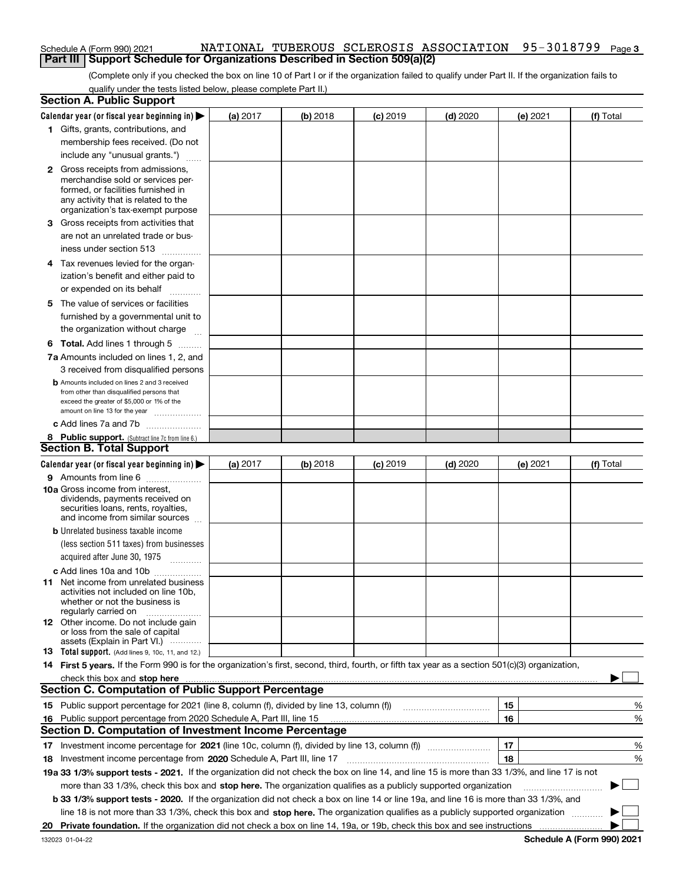### Schedule A (Form 990) 2021 NATIONAL TUBEROUS SCLEROSIS ASSOCIATION 95-3018799 <sub>Page 3</sub> **Part III** | Support Schedule for Organizations Described in Section 509(a)(2)

(Complete only if you checked the box on line 10 of Part I or if the organization failed to qualify under Part II. If the organization fails to qualify under the tests listed below, please complete Part II.)

| <b>Section A. Public Support</b>                                                                                                                                                                                                                                                |          |          |                 |            |                 |                            |
|---------------------------------------------------------------------------------------------------------------------------------------------------------------------------------------------------------------------------------------------------------------------------------|----------|----------|-----------------|------------|-----------------|----------------------------|
| Calendar year (or fiscal year beginning in)                                                                                                                                                                                                                                     | (a) 2017 | (b) 2018 | <b>(c)</b> 2019 | $(d)$ 2020 | <b>(e)</b> 2021 | (f) Total                  |
| 1 Gifts, grants, contributions, and                                                                                                                                                                                                                                             |          |          |                 |            |                 |                            |
| membership fees received. (Do not                                                                                                                                                                                                                                               |          |          |                 |            |                 |                            |
| include any "unusual grants.")                                                                                                                                                                                                                                                  |          |          |                 |            |                 |                            |
| 2 Gross receipts from admissions,<br>merchandise sold or services per-<br>formed, or facilities furnished in<br>any activity that is related to the<br>organization's tax-exempt purpose                                                                                        |          |          |                 |            |                 |                            |
| 3 Gross receipts from activities that<br>are not an unrelated trade or bus-<br>iness under section 513                                                                                                                                                                          |          |          |                 |            |                 |                            |
| 4 Tax revenues levied for the organ-                                                                                                                                                                                                                                            |          |          |                 |            |                 |                            |
| ization's benefit and either paid to                                                                                                                                                                                                                                            |          |          |                 |            |                 |                            |
| or expended on its behalf                                                                                                                                                                                                                                                       |          |          |                 |            |                 |                            |
| 5 The value of services or facilities<br>furnished by a governmental unit to<br>the organization without charge                                                                                                                                                                 |          |          |                 |            |                 |                            |
| <b>6 Total.</b> Add lines 1 through 5                                                                                                                                                                                                                                           |          |          |                 |            |                 |                            |
| 7a Amounts included on lines 1, 2, and<br>3 received from disqualified persons                                                                                                                                                                                                  |          |          |                 |            |                 |                            |
| <b>b</b> Amounts included on lines 2 and 3 received<br>from other than disqualified persons that<br>exceed the greater of \$5,000 or 1% of the<br>amount on line 13 for the year                                                                                                |          |          |                 |            |                 |                            |
| c Add lines 7a and 7b                                                                                                                                                                                                                                                           |          |          |                 |            |                 |                            |
| 8 Public support. (Subtract line 7c from line 6.)                                                                                                                                                                                                                               |          |          |                 |            |                 |                            |
| <b>Section B. Total Support</b>                                                                                                                                                                                                                                                 |          |          |                 |            |                 |                            |
| Calendar year (or fiscal year beginning in)                                                                                                                                                                                                                                     | (a) 2017 | (b) 2018 | $(c)$ 2019      | $(d)$ 2020 | (e) 2021        | (f) Total                  |
| 9 Amounts from line 6<br>10a Gross income from interest,<br>dividends, payments received on<br>securities loans, rents, royalties,<br>and income from similar sources                                                                                                           |          |          |                 |            |                 |                            |
| <b>b</b> Unrelated business taxable income                                                                                                                                                                                                                                      |          |          |                 |            |                 |                            |
| (less section 511 taxes) from businesses<br>acquired after June 30, 1975                                                                                                                                                                                                        |          |          |                 |            |                 |                            |
| c Add lines 10a and 10b                                                                                                                                                                                                                                                         |          |          |                 |            |                 |                            |
| <b>11</b> Net income from unrelated business<br>activities not included on line 10b,<br>whether or not the business is<br>regularly carried on                                                                                                                                  |          |          |                 |            |                 |                            |
| <b>12</b> Other income. Do not include gain<br>or loss from the sale of capital<br>assets (Explain in Part VI.)                                                                                                                                                                 |          |          |                 |            |                 |                            |
| <b>13</b> Total support. (Add lines 9, 10c, 11, and 12.)                                                                                                                                                                                                                        |          |          |                 |            |                 |                            |
| 14 First 5 years. If the Form 990 is for the organization's first, second, third, fourth, or fifth tax year as a section 501(c)(3) organization,<br>check this box and stop here measurements are constructed to the state of the state of the state of the state o             |          |          |                 |            |                 |                            |
| <b>Section C. Computation of Public Support Percentage</b>                                                                                                                                                                                                                      |          |          |                 |            |                 |                            |
| 15 Public support percentage for 2021 (line 8, column (f), divided by line 13, column (f))                                                                                                                                                                                      |          |          |                 |            | 15              | %                          |
| 16 Public support percentage from 2020 Schedule A, Part III, line 15                                                                                                                                                                                                            |          |          |                 |            | 16              | %                          |
| <b>Section D. Computation of Investment Income Percentage</b>                                                                                                                                                                                                                   |          |          |                 |            |                 |                            |
| 17 Investment income percentage for 2021 (line 10c, column (f), divided by line 13, column (f))                                                                                                                                                                                 |          |          |                 |            | 17              | %                          |
| 18 Investment income percentage from 2020 Schedule A, Part III, line 17                                                                                                                                                                                                         |          |          |                 |            | 18              | %                          |
| 19a 33 1/3% support tests - 2021. If the organization did not check the box on line 14, and line 15 is more than 33 1/3%, and line 17 is not                                                                                                                                    |          |          |                 |            |                 |                            |
| more than 33 1/3%, check this box and stop here. The organization qualifies as a publicly supported organization                                                                                                                                                                |          |          |                 |            |                 | ▶                          |
| <b>b 33 1/3% support tests - 2020.</b> If the organization did not check a box on line 14 or line 19a, and line 16 is more than 33 1/3%, and<br>line 18 is not more than 33 1/3%, check this box and stop here. The organization qualifies as a publicly supported organization |          |          |                 |            |                 |                            |
| 20 Private foundation. If the organization did not check a box on line 14, 19a, or 19b, check this box and see instructions                                                                                                                                                     |          |          |                 |            |                 |                            |
|                                                                                                                                                                                                                                                                                 |          |          |                 |            |                 | Pohodulo A (Form 000) 2024 |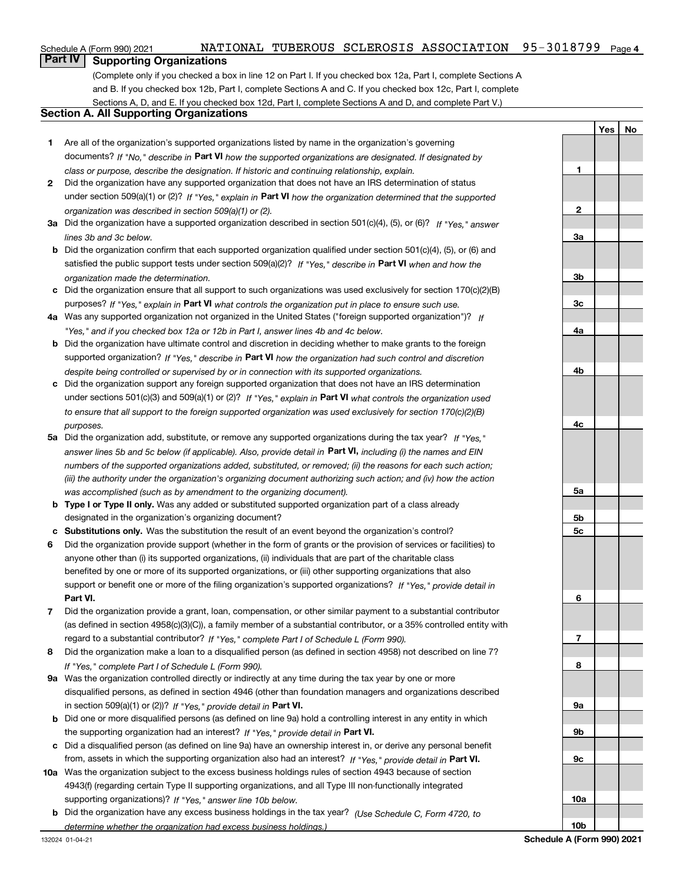### **Part IV Supporting Organizations**

(Complete only if you checked a box in line 12 on Part I. If you checked box 12a, Part I, complete Sections A and B. If you checked box 12b, Part I, complete Sections A and C. If you checked box 12c, Part I, complete Sections A, D, and E. If you checked box 12d, Part I, complete Sections A and D, and complete Part V.)

### **Section A. All Supporting Organizations**

- **1** Are all of the organization's supported organizations listed by name in the organization's governing documents? If "No," describe in **Part VI** how the supported organizations are designated. If designated by *class or purpose, describe the designation. If historic and continuing relationship, explain.*
- **2** Did the organization have any supported organization that does not have an IRS determination of status under section 509(a)(1) or (2)? If "Yes," explain in Part VI how the organization determined that the supported *organization was described in section 509(a)(1) or (2).*
- **3a** Did the organization have a supported organization described in section 501(c)(4), (5), or (6)? If "Yes," answer *lines 3b and 3c below.*
- **b** Did the organization confirm that each supported organization qualified under section 501(c)(4), (5), or (6) and satisfied the public support tests under section 509(a)(2)? If "Yes," describe in **Part VI** when and how the *organization made the determination.*
- **c**Did the organization ensure that all support to such organizations was used exclusively for section 170(c)(2)(B) purposes? If "Yes," explain in **Part VI** what controls the organization put in place to ensure such use.
- **4a***If* Was any supported organization not organized in the United States ("foreign supported organization")? *"Yes," and if you checked box 12a or 12b in Part I, answer lines 4b and 4c below.*
- **b** Did the organization have ultimate control and discretion in deciding whether to make grants to the foreign supported organization? If "Yes," describe in **Part VI** how the organization had such control and discretion *despite being controlled or supervised by or in connection with its supported organizations.*
- **c** Did the organization support any foreign supported organization that does not have an IRS determination under sections 501(c)(3) and 509(a)(1) or (2)? If "Yes," explain in **Part VI** what controls the organization used *to ensure that all support to the foreign supported organization was used exclusively for section 170(c)(2)(B) purposes.*
- **5a***If "Yes,"* Did the organization add, substitute, or remove any supported organizations during the tax year? answer lines 5b and 5c below (if applicable). Also, provide detail in **Part VI,** including (i) the names and EIN *numbers of the supported organizations added, substituted, or removed; (ii) the reasons for each such action; (iii) the authority under the organization's organizing document authorizing such action; and (iv) how the action was accomplished (such as by amendment to the organizing document).*
- **b** Type I or Type II only. Was any added or substituted supported organization part of a class already designated in the organization's organizing document?
- **cSubstitutions only.**  Was the substitution the result of an event beyond the organization's control?
- **6** Did the organization provide support (whether in the form of grants or the provision of services or facilities) to **Part VI.** *If "Yes," provide detail in* support or benefit one or more of the filing organization's supported organizations? anyone other than (i) its supported organizations, (ii) individuals that are part of the charitable class benefited by one or more of its supported organizations, or (iii) other supporting organizations that also
- **7**Did the organization provide a grant, loan, compensation, or other similar payment to a substantial contributor *If "Yes," complete Part I of Schedule L (Form 990).* regard to a substantial contributor? (as defined in section 4958(c)(3)(C)), a family member of a substantial contributor, or a 35% controlled entity with
- **8** Did the organization make a loan to a disqualified person (as defined in section 4958) not described on line 7? *If "Yes," complete Part I of Schedule L (Form 990).*
- **9a** Was the organization controlled directly or indirectly at any time during the tax year by one or more in section 509(a)(1) or (2))? If "Yes," *provide detail in* <code>Part VI.</code> disqualified persons, as defined in section 4946 (other than foundation managers and organizations described
- **b** Did one or more disqualified persons (as defined on line 9a) hold a controlling interest in any entity in which the supporting organization had an interest? If "Yes," provide detail in P**art VI**.
- **c**Did a disqualified person (as defined on line 9a) have an ownership interest in, or derive any personal benefit from, assets in which the supporting organization also had an interest? If "Yes," provide detail in P**art VI.**
- **10a** Was the organization subject to the excess business holdings rules of section 4943 because of section supporting organizations)? If "Yes," answer line 10b below. 4943(f) (regarding certain Type II supporting organizations, and all Type III non-functionally integrated
- **b** Did the organization have any excess business holdings in the tax year? (Use Schedule C, Form 4720, to *determine whether the organization had excess business holdings.)*

**Yes No**

**1**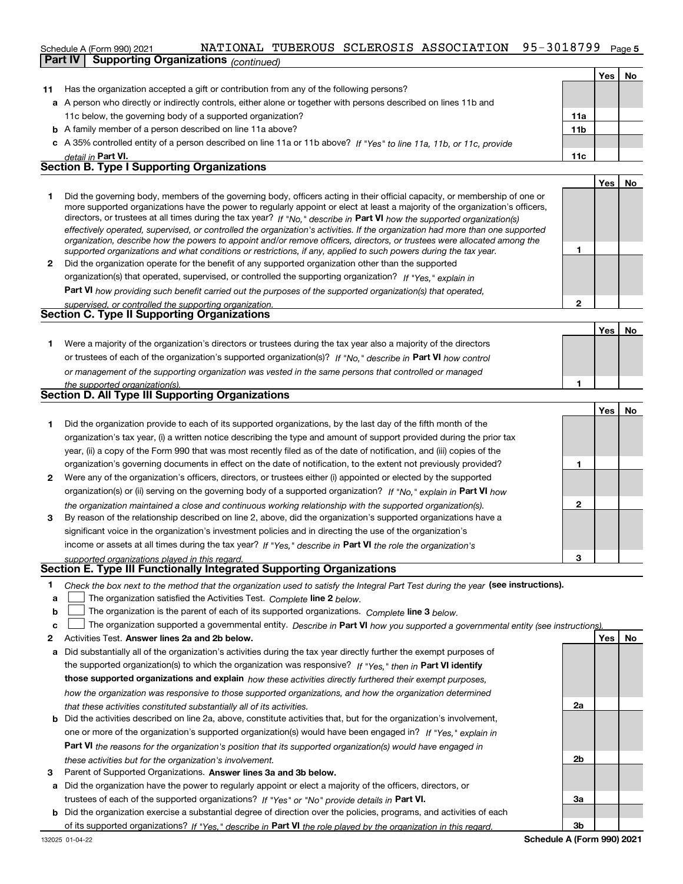### Schedule A (Form 990) 2021 NATIONAL TUBEROUS SCLEROSIS ASSOCIATION 95-3018799 <sub>Page 5</sub> **Part IV Supporting Organizations** *(continued)*

|    |                                                                                                                                                                                                                                                                                                                                                                                                                                                                                                                                                                                                                                                                                                                                                                          |                 | Yes l | No.       |
|----|--------------------------------------------------------------------------------------------------------------------------------------------------------------------------------------------------------------------------------------------------------------------------------------------------------------------------------------------------------------------------------------------------------------------------------------------------------------------------------------------------------------------------------------------------------------------------------------------------------------------------------------------------------------------------------------------------------------------------------------------------------------------------|-----------------|-------|-----------|
| 11 | Has the organization accepted a gift or contribution from any of the following persons?                                                                                                                                                                                                                                                                                                                                                                                                                                                                                                                                                                                                                                                                                  |                 |       |           |
|    | a A person who directly or indirectly controls, either alone or together with persons described on lines 11b and                                                                                                                                                                                                                                                                                                                                                                                                                                                                                                                                                                                                                                                         |                 |       |           |
|    | 11c below, the governing body of a supported organization?                                                                                                                                                                                                                                                                                                                                                                                                                                                                                                                                                                                                                                                                                                               | 11a             |       |           |
|    | <b>b</b> A family member of a person described on line 11a above?                                                                                                                                                                                                                                                                                                                                                                                                                                                                                                                                                                                                                                                                                                        | 11 <sub>b</sub> |       |           |
|    | c A 35% controlled entity of a person described on line 11a or 11b above? If "Yes" to line 11a, 11b, or 11c, provide                                                                                                                                                                                                                                                                                                                                                                                                                                                                                                                                                                                                                                                     |                 |       |           |
|    | detail in Part VI.                                                                                                                                                                                                                                                                                                                                                                                                                                                                                                                                                                                                                                                                                                                                                       | 11c             |       |           |
|    | <b>Section B. Type I Supporting Organizations</b>                                                                                                                                                                                                                                                                                                                                                                                                                                                                                                                                                                                                                                                                                                                        |                 |       |           |
|    |                                                                                                                                                                                                                                                                                                                                                                                                                                                                                                                                                                                                                                                                                                                                                                          |                 | Yes l | <b>No</b> |
|    | Did the governing body, members of the governing body, officers acting in their official capacity, or membership of one or<br>more supported organizations have the power to regularly appoint or elect at least a majority of the organization's officers,<br>directors, or trustees at all times during the tax year? If "No," describe in Part VI how the supported organization(s)<br>effectively operated, supervised, or controlled the organization's activities. If the organization had more than one supported<br>organization, describe how the powers to appoint and/or remove officers, directors, or trustees were allocated among the<br>supported organizations and what conditions or restrictions, if any, applied to such powers during the tax year. |                 |       |           |

**2** Did the organization operate for the benefit of any supported organization other than the supported *If "Yes," explain in* organization(s) that operated, supervised, or controlled the supporting organization?

**Part VI**  *how providing such benefit carried out the purposes of the supported organization(s) that operated,*

| supervised, or controlled the supporting organization. |  |
|--------------------------------------------------------|--|
| <b>Section C. Type II Supporting Organizations</b>     |  |

**Yes No 1**or trustees of each of the organization's supported organization(s)? If "No," describe in **Part VI** how control **1***or management of the supporting organization was vested in the same persons that controlled or managed the supported organization(s).* Were a majority of the organization's directors or trustees during the tax year also a majority of the directors

| <b>Section D. All Type III Supporting Organizations</b> |  |
|---------------------------------------------------------|--|
|                                                         |  |

|              |                                                                                                                        |   | Yes | No |
|--------------|------------------------------------------------------------------------------------------------------------------------|---|-----|----|
|              | Did the organization provide to each of its supported organizations, by the last day of the fifth month of the         |   |     |    |
|              | organization's tax year, (i) a written notice describing the type and amount of support provided during the prior tax  |   |     |    |
|              | year, (ii) a copy of the Form 990 that was most recently filed as of the date of notification, and (iii) copies of the |   |     |    |
|              | organization's governing documents in effect on the date of notification, to the extent not previously provided?       |   |     |    |
| $\mathbf{2}$ | Were any of the organization's officers, directors, or trustees either (i) appointed or elected by the supported       |   |     |    |
|              | organization(s) or (ii) serving on the governing body of a supported organization? If "No," explain in Part VI how     |   |     |    |
|              | the organization maintained a close and continuous working relationship with the supported organization(s).            | 2 |     |    |
| $3^{\circ}$  | By reason of the relationship described on line 2, above, did the organization's supported organizations have a        |   |     |    |
|              | significant voice in the organization's investment policies and in directing the use of the organization's             |   |     |    |
|              | income or assets at all times during the tax year? If "Yes," describe in Part VI the role the organization's           |   |     |    |
|              | supported organizations played in this regard.                                                                         | з |     |    |

## *supported organizations played in this regard.* **Section E. Type III Functionally Integrated Supporting Organizations**

- **1**Check the box next to the method that the organization used to satisfy the Integral Part Test during the year (see instructions).
- **alinupy** The organization satisfied the Activities Test. Complete line 2 below.
- **b**The organization is the parent of each of its supported organizations. *Complete* line 3 below.<br>The state of the state of the state of the state of the state of the state of the state of the state of the state of the state  $\mathcal{L}^{\text{max}}$

|  |  | $c$ The organization supported a governmental entity. Describe in Part VI how you supported a governmental entity (see instructions). |  |
|--|--|---------------------------------------------------------------------------------------------------------------------------------------|--|
|--|--|---------------------------------------------------------------------------------------------------------------------------------------|--|

- **2**Activities Test.
- **Activities Test. Answer lines 2a and 2b below.**<br>**a** Did substantially all of the organization's activities during the tax year directly further the exempt purposes of the supported organization(s) to which the organization was responsive? If "Yes," then in **Part VI identify those supported organizations and explain**  *how these activities directly furthered their exempt purposes, how the organization was responsive to those supported organizations, and how the organization determined that these activities constituted substantially all of its activities.*
- **b** Did the activities described on line 2a, above, constitute activities that, but for the organization's involvement, **Part VI**  *the reasons for the organization's position that its supported organization(s) would have engaged in* one or more of the organization's supported organization(s) would have been engaged in? If "Yes," e*xplain in these activities but for the organization's involvement.*
- **3** Parent of Supported Organizations. Answer lines 3a and 3b below.
- **a** Did the organization have the power to regularly appoint or elect a majority of the officers, directors, or trustees of each of the supported organizations? If "Yes" or "No" provide details in P**art VI.**
- **b** Did the organization exercise a substantial degree of direction over the policies, programs, and activities of each of its supported organizations? If "Yes," describe in **Part VI** the role played by the organization in this regard.<br>.

**2a**

**2**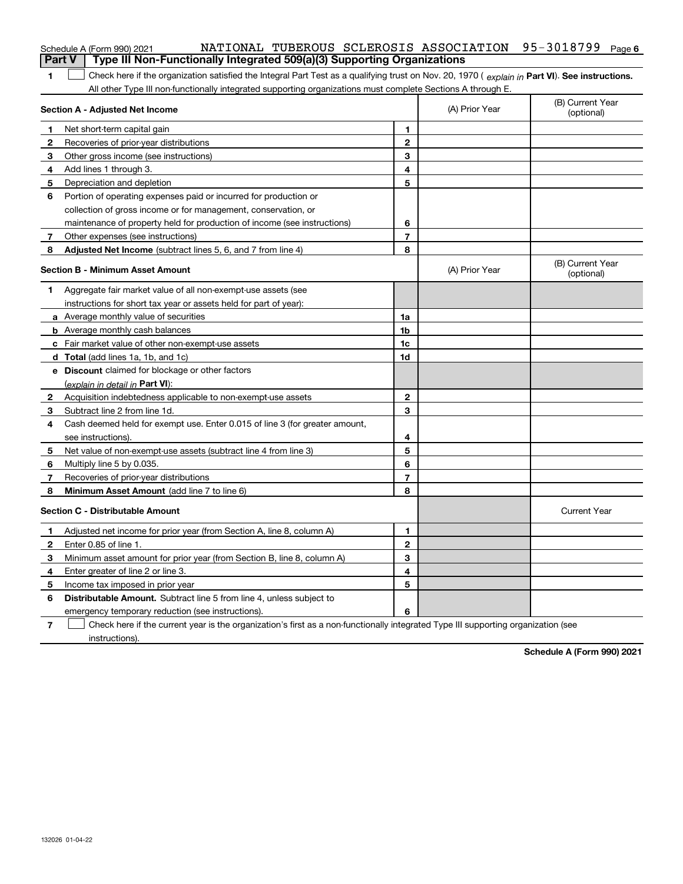|   | NATIONAL TUBEROUS SCLEROSIS ASSOCIATION<br>Schedule A (Form 990) 2021                                                                          |                          |                | 95-3018799<br>Page 6           |  |
|---|------------------------------------------------------------------------------------------------------------------------------------------------|--------------------------|----------------|--------------------------------|--|
|   | Type III Non-Functionally Integrated 509(a)(3) Supporting Organizations<br><b>Part V</b>                                                       |                          |                |                                |  |
| 1 | Check here if the organization satisfied the Integral Part Test as a qualifying trust on Nov. 20, 1970 (explain in Part VI). See instructions. |                          |                |                                |  |
|   | All other Type III non-functionally integrated supporting organizations must complete Sections A through E.                                    |                          |                |                                |  |
|   | Section A - Adjusted Net Income                                                                                                                |                          | (A) Prior Year | (B) Current Year<br>(optional) |  |
| 1 | Net short-term capital gain                                                                                                                    | 1                        |                |                                |  |
| 2 | Recoveries of prior-year distributions                                                                                                         | $\overline{\mathbf{c}}$  |                |                                |  |
| 3 | Other gross income (see instructions)                                                                                                          | 3                        |                |                                |  |
| 4 | Add lines 1 through 3.                                                                                                                         | 4                        |                |                                |  |
| 5 | Depreciation and depletion                                                                                                                     | 5                        |                |                                |  |
| 6 | Portion of operating expenses paid or incurred for production or                                                                               |                          |                |                                |  |
|   | collection of gross income or for management, conservation, or                                                                                 |                          |                |                                |  |
|   | maintenance of property held for production of income (see instructions)                                                                       | 6                        |                |                                |  |
| 7 | Other expenses (see instructions)                                                                                                              | $\overline{7}$           |                |                                |  |
| 8 | Adjusted Net Income (subtract lines 5, 6, and 7 from line 4)                                                                                   | 8                        |                |                                |  |
|   | <b>Section B - Minimum Asset Amount</b>                                                                                                        |                          | (A) Prior Year | (B) Current Year<br>(optional) |  |
| 1 | Aggregate fair market value of all non-exempt-use assets (see                                                                                  |                          |                |                                |  |
|   | instructions for short tax year or assets held for part of year):                                                                              |                          |                |                                |  |
|   | a Average monthly value of securities                                                                                                          | 1a                       |                |                                |  |
|   | <b>b</b> Average monthly cash balances                                                                                                         | 1b                       |                |                                |  |
|   | c Fair market value of other non-exempt-use assets                                                                                             | 1c                       |                |                                |  |
|   | d Total (add lines 1a, 1b, and 1c)                                                                                                             | 1d                       |                |                                |  |
|   | e Discount claimed for blockage or other factors                                                                                               |                          |                |                                |  |
|   | (explain in detail in Part VI):                                                                                                                |                          |                |                                |  |
| 2 | Acquisition indebtedness applicable to non-exempt-use assets                                                                                   | $\mathbf{2}$             |                |                                |  |
| 3 | Subtract line 2 from line 1d.                                                                                                                  | 3                        |                |                                |  |
| 4 | Cash deemed held for exempt use. Enter 0.015 of line 3 (for greater amount,                                                                    |                          |                |                                |  |
|   | see instructions).                                                                                                                             | 4                        |                |                                |  |
| 5 | Net value of non-exempt-use assets (subtract line 4 from line 3)                                                                               | 5                        |                |                                |  |
| 6 | Multiply line 5 by 0.035.                                                                                                                      | 6                        |                |                                |  |
| 7 | Recoveries of prior-year distributions                                                                                                         | $\overline{\phantom{a}}$ |                |                                |  |
| 8 | Minimum Asset Amount (add line 7 to line 6)                                                                                                    | 8                        |                |                                |  |
|   | <b>Section C - Distributable Amount</b>                                                                                                        |                          |                | <b>Current Year</b>            |  |
| 1 | Adjusted net income for prior year (from Section A, line 8, column A)                                                                          | 1                        |                |                                |  |
| 2 | Enter 0.85 of line 1.                                                                                                                          | $\overline{2}$           |                |                                |  |
| 3 | Minimum asset amount for prior year (from Section B, line 8, column A)                                                                         | 3                        |                |                                |  |
| 4 | Enter greater of line 2 or line 3.                                                                                                             | 4                        |                |                                |  |
| 5 | Income tax imposed in prior year                                                                                                               | 5                        |                |                                |  |
| 6 | <b>Distributable Amount.</b> Subtract line 5 from line 4, unless subject to                                                                    |                          |                |                                |  |
|   | emergency temporary reduction (see instructions).                                                                                              | 6                        |                |                                |  |

**7** Check here if the current year is the organization's first as a non-functionally integrated Type III supporting organization (see instructions).

**Schedule A (Form 990) 2021**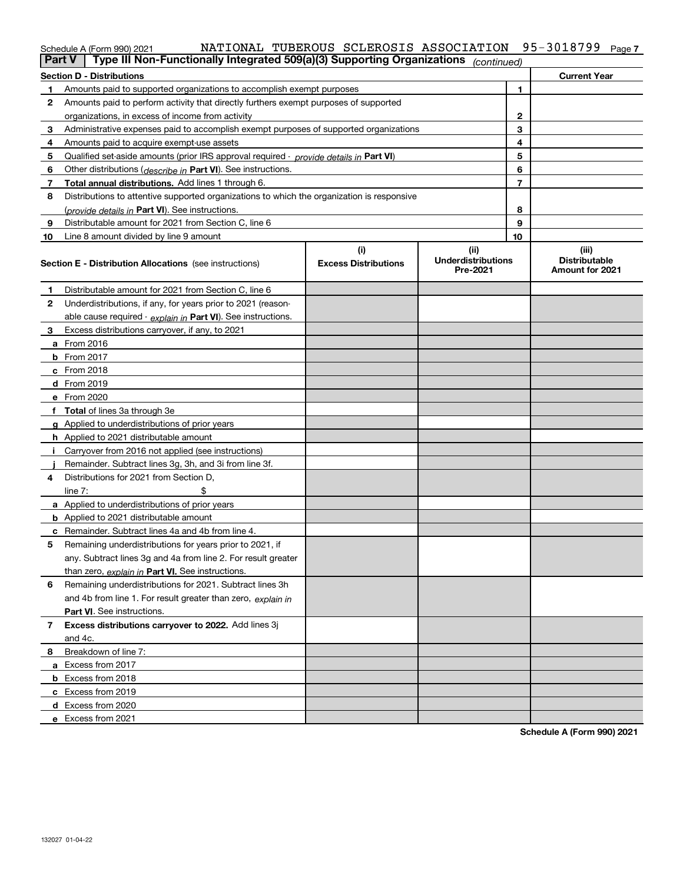| Schedule A (Form 990) 2021 |  |
|----------------------------|--|
|----------------------------|--|

### **7** Schedule A (Form 990) 2021 NATIONAL TUBEROUS SCLEROSIS ASSOCIATION SOI8799 Page NATIONAL TUBEROUS SCLEROSIS ASSOCIATION 95-3018799

|    | Type III Non-Functionally Integrated 509(a)(3) Supporting Organizations<br><b>Part V</b><br>(continued) |                                    |                                               |    |                                                         |  |  |
|----|---------------------------------------------------------------------------------------------------------|------------------------------------|-----------------------------------------------|----|---------------------------------------------------------|--|--|
|    | <b>Section D - Distributions</b>                                                                        |                                    |                                               |    | <b>Current Year</b>                                     |  |  |
| 1  | Amounts paid to supported organizations to accomplish exempt purposes                                   |                                    | 1                                             |    |                                                         |  |  |
| 2  | Amounts paid to perform activity that directly furthers exempt purposes of supported                    |                                    |                                               |    |                                                         |  |  |
|    | organizations, in excess of income from activity                                                        |                                    | 2                                             |    |                                                         |  |  |
| 3  | Administrative expenses paid to accomplish exempt purposes of supported organizations                   |                                    |                                               | 3  |                                                         |  |  |
| 4  | Amounts paid to acquire exempt-use assets                                                               |                                    |                                               | 4  |                                                         |  |  |
| 5  | Qualified set-aside amounts (prior IRS approval required - provide details in Part VI)                  |                                    |                                               | 5  |                                                         |  |  |
| 6  | Other distributions ( <i>describe in</i> Part VI). See instructions.                                    |                                    |                                               | 6  |                                                         |  |  |
| 7  | Total annual distributions. Add lines 1 through 6.                                                      |                                    |                                               | 7  |                                                         |  |  |
| 8  | Distributions to attentive supported organizations to which the organization is responsive              |                                    |                                               |    |                                                         |  |  |
|    | (provide details in Part VI). See instructions.                                                         |                                    |                                               | 8  |                                                         |  |  |
| 9  | Distributable amount for 2021 from Section C, line 6                                                    |                                    |                                               | 9  |                                                         |  |  |
| 10 | Line 8 amount divided by line 9 amount                                                                  |                                    |                                               | 10 |                                                         |  |  |
|    | <b>Section E - Distribution Allocations</b> (see instructions)                                          | (i)<br><b>Excess Distributions</b> | (ii)<br><b>Underdistributions</b><br>Pre-2021 |    | (iii)<br><b>Distributable</b><br><b>Amount for 2021</b> |  |  |
| 1  | Distributable amount for 2021 from Section C, line 6                                                    |                                    |                                               |    |                                                         |  |  |
| 2  | Underdistributions, if any, for years prior to 2021 (reason-                                            |                                    |                                               |    |                                                         |  |  |
|    | able cause required - explain in Part VI). See instructions.                                            |                                    |                                               |    |                                                         |  |  |
| 3  | Excess distributions carryover, if any, to 2021                                                         |                                    |                                               |    |                                                         |  |  |
|    | a From 2016                                                                                             |                                    |                                               |    |                                                         |  |  |
|    | <b>b</b> From 2017                                                                                      |                                    |                                               |    |                                                         |  |  |
|    | $c$ From 2018                                                                                           |                                    |                                               |    |                                                         |  |  |
|    | d From 2019                                                                                             |                                    |                                               |    |                                                         |  |  |
|    | e From 2020                                                                                             |                                    |                                               |    |                                                         |  |  |
|    | f Total of lines 3a through 3e                                                                          |                                    |                                               |    |                                                         |  |  |
|    | g Applied to underdistributions of prior years                                                          |                                    |                                               |    |                                                         |  |  |
|    | <b>h</b> Applied to 2021 distributable amount                                                           |                                    |                                               |    |                                                         |  |  |
|    | Carryover from 2016 not applied (see instructions)                                                      |                                    |                                               |    |                                                         |  |  |
|    | Remainder. Subtract lines 3g, 3h, and 3i from line 3f.                                                  |                                    |                                               |    |                                                         |  |  |
| 4  | Distributions for 2021 from Section D,                                                                  |                                    |                                               |    |                                                         |  |  |
|    | line $7:$                                                                                               |                                    |                                               |    |                                                         |  |  |
|    | a Applied to underdistributions of prior years                                                          |                                    |                                               |    |                                                         |  |  |
|    | <b>b</b> Applied to 2021 distributable amount                                                           |                                    |                                               |    |                                                         |  |  |
|    | c Remainder. Subtract lines 4a and 4b from line 4.                                                      |                                    |                                               |    |                                                         |  |  |
| 5. | Remaining underdistributions for years prior to 2021, if                                                |                                    |                                               |    |                                                         |  |  |
|    | any. Subtract lines 3g and 4a from line 2. For result greater                                           |                                    |                                               |    |                                                         |  |  |
|    | than zero, explain in Part VI. See instructions.                                                        |                                    |                                               |    |                                                         |  |  |
| 6  | Remaining underdistributions for 2021. Subtract lines 3h                                                |                                    |                                               |    |                                                         |  |  |
|    | and 4b from line 1. For result greater than zero, explain in                                            |                                    |                                               |    |                                                         |  |  |
|    | Part VI. See instructions.                                                                              |                                    |                                               |    |                                                         |  |  |
| 7  | Excess distributions carryover to 2022. Add lines 3j                                                    |                                    |                                               |    |                                                         |  |  |
|    | and 4c.                                                                                                 |                                    |                                               |    |                                                         |  |  |
| 8  | Breakdown of line 7:                                                                                    |                                    |                                               |    |                                                         |  |  |
|    | a Excess from 2017                                                                                      |                                    |                                               |    |                                                         |  |  |
|    | <b>b</b> Excess from 2018                                                                               |                                    |                                               |    |                                                         |  |  |
|    | c Excess from 2019                                                                                      |                                    |                                               |    |                                                         |  |  |
|    | d Excess from 2020                                                                                      |                                    |                                               |    |                                                         |  |  |
|    | e Excess from 2021                                                                                      |                                    |                                               |    |                                                         |  |  |

**Schedule A (Form 990) 2021**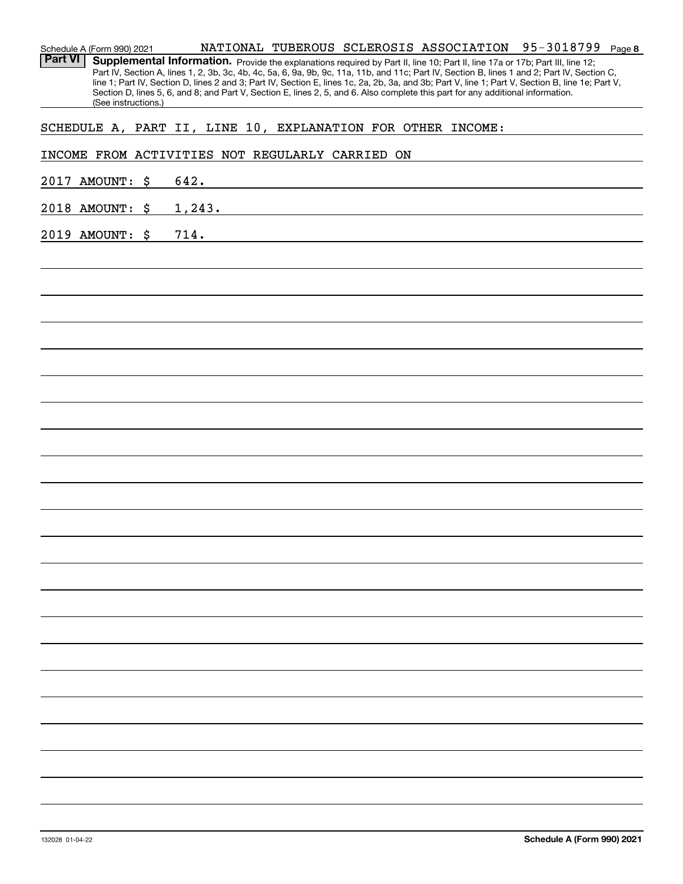| NATIONAL TUBEROUS SCLEROSIS ASSOCIATION 95-3018799 Page 8<br>Schedule A (Form 990) 2021                                                                                                                                                                                                                                                                                                                                                                                                                                                                                                                       |
|---------------------------------------------------------------------------------------------------------------------------------------------------------------------------------------------------------------------------------------------------------------------------------------------------------------------------------------------------------------------------------------------------------------------------------------------------------------------------------------------------------------------------------------------------------------------------------------------------------------|
| <b>Part VI</b><br>Supplemental Information. Provide the explanations required by Part II, line 10; Part II, line 17a or 17b; Part III, line 12;<br>Part IV, Section A, lines 1, 2, 3b, 3c, 4b, 4c, 5a, 6, 9a, 9b, 9c, 11a, 11b, and 11c; Part IV, Section B, lines 1 and 2; Part IV, Section C,<br>line 1; Part IV, Section D, lines 2 and 3; Part IV, Section E, lines 1c, 2a, 2b, 3a, and 3b; Part V, line 1; Part V, Section B, line 1e; Part V,<br>Section D, lines 5, 6, and 8; and Part V, Section E, lines 2, 5, and 6. Also complete this part for any additional information.<br>(See instructions.) |
| SCHEDULE A, PART II, LINE 10, EXPLANATION FOR OTHER INCOME:                                                                                                                                                                                                                                                                                                                                                                                                                                                                                                                                                   |
| INCOME FROM ACTIVITIES NOT REGULARLY CARRIED ON                                                                                                                                                                                                                                                                                                                                                                                                                                                                                                                                                               |
| 642.<br>2017 AMOUNT: \$                                                                                                                                                                                                                                                                                                                                                                                                                                                                                                                                                                                       |
| 1,243.<br>2018 AMOUNT: \$                                                                                                                                                                                                                                                                                                                                                                                                                                                                                                                                                                                     |
| 714.<br>2019 AMOUNT: \$                                                                                                                                                                                                                                                                                                                                                                                                                                                                                                                                                                                       |
|                                                                                                                                                                                                                                                                                                                                                                                                                                                                                                                                                                                                               |
|                                                                                                                                                                                                                                                                                                                                                                                                                                                                                                                                                                                                               |
|                                                                                                                                                                                                                                                                                                                                                                                                                                                                                                                                                                                                               |
|                                                                                                                                                                                                                                                                                                                                                                                                                                                                                                                                                                                                               |
|                                                                                                                                                                                                                                                                                                                                                                                                                                                                                                                                                                                                               |
|                                                                                                                                                                                                                                                                                                                                                                                                                                                                                                                                                                                                               |
|                                                                                                                                                                                                                                                                                                                                                                                                                                                                                                                                                                                                               |
|                                                                                                                                                                                                                                                                                                                                                                                                                                                                                                                                                                                                               |
|                                                                                                                                                                                                                                                                                                                                                                                                                                                                                                                                                                                                               |
|                                                                                                                                                                                                                                                                                                                                                                                                                                                                                                                                                                                                               |
|                                                                                                                                                                                                                                                                                                                                                                                                                                                                                                                                                                                                               |
|                                                                                                                                                                                                                                                                                                                                                                                                                                                                                                                                                                                                               |
|                                                                                                                                                                                                                                                                                                                                                                                                                                                                                                                                                                                                               |
|                                                                                                                                                                                                                                                                                                                                                                                                                                                                                                                                                                                                               |
|                                                                                                                                                                                                                                                                                                                                                                                                                                                                                                                                                                                                               |
|                                                                                                                                                                                                                                                                                                                                                                                                                                                                                                                                                                                                               |
|                                                                                                                                                                                                                                                                                                                                                                                                                                                                                                                                                                                                               |
|                                                                                                                                                                                                                                                                                                                                                                                                                                                                                                                                                                                                               |
|                                                                                                                                                                                                                                                                                                                                                                                                                                                                                                                                                                                                               |
|                                                                                                                                                                                                                                                                                                                                                                                                                                                                                                                                                                                                               |
|                                                                                                                                                                                                                                                                                                                                                                                                                                                                                                                                                                                                               |
|                                                                                                                                                                                                                                                                                                                                                                                                                                                                                                                                                                                                               |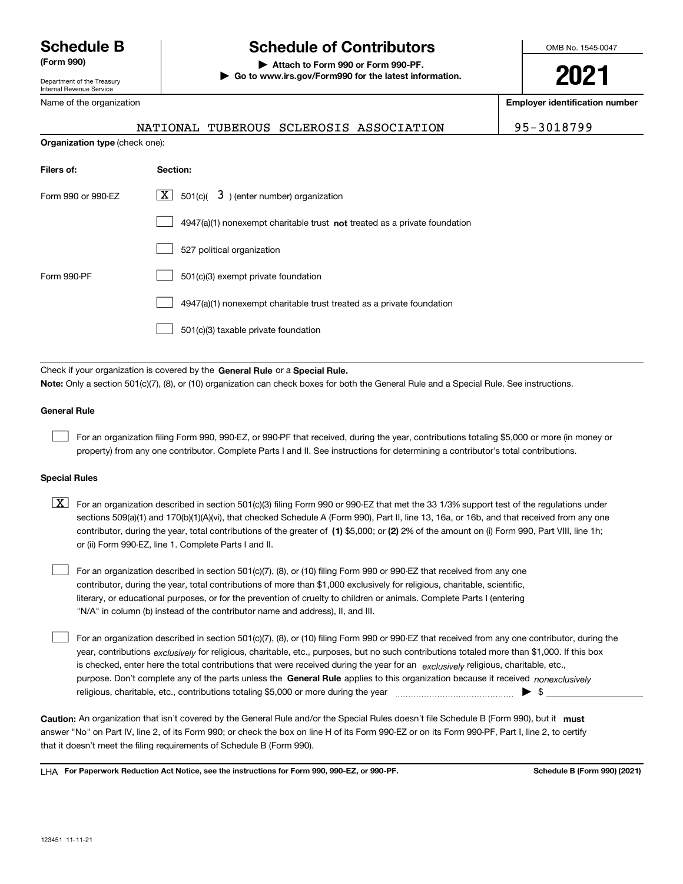Department of the Treasury Internal Revenue Service

Name of the organization

**Organization type** (check one):

## **Schedule B Schedule of Contributors**

**(Form 990) | Attach to Form 990 or Form 990-PF. | Go to www.irs.gov/Form990 for the latest information.** OMB No. 1545-0047

**2021**

**Employer identification number**

NATIONAL TUBEROUS SCLEROSIS ASSOCIATION 95-3018799

| Filers of:         | Section:                                                                  |
|--------------------|---------------------------------------------------------------------------|
| Form 990 or 990-EZ | $\lfloor \mathbf{X} \rfloor$ 501(c)( 3) (enter number) organization       |
|                    | 4947(a)(1) nonexempt charitable trust not treated as a private foundation |
|                    | 527 political organization                                                |
| Form 990-PF        | 501(c)(3) exempt private foundation                                       |
|                    | 4947(a)(1) nonexempt charitable trust treated as a private foundation     |
|                    | 501(c)(3) taxable private foundation                                      |
|                    |                                                                           |

Check if your organization is covered by the **General Rule** or a **Special Rule.**<br>Nota: Only a section 501(c)(7), (8), or (10) erganization can chock boxes for be **Note:**  Only a section 501(c)(7), (8), or (10) organization can check boxes for both the General Rule and a Special Rule. See instructions.

### **General Rule**

 $\mathcal{L}^{\text{max}}$ 

For an organization filing Form 990, 990-EZ, or 990-PF that received, during the year, contributions totaling \$5,000 or more (in money or property) from any one contributor. Complete Parts I and II. See instructions for determining a contributor's total contributions.

### **Special Rules**

contributor, during the year, total contributions of the greater of (1**)** \$5,000; or (2) 2% of the amount on (i) Form 990, Part VIII, line 1h;  $\boxed{\textbf{X}}$  For an organization described in section 501(c)(3) filing Form 990 or 990-EZ that met the 33 1/3% support test of the regulations under sections 509(a)(1) and 170(b)(1)(A)(vi), that checked Schedule A (Form 990), Part II, line 13, 16a, or 16b, and that received from any one or (ii) Form 990-EZ, line 1. Complete Parts I and II.

For an organization described in section 501(c)(7), (8), or (10) filing Form 990 or 990-EZ that received from any one contributor, during the year, total contributions of more than \$1,000 exclusively for religious, charitable, scientific, literary, or educational purposes, or for the prevention of cruelty to children or animals. Complete Parts I (entering "N/A" in column (b) instead of the contributor name and address), II, and III.  $\mathcal{L}^{\text{max}}$ 

purpose. Don't complete any of the parts unless the **General Rule** applies to this organization because it received *nonexclusively* year, contributions <sub>exclusively</sub> for religious, charitable, etc., purposes, but no such contributions totaled more than \$1,000. If this box is checked, enter here the total contributions that were received during the year for an  $\;$ exclusively religious, charitable, etc., For an organization described in section 501(c)(7), (8), or (10) filing Form 990 or 990-EZ that received from any one contributor, during the religious, charitable, etc., contributions totaling \$5,000 or more during the year  $\Box$ — $\Box$   $\Box$  $\mathcal{L}^{\text{max}}$ 

Caution: An organization that isn't covered by the General Rule and/or the Special Rules doesn't file Schedule B (Form 990), but it **must** answer "No" on Part IV, line 2, of its Form 990; or check the box on line H of its Form 990-EZ or on its Form 990-PF, Part I, line 2, to certify that it doesn't meet the filing requirements of Schedule B (Form 990).

LHA For Paperwork Reduction Act Notice, see the instructions for Form 990, 990-EZ, or 990-PF. **In the act and Schedule B** (Form 990) (2021)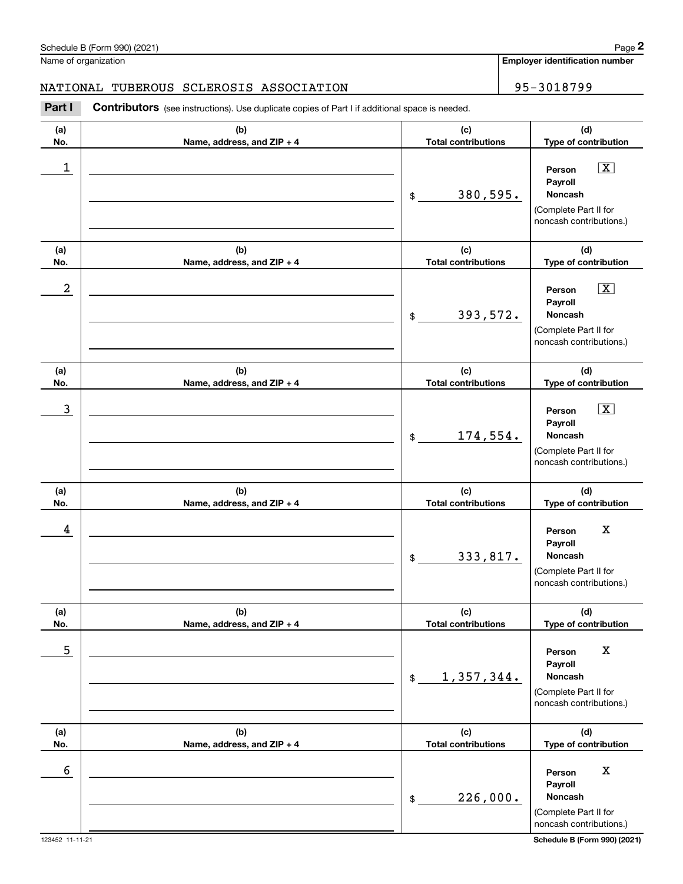Name of organization

### NATIONAL TUBEROUS SCLEROSIS ASSOCIATION 95-3018799

**(a)No.(b)Name, address, and ZIP + 4 (c)Total contributions (d)Type of contribution PersonPayrollNoncash(a)No.(b)Name, address, and ZIP + 4 (c)Total contributions (d)Type of contribution PersonPayrollNoncash(a)No.(b)Name, address, and ZIP + 4 (c)Total contributions (d)Type of contribution Person PayrollNoncash(a) No.(b) Name, address, and ZIP + 4 (c) Total contributions (d) Type of contribution PersonPayrollNoncash(a) No.(b) Name, address, and ZIP + 4 (c) Total contributions (d) Type of contribution Person PayrollNoncash(a) No.(b)Name, address, and ZIP + 4 (c) Total contributions (d) Type of contribution PersonPayrollNoncash**Contributors (see instructions). Use duplicate copies of Part I if additional space is needed. \$(Complete Part II for noncash contributions.) \$(Complete Part II for noncash contributions.) \$(Complete Part II for noncash contributions.) \$(Complete Part II for noncash contributions.) \$(Complete Part II for noncash contributions.) \$(Complete Part II for noncash contributions.) **2Page 2**<br>
Iame of organization<br> **IATIONAL TUBEROUS SCLEROSIS ASSOCIATION**<br> **Part I Contributors** (see instructions). Use duplicate copies of Part I if additional space is needed.  $\boxed{\mathbf{X}}$  $\boxed{\mathbf{X}}$  $\sqrt{X}$  $\begin{array}{c|c|c|c|c|c} 1 & \hspace{1.5cm} & \hspace{1.5cm} & \hspace{1.5cm} & \hspace{1.5cm} & \hspace{1.5cm} & \hspace{1.5cm} & \hspace{1.5cm} & \hspace{1.5cm} & \hspace{1.5cm} & \hspace{1.5cm} & \hspace{1.5cm} & \hspace{1.5cm} & \hspace{1.5cm} & \hspace{1.5cm} & \hspace{1.5cm} & \hspace{1.5cm} & \hspace{1.5cm} & \hspace{1.5cm} & \hspace{1.5cm} & \hspace{1.5cm} &$ 380,595.  $2$  | Person  $\overline{\text{X}}$ 393,572.  $\overline{3}$  | Person  $\overline{X}$ 174,554. 4 Person X 333,817. <u>5 | Person X</u> 1,357,344. 6 Berson X Adventure Contract of the Contract of the Contract of the Contract of the Contract of the Contract of the Contract of the Contract of the Contract of the Contract of the Contract of the Contract of the Contract 226,000.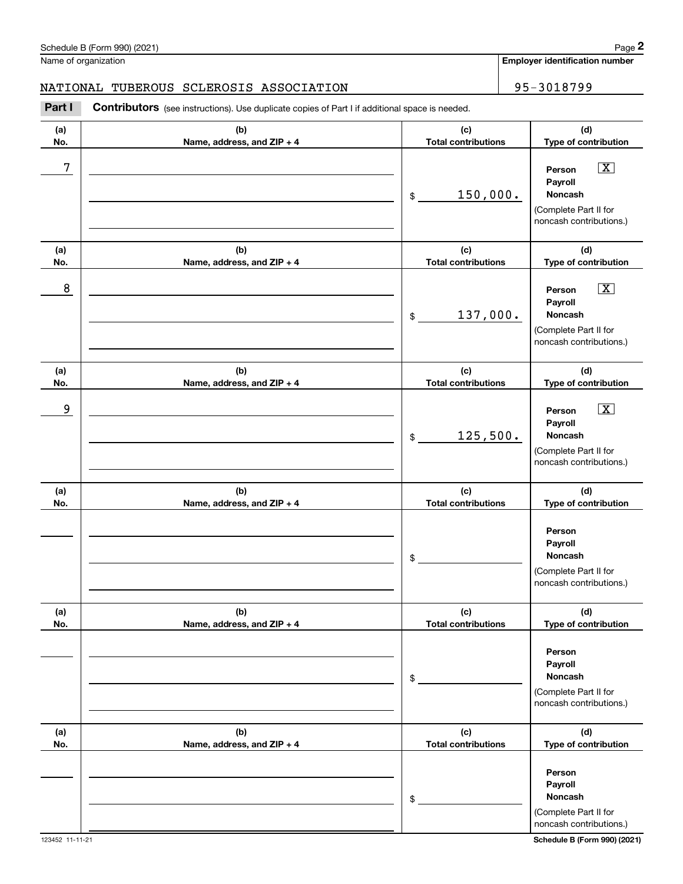NATIONAL TUBEROUS SCLEROSIS ASSOCIATION **195-3018799** 

**(a)No.(b)Name, address, and ZIP + 4 (c)Total contributions (d)Type of contribution PersonPayrollNoncash(a)No.(b)Name, address, and ZIP + 4 (c)Total contributions (d)Type of contribution PersonPayrollNoncash(a)No.(b)Name, address, and ZIP + 4 (c)Total contributions (d)Type of contribution Person Payroll Noncash(a) No.(b) Name, address, and ZIP + 4 (c) Total contributions (d) Type of contribution PersonPayrollNoncash(a) No.(b) Name, address, and ZIP + 4 (c) Total contributions (d) Type of contribution PersonPayrollNoncash(a) No.(b)Name, address, and ZIP + 4 (c) Total contributions (d) Type of contribution PersonPayrollNoncash**Contributors (see instructions). Use duplicate copies of Part I if additional space is needed. \$(Complete Part II for noncash contributions.) \$(Complete Part II for noncash contributions.) \$(Complete Part II for noncash contributions.) \$(Complete Part II for noncash contributions.) \$(Complete Part II for noncash contributions.) \$(Complete Part II for noncash contributions.) **2Page 2**<br>
Iame of organization<br> **IATIONAL TUBEROUS SCLEROSIS ASSOCIATION**<br> **Part I Contributors** (see instructions). Use duplicate copies of Part I if additional space is needed.  $\boxed{\mathbf{X}}$  $\boxed{\mathbf{X}}$  $\sqrt{X}$ 7 X 150,000. 8 X 137,000. example and the set of the set of the set of the set of the set of the set of the set of the set of the set of 125,500.

**Employer identification number**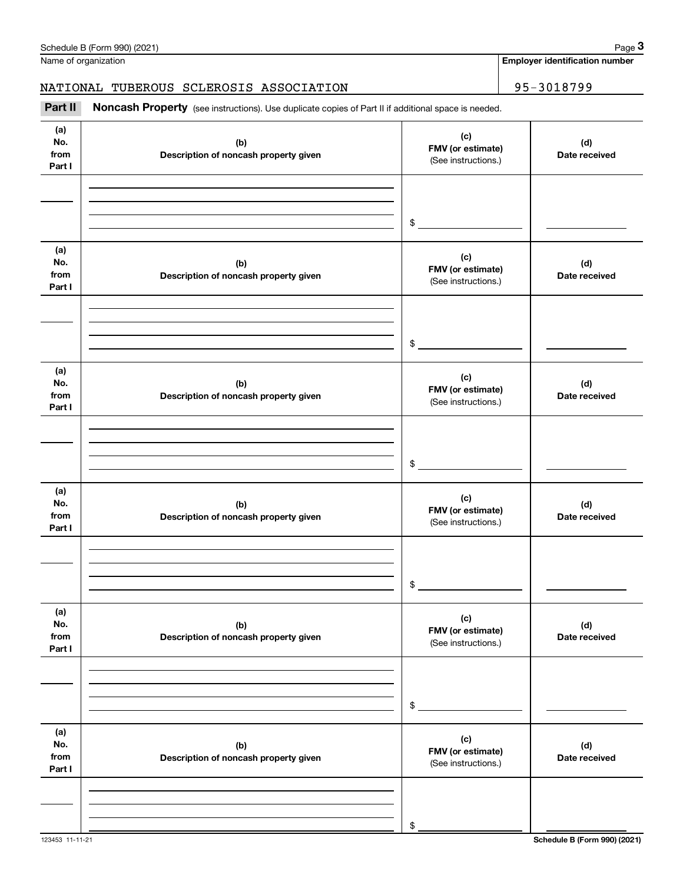## NATIONAL TUBEROUS SCLEROSIS ASSOCIATION | 95-3018799

|                              | Schedule B (Form 990) (2021)                                                                        |                                                 | Page 3                                |  |
|------------------------------|-----------------------------------------------------------------------------------------------------|-------------------------------------------------|---------------------------------------|--|
|                              | Name of organization                                                                                |                                                 | <b>Employer identification number</b> |  |
|                              | NATIONAL TUBEROUS SCLEROSIS ASSOCIATION                                                             |                                                 | 95-3018799                            |  |
| Part II                      | Noncash Property (see instructions). Use duplicate copies of Part II if additional space is needed. |                                                 |                                       |  |
| (a)<br>No.<br>from<br>Part I | (b)<br>Description of noncash property given                                                        | (c)<br>FMV (or estimate)<br>(See instructions.) | (d)<br>Date received                  |  |
|                              |                                                                                                     | \$                                              |                                       |  |
| (a)<br>No.<br>from<br>Part I | (b)<br>Description of noncash property given                                                        | (c)<br>FMV (or estimate)<br>(See instructions.) | (d)<br>Date received                  |  |
|                              |                                                                                                     | \$                                              |                                       |  |
| (a)<br>No.<br>from<br>Part I | (b)<br>Description of noncash property given                                                        | (c)<br>FMV (or estimate)<br>(See instructions.) | (d)<br>Date received                  |  |
|                              |                                                                                                     | \$                                              |                                       |  |
| (a)<br>No.<br>from<br>Part I | (b)<br>Description of noncash property given                                                        | (c)<br>FMV (or estimate)<br>(See instructions.) | (d)<br>Date received                  |  |
|                              |                                                                                                     | \$                                              |                                       |  |
| (a)<br>No.<br>from<br>Part I | (b)<br>Description of noncash property given                                                        | (c)<br>FMV (or estimate)<br>(See instructions.) | (d)<br>Date received                  |  |
|                              |                                                                                                     | \$                                              |                                       |  |
| (a)<br>No.<br>from<br>Part I | (b)<br>Description of noncash property given                                                        | (c)<br>FMV (or estimate)<br>(See instructions.) | (d)<br>Date received                  |  |
|                              |                                                                                                     |                                                 |                                       |  |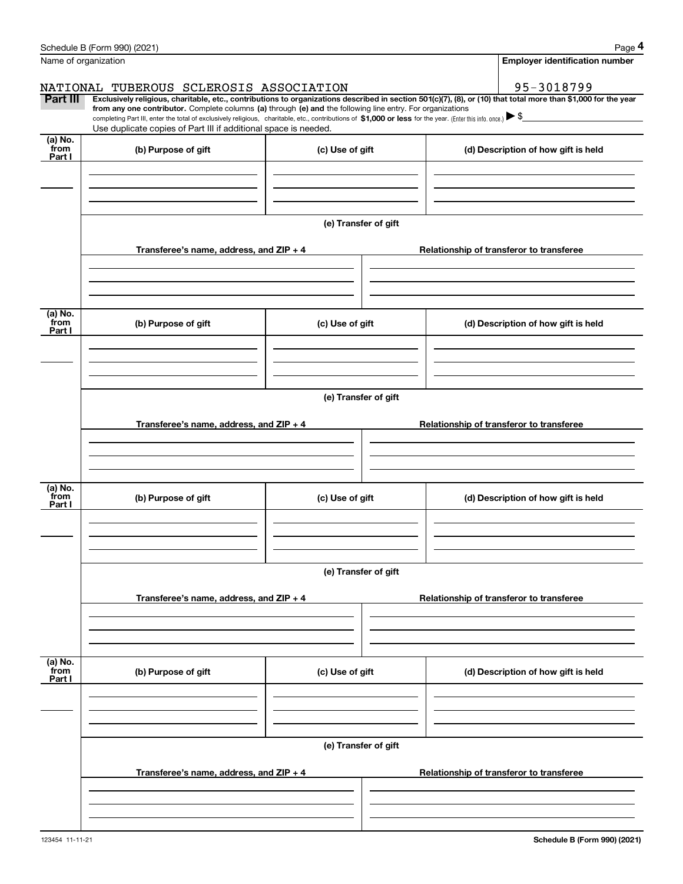|                           | Schedule B (Form 990) (2021)                                                                                                                                                                                                                                                                                                                                                                                                                                                                                                         |                      |  | Page 4                                   |  |  |  |  |  |
|---------------------------|--------------------------------------------------------------------------------------------------------------------------------------------------------------------------------------------------------------------------------------------------------------------------------------------------------------------------------------------------------------------------------------------------------------------------------------------------------------------------------------------------------------------------------------|----------------------|--|------------------------------------------|--|--|--|--|--|
|                           | Name of organization                                                                                                                                                                                                                                                                                                                                                                                                                                                                                                                 |                      |  | <b>Employer identification number</b>    |  |  |  |  |  |
|                           | NATIONAL TUBEROUS SCLEROSIS ASSOCIATION                                                                                                                                                                                                                                                                                                                                                                                                                                                                                              |                      |  | 95-3018799                               |  |  |  |  |  |
| Part III                  | Exclusively religious, charitable, etc., contributions to organizations described in section 501(c)(7), (8), or (10) that total more than \$1,000 for the year<br>from any one contributor. Complete columns (a) through (e) and the following line entry. For organizations<br>completing Part III, enter the total of exclusively religious, charitable, etc., contributions of \$1,000 or less for the year. (Enter this info. once.) $\blacktriangleright$ \$<br>Use duplicate copies of Part III if additional space is needed. |                      |  |                                          |  |  |  |  |  |
| (a) No.<br>from           | (b) Purpose of gift                                                                                                                                                                                                                                                                                                                                                                                                                                                                                                                  | (c) Use of gift      |  | (d) Description of how gift is held      |  |  |  |  |  |
| Part I                    |                                                                                                                                                                                                                                                                                                                                                                                                                                                                                                                                      |                      |  |                                          |  |  |  |  |  |
|                           |                                                                                                                                                                                                                                                                                                                                                                                                                                                                                                                                      | (e) Transfer of gift |  |                                          |  |  |  |  |  |
|                           | Transferee's name, address, and $ZIP + 4$                                                                                                                                                                                                                                                                                                                                                                                                                                                                                            |                      |  | Relationship of transferor to transferee |  |  |  |  |  |
|                           |                                                                                                                                                                                                                                                                                                                                                                                                                                                                                                                                      |                      |  |                                          |  |  |  |  |  |
| (a) No.<br>from<br>Part I | (b) Purpose of gift                                                                                                                                                                                                                                                                                                                                                                                                                                                                                                                  | (c) Use of gift      |  | (d) Description of how gift is held      |  |  |  |  |  |
|                           |                                                                                                                                                                                                                                                                                                                                                                                                                                                                                                                                      |                      |  |                                          |  |  |  |  |  |
|                           |                                                                                                                                                                                                                                                                                                                                                                                                                                                                                                                                      |                      |  |                                          |  |  |  |  |  |
|                           | (e) Transfer of gift                                                                                                                                                                                                                                                                                                                                                                                                                                                                                                                 |                      |  |                                          |  |  |  |  |  |
|                           | Transferee's name, address, and ZIP + 4                                                                                                                                                                                                                                                                                                                                                                                                                                                                                              |                      |  | Relationship of transferor to transferee |  |  |  |  |  |
|                           |                                                                                                                                                                                                                                                                                                                                                                                                                                                                                                                                      |                      |  |                                          |  |  |  |  |  |
| (a) No.<br>from<br>Part I | (b) Purpose of gift                                                                                                                                                                                                                                                                                                                                                                                                                                                                                                                  | (c) Use of gift      |  | (d) Description of how gift is held      |  |  |  |  |  |
|                           |                                                                                                                                                                                                                                                                                                                                                                                                                                                                                                                                      |                      |  |                                          |  |  |  |  |  |
|                           |                                                                                                                                                                                                                                                                                                                                                                                                                                                                                                                                      | (e) Transfer of gift |  |                                          |  |  |  |  |  |
|                           | Transferee's name, address, and ZIP + 4                                                                                                                                                                                                                                                                                                                                                                                                                                                                                              |                      |  | Relationship of transferor to transferee |  |  |  |  |  |
|                           |                                                                                                                                                                                                                                                                                                                                                                                                                                                                                                                                      |                      |  |                                          |  |  |  |  |  |
| (a) No.<br>from<br>Part I | (b) Purpose of gift                                                                                                                                                                                                                                                                                                                                                                                                                                                                                                                  | (c) Use of gift      |  | (d) Description of how gift is held      |  |  |  |  |  |
|                           |                                                                                                                                                                                                                                                                                                                                                                                                                                                                                                                                      |                      |  |                                          |  |  |  |  |  |
|                           |                                                                                                                                                                                                                                                                                                                                                                                                                                                                                                                                      | (e) Transfer of gift |  |                                          |  |  |  |  |  |
|                           | Transferee's name, address, and ZIP + 4                                                                                                                                                                                                                                                                                                                                                                                                                                                                                              |                      |  | Relationship of transferor to transferee |  |  |  |  |  |
|                           |                                                                                                                                                                                                                                                                                                                                                                                                                                                                                                                                      |                      |  |                                          |  |  |  |  |  |
|                           |                                                                                                                                                                                                                                                                                                                                                                                                                                                                                                                                      |                      |  |                                          |  |  |  |  |  |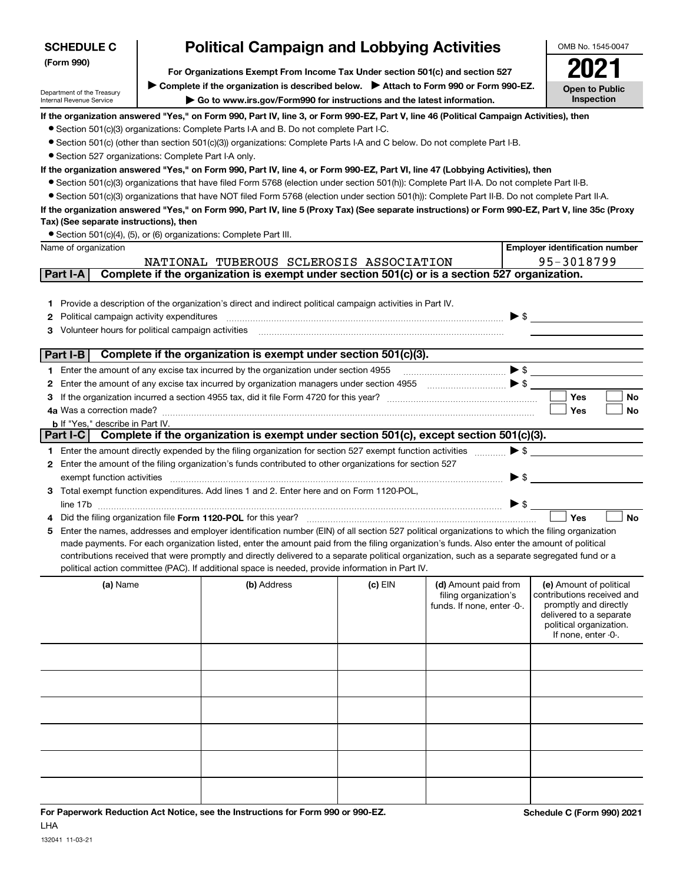| <b>SCHEDULE C</b>                                      | <b>Political Campaign and Lobbying Activities</b>                                                                                                                                                                                                                                                |           |                            |                          | OMB No. 1545-0047                                |
|--------------------------------------------------------|--------------------------------------------------------------------------------------------------------------------------------------------------------------------------------------------------------------------------------------------------------------------------------------------------|-----------|----------------------------|--------------------------|--------------------------------------------------|
| (Form 990)                                             |                                                                                                                                                                                                                                                                                                  |           |                            |                          |                                                  |
| Department of the Treasury                             | ▶ Complete if the organization is described below. ▶ Attach to Form 990 or Form 990-EZ.                                                                                                                                                                                                          |           |                            |                          | <b>Open to Public</b>                            |
| Internal Revenue Service                               | Go to www.irs.gov/Form990 for instructions and the latest information.                                                                                                                                                                                                                           |           |                            |                          | Inspection                                       |
|                                                        | If the organization answered "Yes," on Form 990, Part IV, line 3, or Form 990-EZ, Part V, line 46 (Political Campaign Activities), then                                                                                                                                                          |           |                            |                          |                                                  |
|                                                        | • Section 501(c)(3) organizations: Complete Parts I-A and B. Do not complete Part I-C.                                                                                                                                                                                                           |           |                            |                          |                                                  |
|                                                        | • Section 501(c) (other than section 501(c)(3)) organizations: Complete Parts I-A and C below. Do not complete Part I-B.                                                                                                                                                                         |           |                            |                          |                                                  |
| • Section 527 organizations: Complete Part I-A only.   |                                                                                                                                                                                                                                                                                                  |           |                            |                          |                                                  |
|                                                        | If the organization answered "Yes," on Form 990, Part IV, line 4, or Form 990-EZ, Part VI, line 47 (Lobbying Activities), then                                                                                                                                                                   |           |                            |                          |                                                  |
|                                                        | • Section 501(c)(3) organizations that have filed Form 5768 (election under section 501(h)): Complete Part II-A. Do not complete Part II-B.                                                                                                                                                      |           |                            |                          |                                                  |
|                                                        | • Section 501(c)(3) organizations that have NOT filed Form 5768 (election under section 501(h)): Complete Part II-B. Do not complete Part II-A.                                                                                                                                                  |           |                            |                          |                                                  |
| Tax) (See separate instructions), then                 | If the organization answered "Yes," on Form 990, Part IV, line 5 (Proxy Tax) (See separate instructions) or Form 990-EZ, Part V, line 35c (Proxy                                                                                                                                                 |           |                            |                          |                                                  |
|                                                        | • Section 501(c)(4), (5), or (6) organizations: Complete Part III.                                                                                                                                                                                                                               |           |                            |                          |                                                  |
| Name of organization                                   |                                                                                                                                                                                                                                                                                                  |           |                            |                          | <b>Employer identification number</b>            |
|                                                        | NATIONAL TUBEROUS SCLEROSIS ASSOCIATION                                                                                                                                                                                                                                                          |           |                            |                          | 95-3018799                                       |
| Part I-A                                               | Complete if the organization is exempt under section 501(c) or is a section 527 organization.                                                                                                                                                                                                    |           |                            |                          |                                                  |
|                                                        |                                                                                                                                                                                                                                                                                                  |           |                            |                          |                                                  |
|                                                        | 1 Provide a description of the organization's direct and indirect political campaign activities in Part IV.                                                                                                                                                                                      |           |                            |                          |                                                  |
| Political campaign activity expenditures<br>2          |                                                                                                                                                                                                                                                                                                  |           |                            | $\triangleright$ \$      |                                                  |
| Volunteer hours for political campaign activities<br>З |                                                                                                                                                                                                                                                                                                  |           |                            |                          |                                                  |
|                                                        |                                                                                                                                                                                                                                                                                                  |           |                            |                          |                                                  |
| Part I-B                                               | Complete if the organization is exempt under section 501(c)(3).                                                                                                                                                                                                                                  |           |                            |                          |                                                  |
|                                                        | 1 Enter the amount of any excise tax incurred by the organization under section 4955                                                                                                                                                                                                             |           |                            |                          | $\triangleright$ \$                              |
| 2                                                      | Enter the amount of any excise tax incurred by organization managers under section 4955                                                                                                                                                                                                          |           |                            |                          |                                                  |
| з                                                      |                                                                                                                                                                                                                                                                                                  |           |                            |                          | <b>Yes</b><br><b>No</b>                          |
| 4a Was a correction made?                              |                                                                                                                                                                                                                                                                                                  |           |                            |                          | Yes<br>No                                        |
| <b>b</b> If "Yes," describe in Part IV.                |                                                                                                                                                                                                                                                                                                  |           |                            |                          |                                                  |
|                                                        | Part I-C Complete if the organization is exempt under section 501(c), except section 501(c)(3).                                                                                                                                                                                                  |           |                            |                          |                                                  |
|                                                        | 1 Enter the amount directly expended by the filing organization for section 527 exempt function activities                                                                                                                                                                                       |           |                            | $\blacktriangleright$ \$ |                                                  |
|                                                        | 2 Enter the amount of the filing organization's funds contributed to other organizations for section 527                                                                                                                                                                                         |           |                            |                          |                                                  |
| exempt function activities                             |                                                                                                                                                                                                                                                                                                  |           |                            | $\blacktriangleright$ \$ |                                                  |
|                                                        | 3 Total exempt function expenditures. Add lines 1 and 2. Enter here and on Form 1120-POL,                                                                                                                                                                                                        |           |                            |                          |                                                  |
|                                                        |                                                                                                                                                                                                                                                                                                  |           |                            | $\triangleright$ \$      |                                                  |
|                                                        | Did the filing organization file Form 1120-POL for this year?                                                                                                                                                                                                                                    |           |                            |                          | Yes<br><b>No</b>                                 |
|                                                        | 5 Enter the names, addresses and employer identification number (EIN) of all section 527 political organizations to which the filing organization<br>made payments. For each organization listed, enter the amount paid from the filing organization's funds. Also enter the amount of political |           |                            |                          |                                                  |
|                                                        | contributions received that were promptly and directly delivered to a separate political organization, such as a separate segregated fund or a                                                                                                                                                   |           |                            |                          |                                                  |
|                                                        | political action committee (PAC). If additional space is needed, provide information in Part IV.                                                                                                                                                                                                 |           |                            |                          |                                                  |
| (a) Name                                               | (b) Address                                                                                                                                                                                                                                                                                      | $(c)$ EIN | (d) Amount paid from       |                          | (e) Amount of political                          |
|                                                        |                                                                                                                                                                                                                                                                                                  |           | filing organization's      |                          | contributions received and                       |
|                                                        |                                                                                                                                                                                                                                                                                                  |           | funds. If none, enter -0-. |                          | promptly and directly<br>delivered to a separate |
|                                                        |                                                                                                                                                                                                                                                                                                  |           |                            |                          | political organization.                          |
|                                                        |                                                                                                                                                                                                                                                                                                  |           |                            |                          | If none, enter -0-.                              |
|                                                        |                                                                                                                                                                                                                                                                                                  |           |                            |                          |                                                  |
|                                                        |                                                                                                                                                                                                                                                                                                  |           |                            |                          |                                                  |
|                                                        |                                                                                                                                                                                                                                                                                                  |           |                            |                          |                                                  |
|                                                        |                                                                                                                                                                                                                                                                                                  |           |                            |                          |                                                  |
|                                                        |                                                                                                                                                                                                                                                                                                  |           |                            |                          |                                                  |
|                                                        |                                                                                                                                                                                                                                                                                                  |           |                            |                          |                                                  |
|                                                        |                                                                                                                                                                                                                                                                                                  |           |                            |                          |                                                  |
|                                                        |                                                                                                                                                                                                                                                                                                  |           |                            |                          |                                                  |
|                                                        |                                                                                                                                                                                                                                                                                                  |           |                            |                          |                                                  |
|                                                        |                                                                                                                                                                                                                                                                                                  |           |                            |                          |                                                  |
|                                                        |                                                                                                                                                                                                                                                                                                  |           |                            |                          |                                                  |
|                                                        |                                                                                                                                                                                                                                                                                                  |           |                            |                          |                                                  |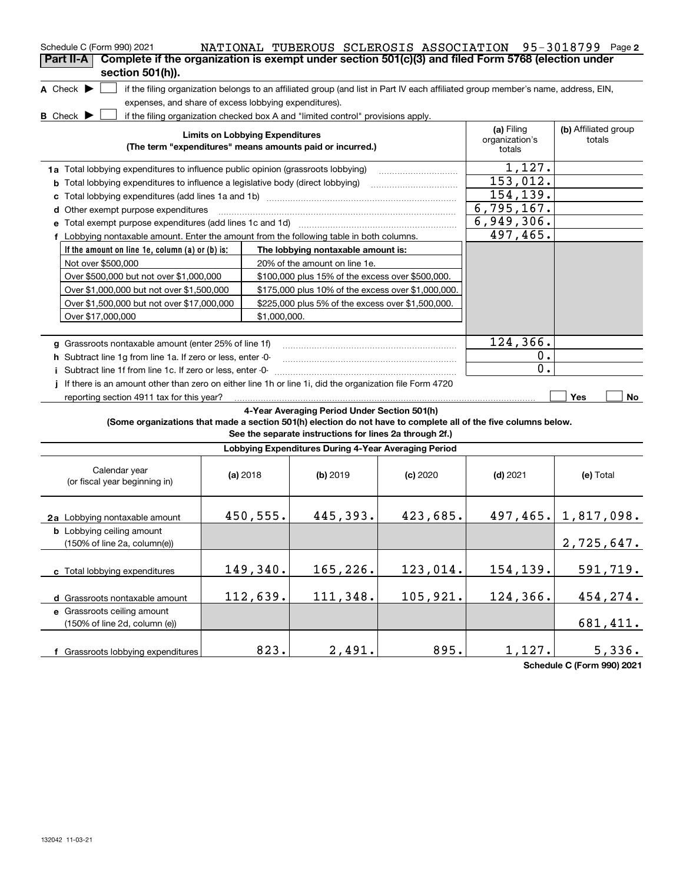| Schedule C (Form 990) 2021                                                                                                                           |                                        |                                                                                  |            | NATIONAL TUBEROUS SCLEROSIS ASSOCIATION 95-3018799 Page 2                                                                         |                                |
|------------------------------------------------------------------------------------------------------------------------------------------------------|----------------------------------------|----------------------------------------------------------------------------------|------------|-----------------------------------------------------------------------------------------------------------------------------------|--------------------------------|
| Complete if the organization is exempt under section 501(c)(3) and filed Form 5768 (election under<br>Part II-A<br>section 501(h)).                  |                                        |                                                                                  |            |                                                                                                                                   |                                |
| A Check $\blacktriangleright$<br>expenses, and share of excess lobbying expenditures).                                                               |                                        |                                                                                  |            | if the filing organization belongs to an affiliated group (and list in Part IV each affiliated group member's name, address, EIN, |                                |
| <b>B</b> Check <b>D</b>                                                                                                                              |                                        | if the filing organization checked box A and "limited control" provisions apply. |            |                                                                                                                                   |                                |
|                                                                                                                                                      | <b>Limits on Lobbying Expenditures</b> | (The term "expenditures" means amounts paid or incurred.)                        |            | (a) Filing<br>organization's<br>totals                                                                                            | (b) Affiliated group<br>totals |
| 1a Total lobbying expenditures to influence public opinion (grassroots lobbying)                                                                     |                                        |                                                                                  |            | 1,127.                                                                                                                            |                                |
| <b>b</b> Total lobbying expenditures to influence a legislative body (direct lobbying)                                                               |                                        |                                                                                  |            | 153,012.                                                                                                                          |                                |
|                                                                                                                                                      |                                        |                                                                                  |            | 154, 139.                                                                                                                         |                                |
| d Other exempt purpose expenditures                                                                                                                  |                                        |                                                                                  |            | 6,795,167.                                                                                                                        |                                |
| e Total exempt purpose expenditures (add lines 1c and 1d)                                                                                            |                                        |                                                                                  |            | 6,949,306.                                                                                                                        |                                |
| f Lobbying nontaxable amount. Enter the amount from the following table in both columns.                                                             |                                        |                                                                                  |            | 497,465.                                                                                                                          |                                |
| If the amount on line 1e, column (a) or (b) is:                                                                                                      |                                        | The lobbying nontaxable amount is:                                               |            |                                                                                                                                   |                                |
| Not over \$500,000                                                                                                                                   |                                        | 20% of the amount on line 1e.                                                    |            |                                                                                                                                   |                                |
| Over \$500,000 but not over \$1,000,000                                                                                                              |                                        | \$100,000 plus 15% of the excess over \$500,000.                                 |            |                                                                                                                                   |                                |
| Over \$1,000,000 but not over \$1,500,000                                                                                                            |                                        | \$175,000 plus 10% of the excess over \$1,000,000.                               |            |                                                                                                                                   |                                |
| Over \$1,500,000 but not over \$17,000,000                                                                                                           |                                        | \$225,000 plus 5% of the excess over \$1,500,000.                                |            |                                                                                                                                   |                                |
| Over \$17,000,000                                                                                                                                    | \$1,000,000.                           |                                                                                  |            |                                                                                                                                   |                                |
|                                                                                                                                                      |                                        |                                                                                  |            |                                                                                                                                   |                                |
| g Grassroots nontaxable amount (enter 25% of line 1f)                                                                                                |                                        |                                                                                  |            | 124,366.                                                                                                                          |                                |
| h Subtract line 1q from line 1a. If zero or less, enter -0-                                                                                          |                                        |                                                                                  |            | Ο.<br>0.                                                                                                                          |                                |
| i Subtract line 1f from line 1c. If zero or less, enter -0-                                                                                          |                                        |                                                                                  |            |                                                                                                                                   |                                |
| If there is an amount other than zero on either line 1h or line 1i, did the organization file Form 4720<br>reporting section 4911 tax for this year? |                                        |                                                                                  |            |                                                                                                                                   | Yes<br>No                      |
|                                                                                                                                                      |                                        | 4-Year Averaging Period Under Section 501(h)                                     |            |                                                                                                                                   |                                |
| (Some organizations that made a section 501(h) election do not have to complete all of the five columns below.                                       |                                        | See the separate instructions for lines 2a through 2f.)                          |            |                                                                                                                                   |                                |
|                                                                                                                                                      |                                        | Lobbying Expenditures During 4-Year Averaging Period                             |            |                                                                                                                                   |                                |
| Calendar year<br>(or fiscal year beginning in)                                                                                                       | (a) 2018                               | $(b)$ 2019                                                                       | $(c)$ 2020 | $(d)$ 2021                                                                                                                        | (e) Total                      |
| 2a Lobbying nontaxable amount                                                                                                                        | 450,555.                               | 445,393.                                                                         | 423,685.   |                                                                                                                                   | $497, 465.$ 1, 817, 098.       |
| <b>b</b> Lobbying ceiling amount<br>(150% of line 2a, column(e))                                                                                     |                                        |                                                                                  |            |                                                                                                                                   | 2,725,647.                     |
| c Total lobbying expenditures                                                                                                                        | 149,340.                               | 165,226.                                                                         | 123,014.   | 154,139.                                                                                                                          | 591,719.                       |
| d Grassroots nontaxable amount                                                                                                                       | 112,639.                               | 111,348.                                                                         | 105,921.   | 124,366.                                                                                                                          | 454,274.                       |
| e Grassroots ceiling amount<br>(150% of line 2d. column (e))                                                                                         |                                        |                                                                                  |            |                                                                                                                                   | 681,411.                       |
| f Grassroots lobbying expenditures                                                                                                                   | 823.                                   | 2,491.                                                                           | 895.       | 1,127.                                                                                                                            | 5,336.                         |

**Schedule C (Form 990) 2021**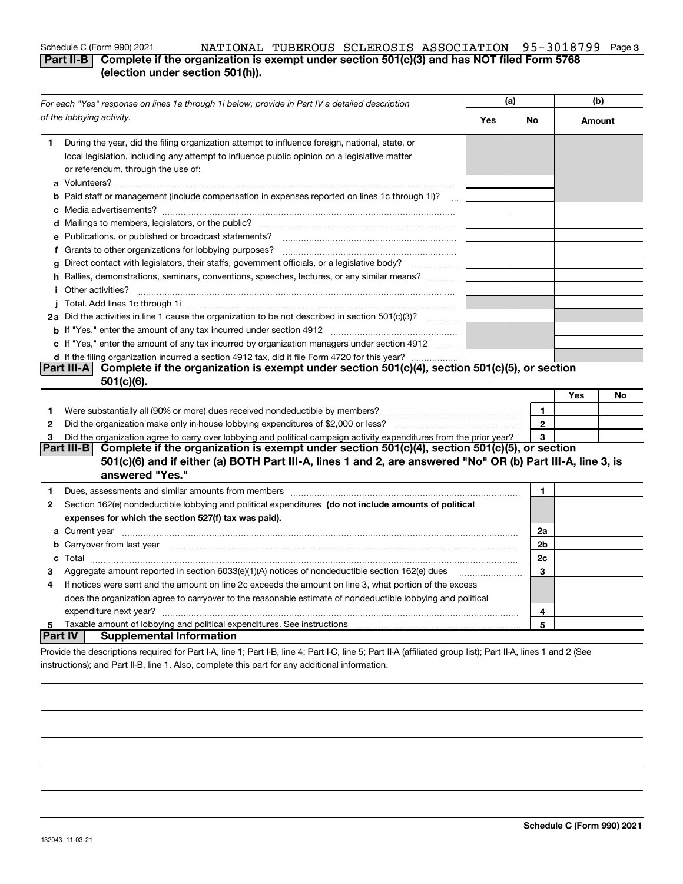### Schedule C (Form 990) 2021 NATIONAL TUBEROUS SCLEROSIS ASSOCIATION 95–3018799 Page 3<br>Dart ILB L Complete if the organization is exempt under section 501/cl/3) and has NOT filed Form 5768 **Part II-B** Complete if the organization is exempt under section 501(c)(3) and has NOT filed Form 5768

### **(election under section 501(h)).**

|                | For each "Yes" response on lines 1a through 1i below, provide in Part IV a detailed description                                                                                                                                      | (a) |              | (b)    |    |
|----------------|--------------------------------------------------------------------------------------------------------------------------------------------------------------------------------------------------------------------------------------|-----|--------------|--------|----|
|                | of the lobbying activity.                                                                                                                                                                                                            | Yes | No           | Amount |    |
| 1              | During the year, did the filing organization attempt to influence foreign, national, state, or<br>local legislation, including any attempt to influence public opinion on a legislative matter<br>or referendum, through the use of: |     |              |        |    |
|                | <b>b</b> Paid staff or management (include compensation in expenses reported on lines 1c through 1i)?<br>$\sim$                                                                                                                      |     |              |        |    |
|                |                                                                                                                                                                                                                                      |     |              |        |    |
|                | e Publications, or published or broadcast statements?                                                                                                                                                                                |     |              |        |    |
|                |                                                                                                                                                                                                                                      |     |              |        |    |
|                | g Direct contact with legislators, their staffs, government officials, or a legislative body?                                                                                                                                        |     |              |        |    |
|                | h Rallies, demonstrations, seminars, conventions, speeches, lectures, or any similar means?<br><i>i</i> Other activities?                                                                                                            |     |              |        |    |
|                |                                                                                                                                                                                                                                      |     |              |        |    |
|                | 2a Did the activities in line 1 cause the organization to be not described in section 501(c)(3)?                                                                                                                                     |     |              |        |    |
|                |                                                                                                                                                                                                                                      |     |              |        |    |
|                | c If "Yes," enter the amount of any tax incurred by organization managers under section 4912                                                                                                                                         |     |              |        |    |
|                | d If the filing organization incurred a section 4912 tax, did it file Form 4720 for this year?                                                                                                                                       |     |              |        |    |
|                | Complete if the organization is exempt under section 501(c)(4), section 501(c)(5), or section<br> Part III-A                                                                                                                         |     |              |        |    |
|                | 501(c)(6).                                                                                                                                                                                                                           |     |              |        |    |
|                |                                                                                                                                                                                                                                      |     |              | Yes    | No |
| 1              |                                                                                                                                                                                                                                      |     | $\mathbf{1}$ |        |    |
| 2              |                                                                                                                                                                                                                                      |     | $\mathbf{2}$ |        |    |
| з              | Did the organization agree to carry over lobbying and political campaign activity expenditures from the prior year?                                                                                                                  |     | 3            |        |    |
|                | Complete if the organization is exempt under section $501(c)(4)$ , section $501(c)(5)$ , or section<br><b>Part III-BI</b>                                                                                                            |     |              |        |    |
|                | 501(c)(6) and if either (a) BOTH Part III-A, lines 1 and 2, are answered "No" OR (b) Part III-A, line 3, is                                                                                                                          |     |              |        |    |
|                | answered "Yes."                                                                                                                                                                                                                      |     |              |        |    |
| 1.             |                                                                                                                                                                                                                                      |     | 1            |        |    |
| 2              | Section 162(e) nondeductible lobbying and political expenditures (do not include amounts of political                                                                                                                                |     |              |        |    |
|                | expenses for which the section 527(f) tax was paid).                                                                                                                                                                                 |     |              |        |    |
|                |                                                                                                                                                                                                                                      |     | 2a           |        |    |
|                | b Carryover from last year manufactured and continuum contract to contact the contract of the contract of the contract of the contract of the contract of contract of the contract of the contract of contract of contract of        |     | 2b           |        |    |
|                |                                                                                                                                                                                                                                      |     | 2c           |        |    |
| З              | Aggregate amount reported in section 6033(e)(1)(A) notices of nondeductible section 162(e) dues                                                                                                                                      |     | 3            |        |    |
| 4              | If notices were sent and the amount on line 2c exceeds the amount on line 3, what portion of the excess                                                                                                                              |     |              |        |    |
|                | does the organization agree to carryover to the reasonable estimate of nondeductible lobbying and political                                                                                                                          |     |              |        |    |
|                | expenditure next year?                                                                                                                                                                                                               |     | 4            |        |    |
| 5              |                                                                                                                                                                                                                                      |     | 5            |        |    |
| <b>Part IV</b> | <b>Supplemental Information</b>                                                                                                                                                                                                      |     |              |        |    |
|                | Provide the descriptions required for Part I-A, line 1; Part I-B, line 4; Part I-C, line 5; Part II-A (affiliated group list); Part II-A, lines 1 and 2 (See                                                                         |     |              |        |    |

instructions); and Part II-B, line 1. Also, complete this part for any additional information.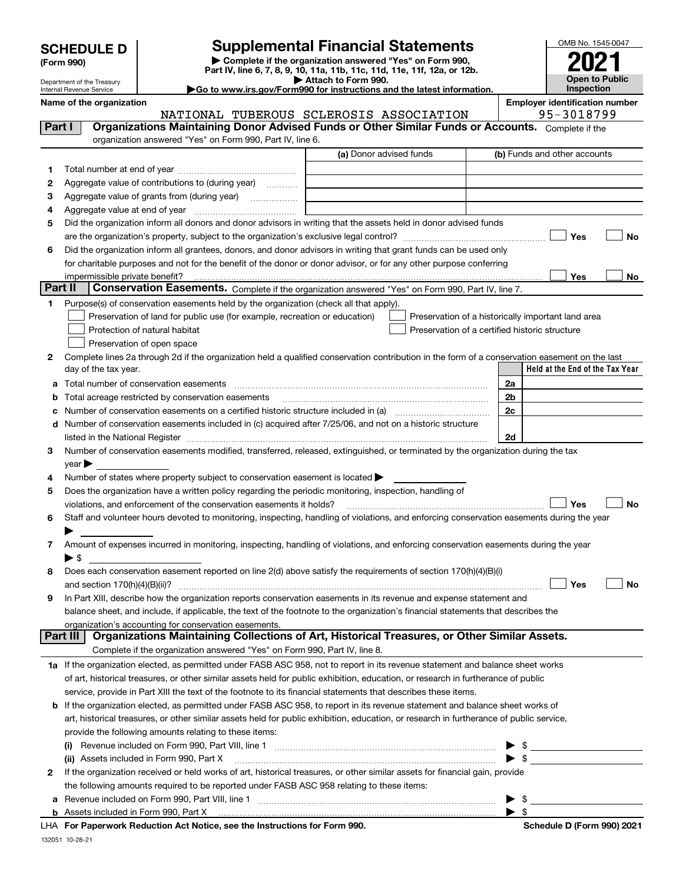| <b>SCHEDULE D</b> |  |
|-------------------|--|
|-------------------|--|

| (Form 990) |  |
|------------|--|
|------------|--|

132051 10-28-21

## **SCHEDULE D Supplemental Financial Statements**

**| Complete if the organization answered "Yes" on Form 990, Part IV, line 6, 7, 8, 9, 10, 11a, 11b, 11c, 11d, 11e, 11f, 12a, or 12b. | Attach to Form 990.** OMB No. 1545-0047 **Open to Public Inspection2021**

**|Go to www.irs.gov/Form990 for instructions and the latest information.**

Department of the Treasury Internal Revenue Service

**Name of the organization Employer identification number** NATIONAL TUBEROUS SCLEROSIS ASSOCIATION 95-3018799

| Part I         | organization answered "Yes" on Form 990, Part IV, line 6.                                                                                      | <b>Organizations Maintaining Donor Advised Funds or Other Similar Funds or Accounts.</b> Complete if the |                         |                                                    |
|----------------|------------------------------------------------------------------------------------------------------------------------------------------------|----------------------------------------------------------------------------------------------------------|-------------------------|----------------------------------------------------|
|                |                                                                                                                                                |                                                                                                          | (a) Donor advised funds | (b) Funds and other accounts                       |
| 1              |                                                                                                                                                |                                                                                                          |                         |                                                    |
| 2              | Aggregate value of contributions to (during year)                                                                                              |                                                                                                          |                         |                                                    |
| з              | Aggregate value of grants from (during year)                                                                                                   |                                                                                                          |                         |                                                    |
| 4              |                                                                                                                                                |                                                                                                          |                         |                                                    |
| 5              | Did the organization inform all donors and donor advisors in writing that the assets held in donor advised funds                               |                                                                                                          |                         |                                                    |
|                |                                                                                                                                                |                                                                                                          |                         | Yes<br>No                                          |
| 6              | Did the organization inform all grantees, donors, and donor advisors in writing that grant funds can be used only                              |                                                                                                          |                         |                                                    |
|                | for charitable purposes and not for the benefit of the donor or donor advisor, or for any other purpose conferring                             |                                                                                                          |                         |                                                    |
|                |                                                                                                                                                |                                                                                                          |                         | Yes<br>No                                          |
| <b>Part II</b> |                                                                                                                                                | Conservation Easements. Complete if the organization answered "Yes" on Form 990, Part IV, line 7.        |                         |                                                    |
| 1              | Purpose(s) of conservation easements held by the organization (check all that apply).                                                          |                                                                                                          |                         |                                                    |
|                |                                                                                                                                                | Preservation of land for public use (for example, recreation or education)                               |                         | Preservation of a historically important land area |
|                | Protection of natural habitat                                                                                                                  |                                                                                                          |                         | Preservation of a certified historic structure     |
|                | Preservation of open space                                                                                                                     |                                                                                                          |                         |                                                    |
| 2              | Complete lines 2a through 2d if the organization held a qualified conservation contribution in the form of a conservation easement on the last |                                                                                                          |                         |                                                    |
|                | day of the tax year.                                                                                                                           |                                                                                                          |                         | Held at the End of the Tax Year                    |
| a              |                                                                                                                                                |                                                                                                          |                         | 2a                                                 |
| b              | Total acreage restricted by conservation easements                                                                                             |                                                                                                          |                         | 2 <sub>b</sub>                                     |
| c              |                                                                                                                                                |                                                                                                          |                         | 2c                                                 |
| d              | Number of conservation easements included in (c) acquired after 7/25/06, and not on a historic structure                                       |                                                                                                          |                         |                                                    |
|                |                                                                                                                                                |                                                                                                          |                         | 2d                                                 |
| 3.             | Number of conservation easements modified, transferred, released, extinguished, or terminated by the organization during the tax               |                                                                                                          |                         |                                                    |
|                | $year \blacktriangleright$                                                                                                                     |                                                                                                          |                         |                                                    |
| 4              | Number of states where property subject to conservation easement is located $\blacktriangleright$                                              |                                                                                                          |                         |                                                    |
| 5              | Does the organization have a written policy regarding the periodic monitoring, inspection, handling of                                         |                                                                                                          |                         |                                                    |
|                | violations, and enforcement of the conservation easements it holds?                                                                            |                                                                                                          |                         | Yes<br>No                                          |
| 6              | Staff and volunteer hours devoted to monitoring, inspecting, handling of violations, and enforcing conservation easements during the year      |                                                                                                          |                         |                                                    |
|                |                                                                                                                                                |                                                                                                          |                         |                                                    |
| 7              | Amount of expenses incurred in monitoring, inspecting, handling of violations, and enforcing conservation easements during the year            |                                                                                                          |                         |                                                    |
|                | $\blacktriangleright$ \$                                                                                                                       |                                                                                                          |                         |                                                    |
| 8              | Does each conservation easement reported on line 2(d) above satisfy the requirements of section 170(h)(4)(B)(i)                                |                                                                                                          |                         |                                                    |
|                |                                                                                                                                                |                                                                                                          |                         | Yes<br>No                                          |
| 9              | In Part XIII, describe how the organization reports conservation easements in its revenue and expense statement and                            |                                                                                                          |                         |                                                    |
|                | balance sheet, and include, if applicable, the text of the footnote to the organization's financial statements that describes the              |                                                                                                          |                         |                                                    |
|                | organization's accounting for conservation easements.                                                                                          |                                                                                                          |                         |                                                    |
|                | <b>Part III</b>                                                                                                                                | Organizations Maintaining Collections of Art, Historical Treasures, or Other Similar Assets.             |                         |                                                    |
|                |                                                                                                                                                | Complete if the organization answered "Yes" on Form 990, Part IV, line 8.                                |                         |                                                    |
|                | 1a If the organization elected, as permitted under FASB ASC 958, not to report in its revenue statement and balance sheet works                |                                                                                                          |                         |                                                    |
|                | of art, historical treasures, or other similar assets held for public exhibition, education, or research in furtherance of public              |                                                                                                          |                         |                                                    |
|                | service, provide in Part XIII the text of the footnote to its financial statements that describes these items.                                 |                                                                                                          |                         |                                                    |
| b              | If the organization elected, as permitted under FASB ASC 958, to report in its revenue statement and balance sheet works of                    |                                                                                                          |                         |                                                    |
|                | art, historical treasures, or other similar assets held for public exhibition, education, or research in furtherance of public service,        |                                                                                                          |                         |                                                    |
|                | provide the following amounts relating to these items:                                                                                         |                                                                                                          |                         |                                                    |
|                |                                                                                                                                                |                                                                                                          |                         | $\frac{1}{2}$                                      |
|                | (ii) Assets included in Form 990, Part X                                                                                                       |                                                                                                          |                         | $\triangleright$ \$                                |
| $\mathbf{2}$   | If the organization received or held works of art, historical treasures, or other similar assets for financial gain, provide                   |                                                                                                          |                         |                                                    |
|                | the following amounts required to be reported under FASB ASC 958 relating to these items:                                                      |                                                                                                          |                         |                                                    |
|                |                                                                                                                                                |                                                                                                          |                         | \$                                                 |
|                |                                                                                                                                                |                                                                                                          |                         | -\$                                                |
|                | LHA For Paperwork Reduction Act Notice, see the Instructions for Form 990.                                                                     |                                                                                                          |                         | Schedule D (Form 990) 2021                         |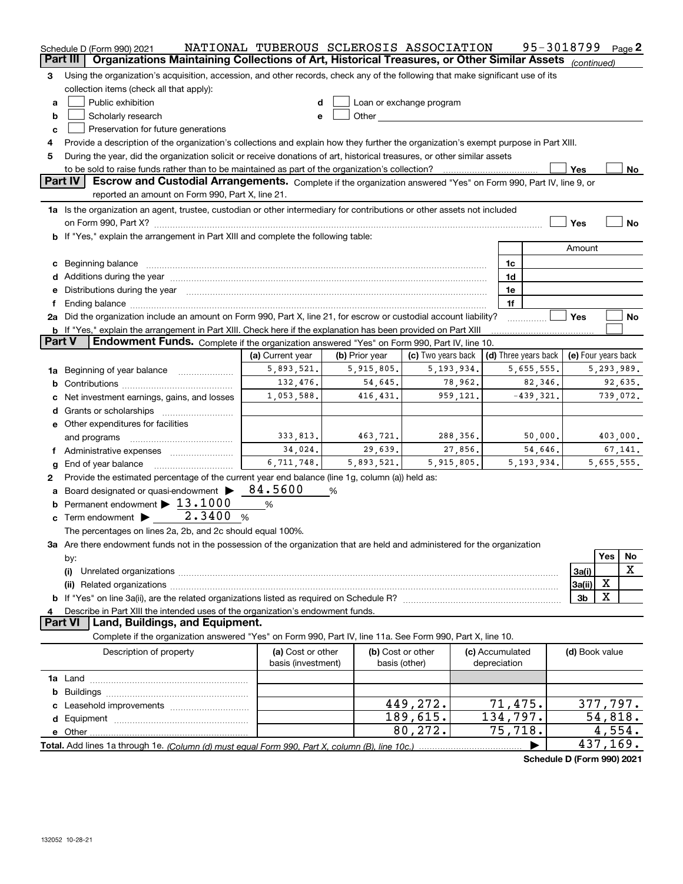|               | Schedule D (Form 990) 2021<br>Organizations Maintaining Collections of Art, Historical Treasures, or Other Similar Assets (continued)<br>Part III                                                                                   | NATIONAL TUBEROUS SCLEROSIS ASSOCIATION |                                                                                                                                                                                                                                 |                                    |                 |                       | 95-3018799                           |                     |            | Page 2      |
|---------------|-------------------------------------------------------------------------------------------------------------------------------------------------------------------------------------------------------------------------------------|-----------------------------------------|---------------------------------------------------------------------------------------------------------------------------------------------------------------------------------------------------------------------------------|------------------------------------|-----------------|-----------------------|--------------------------------------|---------------------|------------|-------------|
| З.            | Using the organization's acquisition, accession, and other records, check any of the following that make significant use of its                                                                                                     |                                         |                                                                                                                                                                                                                                 |                                    |                 |                       |                                      |                     |            |             |
|               | collection items (check all that apply):                                                                                                                                                                                            |                                         |                                                                                                                                                                                                                                 |                                    |                 |                       |                                      |                     |            |             |
| a             | Public exhibition                                                                                                                                                                                                                   | d                                       |                                                                                                                                                                                                                                 | Loan or exchange program           |                 |                       |                                      |                     |            |             |
| b             | Scholarly research                                                                                                                                                                                                                  | e                                       | Other and the control of the control of the control of the control of the control of the control of the control of the control of the control of the control of the control of the control of the control of the control of the |                                    |                 |                       |                                      |                     |            |             |
| c             | Preservation for future generations                                                                                                                                                                                                 |                                         |                                                                                                                                                                                                                                 |                                    |                 |                       |                                      |                     |            |             |
| 4             | Provide a description of the organization's collections and explain how they further the organization's exempt purpose in Part XIII.                                                                                                |                                         |                                                                                                                                                                                                                                 |                                    |                 |                       |                                      |                     |            |             |
| 5             | During the year, did the organization solicit or receive donations of art, historical treasures, or other similar assets                                                                                                            |                                         |                                                                                                                                                                                                                                 |                                    |                 |                       |                                      |                     |            |             |
|               |                                                                                                                                                                                                                                     |                                         |                                                                                                                                                                                                                                 |                                    |                 |                       |                                      | Yes                 |            | No          |
|               | <b>Part IV</b><br>Escrow and Custodial Arrangements. Complete if the organization answered "Yes" on Form 990, Part IV, line 9, or                                                                                                   |                                         |                                                                                                                                                                                                                                 |                                    |                 |                       |                                      |                     |            |             |
|               | reported an amount on Form 990, Part X, line 21.                                                                                                                                                                                    |                                         |                                                                                                                                                                                                                                 |                                    |                 |                       |                                      |                     |            |             |
|               | 1a Is the organization an agent, trustee, custodian or other intermediary for contributions or other assets not included                                                                                                            |                                         |                                                                                                                                                                                                                                 |                                    |                 |                       |                                      |                     |            |             |
|               |                                                                                                                                                                                                                                     |                                         |                                                                                                                                                                                                                                 |                                    |                 |                       |                                      | Yes                 |            | No          |
|               | b If "Yes," explain the arrangement in Part XIII and complete the following table:                                                                                                                                                  |                                         |                                                                                                                                                                                                                                 |                                    |                 |                       |                                      |                     |            |             |
|               |                                                                                                                                                                                                                                     |                                         |                                                                                                                                                                                                                                 |                                    |                 |                       |                                      | Amount              |            |             |
| c             |                                                                                                                                                                                                                                     |                                         |                                                                                                                                                                                                                                 |                                    |                 | 1c                    |                                      |                     |            |             |
|               | d Additions during the year manufactured and an account of the year manufactured and account of the year manufactured and account of the year manufactured and account of the year manufactured and account of the year manufa      |                                         |                                                                                                                                                                                                                                 |                                    |                 | 1d                    |                                      |                     |            |             |
| е             | Distributions during the year manufactured and continuum and contact the year manufactured and contact the year                                                                                                                     |                                         |                                                                                                                                                                                                                                 |                                    |                 | 1e                    |                                      |                     |            |             |
| f             |                                                                                                                                                                                                                                     |                                         |                                                                                                                                                                                                                                 |                                    |                 | 1f                    |                                      |                     |            |             |
|               | 2a Did the organization include an amount on Form 990, Part X, line 21, for escrow or custodial account liability?                                                                                                                  |                                         |                                                                                                                                                                                                                                 |                                    |                 |                       |                                      | Yes                 |            | No          |
| <b>Part V</b> | b If "Yes," explain the arrangement in Part XIII. Check here if the explanation has been provided on Part XIII<br>Endowment Funds. Complete if the organization answered "Yes" on Form 990, Part IV, line 10.                       |                                         |                                                                                                                                                                                                                                 |                                    |                 |                       |                                      |                     |            |             |
|               |                                                                                                                                                                                                                                     | (a) Current year                        | (b) Prior year                                                                                                                                                                                                                  | (c) Two years back                 |                 |                       | $\vert$ (d) Three years back $\vert$ | (e) Four years back |            |             |
| 1a            | Beginning of year balance                                                                                                                                                                                                           | 5,893,521.                              | 5,915,805.                                                                                                                                                                                                                      | 5, 193, 934.                       |                 |                       | 5,655,555.                           |                     | 5,293,989. |             |
| b             |                                                                                                                                                                                                                                     | 132,476.                                | 54,645.                                                                                                                                                                                                                         | 78,962.                            |                 |                       | 82,346.                              |                     |            | 92,635.     |
|               | Net investment earnings, gains, and losses                                                                                                                                                                                          | 1,053,588.                              | 416,431.                                                                                                                                                                                                                        | 959,121.                           |                 |                       | $-439,321.$                          |                     | 739,072.   |             |
| d             |                                                                                                                                                                                                                                     |                                         |                                                                                                                                                                                                                                 |                                    |                 |                       |                                      |                     |            |             |
|               | e Other expenditures for facilities                                                                                                                                                                                                 |                                         |                                                                                                                                                                                                                                 |                                    |                 |                       |                                      |                     |            |             |
|               | and programs                                                                                                                                                                                                                        | 333,813.                                | 463,721.                                                                                                                                                                                                                        | 288,356.                           |                 |                       | 50,000.                              |                     | 403,000.   |             |
| f             | Administrative expenses                                                                                                                                                                                                             | 34,024.                                 | 29,639.                                                                                                                                                                                                                         | 27,856.                            |                 |                       | 54,646.                              |                     |            | 67,141.     |
|               | End of year balance                                                                                                                                                                                                                 | 6,711,748.                              | 5,893,521.                                                                                                                                                                                                                      | 5,915,805.                         |                 |                       | 5, 193, 934.                         |                     | 5,655,555. |             |
| g<br>2        | Provide the estimated percentage of the current year end balance (line 1g, column (a)) held as:                                                                                                                                     |                                         |                                                                                                                                                                                                                                 |                                    |                 |                       |                                      |                     |            |             |
| a             | Board designated or quasi-endowment                                                                                                                                                                                                 | 84.5600                                 | %                                                                                                                                                                                                                               |                                    |                 |                       |                                      |                     |            |             |
| b             | Permanent endowment $\blacktriangleright$ 13.1000                                                                                                                                                                                   | $\%$                                    |                                                                                                                                                                                                                                 |                                    |                 |                       |                                      |                     |            |             |
| c             | 2.3400<br>Term endowment $\blacktriangleright$                                                                                                                                                                                      | %                                       |                                                                                                                                                                                                                                 |                                    |                 |                       |                                      |                     |            |             |
|               | The percentages on lines 2a, 2b, and 2c should equal 100%.                                                                                                                                                                          |                                         |                                                                                                                                                                                                                                 |                                    |                 |                       |                                      |                     |            |             |
|               | 3a Are there endowment funds not in the possession of the organization that are held and administered for the organization                                                                                                          |                                         |                                                                                                                                                                                                                                 |                                    |                 |                       |                                      |                     |            |             |
|               | by:                                                                                                                                                                                                                                 |                                         |                                                                                                                                                                                                                                 |                                    |                 |                       |                                      |                     | Yes        | No          |
|               | (i)                                                                                                                                                                                                                                 |                                         |                                                                                                                                                                                                                                 |                                    |                 |                       |                                      | 3a(i)               |            | $\mathbf X$ |
|               | (ii) Related organizations <b>communications</b> and continuum contract the contract of the contract of the contract of the contract of the contract of the contract of the contract of the contract of the contract of the contrac |                                         |                                                                                                                                                                                                                                 |                                    |                 |                       |                                      | 3a(ii)              | х          |             |
|               |                                                                                                                                                                                                                                     |                                         |                                                                                                                                                                                                                                 |                                    |                 |                       |                                      | 3b                  | X          |             |
| 4             | Describe in Part XIII the intended uses of the organization's endowment funds.                                                                                                                                                      |                                         |                                                                                                                                                                                                                                 |                                    |                 |                       |                                      |                     |            |             |
|               | Land, Buildings, and Equipment.<br><b>Part VI</b>                                                                                                                                                                                   |                                         |                                                                                                                                                                                                                                 |                                    |                 |                       |                                      |                     |            |             |
|               | Complete if the organization answered "Yes" on Form 990, Part IV, line 11a. See Form 990, Part X, line 10.                                                                                                                          |                                         |                                                                                                                                                                                                                                 |                                    |                 |                       |                                      |                     |            |             |
|               | Description of property                                                                                                                                                                                                             | (a) Cost or other<br>basis (investment) |                                                                                                                                                                                                                                 | (b) Cost or other<br>basis (other) | (c) Accumulated | depreciation          |                                      | (d) Book value      |            |             |
|               |                                                                                                                                                                                                                                     |                                         |                                                                                                                                                                                                                                 |                                    |                 |                       |                                      |                     |            |             |
| b             |                                                                                                                                                                                                                                     |                                         |                                                                                                                                                                                                                                 |                                    |                 |                       |                                      |                     |            |             |
| c             | Leasehold improvements                                                                                                                                                                                                              |                                         |                                                                                                                                                                                                                                 | 449,272.                           |                 | 71,475.               |                                      |                     | 377,797.   |             |
| d             |                                                                                                                                                                                                                                     |                                         |                                                                                                                                                                                                                                 | 189,615.                           |                 | 134,797.              |                                      |                     | 54,818.    |             |
|               |                                                                                                                                                                                                                                     |                                         |                                                                                                                                                                                                                                 | 80,272.                            |                 | $\overline{75,718}$ . |                                      |                     | 4,554.     |             |
|               |                                                                                                                                                                                                                                     |                                         |                                                                                                                                                                                                                                 |                                    |                 |                       |                                      |                     | 437,169.   |             |
|               |                                                                                                                                                                                                                                     |                                         |                                                                                                                                                                                                                                 |                                    |                 |                       |                                      |                     |            |             |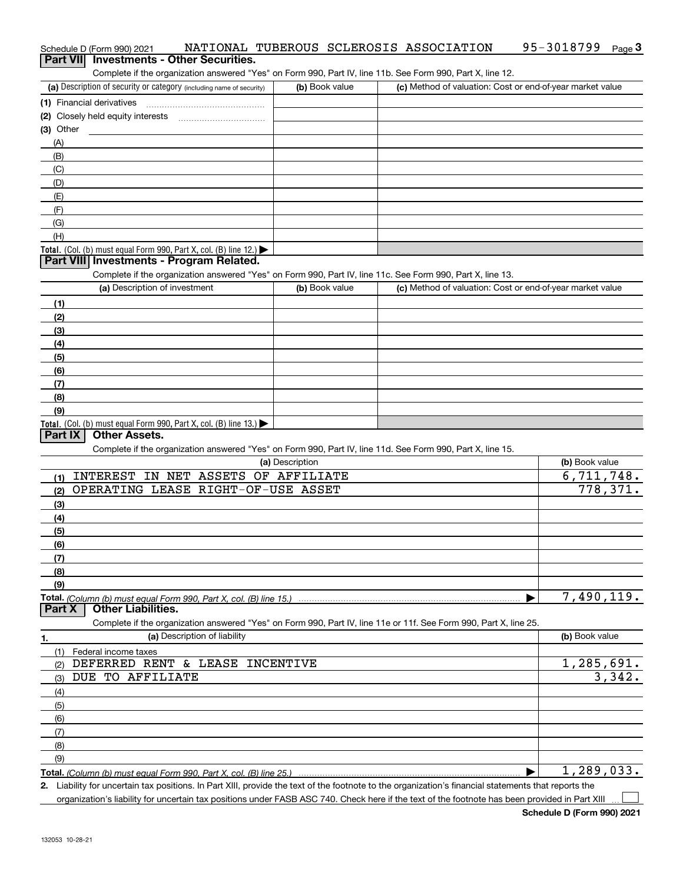| Schedule D (Form 990) 2021                                                                                        |                 | NATIONAL TUBEROUS SCLEROSIS ASSOCIATION                   | 95-3018799<br>$Page$ <sup>3</sup> |
|-------------------------------------------------------------------------------------------------------------------|-----------------|-----------------------------------------------------------|-----------------------------------|
| <b>Investments - Other Securities.</b><br><b>Part VII</b>                                                         |                 |                                                           |                                   |
| Complete if the organization answered "Yes" on Form 990, Part IV, line 11b. See Form 990, Part X, line 12.        |                 |                                                           |                                   |
| (a) Description of security or category (including name of security)                                              | (b) Book value  | (c) Method of valuation: Cost or end-of-year market value |                                   |
|                                                                                                                   |                 |                                                           |                                   |
| (2) Closely held equity interests                                                                                 |                 |                                                           |                                   |
| $(3)$ Other                                                                                                       |                 |                                                           |                                   |
| (A)                                                                                                               |                 |                                                           |                                   |
|                                                                                                                   |                 |                                                           |                                   |
| (B)                                                                                                               |                 |                                                           |                                   |
| (C)                                                                                                               |                 |                                                           |                                   |
| (D)                                                                                                               |                 |                                                           |                                   |
| (E)                                                                                                               |                 |                                                           |                                   |
| (F)                                                                                                               |                 |                                                           |                                   |
| (G)                                                                                                               |                 |                                                           |                                   |
| (H)                                                                                                               |                 |                                                           |                                   |
| Total. (Col. (b) must equal Form 990, Part X, col. (B) line 12.)                                                  |                 |                                                           |                                   |
| Part VIII Investments - Program Related.                                                                          |                 |                                                           |                                   |
| Complete if the organization answered "Yes" on Form 990, Part IV, line 11c. See Form 990, Part X, line 13.        |                 |                                                           |                                   |
| (a) Description of investment                                                                                     | (b) Book value  | (c) Method of valuation: Cost or end-of-year market value |                                   |
| (1)                                                                                                               |                 |                                                           |                                   |
| (2)                                                                                                               |                 |                                                           |                                   |
| (3)                                                                                                               |                 |                                                           |                                   |
| (4)                                                                                                               |                 |                                                           |                                   |
| (5)                                                                                                               |                 |                                                           |                                   |
| (6)                                                                                                               |                 |                                                           |                                   |
| (7)                                                                                                               |                 |                                                           |                                   |
|                                                                                                                   |                 |                                                           |                                   |
| (8)                                                                                                               |                 |                                                           |                                   |
| (9)                                                                                                               |                 |                                                           |                                   |
| <b>Total.</b> (Col. (b) must equal Form 990, Part X, col. (B) line 13.)<br><b>Other Assets.</b><br>Part IX        |                 |                                                           |                                   |
| Complete if the organization answered "Yes" on Form 990, Part IV, line 11d. See Form 990, Part X, line 15.        |                 |                                                           |                                   |
|                                                                                                                   | (a) Description |                                                           | (b) Book value                    |
|                                                                                                                   |                 |                                                           |                                   |
| INTEREST IN NET ASSETS OF AFFILIATE<br>(1)                                                                        |                 |                                                           | 6,711,748.                        |
| OPERATING LEASE RIGHT-OF-USE ASSET<br>(2)                                                                         |                 |                                                           | 778, 371.                         |
| (3)                                                                                                               |                 |                                                           |                                   |
| (4)                                                                                                               |                 |                                                           |                                   |
| (5)                                                                                                               |                 |                                                           |                                   |
| (6)                                                                                                               |                 |                                                           |                                   |
| (7)                                                                                                               |                 |                                                           |                                   |
| (8)                                                                                                               |                 |                                                           |                                   |
| (9)                                                                                                               |                 |                                                           |                                   |
| <b>Other Liabilities.</b><br>Part X                                                                               |                 |                                                           | 7,490,119.                        |
| Complete if the organization answered "Yes" on Form 990, Part IV, line 11e or 11f. See Form 990, Part X, line 25. |                 |                                                           |                                   |
| (a) Description of liability<br>1.                                                                                |                 |                                                           | (b) Book value                    |
| (1)<br>Federal income taxes                                                                                       |                 |                                                           |                                   |
| DEFERRED RENT & LEASE INCENTIVE                                                                                   |                 |                                                           | $\overline{1,285,691.}$           |
| (2)<br>DUE TO AFFILIATE                                                                                           |                 |                                                           | 3,342.                            |
| (3)                                                                                                               |                 |                                                           |                                   |
| (4)                                                                                                               |                 |                                                           |                                   |
| (5)                                                                                                               |                 |                                                           |                                   |
| (6)                                                                                                               |                 |                                                           |                                   |
| (7)                                                                                                               |                 |                                                           |                                   |
| (8)                                                                                                               |                 |                                                           |                                   |

**Total.**  *(Column (b) must equal Form 990, Part X, col. (B) line 25.)* 

**2.** | Liability for uncertain tax positions. In Part XIII, provide the text of the footnote to the organization's financial statements that reports the organization's liability for uncertain tax positions under FASB ASC 740. Check here if the text of the footnote has been provided in Part XIII  $\mathcal{L}^{\text{max}}$ 

1,289,033.

95-3018799 Page 3

(9)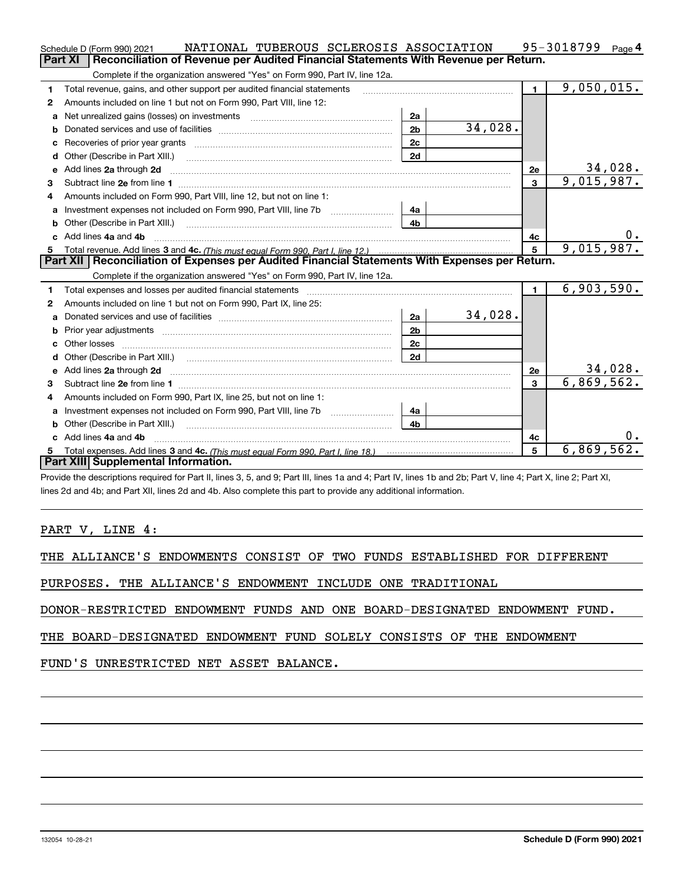|                | NATIONAL TUBEROUS SCLEROSIS ASSOCIATION<br>Schedule D (Form 990) 2021                                                                                                                                                          |                |         |                | 95-3018799<br>Page $4$ |
|----------------|--------------------------------------------------------------------------------------------------------------------------------------------------------------------------------------------------------------------------------|----------------|---------|----------------|------------------------|
| <b>Part XI</b> | Reconciliation of Revenue per Audited Financial Statements With Revenue per Return.                                                                                                                                            |                |         |                |                        |
|                | Complete if the organization answered "Yes" on Form 990, Part IV, line 12a.                                                                                                                                                    |                |         |                |                        |
| 1              | Total revenue, gains, and other support per audited financial statements                                                                                                                                                       |                |         | $\blacksquare$ | 9,050,015.             |
| $\mathbf{2}$   | Amounts included on line 1 but not on Form 990, Part VIII, line 12:                                                                                                                                                            |                |         |                |                        |
| a              |                                                                                                                                                                                                                                | 2a             |         |                |                        |
| b              |                                                                                                                                                                                                                                | 2 <sub>b</sub> | 34,028. |                |                        |
| c              | Recoveries of prior year grants [11] matter contracts and prior year grants [11] matter contracts and prior year grants and all the contracts and all the contracts of prior year grants and all the contracts of the contract | 2 <sub>c</sub> |         |                |                        |
| d              | Other (Describe in Part XIII.) <b>Construction Construction</b> Chern Construction Chern Chern Chern Chern Chern Chern                                                                                                         | 2d             |         |                |                        |
| e              | Add lines 2a through 2d                                                                                                                                                                                                        |                |         | 2e             | 34,028.                |
| з              |                                                                                                                                                                                                                                |                |         | $\mathbf{3}$   | 9,015,987.             |
| 4              | Amounts included on Form 990, Part VIII, line 12, but not on line 1:                                                                                                                                                           |                |         |                |                        |
| a              | Investment expenses not included on Form 990, Part VIII, line 7b [1000000000000000000000000000000000                                                                                                                           | 4a             |         |                |                        |
| b              |                                                                                                                                                                                                                                | 4b             |         |                |                        |
|                | Add lines 4a and 4b                                                                                                                                                                                                            |                |         | 4с             | $0$ .                  |
| 5              |                                                                                                                                                                                                                                |                |         | 5              | 9,015,987.             |
|                | Part XII   Reconciliation of Expenses per Audited Financial Statements With Expenses per Return.                                                                                                                               |                |         |                |                        |
|                | Complete if the organization answered "Yes" on Form 990, Part IV, line 12a.                                                                                                                                                    |                |         |                |                        |
| 1              | Total expenses and losses per audited financial statements                                                                                                                                                                     |                |         | $\blacksquare$ | 6,903,590.             |
| 2              | Amounts included on line 1 but not on Form 990, Part IX, line 25:                                                                                                                                                              |                |         |                |                        |
| a              |                                                                                                                                                                                                                                | 2a             | 34,028. |                |                        |
| b              | Prior year adjustments expressional contracts and prior year adjustments and the contract of the contract of the contract of the contract of the contract of the contract of the contract of the contract of the contract of t | 2 <sub>b</sub> |         |                |                        |
|                |                                                                                                                                                                                                                                | 2c             |         |                |                        |
| d              | Other (Describe in Part XIII.) (COLORADIAL CONSERVATION CONTROL)                                                                                                                                                               | 2d             |         |                |                        |
| e              | Add lines 2a through 2d <b>must be a constructed as the constant of the constant of the constant of the construction</b>                                                                                                       |                |         | 2e             | 34,028.                |
| З              |                                                                                                                                                                                                                                |                |         | 3              | 6,869,562.             |
| 4              | Amounts included on Form 990, Part IX, line 25, but not on line 1:                                                                                                                                                             |                |         |                |                        |
| a              | Investment expenses not included on Form 990, Part VIII, line 7b [1000000000000000000000000000000000                                                                                                                           | 4a             |         |                |                        |
| b              |                                                                                                                                                                                                                                | 4 <sub>h</sub> |         |                |                        |
|                | Add lines 4a and 4b                                                                                                                                                                                                            |                |         | 4c             | 0.                     |
| 5.             |                                                                                                                                                                                                                                |                |         | 5              | 6,869,562.             |
|                | Part XIII Supplemental Information.                                                                                                                                                                                            |                |         |                |                        |
|                | Provide the descriptions required for Part II, lines 3, 5, and 9; Part III, lines 1a and 4; Part IV, lines 1b and 2b; Part V, line 4; Part X, line 2; Part XI,                                                                 |                |         |                |                        |

lines 2d and 4b; and Part XII, lines 2d and 4b. Also complete this part to provide any additional information.

PART V, LINE 4:

THE ALLIANCE'S ENDOWMENTS CONSIST OF TWO FUNDS ESTABLISHED FOR DIFFERENT

PURPOSES. THE ALLIANCE'S ENDOWMENT INCLUDE ONE TRADITIONAL

DONOR-RESTRICTED ENDOWMENT FUNDS AND ONE BOARD-DESIGNATED ENDOWMENT FUND.

THE BOARD-DESIGNATED ENDOWMENT FUND SOLELY CONSISTS OF THE ENDOWMENT

FUND'S UNRESTRICTED NET ASSET BALANCE.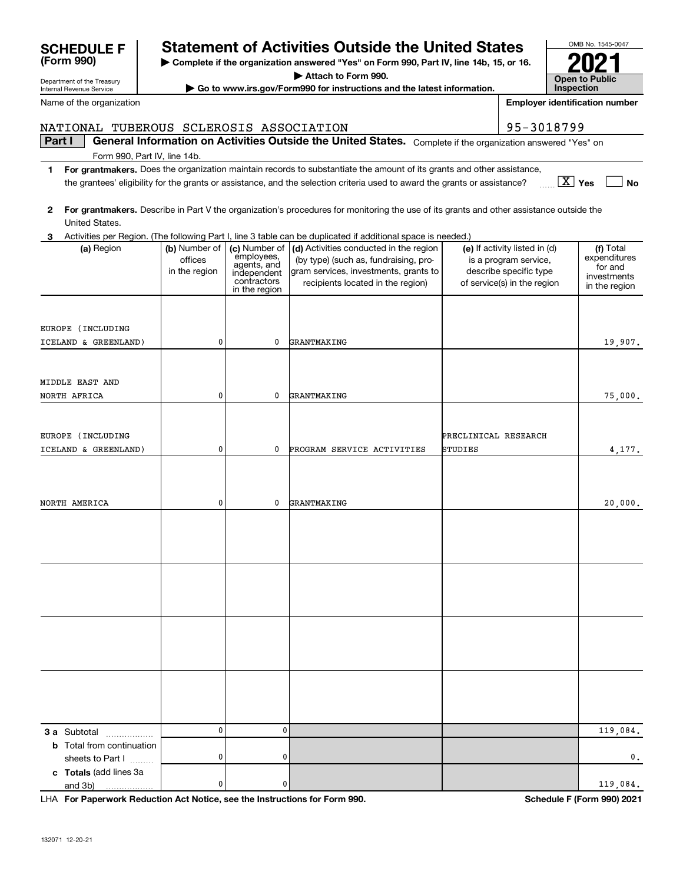**b** Total from continuation

sheets to Part  $1$  ........

**c Totals**  (add lines 3a

**3 a** Subtotal

| <b>SCHEDULE F</b>                       |                              |                             | <b>Statement of Activities Outside the United States</b>                                                                                |                      |                                                 |                    | OMB No. 1545-0047                     |
|-----------------------------------------|------------------------------|-----------------------------|-----------------------------------------------------------------------------------------------------------------------------------------|----------------------|-------------------------------------------------|--------------------|---------------------------------------|
| (Form 990)                              |                              |                             | Complete if the organization answered "Yes" on Form 990, Part IV, line 14b, 15, or 16.                                                  |                      |                                                 |                    |                                       |
| Department of the Treasury              |                              |                             | Attach to Form 990.                                                                                                                     |                      |                                                 |                    | <b>Open to Public</b>                 |
| Internal Revenue Service                |                              |                             | Go to www.irs.gov/Form990 for instructions and the latest information.                                                                  |                      |                                                 | Inspection         |                                       |
| Name of the organization                |                              |                             |                                                                                                                                         |                      |                                                 |                    | <b>Employer identification number</b> |
| NATIONAL TUBEROUS SCLEROSIS ASSOCIATION |                              |                             |                                                                                                                                         |                      | 95-3018799                                      |                    |                                       |
| Part I                                  |                              |                             | General Information on Activities Outside the United States. Complete if the organization answered "Yes" on                             |                      |                                                 |                    |                                       |
|                                         | Form 990, Part IV, line 14b. |                             |                                                                                                                                         |                      |                                                 |                    |                                       |
| 1.                                      |                              |                             | For grantmakers. Does the organization maintain records to substantiate the amount of its grants and other assistance,                  |                      |                                                 |                    |                                       |
|                                         |                              |                             | the grantees' eligibility for the grants or assistance, and the selection criteria used to award the grants or assistance?              |                      |                                                 | $\overline{X}$ Yes | No                                    |
| 2                                       |                              |                             | For grantmakers. Describe in Part V the organization's procedures for monitoring the use of its grants and other assistance outside the |                      |                                                 |                    |                                       |
| United States.                          |                              |                             |                                                                                                                                         |                      |                                                 |                    |                                       |
|                                         |                              |                             | Activities per Region. (The following Part I, line 3 table can be duplicated if additional space is needed.)                            |                      |                                                 |                    |                                       |
| (a) Region                              | (b) Number of                | (c) Number of<br>employees, | (d) Activities conducted in the region                                                                                                  |                      | (e) If activity listed in (d)                   |                    | (f) Total<br>expenditures             |
|                                         | offices<br>in the region     | agents, and                 | (by type) (such as, fundraising, pro-<br>gram services, investments, grants to                                                          |                      | is a program service,<br>describe specific type |                    | for and                               |
|                                         |                              | independent<br>contractors  | recipients located in the region)                                                                                                       |                      | of service(s) in the region                     |                    | investments<br>in the region          |
|                                         |                              | in the region               |                                                                                                                                         |                      |                                                 |                    |                                       |
|                                         |                              |                             |                                                                                                                                         |                      |                                                 |                    |                                       |
| EUROPE (INCLUDING                       |                              |                             |                                                                                                                                         |                      |                                                 |                    |                                       |
| ICELAND & GREENLAND)                    | 0                            | 0                           | GRANTMAKING                                                                                                                             |                      |                                                 |                    | 19,907.                               |
|                                         |                              |                             |                                                                                                                                         |                      |                                                 |                    |                                       |
| MIDDLE EAST AND                         |                              |                             |                                                                                                                                         |                      |                                                 |                    |                                       |
| NORTH AFRICA                            | 0                            | 0                           | GRANTMAKING                                                                                                                             |                      |                                                 |                    | 75,000.                               |
|                                         |                              |                             |                                                                                                                                         |                      |                                                 |                    |                                       |
|                                         |                              |                             |                                                                                                                                         |                      |                                                 |                    |                                       |
| EUROPE (INCLUDING                       |                              |                             |                                                                                                                                         | PRECLINICAL RESEARCH |                                                 |                    |                                       |
| ICELAND & GREENLAND)                    | 0                            | 0                           | PROGRAM SERVICE ACTIVITIES                                                                                                              | STUDIES              |                                                 |                    | 4,177.                                |
|                                         |                              |                             |                                                                                                                                         |                      |                                                 |                    |                                       |
|                                         |                              |                             |                                                                                                                                         |                      |                                                 |                    |                                       |
| NORTH AMERICA                           | 0                            | 0                           | GRANTMAKING                                                                                                                             |                      |                                                 |                    | 20,000.                               |
|                                         |                              |                             |                                                                                                                                         |                      |                                                 |                    |                                       |
|                                         |                              |                             |                                                                                                                                         |                      |                                                 |                    |                                       |
|                                         |                              |                             |                                                                                                                                         |                      |                                                 |                    |                                       |
|                                         |                              |                             |                                                                                                                                         |                      |                                                 |                    |                                       |
|                                         |                              |                             |                                                                                                                                         |                      |                                                 |                    |                                       |
|                                         |                              |                             |                                                                                                                                         |                      |                                                 |                    |                                       |
|                                         |                              |                             |                                                                                                                                         |                      |                                                 |                    |                                       |
|                                         |                              |                             |                                                                                                                                         |                      |                                                 |                    |                                       |
|                                         |                              |                             |                                                                                                                                         |                      |                                                 |                    |                                       |
|                                         |                              |                             |                                                                                                                                         |                      |                                                 |                    |                                       |

 $\pmb{0}$ 

0

0

0

0

 $\overline{\textbf{0}}$ 

 $\begin{array}{cccccccccccccc} 0 & & & & & & & & \end{array}$ 

> > 19,907.

75,000.

4,177.

20,000.

119,084.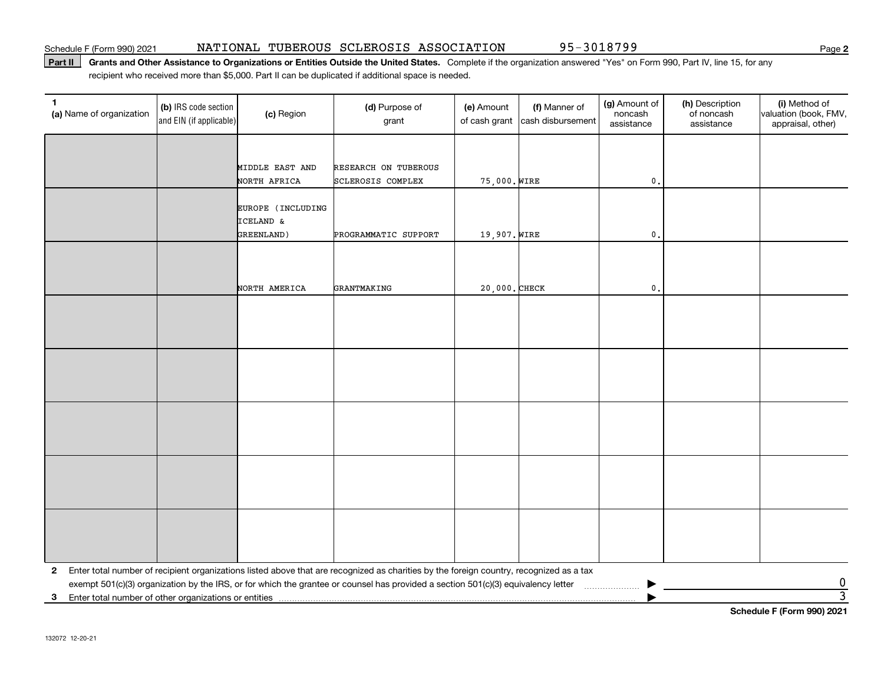Schedule F (Form 990) 2021 **NATIONAL TUBEROUS SCLEROSIS ASSOCIATION** 95-3 018799 Page

**Part II** Grants and Other Assistance to Organizations or Entities Outside the United States. Complete if the organization answered "Yes" on Form 990, Part IV, line 15, for any<br>recisiont who received more than \$5,000. Part recipient who received more than \$5,000. Part II can be duplicated if additional space is needed.

| 1<br>(a) Name of organization                              | (b) IRS code section<br>and EIN (if applicable) | (c) Region        | (d) Purpose of<br>grant                                                                                                                                                                                                                                                      | (e) Amount<br>of cash grant | (f) Manner of<br>cash disbursement | (g) Amount of<br>noncash<br>assistance | (h) Description<br>of noncash<br>assistance | (i) Method of<br>valuation (book, FMV,<br>appraisal, other) |
|------------------------------------------------------------|-------------------------------------------------|-------------------|------------------------------------------------------------------------------------------------------------------------------------------------------------------------------------------------------------------------------------------------------------------------------|-----------------------------|------------------------------------|----------------------------------------|---------------------------------------------|-------------------------------------------------------------|
|                                                            |                                                 |                   |                                                                                                                                                                                                                                                                              |                             |                                    |                                        |                                             |                                                             |
|                                                            |                                                 | MIDDLE EAST AND   | RESEARCH ON TUBEROUS                                                                                                                                                                                                                                                         |                             |                                    |                                        |                                             |                                                             |
|                                                            |                                                 | NORTH AFRICA      | <b>SCLEROSIS COMPLEX</b>                                                                                                                                                                                                                                                     | 75,000. WIRE                |                                    | $\mathbf{0}$ .                         |                                             |                                                             |
|                                                            |                                                 | EUROPE (INCLUDING |                                                                                                                                                                                                                                                                              |                             |                                    |                                        |                                             |                                                             |
|                                                            |                                                 | ICELAND &         |                                                                                                                                                                                                                                                                              |                             |                                    |                                        |                                             |                                                             |
|                                                            |                                                 | GREENLAND)        | PROGRAMMATIC SUPPORT                                                                                                                                                                                                                                                         | 19,907. WIRE                |                                    | $\mathfrak o$ .                        |                                             |                                                             |
|                                                            |                                                 |                   |                                                                                                                                                                                                                                                                              |                             |                                    |                                        |                                             |                                                             |
|                                                            |                                                 |                   |                                                                                                                                                                                                                                                                              |                             |                                    |                                        |                                             |                                                             |
|                                                            |                                                 | NORTH AMERICA     | GRANTMAKING                                                                                                                                                                                                                                                                  | 20,000. CHECK               |                                    | $\mathbf{0}$                           |                                             |                                                             |
|                                                            |                                                 |                   |                                                                                                                                                                                                                                                                              |                             |                                    |                                        |                                             |                                                             |
|                                                            |                                                 |                   |                                                                                                                                                                                                                                                                              |                             |                                    |                                        |                                             |                                                             |
|                                                            |                                                 |                   |                                                                                                                                                                                                                                                                              |                             |                                    |                                        |                                             |                                                             |
|                                                            |                                                 |                   |                                                                                                                                                                                                                                                                              |                             |                                    |                                        |                                             |                                                             |
|                                                            |                                                 |                   |                                                                                                                                                                                                                                                                              |                             |                                    |                                        |                                             |                                                             |
|                                                            |                                                 |                   |                                                                                                                                                                                                                                                                              |                             |                                    |                                        |                                             |                                                             |
|                                                            |                                                 |                   |                                                                                                                                                                                                                                                                              |                             |                                    |                                        |                                             |                                                             |
|                                                            |                                                 |                   |                                                                                                                                                                                                                                                                              |                             |                                    |                                        |                                             |                                                             |
|                                                            |                                                 |                   |                                                                                                                                                                                                                                                                              |                             |                                    |                                        |                                             |                                                             |
|                                                            |                                                 |                   |                                                                                                                                                                                                                                                                              |                             |                                    |                                        |                                             |                                                             |
|                                                            |                                                 |                   |                                                                                                                                                                                                                                                                              |                             |                                    |                                        |                                             |                                                             |
|                                                            |                                                 |                   |                                                                                                                                                                                                                                                                              |                             |                                    |                                        |                                             |                                                             |
|                                                            |                                                 |                   |                                                                                                                                                                                                                                                                              |                             |                                    |                                        |                                             |                                                             |
|                                                            |                                                 |                   |                                                                                                                                                                                                                                                                              |                             |                                    |                                        |                                             |                                                             |
|                                                            |                                                 |                   |                                                                                                                                                                                                                                                                              |                             |                                    |                                        |                                             |                                                             |
| $\mathbf{2}$                                               |                                                 |                   | Enter total number of recipient organizations listed above that are recognized as charities by the foreign country, recognized as a tax<br>exempt 501(c)(3) organization by the IRS, or for which the grantee or counsel has provided a section 501(c)(3) equivalency letter |                             |                                    |                                        |                                             |                                                             |
| Enter total number of other organizations or entities<br>3 |                                                 |                   |                                                                                                                                                                                                                                                                              |                             |                                    |                                        |                                             | $\frac{0}{3}$<br>Cabadule E (Faum 000) 0004                 |

**Schedule F (Form 990) 2021**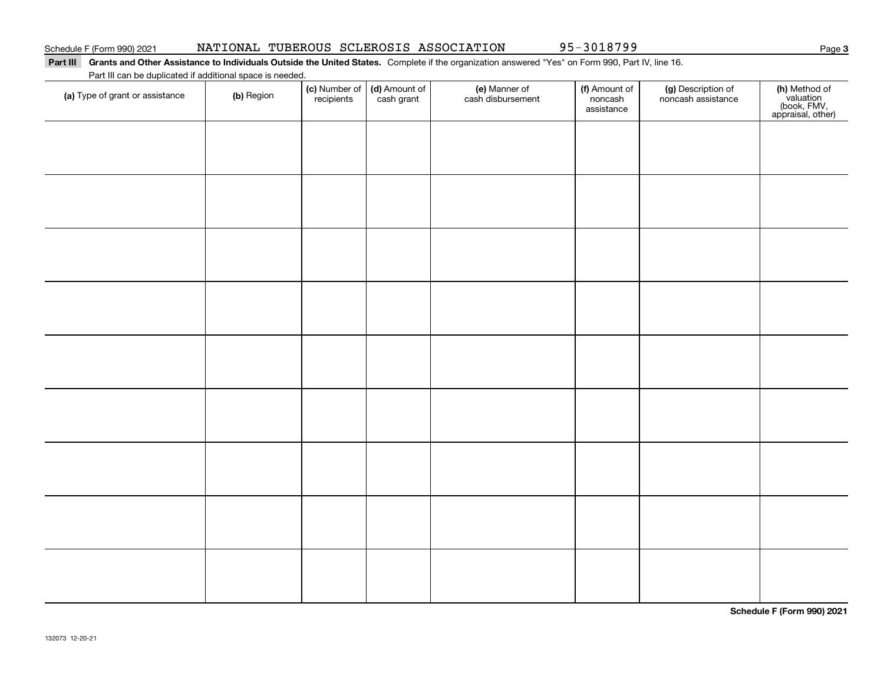### **Part III Grants and Other Assistance to Individuals Outside the United States.**  Complete if the organization answered "Yes" on Form 990, Part IV, line 16. Part III can be duplicated if additional space is needed.

| Part iii can be duplicated if additional space is needed.<br>(a) Type of grant or assistance | (b) Region | (c) Number of<br>recipients | (d) Amount of<br>cash grant | (e) Manner of<br>cash disbursement | (f) Amount of<br>noncash<br>assistance | (g) Description of<br>noncash assistance | (h) Method of<br>valuation<br>(book, FMV,<br>appraisal, other) |
|----------------------------------------------------------------------------------------------|------------|-----------------------------|-----------------------------|------------------------------------|----------------------------------------|------------------------------------------|----------------------------------------------------------------|
|                                                                                              |            |                             |                             |                                    |                                        |                                          |                                                                |
|                                                                                              |            |                             |                             |                                    |                                        |                                          |                                                                |
|                                                                                              |            |                             |                             |                                    |                                        |                                          |                                                                |
|                                                                                              |            |                             |                             |                                    |                                        |                                          |                                                                |
|                                                                                              |            |                             |                             |                                    |                                        |                                          |                                                                |
|                                                                                              |            |                             |                             |                                    |                                        |                                          |                                                                |
|                                                                                              |            |                             |                             |                                    |                                        |                                          |                                                                |
|                                                                                              |            |                             |                             |                                    |                                        |                                          |                                                                |
|                                                                                              |            |                             |                             |                                    |                                        |                                          |                                                                |
|                                                                                              |            |                             |                             |                                    |                                        |                                          |                                                                |

**Schedule F (Form 990) 2021**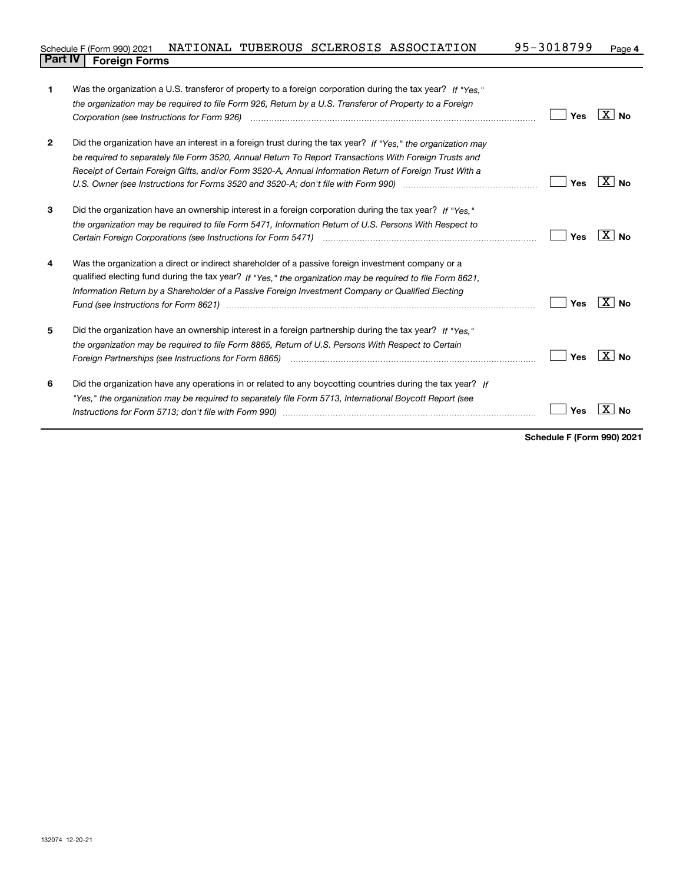#### **4** Schedule F (Form 990) 2021 **NATIONAL TUBEROUS SCLEROSIS ASSOCIATION** 95-3018799 Page **Part IV F** (Form 990) 2021 **1**<br>**Part IV Foreign Forms**

| 1              | Was the organization a U.S. transferor of property to a foreign corporation during the tax year? If "Yes."                                                                                                                     |     |                     |
|----------------|--------------------------------------------------------------------------------------------------------------------------------------------------------------------------------------------------------------------------------|-----|---------------------|
|                | the organization may be required to file Form 926, Return by a U.S. Transferor of Property to a Foreign                                                                                                                        |     |                     |
|                |                                                                                                                                                                                                                                | Yes | $X $ No             |
| $\overline{2}$ | Did the organization have an interest in a foreign trust during the tax year? If "Yes," the organization may                                                                                                                   |     |                     |
|                | be required to separately file Form 3520, Annual Return To Report Transactions With Foreign Trusts and                                                                                                                         |     |                     |
|                | Receipt of Certain Foreign Gifts, and/or Form 3520-A, Annual Information Return of Foreign Trust With a                                                                                                                        |     |                     |
|                |                                                                                                                                                                                                                                | Yes | $X \mid N_{\Omega}$ |
| 3              | Did the organization have an ownership interest in a foreign corporation during the tax year? If "Yes,"                                                                                                                        |     |                     |
|                | the organization may be required to file Form 5471, Information Return of U.S. Persons With Respect to                                                                                                                         |     |                     |
|                |                                                                                                                                                                                                                                | Yes | ∣X∣no               |
| 4              | Was the organization a direct or indirect shareholder of a passive foreign investment company or a                                                                                                                             |     |                     |
|                |                                                                                                                                                                                                                                |     |                     |
|                | qualified electing fund during the tax year? If "Yes," the organization may be required to file Form 8621,                                                                                                                     |     |                     |
|                | Information Return by a Shareholder of a Passive Foreign Investment Company or Qualified Electing                                                                                                                              |     |                     |
|                | Fund (see Instructions for Form 8621) manufactured contract the control of the state of the control of the state of the state of the state of the state of the state of the state of the state of the state of the state of th | Yes | $X $ No             |
| 5              | Did the organization have an ownership interest in a foreign partnership during the tax year? If "Yes,"                                                                                                                        |     |                     |
|                | the organization may be required to file Form 8865, Return of U.S. Persons With Respect to Certain                                                                                                                             |     |                     |
|                |                                                                                                                                                                                                                                | Yes | $\overline{X}$   No |
| 6              | Did the organization have any operations in or related to any boycotting countries during the tax year? If                                                                                                                     |     |                     |
|                | "Yes," the organization may be required to separately file Form 5713, International Boycott Report (see                                                                                                                        |     |                     |
|                |                                                                                                                                                                                                                                | Yes |                     |

**Schedule F (Form 990) 2021**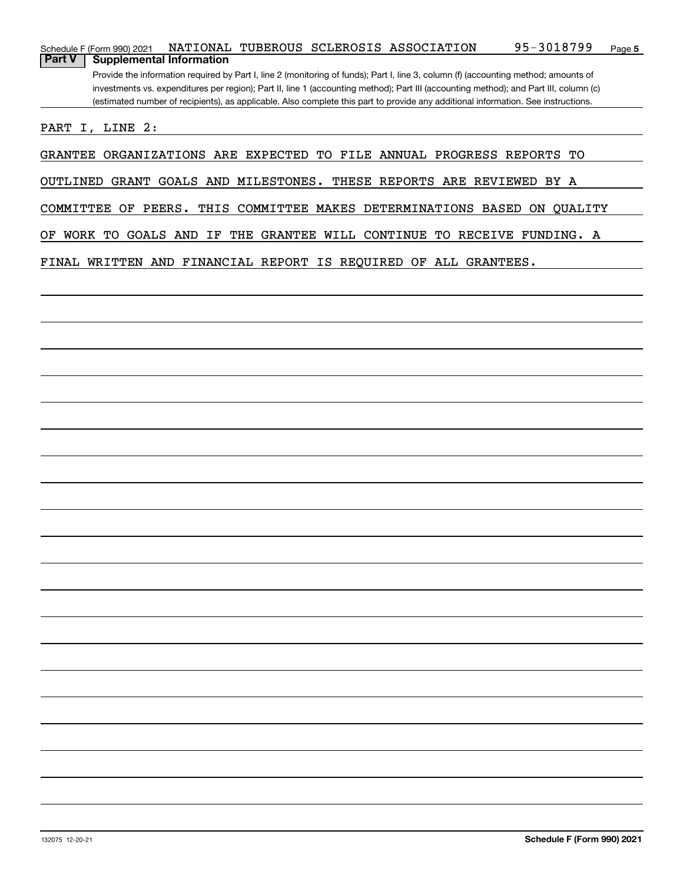|               | Schedule F (Form 990) 2021                                                                                                            |  |  |  | NATIONAL TUBEROUS SCLEROSIS ASSOCIATION | 95-3018799 | Page 5 |  |  |  |
|---------------|---------------------------------------------------------------------------------------------------------------------------------------|--|--|--|-----------------------------------------|------------|--------|--|--|--|
| <b>Part V</b> | <b>Supplemental Information</b>                                                                                                       |  |  |  |                                         |            |        |  |  |  |
|               | Provide the information required by Part I, line 2 (monitoring of funds); Part I, line 3, column (f) (accounting method; amounts of   |  |  |  |                                         |            |        |  |  |  |
|               | investments vs. expenditures per region); Part II, line 1 (accounting method); Part III (accounting method); and Part III, column (c) |  |  |  |                                         |            |        |  |  |  |
|               | (estimated number of recipients), as applicable. Also complete this part to provide any additional information. See instructions.     |  |  |  |                                         |            |        |  |  |  |
|               |                                                                                                                                       |  |  |  |                                         |            |        |  |  |  |

PART I, LINE 2:

GRANTEE ORGANIZATIONS ARE EXPECTED TO FILE ANNUAL PROGRESS REPORTS TO

OUTLINED GRANT GOALS AND MILESTONES. THESE REPORTS ARE REVIEWED BY A

COMMITTEE OF PEERS. THIS COMMITTEE MAKES DETERMINATIONS BASED ON QUALITY

OF WORK TO GOALS AND IF THE GRANTEE WILL CONTINUE TO RECEIVE FUNDING. A

FINAL WRITTEN AND FINANCIAL REPORT IS REQUIRED OF ALL GRANTEES.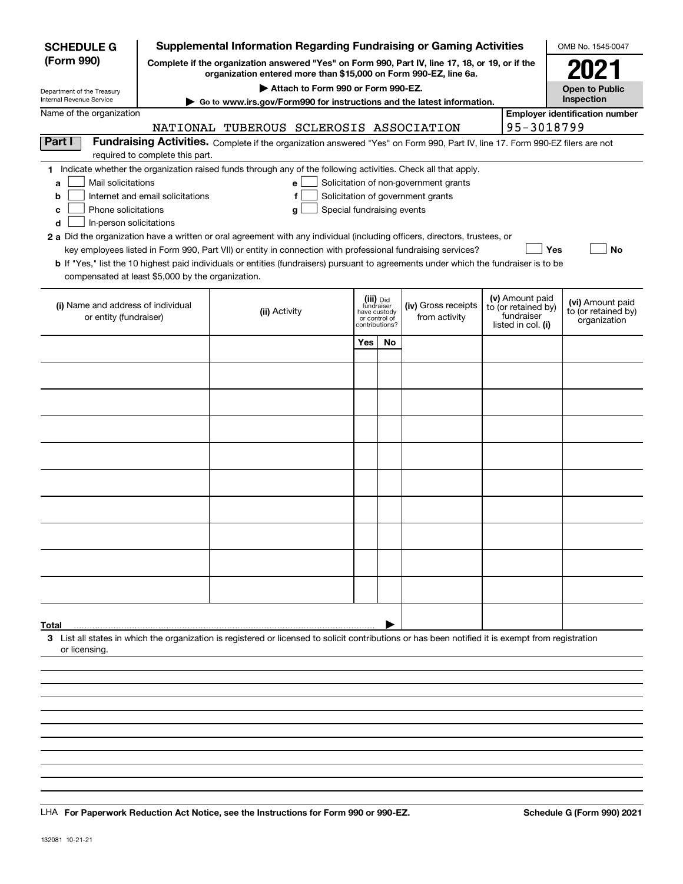| <b>SCHEDULE G</b>                                                                                |                                  | <b>Supplemental Information Regarding Fundraising or Gaming Activities</b>                                                                                                                                                                           |     |                                         |                                       |  |                                        |     | OMB No. 1545-0047                       |  |  |
|--------------------------------------------------------------------------------------------------|----------------------------------|------------------------------------------------------------------------------------------------------------------------------------------------------------------------------------------------------------------------------------------------------|-----|-----------------------------------------|---------------------------------------|--|----------------------------------------|-----|-----------------------------------------|--|--|
| (Form 990)                                                                                       |                                  | Complete if the organization answered "Yes" on Form 990, Part IV, line 17, 18, or 19, or if the<br>organization entered more than \$15,000 on Form 990-EZ, line 6a.                                                                                  |     |                                         |                                       |  |                                        |     | 2021                                    |  |  |
| Department of the Treasury<br>Internal Revenue Service                                           |                                  | Attach to Form 990 or Form 990-EZ.                                                                                                                                                                                                                   |     |                                         |                                       |  |                                        |     | <b>Open to Public</b><br>Inspection     |  |  |
| Name of the organization                                                                         |                                  | ► Go to www.irs.gov/Form990 for instructions and the latest information.                                                                                                                                                                             |     |                                         |                                       |  |                                        |     | <b>Employer identification number</b>   |  |  |
|                                                                                                  |                                  | NATIONAL TUBEROUS SCLEROSIS ASSOCIATION                                                                                                                                                                                                              |     |                                         |                                       |  | 95-3018799                             |     |                                         |  |  |
| Part I                                                                                           |                                  | Fundraising Activities. Complete if the organization answered "Yes" on Form 990, Part IV, line 17. Form 990-EZ filers are not                                                                                                                        |     |                                         |                                       |  |                                        |     |                                         |  |  |
|                                                                                                  | required to complete this part.  |                                                                                                                                                                                                                                                      |     |                                         |                                       |  |                                        |     |                                         |  |  |
|                                                                                                  |                                  | 1 Indicate whether the organization raised funds through any of the following activities. Check all that apply.                                                                                                                                      |     |                                         |                                       |  |                                        |     |                                         |  |  |
| Mail solicitations<br>a<br>b                                                                     | Internet and email solicitations | е<br>f                                                                                                                                                                                                                                               |     |                                         | Solicitation of non-government grants |  |                                        |     |                                         |  |  |
| Solicitation of government grants<br>Phone solicitations<br>Special fundraising events<br>с<br>g |                                  |                                                                                                                                                                                                                                                      |     |                                         |                                       |  |                                        |     |                                         |  |  |
| In-person solicitations<br>d                                                                     |                                  |                                                                                                                                                                                                                                                      |     |                                         |                                       |  |                                        |     |                                         |  |  |
|                                                                                                  |                                  | 2 a Did the organization have a written or oral agreement with any individual (including officers, directors, trustees, or                                                                                                                           |     |                                         |                                       |  |                                        |     |                                         |  |  |
|                                                                                                  |                                  | key employees listed in Form 990, Part VII) or entity in connection with professional fundraising services?<br>b If "Yes," list the 10 highest paid individuals or entities (fundraisers) pursuant to agreements under which the fundraiser is to be |     |                                         |                                       |  |                                        | Yes | <b>No</b>                               |  |  |
| compensated at least \$5,000 by the organization.                                                |                                  |                                                                                                                                                                                                                                                      |     |                                         |                                       |  |                                        |     |                                         |  |  |
|                                                                                                  |                                  |                                                                                                                                                                                                                                                      |     |                                         |                                       |  |                                        |     |                                         |  |  |
| (i) Name and address of individual                                                               |                                  | (ii) Activity                                                                                                                                                                                                                                        |     | (iii) Did<br>fundraiser<br>have custody | (iv) Gross receipts                   |  | (v) Amount paid<br>to (or retained by) |     | (vi) Amount paid<br>to (or retained by) |  |  |
| or entity (fundraiser)                                                                           |                                  |                                                                                                                                                                                                                                                      |     | or control of<br>contributions?         | from activity                         |  | fundraiser<br>listed in col. (i)       |     | organization                            |  |  |
|                                                                                                  |                                  |                                                                                                                                                                                                                                                      | Yes | <b>No</b>                               |                                       |  |                                        |     |                                         |  |  |
|                                                                                                  |                                  |                                                                                                                                                                                                                                                      |     |                                         |                                       |  |                                        |     |                                         |  |  |
|                                                                                                  |                                  |                                                                                                                                                                                                                                                      |     |                                         |                                       |  |                                        |     |                                         |  |  |
|                                                                                                  |                                  |                                                                                                                                                                                                                                                      |     |                                         |                                       |  |                                        |     |                                         |  |  |
|                                                                                                  |                                  |                                                                                                                                                                                                                                                      |     |                                         |                                       |  |                                        |     |                                         |  |  |
|                                                                                                  |                                  |                                                                                                                                                                                                                                                      |     |                                         |                                       |  |                                        |     |                                         |  |  |
|                                                                                                  |                                  |                                                                                                                                                                                                                                                      |     |                                         |                                       |  |                                        |     |                                         |  |  |
|                                                                                                  |                                  |                                                                                                                                                                                                                                                      |     |                                         |                                       |  |                                        |     |                                         |  |  |
|                                                                                                  |                                  |                                                                                                                                                                                                                                                      |     |                                         |                                       |  |                                        |     |                                         |  |  |
|                                                                                                  |                                  |                                                                                                                                                                                                                                                      |     |                                         |                                       |  |                                        |     |                                         |  |  |
|                                                                                                  |                                  |                                                                                                                                                                                                                                                      |     |                                         |                                       |  |                                        |     |                                         |  |  |
|                                                                                                  |                                  |                                                                                                                                                                                                                                                      |     |                                         |                                       |  |                                        |     |                                         |  |  |
|                                                                                                  |                                  |                                                                                                                                                                                                                                                      |     |                                         |                                       |  |                                        |     |                                         |  |  |
|                                                                                                  |                                  |                                                                                                                                                                                                                                                      |     |                                         |                                       |  |                                        |     |                                         |  |  |
|                                                                                                  |                                  |                                                                                                                                                                                                                                                      |     |                                         |                                       |  |                                        |     |                                         |  |  |
|                                                                                                  |                                  |                                                                                                                                                                                                                                                      |     |                                         |                                       |  |                                        |     |                                         |  |  |
|                                                                                                  |                                  |                                                                                                                                                                                                                                                      |     |                                         |                                       |  |                                        |     |                                         |  |  |
| Total                                                                                            |                                  |                                                                                                                                                                                                                                                      |     |                                         |                                       |  |                                        |     |                                         |  |  |
| or licensing.                                                                                    |                                  | 3 List all states in which the organization is registered or licensed to solicit contributions or has been notified it is exempt from registration                                                                                                   |     |                                         |                                       |  |                                        |     |                                         |  |  |
|                                                                                                  |                                  |                                                                                                                                                                                                                                                      |     |                                         |                                       |  |                                        |     |                                         |  |  |
|                                                                                                  |                                  |                                                                                                                                                                                                                                                      |     |                                         |                                       |  |                                        |     |                                         |  |  |
|                                                                                                  |                                  |                                                                                                                                                                                                                                                      |     |                                         |                                       |  |                                        |     |                                         |  |  |
|                                                                                                  |                                  |                                                                                                                                                                                                                                                      |     |                                         |                                       |  |                                        |     |                                         |  |  |
|                                                                                                  |                                  |                                                                                                                                                                                                                                                      |     |                                         |                                       |  |                                        |     |                                         |  |  |

LHA For Paperwork Reduction Act Notice, see the Instructions for Form 990 or 990-EZ. Schedule G (Form 990) 2021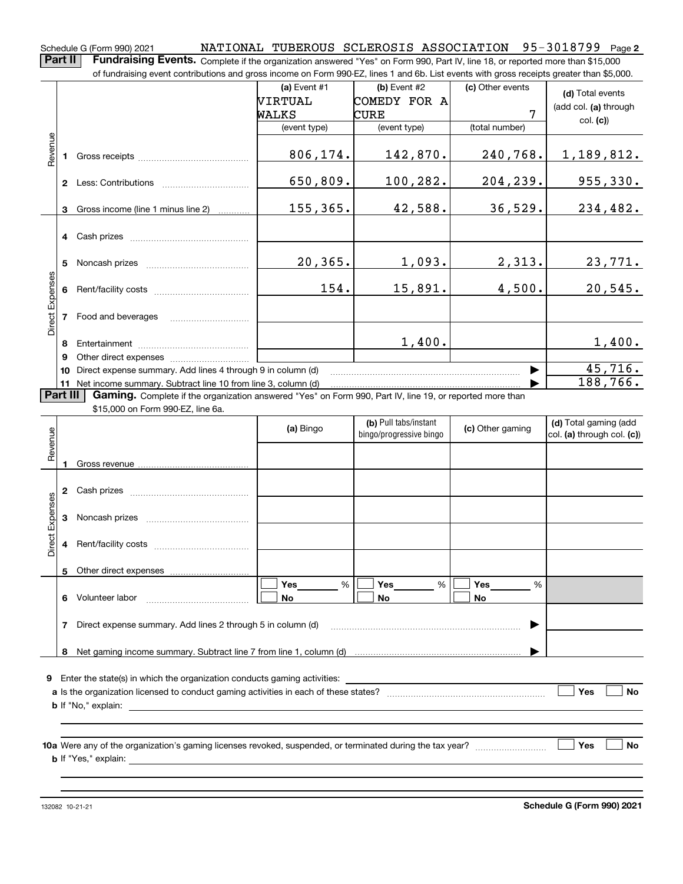## Schedule G (Form 990) 2021 NATIONAL TUBEROUS SCLEROSIS ASSOCIATION 95-3018799 Page 2

**Part II Fundraising Events.** Complete if the organization answered "Yes" on Form 990, Part IV, line 18, or reported more than \$15,000<br>15.000 of fundraising event contributions and gross income on Form 990-EZ. lines 1 an of fundraising event contributions and gross income on Form 990-EZ, lines 1 and 6b. List events with gross receipts greater than \$5,000.

|                 |          |                                                                                                                                                                                                                                | (a) Event $#1$ | (b) Event #2                                     | (c) Other events | (d) Total events                                    |
|-----------------|----------|--------------------------------------------------------------------------------------------------------------------------------------------------------------------------------------------------------------------------------|----------------|--------------------------------------------------|------------------|-----------------------------------------------------|
|                 |          |                                                                                                                                                                                                                                | NIRTUAL        | COMEDY FOR A                                     |                  | (add col. (a) through                               |
|                 |          |                                                                                                                                                                                                                                | WALKS          | CURE                                             | 7                | col. (c)                                            |
|                 |          |                                                                                                                                                                                                                                | (event type)   | (event type)                                     | (total number)   |                                                     |
|                 |          |                                                                                                                                                                                                                                |                |                                                  |                  |                                                     |
| Revenue         |          |                                                                                                                                                                                                                                | 806,174.       | 142,870.                                         | 240,768.         | 1,189,812.                                          |
|                 |          | 2 Less: Contributions <b>contributions</b>                                                                                                                                                                                     | 650,809.       | 100,282.                                         | 204, 239.        | 955,330.                                            |
|                 |          |                                                                                                                                                                                                                                |                |                                                  |                  |                                                     |
|                 |          | 3 Gross income (line 1 minus line 2)                                                                                                                                                                                           | 155,365.       | 42,588.                                          | 36,529.          | 234,482.                                            |
|                 |          |                                                                                                                                                                                                                                |                |                                                  |                  |                                                     |
|                 |          | 4 Cash prizes                                                                                                                                                                                                                  |                |                                                  |                  |                                                     |
|                 | 5        | Noncash prizes                                                                                                                                                                                                                 | 20, 365.       | 1,093.                                           | 2,313.           | 23,771.                                             |
|                 |          |                                                                                                                                                                                                                                |                |                                                  |                  |                                                     |
|                 |          |                                                                                                                                                                                                                                | 154.           | 15,891.                                          | 4,500.           | 20,545.                                             |
| Direct Expenses |          | 7 Food and beverages                                                                                                                                                                                                           |                |                                                  |                  |                                                     |
|                 |          |                                                                                                                                                                                                                                |                |                                                  |                  |                                                     |
|                 | 8        |                                                                                                                                                                                                                                |                | 1,400.                                           |                  | 1,400.                                              |
|                 | 9        | Other direct expenses of the state of the state of the state of the state of the state of the state of the state of the state of the state of the state of the state of the state of the state of the state of the state of th |                |                                                  |                  |                                                     |
|                 | 10       | Direct expense summary. Add lines 4 through 9 in column (d)                                                                                                                                                                    |                |                                                  |                  | 45,716.                                             |
|                 |          | 11 Net income summary. Subtract line 10 from line 3, column (d)                                                                                                                                                                |                |                                                  |                  | 188,766.                                            |
|                 | Part III | <b>Gaming.</b> Complete if the organization answered "Yes" on Form 990, Part IV, line 19, or reported more than                                                                                                                |                |                                                  |                  |                                                     |
|                 |          | \$15,000 on Form 990-EZ, line 6a.                                                                                                                                                                                              |                |                                                  |                  |                                                     |
|                 |          |                                                                                                                                                                                                                                | (a) Bingo      | (b) Pull tabs/instant<br>bingo/progressive bingo | (c) Other gaming | (d) Total gaming (add<br>col. (a) through col. (c)) |
| Revenue         |          |                                                                                                                                                                                                                                |                |                                                  |                  |                                                     |
|                 |          | Gross revenue                                                                                                                                                                                                                  |                |                                                  |                  |                                                     |

|                 | $\mathbf{2}$                                                                                                        |                                                             |                |                |                |  |  |  |  |  |
|-----------------|---------------------------------------------------------------------------------------------------------------------|-------------------------------------------------------------|----------------|----------------|----------------|--|--|--|--|--|
| Direct Expenses | 3<br>4                                                                                                              | Noncash prizes                                              |                |                |                |  |  |  |  |  |
|                 | 5                                                                                                                   |                                                             |                |                |                |  |  |  |  |  |
|                 | 6                                                                                                                   | Volunteer labor                                             | Yes<br>%<br>No | Yes<br>%<br>No | Yes<br>%<br>No |  |  |  |  |  |
|                 | 7                                                                                                                   | Direct expense summary. Add lines 2 through 5 in column (d) |                |                |                |  |  |  |  |  |
|                 | 8                                                                                                                   |                                                             |                |                |                |  |  |  |  |  |
| 9               | Enter the state(s) in which the organization conducts gaming activities:<br>Yes<br>No<br><b>b</b> If "No," explain: |                                                             |                |                |                |  |  |  |  |  |
|                 |                                                                                                                     |                                                             |                |                |                |  |  |  |  |  |

**10a** Were any of the organization's gaming licenses revoked, suspended, or terminated during the tax year? \_\_\_\_\_\_\_\_\_\_\_\_\_\_\_ **b** If "Yes," explain:

**Yes**

 **No**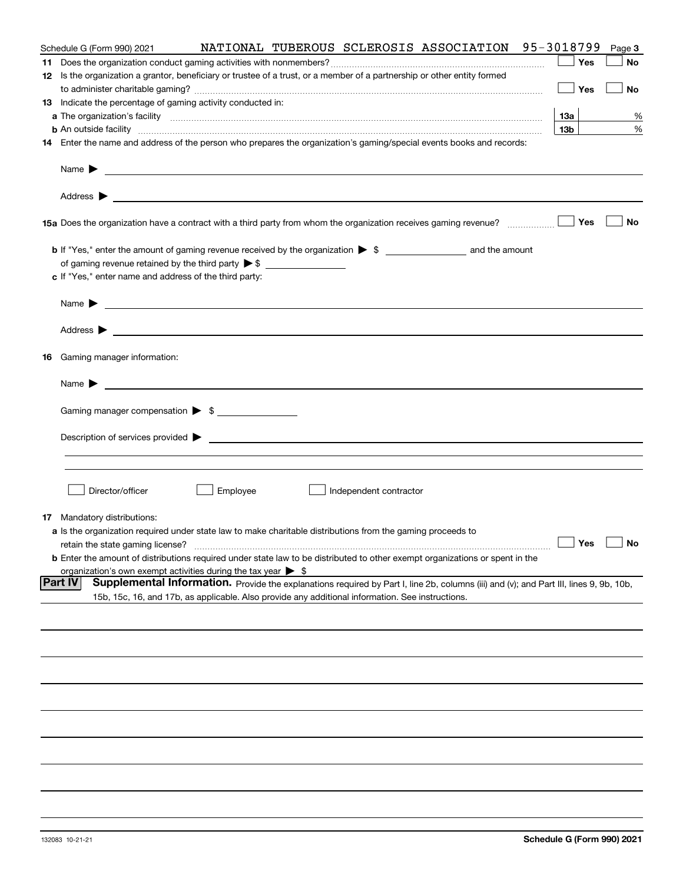| Schedule G (Form 990) 2021                                                                                                                                                                                                                |          |                        | NATIONAL TUBEROUS SCLEROSIS ASSOCIATION | 95-3018799 |                   | Page 3 |
|-------------------------------------------------------------------------------------------------------------------------------------------------------------------------------------------------------------------------------------------|----------|------------------------|-----------------------------------------|------------|-------------------|--------|
|                                                                                                                                                                                                                                           |          |                        |                                         |            | Yes               | No     |
| 12 Is the organization a grantor, beneficiary or trustee of a trust, or a member of a partnership or other entity formed                                                                                                                  |          |                        |                                         |            |                   |        |
|                                                                                                                                                                                                                                           |          |                        |                                         |            | Yes               | No     |
| 13 Indicate the percentage of gaming activity conducted in:                                                                                                                                                                               |          |                        |                                         |            |                   |        |
|                                                                                                                                                                                                                                           |          |                        |                                         |            | <u>13a</u>        | %      |
| <b>b</b> An outside facility <b>contained an according to the contract of the contract of the contract of the contract of the contract of the contract of the contract of the contract of the contract of the contract of the contrac</b> |          |                        |                                         |            | 13 <sub>b</sub>   | %      |
| 14 Enter the name and address of the person who prepares the organization's gaming/special events books and records:                                                                                                                      |          |                        |                                         |            |                   |        |
|                                                                                                                                                                                                                                           |          |                        |                                         |            |                   |        |
| Name $\blacktriangleright$                                                                                                                                                                                                                |          |                        |                                         |            |                   |        |
|                                                                                                                                                                                                                                           |          |                        |                                         |            |                   |        |
|                                                                                                                                                                                                                                           |          |                        |                                         |            | Yes               | No     |
|                                                                                                                                                                                                                                           |          |                        |                                         |            |                   |        |
|                                                                                                                                                                                                                                           |          |                        |                                         |            |                   |        |
| c If "Yes," enter name and address of the third party:                                                                                                                                                                                    |          |                        |                                         |            |                   |        |
|                                                                                                                                                                                                                                           |          |                        |                                         |            |                   |        |
| <u> 1989 - Johann Harry Harry Harry Harry Harry Harry Harry Harry Harry Harry Harry Harry Harry Harry Harry Harry</u><br>Name $\blacktriangleright$                                                                                       |          |                        |                                         |            |                   |        |
|                                                                                                                                                                                                                                           |          |                        |                                         |            |                   |        |
| <b>16</b> Gaming manager information:                                                                                                                                                                                                     |          |                        |                                         |            |                   |        |
| <u> 1989 - Johann Barbara, martin amerikan basal dan berasal dan berasal dalam basal dan berasal dan berasal dan</u><br>Name $\blacktriangleright$                                                                                        |          |                        |                                         |            |                   |        |
| Gaming manager compensation > \$                                                                                                                                                                                                          |          |                        |                                         |            |                   |        |
|                                                                                                                                                                                                                                           |          |                        |                                         |            |                   |        |
| Description of services provided >                                                                                                                                                                                                        |          |                        |                                         |            |                   |        |
|                                                                                                                                                                                                                                           |          |                        |                                         |            |                   |        |
|                                                                                                                                                                                                                                           |          |                        |                                         |            |                   |        |
| Director/officer                                                                                                                                                                                                                          | Employee | Independent contractor |                                         |            |                   |        |
|                                                                                                                                                                                                                                           |          |                        |                                         |            |                   |        |
| <b>17</b> Mandatory distributions:                                                                                                                                                                                                        |          |                        |                                         |            |                   |        |
| a Is the organization required under state law to make charitable distributions from the gaming proceeds to                                                                                                                               |          |                        |                                         |            |                   |        |
| retain the state gaming license?                                                                                                                                                                                                          |          |                        |                                         |            | $\Box$ Yes $\Box$ |        |
| <b>b</b> Enter the amount of distributions required under state law to be distributed to other exempt organizations or spent in the                                                                                                       |          |                        |                                         |            |                   |        |
| organization's own exempt activities during the tax year $\triangleright$ \$                                                                                                                                                              |          |                        |                                         |            |                   |        |
| <b>Part IV</b><br>Supplemental Information. Provide the explanations required by Part I, line 2b, columns (iii) and (v); and Part III, lines 9, 9b, 10b,                                                                                  |          |                        |                                         |            |                   |        |
| 15b, 15c, 16, and 17b, as applicable. Also provide any additional information. See instructions.                                                                                                                                          |          |                        |                                         |            |                   |        |
|                                                                                                                                                                                                                                           |          |                        |                                         |            |                   |        |
|                                                                                                                                                                                                                                           |          |                        |                                         |            |                   |        |
|                                                                                                                                                                                                                                           |          |                        |                                         |            |                   |        |
|                                                                                                                                                                                                                                           |          |                        |                                         |            |                   |        |
|                                                                                                                                                                                                                                           |          |                        |                                         |            |                   |        |
|                                                                                                                                                                                                                                           |          |                        |                                         |            |                   |        |
|                                                                                                                                                                                                                                           |          |                        |                                         |            |                   |        |
|                                                                                                                                                                                                                                           |          |                        |                                         |            |                   |        |
|                                                                                                                                                                                                                                           |          |                        |                                         |            |                   |        |
|                                                                                                                                                                                                                                           |          |                        |                                         |            |                   |        |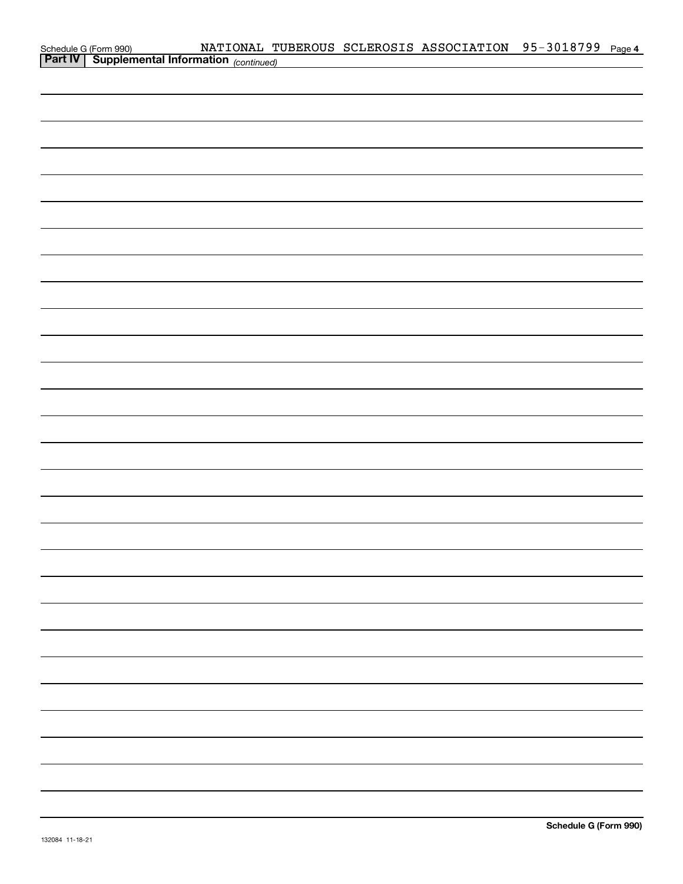| Schedule G (Form 990) MATIONAL TUBEROUS SCLEROSIS ASSOCIATION 95-3018799 Page 4<br>Part IV Supplemental Information (continued) |  |  |  |
|---------------------------------------------------------------------------------------------------------------------------------|--|--|--|
|                                                                                                                                 |  |  |  |
|                                                                                                                                 |  |  |  |
|                                                                                                                                 |  |  |  |
|                                                                                                                                 |  |  |  |
|                                                                                                                                 |  |  |  |
|                                                                                                                                 |  |  |  |
|                                                                                                                                 |  |  |  |
|                                                                                                                                 |  |  |  |
|                                                                                                                                 |  |  |  |
|                                                                                                                                 |  |  |  |
|                                                                                                                                 |  |  |  |
|                                                                                                                                 |  |  |  |
|                                                                                                                                 |  |  |  |
|                                                                                                                                 |  |  |  |
|                                                                                                                                 |  |  |  |
|                                                                                                                                 |  |  |  |
|                                                                                                                                 |  |  |  |
|                                                                                                                                 |  |  |  |
|                                                                                                                                 |  |  |  |
|                                                                                                                                 |  |  |  |
|                                                                                                                                 |  |  |  |
|                                                                                                                                 |  |  |  |
|                                                                                                                                 |  |  |  |
|                                                                                                                                 |  |  |  |
|                                                                                                                                 |  |  |  |
|                                                                                                                                 |  |  |  |
|                                                                                                                                 |  |  |  |
|                                                                                                                                 |  |  |  |
|                                                                                                                                 |  |  |  |
|                                                                                                                                 |  |  |  |
|                                                                                                                                 |  |  |  |
|                                                                                                                                 |  |  |  |
|                                                                                                                                 |  |  |  |
|                                                                                                                                 |  |  |  |
|                                                                                                                                 |  |  |  |
|                                                                                                                                 |  |  |  |
|                                                                                                                                 |  |  |  |
|                                                                                                                                 |  |  |  |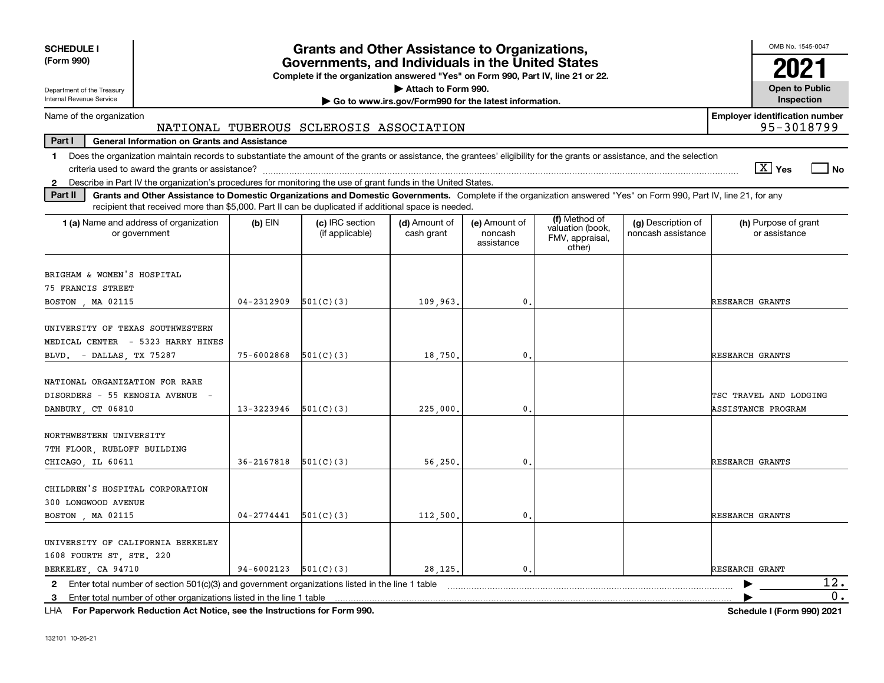| <b>SCHEDULE I</b><br>(Form 990)                                                                                                                                                                                                                                                      |            | <b>Grants and Other Assistance to Organizations,</b><br>Governments, and Individuals in the United States<br>Complete if the organization answered "Yes" on Form 990, Part IV, line 21 or 22. |                                                       |                                        |                                                                |                                          | OMB No. 1545-0047<br>2021                    |
|--------------------------------------------------------------------------------------------------------------------------------------------------------------------------------------------------------------------------------------------------------------------------------------|------------|-----------------------------------------------------------------------------------------------------------------------------------------------------------------------------------------------|-------------------------------------------------------|----------------------------------------|----------------------------------------------------------------|------------------------------------------|----------------------------------------------|
| Department of the Treasury                                                                                                                                                                                                                                                           |            |                                                                                                                                                                                               | Attach to Form 990.                                   |                                        |                                                                |                                          | <b>Open to Public</b>                        |
| Internal Revenue Service                                                                                                                                                                                                                                                             |            |                                                                                                                                                                                               | Go to www.irs.gov/Form990 for the latest information. |                                        |                                                                |                                          | Inspection                                   |
| Name of the organization                                                                                                                                                                                                                                                             |            |                                                                                                                                                                                               |                                                       |                                        |                                                                |                                          | <b>Employer identification number</b>        |
| Part I<br>General Information on Grants and Assistance                                                                                                                                                                                                                               |            | NATIONAL TUBEROUS SCLEROSIS ASSOCIATION                                                                                                                                                       |                                                       |                                        |                                                                |                                          | 95-3018799                                   |
| Does the organization maintain records to substantiate the amount of the grants or assistance, the grantees' eligibility for the grants or assistance, and the selection<br>1.                                                                                                       |            |                                                                                                                                                                                               |                                                       |                                        |                                                                |                                          | $\boxed{\text{X}}$ Yes<br>  No               |
| Describe in Part IV the organization's procedures for monitoring the use of grant funds in the United States.<br>$\mathbf{2}$                                                                                                                                                        |            |                                                                                                                                                                                               |                                                       |                                        |                                                                |                                          |                                              |
| Part II<br>Grants and Other Assistance to Domestic Organizations and Domestic Governments. Complete if the organization answered "Yes" on Form 990, Part IV, line 21, for any<br>recipient that received more than \$5,000. Part II can be duplicated if additional space is needed. |            |                                                                                                                                                                                               |                                                       |                                        |                                                                |                                          |                                              |
| <b>1 (a)</b> Name and address of organization<br>or government                                                                                                                                                                                                                       | $(b)$ EIN  | (c) IRC section<br>(if applicable)                                                                                                                                                            | (d) Amount of<br>cash grant                           | (e) Amount of<br>noncash<br>assistance | (f) Method of<br>valuation (book,<br>FMV, appraisal,<br>other) | (g) Description of<br>noncash assistance | (h) Purpose of grant<br>or assistance        |
| BRIGHAM & WOMEN'S HOSPITAL<br>75 FRANCIS STREET<br>BOSTON , MA 02115                                                                                                                                                                                                                 | 04-2312909 | 501(C)(3)                                                                                                                                                                                     | 109,963                                               | 0                                      |                                                                |                                          | RESEARCH GRANTS                              |
| UNIVERSITY OF TEXAS SOUTHWESTERN<br>MEDICAL CENTER - 5323 HARRY HINES<br>BLVD.<br>- DALLAS, TX 75287                                                                                                                                                                                 | 75-6002868 | 501(C)(3)                                                                                                                                                                                     | 18,750                                                | $\mathbf{0}$                           |                                                                |                                          | RESEARCH GRANTS                              |
| NATIONAL ORGANIZATION FOR RARE<br>DISORDERS - 55 KENOSIA AVENUE -<br>DANBURY, CT 06810                                                                                                                                                                                               | 13-3223946 | 501(C)(3)                                                                                                                                                                                     | 225,000                                               | 0                                      |                                                                |                                          | TSC TRAVEL AND LODGING<br>ASSISTANCE PROGRAM |
| NORTHWESTERN UNIVERSITY<br>7TH FLOOR, RUBLOFF BUILDING<br>CHICAGO, IL 60611                                                                                                                                                                                                          | 36-2167818 | 501(C)(3)                                                                                                                                                                                     | 56,250.                                               | $\mathbf{0}$                           |                                                                |                                          | RESEARCH GRANTS                              |
| CHILDREN'S HOSPITAL CORPORATION<br>300 LONGWOOD AVENUE<br>BOSTON, MA 02115                                                                                                                                                                                                           | 04-2774441 | 501(C)(3)                                                                                                                                                                                     | 112,500                                               | 0                                      |                                                                |                                          | RESEARCH GRANTS                              |
| UNIVERSITY OF CALIFORNIA BERKELEY<br>1608 FOURTH ST, STE. 220<br>BERKELEY, CA 94710                                                                                                                                                                                                  | 94-6002123 | 501(C)(3)                                                                                                                                                                                     | 28,125                                                | $\mathbf{0}$                           |                                                                |                                          | <b>RESEARCH GRANT</b>                        |
| 2 Enter total number of section $501(c)(3)$ and government organizations listed in the line 1 table                                                                                                                                                                                  |            |                                                                                                                                                                                               |                                                       |                                        |                                                                |                                          | 12.                                          |
| Enter total number of other organizations listed in the line 1 table<br>3                                                                                                                                                                                                            |            |                                                                                                                                                                                               |                                                       |                                        |                                                                |                                          | 0.                                           |
| For Paperwork Reduction Act Notice, see the Instructions for Form 990.<br>LHA                                                                                                                                                                                                        |            |                                                                                                                                                                                               |                                                       |                                        |                                                                |                                          | <b>Schedule I (Form 990) 2021</b>            |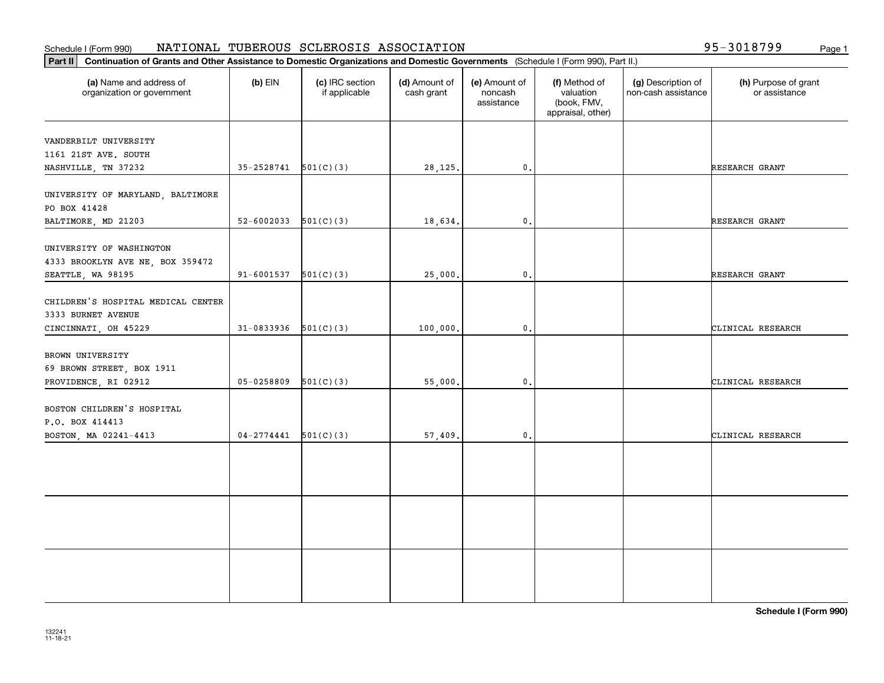#### **Part III Continuation of Grants and Other Assistance to Domestic Organization**<br> **Part II Continuation of Grants and Other Assistance to Domestic Organization** Schedule I (Form 990) Page 1 NATIONAL TUBEROUS SCLEROSIS ASSOCIATION

|  | 95-3018799 | Page 1 |
|--|------------|--------|
|  |            |        |

| Continuation of Grants and Other Assistance to Domestic Organizations and Domestic Governments (Schedule I (Form 990), Part II.)<br> Part II |                            |                                  |                             |                                        |                                                                |                                           |                                       |  |  |  |
|----------------------------------------------------------------------------------------------------------------------------------------------|----------------------------|----------------------------------|-----------------------------|----------------------------------------|----------------------------------------------------------------|-------------------------------------------|---------------------------------------|--|--|--|
| (a) Name and address of<br>organization or government                                                                                        | $(b)$ EIN                  | (c) IRC section<br>if applicable | (d) Amount of<br>cash grant | (e) Amount of<br>noncash<br>assistance | (f) Method of<br>valuation<br>(book, FMV,<br>appraisal, other) | (g) Description of<br>non-cash assistance | (h) Purpose of grant<br>or assistance |  |  |  |
| VANDERBILT UNIVERSITY<br>1161 21ST AVE. SOUTH<br>NASHVILLE, TN 37232                                                                         | $35-2528741$ $501(C)(3)$   |                                  | 28, 125.                    | $\mathbf{0}$ .                         |                                                                |                                           | RESEARCH GRANT                        |  |  |  |
| UNIVERSITY OF MARYLAND, BALTIMORE<br>PO BOX 41428<br>BALTIMORE, MD 21203                                                                     | 52-6002033                 | 501(C)(3)                        | 18,634.                     | $\mathfrak{o}$ .                       |                                                                |                                           | RESEARCH GRANT                        |  |  |  |
| UNIVERSITY OF WASHINGTON<br>4333 BROOKLYN AVE NE, BOX 359472<br>SEATTLE, WA 98195                                                            | $91 - 6001537$ $501(C)(3)$ |                                  | 25,000.                     | $\mathfrak{o}$ .                       |                                                                |                                           | RESEARCH GRANT                        |  |  |  |
| CHILDREN'S HOSPITAL MEDICAL CENTER<br>3333 BURNET AVENUE<br>CINCINNATI, OH 45229                                                             | $31-0833936$ $501(C)(3)$   |                                  | 100,000.                    | 0.                                     |                                                                |                                           | CLINICAL RESEARCH                     |  |  |  |
| BROWN UNIVERSITY<br>69 BROWN STREET, BOX 1911<br>PROVIDENCE, RI 02912                                                                        | 05-0258809                 | 501(C)(3)                        | 55,000.                     | $\mathfrak{o}$ .                       |                                                                |                                           | CLINICAL RESEARCH                     |  |  |  |
| BOSTON CHILDREN'S HOSPITAL<br>P.O. BOX 414413<br>BOSTON, MA 02241-4413                                                                       | $04 - 2774441$             | 501(C)(3)                        | 57,409.                     | $\mathbf{0}$ .                         |                                                                |                                           | CLINICAL RESEARCH                     |  |  |  |
|                                                                                                                                              |                            |                                  |                             |                                        |                                                                |                                           |                                       |  |  |  |
|                                                                                                                                              |                            |                                  |                             |                                        |                                                                |                                           |                                       |  |  |  |
|                                                                                                                                              |                            |                                  |                             |                                        |                                                                |                                           |                                       |  |  |  |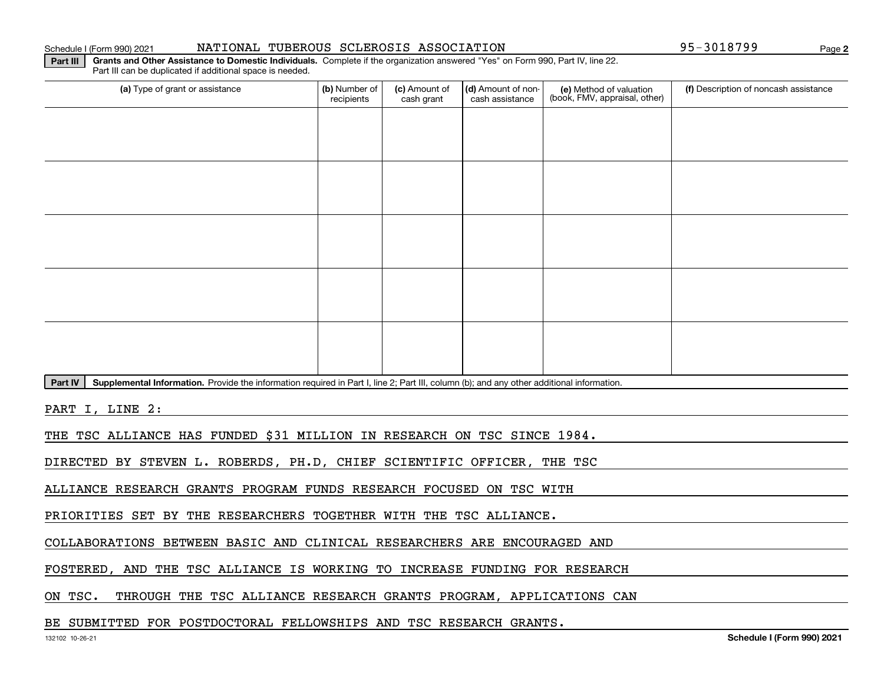#### Schedule I (Form 990) 2021 NATIONAL TUBEROUS SCLEROSIS ASSOCIATION 95-3018799 Page

**2**

**Part III Grants and Other Assistance to Domestic Individuals.**  Complete if the organization answered "Yes" on Form 990, Part IV, line 22. Part III can be duplicated if additional space is needed.

| (a) Type of grant or assistance                                                                                                                                                            | (b) Number of<br>recipients | (c) Amount of<br>cash grant | (d) Amount of non-<br>cash assistance | (e) Method of valuation<br>(book, FMV, appraisal, other) | (f) Description of noncash assistance |
|--------------------------------------------------------------------------------------------------------------------------------------------------------------------------------------------|-----------------------------|-----------------------------|---------------------------------------|----------------------------------------------------------|---------------------------------------|
|                                                                                                                                                                                            |                             |                             |                                       |                                                          |                                       |
|                                                                                                                                                                                            |                             |                             |                                       |                                                          |                                       |
|                                                                                                                                                                                            |                             |                             |                                       |                                                          |                                       |
|                                                                                                                                                                                            |                             |                             |                                       |                                                          |                                       |
|                                                                                                                                                                                            |                             |                             |                                       |                                                          |                                       |
|                                                                                                                                                                                            |                             |                             |                                       |                                                          |                                       |
|                                                                                                                                                                                            |                             |                             |                                       |                                                          |                                       |
|                                                                                                                                                                                            |                             |                             |                                       |                                                          |                                       |
|                                                                                                                                                                                            |                             |                             |                                       |                                                          |                                       |
|                                                                                                                                                                                            |                             |                             |                                       |                                                          |                                       |
| $\mathbf{D}_{\text{out}} \mathbf{N}$ $\blacksquare$ Cumplemental Information. Devide the information required in Devt Lline Q: Devt III, ealymn (b); and any other additional information. |                             |                             |                                       |                                                          |                                       |

**Part IV** | Supplemental Information. Provide the information required in Part I, line 2; Part III, column (b); and any other additional information.<br>

PART I, LINE 2:

THE TSC ALLIANCE HAS FUNDED \$31 MILLION IN RESEARCH ON TSC SINCE 1984.

DIRECTED BY STEVEN L. ROBERDS, PH.D, CHIEF SCIENTIFIC OFFICER, THE TSC

ALLIANCE RESEARCH GRANTS PROGRAM FUNDS RESEARCH FOCUSED ON TSC WITH

PRIORITIES SET BY THE RESEARCHERS TOGETHER WITH THE TSC ALLIANCE.

COLLABORATIONS BETWEEN BASIC AND CLINICAL RESEARCHERS ARE ENCOURAGED AND

FOSTERED, AND THE TSC ALLIANCE IS WORKING TO INCREASE FUNDING FOR RESEARCH

ON TSC. THROUGH THE TSC ALLIANCE RESEARCH GRANTS PROGRAM, APPLICATIONS CAN

#### BE SUBMITTED FOR POSTDOCTORAL FELLOWSHIPS AND TSC RESEARCH GRANTS.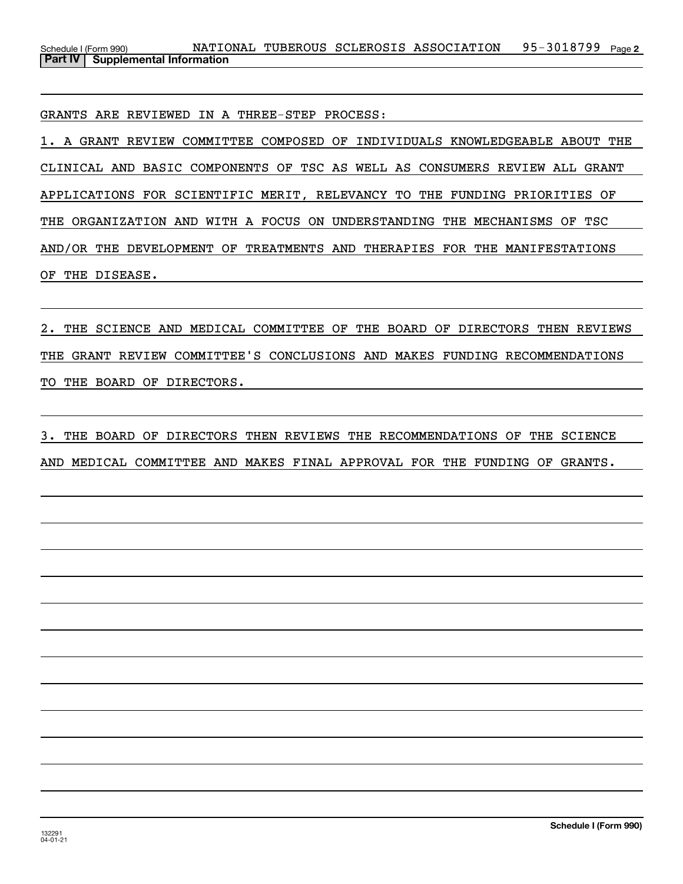GRANTS ARE REVIEWED IN A THREE-STEP PROCESS:

1. A GRANT REVIEW COMMITTEE COMPOSED OF INDIVIDUALS KNOWLEDGEABLE ABOUT THE CLINICAL AND BASIC COMPONENTS OF TSC AS WELL AS CONSUMERS REVIEW ALL GRANT APPLICATIONS FOR SCIENTIFIC MERIT, RELEVANCY TO THE FUNDING PRIORITIES OF THE ORGANIZATION AND WITH A FOCUS ON UNDERSTANDING THE MECHANISMS OF TSC AND/OR THE DEVELOPMENT OF TREATMENTS AND THERAPIES FOR THE MANIFESTATIONS OF THE DISEASE.

2. THE SCIENCE AND MEDICAL COMMITTEE OF THE BOARD OF DIRECTORS THEN REVIEWS THE GRANT REVIEW COMMITTEE'S CONCLUSIONS AND MAKES FUNDING RECOMMENDATIONS TO THE BOARD OF DIRECTORS.

3. THE BOARD OF DIRECTORS THEN REVIEWS THE RECOMMENDATIONS OF THE SCIENCE AND MEDICAL COMMITTEE AND MAKES FINAL APPROVAL FOR THE FUNDING OF GRANTS.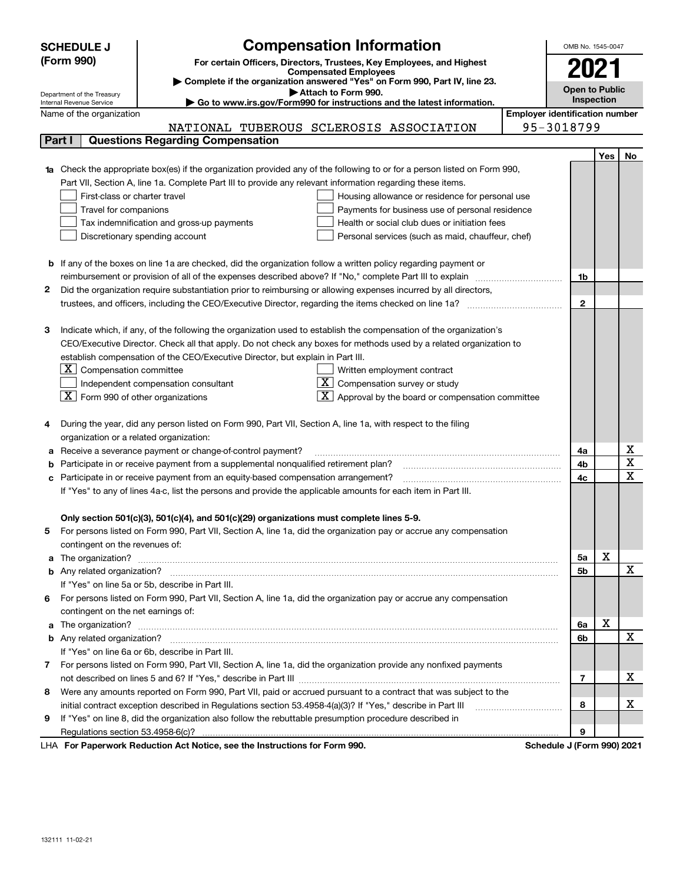|   | <b>SCHEDULE J</b>                                                                                                | <b>Compensation Information</b>                                                                                        |                                       | OMB No. 1545-0047          |     |        |
|---|------------------------------------------------------------------------------------------------------------------|------------------------------------------------------------------------------------------------------------------------|---------------------------------------|----------------------------|-----|--------|
|   | (Form 990)                                                                                                       | For certain Officers, Directors, Trustees, Key Employees, and Highest                                                  |                                       |                            |     |        |
|   |                                                                                                                  | <b>Compensated Employees</b>                                                                                           |                                       | 2021                       |     |        |
|   |                                                                                                                  | Complete if the organization answered "Yes" on Form 990, Part IV, line 23.<br>Attach to Form 990.                      |                                       | <b>Open to Public</b>      |     |        |
|   | Department of the Treasury<br>Internal Revenue Service                                                           | Go to www.irs.gov/Form990 for instructions and the latest information.                                                 |                                       | Inspection                 |     |        |
|   | Name of the organization                                                                                         |                                                                                                                        | <b>Employer identification number</b> |                            |     |        |
|   |                                                                                                                  | NATIONAL TUBEROUS SCLEROSIS ASSOCIATION                                                                                |                                       | 95-3018799                 |     |        |
|   | Part I                                                                                                           | <b>Questions Regarding Compensation</b>                                                                                |                                       |                            |     |        |
|   |                                                                                                                  |                                                                                                                        |                                       |                            | Yes | No     |
|   |                                                                                                                  | Check the appropriate box(es) if the organization provided any of the following to or for a person listed on Form 990, |                                       |                            |     |        |
|   |                                                                                                                  | Part VII, Section A, line 1a. Complete Part III to provide any relevant information regarding these items.             |                                       |                            |     |        |
|   | First-class or charter travel                                                                                    | Housing allowance or residence for personal use                                                                        |                                       |                            |     |        |
|   | Travel for companions                                                                                            | Payments for business use of personal residence                                                                        |                                       |                            |     |        |
|   |                                                                                                                  | Tax indemnification and gross-up payments<br>Health or social club dues or initiation fees                             |                                       |                            |     |        |
|   |                                                                                                                  | Discretionary spending account<br>Personal services (such as maid, chauffeur, chef)                                    |                                       |                            |     |        |
|   |                                                                                                                  |                                                                                                                        |                                       |                            |     |        |
| b |                                                                                                                  | If any of the boxes on line 1a are checked, did the organization follow a written policy regarding payment or          |                                       |                            |     |        |
|   |                                                                                                                  | reimbursement or provision of all of the expenses described above? If "No," complete Part III to explain               |                                       | 1b                         |     |        |
| 2 | Did the organization require substantiation prior to reimbursing or allowing expenses incurred by all directors, |                                                                                                                        |                                       |                            |     |        |
|   |                                                                                                                  |                                                                                                                        |                                       | $\mathbf{2}$               |     |        |
|   |                                                                                                                  |                                                                                                                        |                                       |                            |     |        |
| 3 |                                                                                                                  | Indicate which, if any, of the following the organization used to establish the compensation of the organization's     |                                       |                            |     |        |
|   |                                                                                                                  | CEO/Executive Director. Check all that apply. Do not check any boxes for methods used by a related organization to     |                                       |                            |     |        |
|   |                                                                                                                  | establish compensation of the CEO/Executive Director, but explain in Part III.                                         |                                       |                            |     |        |
|   | $X$ Compensation committee                                                                                       | Written employment contract                                                                                            |                                       |                            |     |        |
|   |                                                                                                                  | $X$ Compensation survey or study<br>Independent compensation consultant                                                |                                       |                            |     |        |
|   | $\boxed{\textbf{X}}$ Form 990 of other organizations                                                             | $\lfloor x \rfloor$ Approval by the board or compensation committee                                                    |                                       |                            |     |        |
|   |                                                                                                                  |                                                                                                                        |                                       |                            |     |        |
| 4 |                                                                                                                  | During the year, did any person listed on Form 990, Part VII, Section A, line 1a, with respect to the filing           |                                       |                            |     |        |
|   | organization or a related organization:                                                                          |                                                                                                                        |                                       |                            |     |        |
| а |                                                                                                                  | Receive a severance payment or change-of-control payment?                                                              |                                       | 4a                         |     | х      |
| b |                                                                                                                  | Participate in or receive payment from a supplemental nonqualified retirement plan?                                    |                                       | 4b                         |     | X<br>X |
| с |                                                                                                                  | Participate in or receive payment from an equity-based compensation arrangement?                                       |                                       | 4c                         |     |        |
|   |                                                                                                                  | If "Yes" to any of lines 4a-c, list the persons and provide the applicable amounts for each item in Part III.          |                                       |                            |     |        |
|   |                                                                                                                  |                                                                                                                        |                                       |                            |     |        |
|   |                                                                                                                  | Only section 501(c)(3), 501(c)(4), and 501(c)(29) organizations must complete lines 5-9.                               |                                       |                            |     |        |
| 5 |                                                                                                                  | For persons listed on Form 990, Part VII, Section A, line 1a, did the organization pay or accrue any compensation      |                                       |                            |     |        |
|   | contingent on the revenues of:                                                                                   |                                                                                                                        |                                       |                            | X   |        |
| a |                                                                                                                  |                                                                                                                        |                                       | 5a<br>5b                   |     | х      |
|   |                                                                                                                  | If "Yes" on line 5a or 5b, describe in Part III.                                                                       |                                       |                            |     |        |
| 6 |                                                                                                                  | For persons listed on Form 990, Part VII, Section A, line 1a, did the organization pay or accrue any compensation      |                                       |                            |     |        |
|   | contingent on the net earnings of:                                                                               |                                                                                                                        |                                       |                            |     |        |
| a |                                                                                                                  | The organization? <b>With the organization? Constitution of the organization</b> of the organization?                  |                                       | 6a                         | X   |        |
|   |                                                                                                                  |                                                                                                                        |                                       | 6b                         |     | X      |
|   |                                                                                                                  | If "Yes" on line 6a or 6b, describe in Part III.                                                                       |                                       |                            |     |        |
|   |                                                                                                                  | 7 For persons listed on Form 990, Part VII, Section A, line 1a, did the organization provide any nonfixed payments     |                                       |                            |     |        |
|   |                                                                                                                  |                                                                                                                        |                                       | $\overline{7}$             |     | х      |
| 8 |                                                                                                                  | Were any amounts reported on Form 990, Part VII, paid or accrued pursuant to a contract that was subject to the        |                                       |                            |     |        |
|   |                                                                                                                  | initial contract exception described in Regulations section 53.4958-4(a)(3)? If "Yes," describe in Part III            |                                       | 8                          |     | x      |
| 9 |                                                                                                                  | If "Yes" on line 8, did the organization also follow the rebuttable presumption procedure described in                 |                                       |                            |     |        |
|   | Regulations section 53.4958-6(c)?                                                                                |                                                                                                                        |                                       | 9                          |     |        |
|   |                                                                                                                  | LHA For Paperwork Reduction Act Notice, see the Instructions for Form 990.                                             |                                       | Schedule J (Form 990) 2021 |     |        |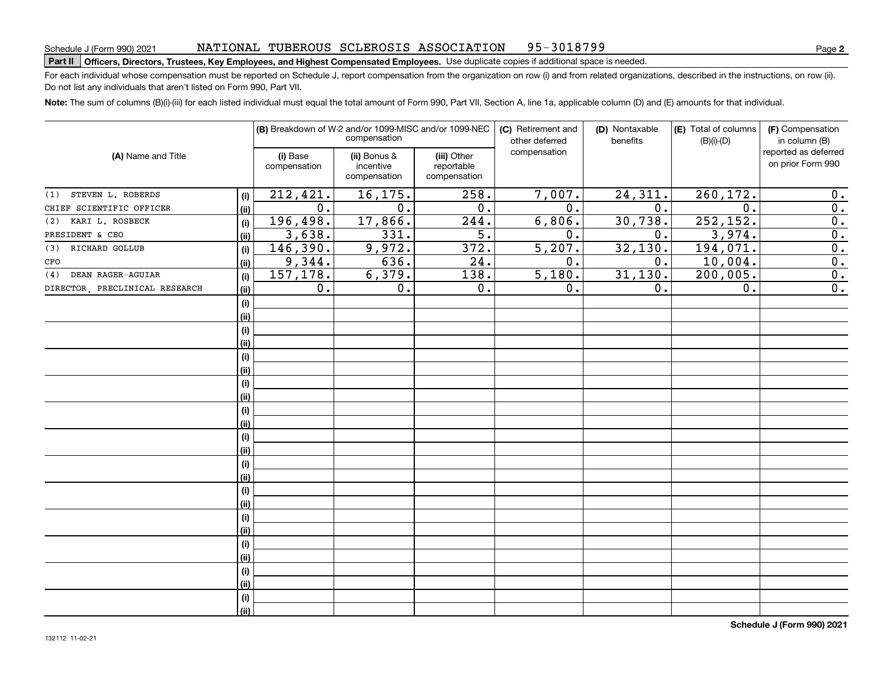#### NATIONAL TUBEROUS SCLEROSIS ASSOCIATION 95-3018799

# Schedule J (Form 990) 2021 NAT LONAL TUBEROUS SCLEROS LS ASSOCTATTON 95 – 3 0 L8 7 9 9<br>Part II **Officers, Directors, Trustees, Key Employees, and Highest Compensated Employees.** Use dup

For each individual whose compensation must be reported on Schedule J, report compensation from the organization on row (i) and from related organizations, described in the instructions, on row (ii). Do not list any individuals that aren't listed on Form 990, Part VII.

**Note:**  The sum of columns (B)(i)-(iii) for each listed individual must equal the total amount of Form 990, Part VII, Section A, line 1a, applicable column (D) and (E) amounts for that individual.

|                                |      | (B) Breakdown of W-2 and/or 1099-MISC and/or 1099-NEC<br>compensation |                                           |                                           | (C) Retirement and<br>(D) Nontaxable<br>benefits<br>other deferred |                  | (E) Total of columns<br>$(B)(i)-(D)$ | (F) Compensation<br>in column (B)         |  |
|--------------------------------|------|-----------------------------------------------------------------------|-------------------------------------------|-------------------------------------------|--------------------------------------------------------------------|------------------|--------------------------------------|-------------------------------------------|--|
| (A) Name and Title             |      | (i) Base<br>compensation                                              | (ii) Bonus &<br>incentive<br>compensation | (iii) Other<br>reportable<br>compensation | compensation                                                       |                  |                                      | reported as deferred<br>on prior Form 990 |  |
| STEVEN L. ROBERDS<br>(1)       | (i)  | 212,421.                                                              | 16, 175.                                  | 258.                                      | 7,007.                                                             | 24,311.          | 260, 172.                            | 0.                                        |  |
| CHIEF SCIENTIFIC OFFICER       | (ii) | 0.                                                                    | 0.                                        | $\overline{0}$ .                          | $\overline{0}$ .                                                   | $\overline{0}$ . | 0.                                   | $\overline{0}$ .                          |  |
| KARI L. ROSBECK<br>(2)         | (i)  | 196,498.                                                              | 17,866.                                   | $\overline{244}$ .                        | 6,806.                                                             | 30,738.          | 252, 152.                            | $\overline{0}$ .                          |  |
| PRESIDENT & CEO                | (ii) | 3,638.                                                                | 331.                                      | $\overline{5}$ .                          | 0.                                                                 | $\mathbf 0$ .    | 3,974.                               | $\overline{0}$ .                          |  |
| RICHARD GOLLUB<br>(3)          | (i)  | 146,390.                                                              | 9,972.                                    | $\overline{372}$ .                        | $\overline{5,207}$ .                                               | 32, 130.         | 194,071.                             | $\overline{0}$ .                          |  |
| CFO                            | (ii) | 9,344.                                                                | 636.                                      | $\overline{24}$ .                         | $\overline{0}$ .                                                   | $\overline{0}$ . | 10,004.                              | $\overline{0}$ .                          |  |
| DEAN RAGER-AGUIAR<br>(4)       | (i)  | 157,178.                                                              | 6,379.                                    | 138.                                      | $\overline{5,180}$ .                                               | 31, 130.         | 200,005.                             | $\overline{0}$ .                          |  |
| DIRECTOR, PRECLINICAL RESEARCH | (ii) | 0.                                                                    | 0.                                        | $\overline{0}$ .                          | 0.                                                                 | 0.               | $\overline{0}$ .                     | $\overline{\mathbf{0}}$ .                 |  |
|                                | (i)  |                                                                       |                                           |                                           |                                                                    |                  |                                      |                                           |  |
|                                | (ii) |                                                                       |                                           |                                           |                                                                    |                  |                                      |                                           |  |
|                                | (i)  |                                                                       |                                           |                                           |                                                                    |                  |                                      |                                           |  |
|                                | (ii) |                                                                       |                                           |                                           |                                                                    |                  |                                      |                                           |  |
|                                | (i)  |                                                                       |                                           |                                           |                                                                    |                  |                                      |                                           |  |
|                                | (ii) |                                                                       |                                           |                                           |                                                                    |                  |                                      |                                           |  |
|                                | (i)  |                                                                       |                                           |                                           |                                                                    |                  |                                      |                                           |  |
|                                | (ii) |                                                                       |                                           |                                           |                                                                    |                  |                                      |                                           |  |
|                                | (i)  |                                                                       |                                           |                                           |                                                                    |                  |                                      |                                           |  |
|                                | (ii) |                                                                       |                                           |                                           |                                                                    |                  |                                      |                                           |  |
|                                | (i)  |                                                                       |                                           |                                           |                                                                    |                  |                                      |                                           |  |
|                                | (ii) |                                                                       |                                           |                                           |                                                                    |                  |                                      |                                           |  |
|                                | (i)  |                                                                       |                                           |                                           |                                                                    |                  |                                      |                                           |  |
|                                | (ii) |                                                                       |                                           |                                           |                                                                    |                  |                                      |                                           |  |
|                                | (i)  |                                                                       |                                           |                                           |                                                                    |                  |                                      |                                           |  |
|                                | (ii) |                                                                       |                                           |                                           |                                                                    |                  |                                      |                                           |  |
|                                | (i)  |                                                                       |                                           |                                           |                                                                    |                  |                                      |                                           |  |
|                                | (ii) |                                                                       |                                           |                                           |                                                                    |                  |                                      |                                           |  |
|                                | (i)  |                                                                       |                                           |                                           |                                                                    |                  |                                      |                                           |  |
|                                | (ii) |                                                                       |                                           |                                           |                                                                    |                  |                                      |                                           |  |
|                                | (i)  |                                                                       |                                           |                                           |                                                                    |                  |                                      |                                           |  |
|                                | (ii) |                                                                       |                                           |                                           |                                                                    |                  |                                      |                                           |  |
|                                | (i)  |                                                                       |                                           |                                           |                                                                    |                  |                                      |                                           |  |
|                                | (ii) |                                                                       |                                           |                                           |                                                                    |                  |                                      |                                           |  |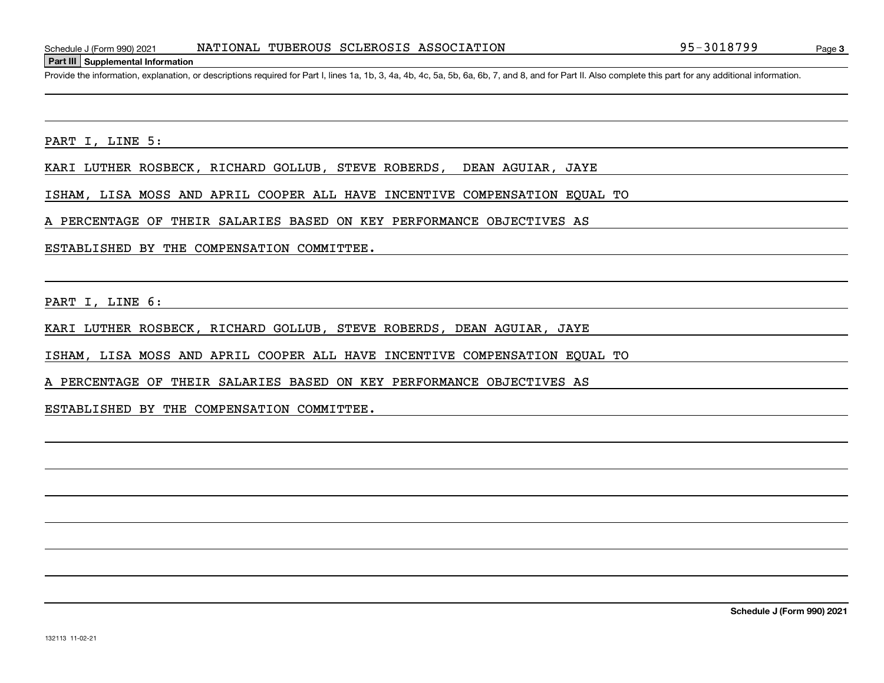#### **Part III Supplemental Information**

Schedule J (Form 990) 2021 MATIONAL TUBEROUS SCLEROSIS ASSOCIATION 95-3018799<br>Part III Supplemental Information<br>Provide the information, explanation, or descriptions required for Part I, lines 1a, 1b, 3, 4a, 4b, 4c, 5a, 5b

PART I, LINE 5:

KARI LUTHER ROSBECK, RICHARD GOLLUB, STEVE ROBERDS, DEAN AGUIAR, JAYE

ISHAM, LISA MOSS AND APRIL COOPER ALL HAVE INCENTIVE COMPENSATION EQUAL TO

A PERCENTAGE OF THEIR SALARIES BASED ON KEY PERFORMANCE OBJECTIVES AS

ESTABLISHED BY THE COMPENSATION COMMITTEE.

PART I, LINE 6:

KARI LUTHER ROSBECK, RICHARD GOLLUB, STEVE ROBERDS, DEAN AGUIAR, JAYE

ISHAM, LISA MOSS AND APRIL COOPER ALL HAVE INCENTIVE COMPENSATION EQUAL TO

A PERCENTAGE OF THEIR SALARIES BASED ON KEY PERFORMANCE OBJECTIVES AS

ESTABLISHED BY THE COMPENSATION COMMITTEE.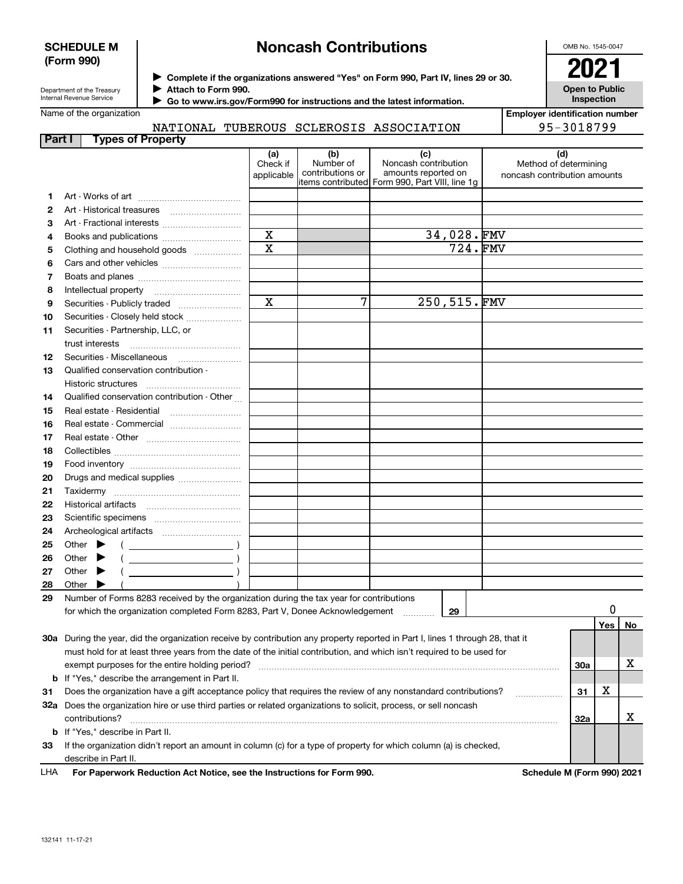### **SCHEDULE M (Form 990)**

# **Noncash Contributions**

OMB No. 1545-0047

| Department of the Treasury |
|----------------------------|
| Internal Revenue Service   |

**Complete if the organizations answered "Yes" on Form 990, Part IV, lines 29 or 30.** <sup>J</sup>**2021 Attach to Form 990.** J

**Open to Public Inspection**

 **Go to www.irs.gov/Form990 for instructions and the latest information.** J

|        | Name of the organization                                                                                                       |                               |                                      |                                                                                                      |  | <b>Employer identification number</b>                        |     |            |    |
|--------|--------------------------------------------------------------------------------------------------------------------------------|-------------------------------|--------------------------------------|------------------------------------------------------------------------------------------------------|--|--------------------------------------------------------------|-----|------------|----|
|        | NATIONAL TUBEROUS SCLEROSIS ASSOCIATION                                                                                        |                               |                                      |                                                                                                      |  | 95-3018799                                                   |     |            |    |
| Part I | <b>Types of Property</b>                                                                                                       |                               |                                      |                                                                                                      |  |                                                              |     |            |    |
|        |                                                                                                                                | (a)<br>Check if<br>applicable | (b)<br>Number of<br>contributions or | (c)<br>Noncash contribution<br>amounts reported on<br>items contributed Form 990, Part VIII, line 1g |  | (d)<br>Method of determining<br>noncash contribution amounts |     |            |    |
| 1      |                                                                                                                                |                               |                                      |                                                                                                      |  |                                                              |     |            |    |
| 2      | Art - Historical treasures                                                                                                     |                               |                                      |                                                                                                      |  |                                                              |     |            |    |
| З      | Art - Fractional interests                                                                                                     |                               |                                      |                                                                                                      |  |                                                              |     |            |    |
| 4      | Books and publications                                                                                                         | $\overline{\mathbf{x}}$       |                                      | 34,028.FMV                                                                                           |  |                                                              |     |            |    |
| 5      | Clothing and household goods                                                                                                   | $\overline{\text{x}}$         |                                      | $\overline{724}$ . FMV                                                                               |  |                                                              |     |            |    |
| 6      |                                                                                                                                |                               |                                      |                                                                                                      |  |                                                              |     |            |    |
| 7      |                                                                                                                                |                               |                                      |                                                                                                      |  |                                                              |     |            |    |
| 8      |                                                                                                                                |                               |                                      |                                                                                                      |  |                                                              |     |            |    |
| 9      | Securities - Publicly traded                                                                                                   | $\overline{\mathbf{x}}$       | 7                                    | 250,515.FMV                                                                                          |  |                                                              |     |            |    |
| 10     | Securities - Closely held stock                                                                                                |                               |                                      |                                                                                                      |  |                                                              |     |            |    |
| 11     | Securities - Partnership, LLC, or                                                                                              |                               |                                      |                                                                                                      |  |                                                              |     |            |    |
|        | trust interests                                                                                                                |                               |                                      |                                                                                                      |  |                                                              |     |            |    |
| 12     | Securities - Miscellaneous                                                                                                     |                               |                                      |                                                                                                      |  |                                                              |     |            |    |
| 13     | Qualified conservation contribution -                                                                                          |                               |                                      |                                                                                                      |  |                                                              |     |            |    |
|        | Historic structures                                                                                                            |                               |                                      |                                                                                                      |  |                                                              |     |            |    |
| 14     | Qualified conservation contribution - Other                                                                                    |                               |                                      |                                                                                                      |  |                                                              |     |            |    |
| 15     | Real estate - Residential                                                                                                      |                               |                                      |                                                                                                      |  |                                                              |     |            |    |
| 16     | Real estate - Commercial                                                                                                       |                               |                                      |                                                                                                      |  |                                                              |     |            |    |
| 17     |                                                                                                                                |                               |                                      |                                                                                                      |  |                                                              |     |            |    |
| 18     |                                                                                                                                |                               |                                      |                                                                                                      |  |                                                              |     |            |    |
| 19     |                                                                                                                                |                               |                                      |                                                                                                      |  |                                                              |     |            |    |
| 20     | Drugs and medical supplies                                                                                                     |                               |                                      |                                                                                                      |  |                                                              |     |            |    |
| 21     | Taxidermy                                                                                                                      |                               |                                      |                                                                                                      |  |                                                              |     |            |    |
| 22     |                                                                                                                                |                               |                                      |                                                                                                      |  |                                                              |     |            |    |
| 23     |                                                                                                                                |                               |                                      |                                                                                                      |  |                                                              |     |            |    |
| 24     |                                                                                                                                |                               |                                      |                                                                                                      |  |                                                              |     |            |    |
| 25     | Other $\blacktriangleright$                                                                                                    |                               |                                      |                                                                                                      |  |                                                              |     |            |    |
| 26     | Other $\blacktriangleright$                                                                                                    |                               |                                      |                                                                                                      |  |                                                              |     |            |    |
| 27     | Other $\blacktriangleright$                                                                                                    |                               |                                      |                                                                                                      |  |                                                              |     |            |    |
| 28     | Other $\blacktriangleright$                                                                                                    |                               |                                      |                                                                                                      |  |                                                              |     |            |    |
| 29     | Number of Forms 8283 received by the organization during the tax year for contributions                                        |                               |                                      |                                                                                                      |  |                                                              |     |            |    |
|        | for which the organization completed Form 8283, Part V, Donee Acknowledgement                                                  |                               |                                      | 29                                                                                                   |  |                                                              |     | 0          |    |
|        |                                                                                                                                |                               |                                      |                                                                                                      |  |                                                              |     | <b>Yes</b> | No |
|        | 30a During the year, did the organization receive by contribution any property reported in Part I, lines 1 through 28, that it |                               |                                      |                                                                                                      |  |                                                              |     |            |    |
|        | must hold for at least three years from the date of the initial contribution, and which isn't required to be used for          |                               |                                      |                                                                                                      |  |                                                              |     |            |    |
|        | х<br>30a                                                                                                                       |                               |                                      |                                                                                                      |  |                                                              |     |            |    |
|        | <b>b</b> If "Yes," describe the arrangement in Part II.                                                                        |                               |                                      |                                                                                                      |  |                                                              |     |            |    |
| 31     | Does the organization have a gift acceptance policy that requires the review of any nonstandard contributions?                 |                               |                                      |                                                                                                      |  | .                                                            | 31  | X          |    |
|        | 32a Does the organization hire or use third parties or related organizations to solicit, process, or sell noncash              |                               |                                      |                                                                                                      |  |                                                              |     |            |    |
|        | contributions?                                                                                                                 |                               |                                      |                                                                                                      |  |                                                              | 32a |            | X  |
|        | <b>b</b> If "Yes," describe in Part II.                                                                                        |                               |                                      |                                                                                                      |  |                                                              |     |            |    |

**33**If the organization didn't report an amount in column (c) for a type of property for which column (a) is checked, describe in Part II.

**For Paperwork Reduction Act Notice, see the Instructions for Form 990. Schedule M (Form 990) 2021** LHA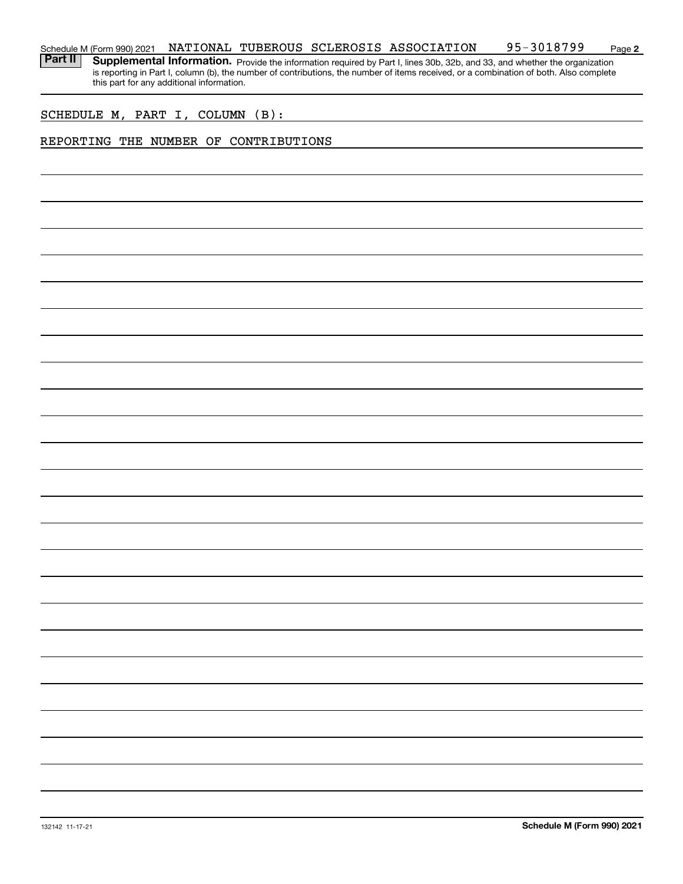#### **2** Schedule M (Form 990) 2021 **NATIONAL TUBEROUS SCLEROSIS ASSOCIATION** 95-3018799 Page

Part II | Supplemental Information. Provide the information required by Part I, lines 30b, 32b, and 33, and whether the organization is reporting in Part I, column (b), the number of contributions, the number of items received, or a combination of both. Also complete this part for any additional information.

## SCHEDULE M, PART I, COLUMN (B):

### REPORTING THE NUMBER OF CONTRIBUTIONS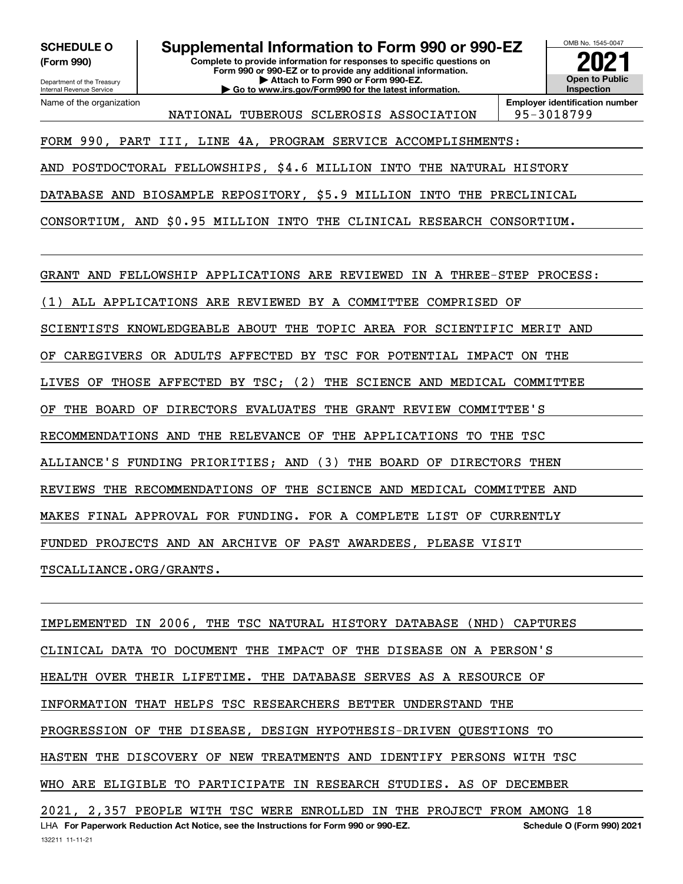**(Form 990)**

Department of the Treasury Internal Revenue Service Name of the organization

# **SCHEDULE O Supplemental Information to Form 990 or 990-EZ**

**Complete to provide information for responses to specific questions on Form 990 or 990-EZ or to provide any additional information. | Attach to Form 990 or Form 990-EZ. | Go to www.irs.gov/Form990 for the latest information.**



NATIONAL TUBEROUS SCLEROSIS ASSOCIATION 95-3018799

**Employer identification number**

## FORM 990, PART III, LINE 4A, PROGRAM SERVICE ACCOMPLISHMENTS:

AND POSTDOCTORAL FELLOWSHIPS, \$4.6 MILLION INTO THE NATURAL HISTORY

DATABASE AND BIOSAMPLE REPOSITORY, \$5.9 MILLION INTO THE PRECLINICAL

CONSORTIUM, AND \$0.95 MILLION INTO THE CLINICAL RESEARCH CONSORTIUM.

GRANT AND FELLOWSHIP APPLICATIONS ARE REVIEWED IN A THREE-STEP PROCESS:

(1) ALL APPLICATIONS ARE REVIEWED BY A COMMITTEE COMPRISED OF

SCIENTISTS KNOWLEDGEABLE ABOUT THE TOPIC AREA FOR SCIENTIFIC MERIT AND

OF CAREGIVERS OR ADULTS AFFECTED BY TSC FOR POTENTIAL IMPACT ON THE

LIVES OF THOSE AFFECTED BY TSC; (2) THE SCIENCE AND MEDICAL COMMITTEE

OF THE BOARD OF DIRECTORS EVALUATES THE GRANT REVIEW COMMITTEE'S

RECOMMENDATIONS AND THE RELEVANCE OF THE APPLICATIONS TO THE TSC

ALLIANCE'S FUNDING PRIORITIES; AND (3) THE BOARD OF DIRECTORS THEN

REVIEWS THE RECOMMENDATIONS OF THE SCIENCE AND MEDICAL COMMITTEE AND

MAKES FINAL APPROVAL FOR FUNDING. FOR A COMPLETE LIST OF CURRENTLY

FUNDED PROJECTS AND AN ARCHIVE OF PAST AWARDEES, PLEASE VISIT

TSCALLIANCE.ORG/GRANTS.

LHA For Paperwork Reduction Act Notice, see the Instructions for Form 990 or 990-EZ. Schedule O (Form 990) 2021 IMPLEMENTED IN 2006, THE TSC NATURAL HISTORY DATABASE (NHD) CAPTURES CLINICAL DATA TO DOCUMENT THE IMPACT OF THE DISEASE ON A PERSON'S HEALTH OVER THEIR LIFETIME. THE DATABASE SERVES AS A RESOURCE OF INFORMATION THAT HELPS TSC RESEARCHERS BETTER UNDERSTAND THE PROGRESSION OF THE DISEASE, DESIGN HYPOTHESIS-DRIVEN QUESTIONS TO HASTEN THE DISCOVERY OF NEW TREATMENTS AND IDENTIFY PERSONS WITH TSC WHO ARE ELIGIBLE TO PARTICIPATE IN RESEARCH STUDIES. AS OF DECEMBER 2021, 2,357 PEOPLE WITH TSC WERE ENROLLED IN THE PROJECT FROM AMONG 18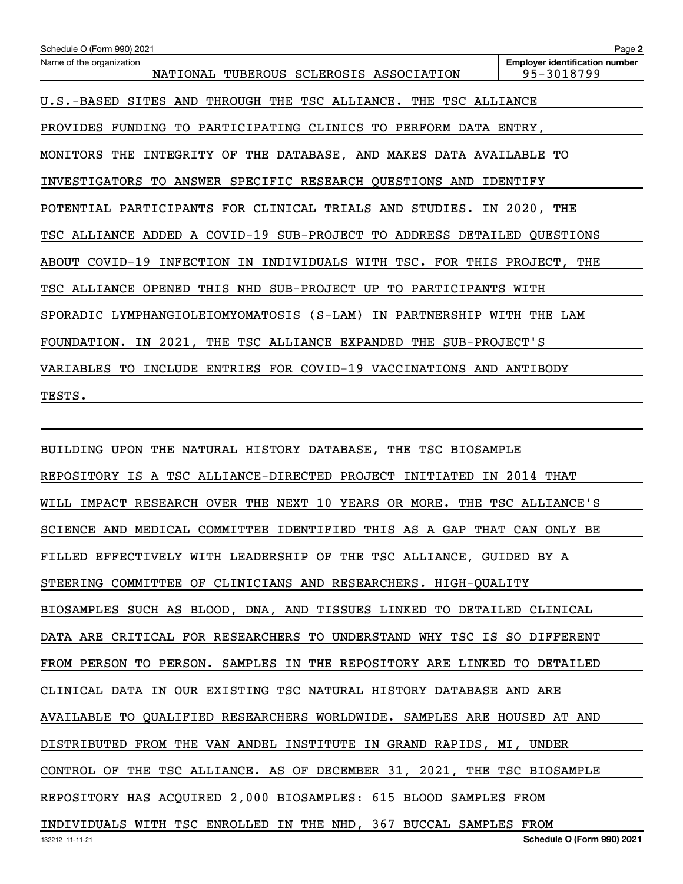| Schedule O (Form 990) 2021                                                | Page 2                                              |
|---------------------------------------------------------------------------|-----------------------------------------------------|
| Name of the organization<br>NATIONAL TUBEROUS SCLEROSIS ASSOCIATION       | <b>Employer identification number</b><br>95-3018799 |
| THROUGH THE TSC ALLIANCE. THE TSC ALLIANCE<br>U.S.-BASED SITES<br>AND     |                                                     |
| FUNDING<br>TO<br>PARTICIPATING CLINICS TO PERFORM DATA ENTRY,<br>PROVIDES |                                                     |
| MONITORS THE<br>INTEGRITY OF<br>THE DATABASE, AND MAKES DATA AVAILABLE    | TО                                                  |
| INVESTIGATORS TO ANSWER SPECIFIC RESEARCH QUESTIONS AND                   | IDENTIFY                                            |
| POTENTIAL PARTICIPANTS FOR CLINICAL TRIALS AND STUDIES.                   | IN 2020, THE                                        |
| TSC ALLIANCE ADDED A COVID-19 SUB-PROJECT TO ADDRESS DETAILED QUESTIONS   |                                                     |
| ABOUT COVID-19 INFECTION IN INDIVIDUALS WITH TSC. FOR THIS PROJECT, THE   |                                                     |
| TSC ALLIANCE OPENED THIS NHD SUB-PROJECT UP TO PARTICIPANTS WITH          |                                                     |
| SPORADIC LYMPHANGIOLEIOMYOMATOSIS (S-LAM)<br>IN PARTNERSHIP               | WITH THE LAM                                        |
| IN 2021, THE TSC ALLIANCE EXPANDED<br>FOUNDATION.<br>THE SUB-PROJECT'S    |                                                     |
| INCLUDE ENTRIES FOR COVID-19 VACCINATIONS AND ANTIBODY<br>VARIABLES TO    |                                                     |
| TESTS.                                                                    |                                                     |

BUILDING UPON THE NATURAL HISTORY DATABASE, THE TSC BIOSAMPLE REPOSITORY IS A TSC ALLIANCE-DIRECTED PROJECT INITIATED IN 2014 THAT WILL IMPACT RESEARCH OVER THE NEXT 10 YEARS OR MORE. THE TSC ALLIANCE'S SCIENCE AND MEDICAL COMMITTEE IDENTIFIED THIS AS A GAP THAT CAN ONLY BE FILLED EFFECTIVELY WITH LEADERSHIP OF THE TSC ALLIANCE, GUIDED BY A STEERING COMMITTEE OF CLINICIANS AND RESEARCHERS. HIGH-QUALITY BIOSAMPLES SUCH AS BLOOD, DNA, AND TISSUES LINKED TO DETAILED CLINICAL DATA ARE CRITICAL FOR RESEARCHERS TO UNDERSTAND WHY TSC IS SO DIFFERENT FROM PERSON TO PERSON. SAMPLES IN THE REPOSITORY ARE LINKED TO DETAILED CLINICAL DATA IN OUR EXISTING TSC NATURAL HISTORY DATABASE AND ARE AVAILABLE TO QUALIFIED RESEARCHERS WORLDWIDE. SAMPLES ARE HOUSED AT AND DISTRIBUTED FROM THE VAN ANDEL INSTITUTE IN GRAND RAPIDS, MI, UNDER CONTROL OF THE TSC ALLIANCE. AS OF DECEMBER 31, 2021, THE TSC BIOSAMPLE REPOSITORY HAS ACQUIRED 2,000 BIOSAMPLES: 615 BLOOD SAMPLES FROM INDIVIDUALS WITH TSC ENROLLED IN THE NHD, 367 BUCCAL SAMPLES FROM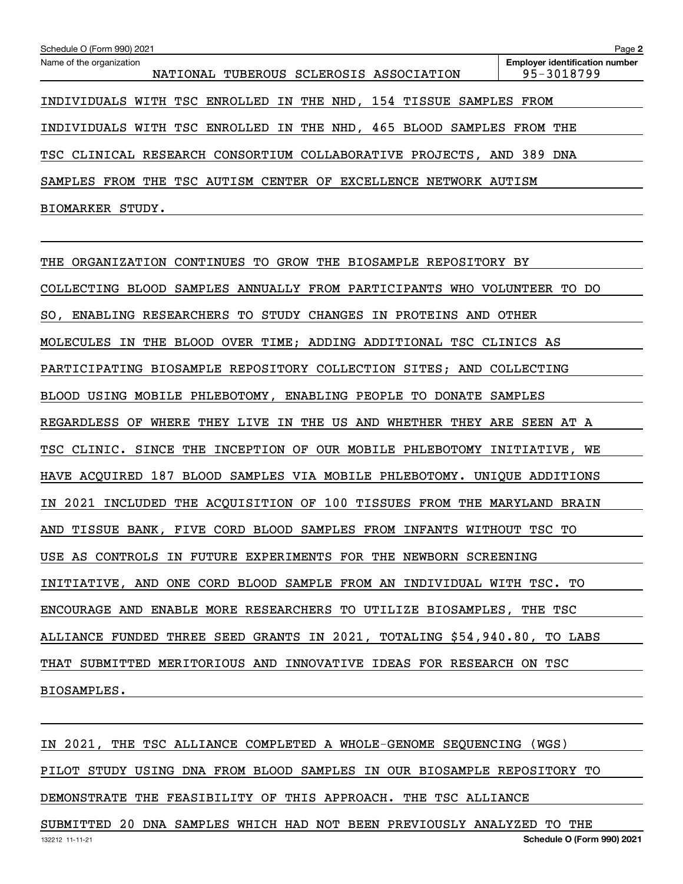| Schedule O (Form 990) 2021                                           | Page 2                                              |
|----------------------------------------------------------------------|-----------------------------------------------------|
| Name of the organization<br>NATIONAL TUBEROUS SCLEROSIS ASSOCIATION  | <b>Employer identification number</b><br>95-3018799 |
| INDIVIDUALS WITH TSC ENROLLED IN THE NHD, 154 TISSUE SAMPLES FROM    |                                                     |
| INDIVIDUALS WITH TSC ENROLLED IN THE NHD, 465 BLOOD SAMPLES FROM THE |                                                     |
| TSC CLINICAL RESEARCH CONSORTIUM COLLABORATIVE PROJECTS, AND 389 DNA |                                                     |
| SAMPLES FROM THE TSC AUTISM CENTER OF EXCELLENCE NETWORK AUTISM      |                                                     |
| BIOMARKER<br>STUDY.                                                  |                                                     |

THE ORGANIZATION CONTINUES TO GROW THE BIOSAMPLE REPOSITORY BY COLLECTING BLOOD SAMPLES ANNUALLY FROM PARTICIPANTS WHO VOLUNTEER TO DO SO, ENABLING RESEARCHERS TO STUDY CHANGES IN PROTEINS AND OTHER MOLECULES IN THE BLOOD OVER TIME; ADDING ADDITIONAL TSC CLINICS AS PARTICIPATING BIOSAMPLE REPOSITORY COLLECTION SITES; AND COLLECTING BLOOD USING MOBILE PHLEBOTOMY, ENABLING PEOPLE TO DONATE SAMPLES REGARDLESS OF WHERE THEY LIVE IN THE US AND WHETHER THEY ARE SEEN AT A TSC CLINIC. SINCE THE INCEPTION OF OUR MOBILE PHLEBOTOMY INITIATIVE, WE HAVE ACQUIRED 187 BLOOD SAMPLES VIA MOBILE PHLEBOTOMY. UNIQUE ADDITIONS IN 2021 INCLUDED THE ACQUISITION OF 100 TISSUES FROM THE MARYLAND BRAIN AND TISSUE BANK, FIVE CORD BLOOD SAMPLES FROM INFANTS WITHOUT TSC TO USE AS CONTROLS IN FUTURE EXPERIMENTS FOR THE NEWBORN SCREENING INITIATIVE, AND ONE CORD BLOOD SAMPLE FROM AN INDIVIDUAL WITH TSC. TO ENCOURAGE AND ENABLE MORE RESEARCHERS TO UTILIZE BIOSAMPLES, THE TSC ALLIANCE FUNDED THREE SEED GRANTS IN 2021, TOTALING \$54,940.80, TO LABS THAT SUBMITTED MERITORIOUS AND INNOVATIVE IDEAS FOR RESEARCH ON TSC BIOSAMPLES.

IN 2021, THE TSC ALLIANCE COMPLETED A WHOLE-GENOME SEQUENCING (WGS) PILOT STUDY USING DNA FROM BLOOD SAMPLES IN OUR BIOSAMPLE REPOSITORY TO DEMONSTRATE THE FEASIBILITY OF THIS APPROACH. THE TSC ALLIANCE

132212 11-11-21 **Schedule O (Form 990) 2021** SUBMITTED 20 DNA SAMPLES WHICH HAD NOT BEEN PREVIOUSLY ANALYZED TO THE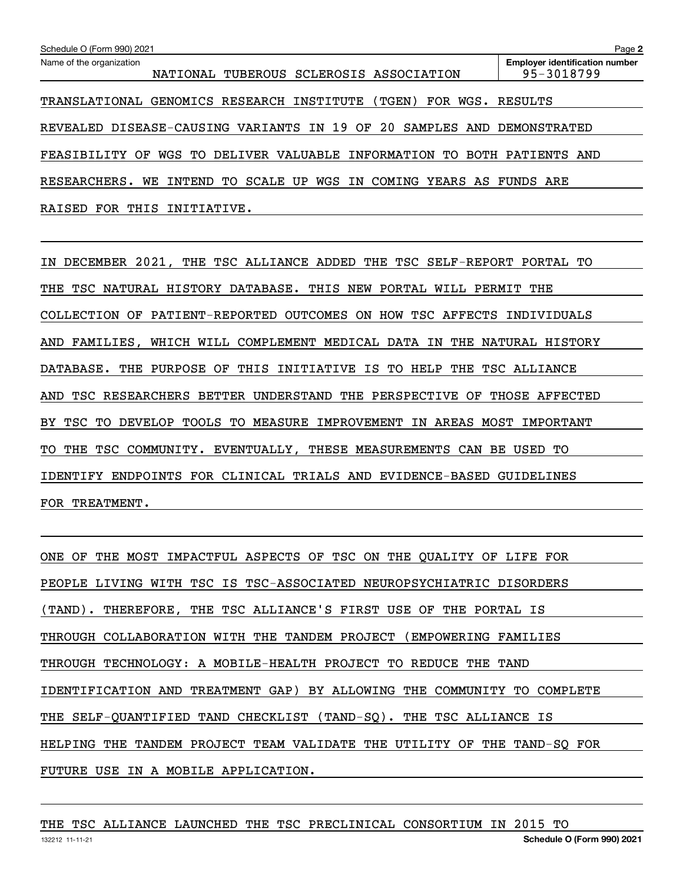| Schedule O (Form 990) 2021                                                         | Page 2                                              |
|------------------------------------------------------------------------------------|-----------------------------------------------------|
| Name of the organization<br>NATIONAL TUBEROUS SCLEROSIS ASSOCIATION                | <b>Employer identification number</b><br>95-3018799 |
| TRANSLATIONAL GENOMICS RESEARCH INSTITUTE<br>(TGEN)<br>FOR WGS.                    | RESULTS                                             |
| REVEALED DISEASE-CAUSING VARIANTS IN 19 OF 20 SAMPLES AND DEMONSTRATED             |                                                     |
| WGS TO<br>DELIVER VALUABLE INFORMATION<br>FEASIBILITY<br>OF<br>BOTH<br>TO.         | PATIENTS AND                                        |
| TO SCALE UP<br>WGS IN COMING<br>RESEARCHERS.<br>YEARS AS FUNDS ARE<br>WE<br>INTEND |                                                     |
| RAISED<br><b>FOR</b><br>THIS<br>INITIATIVE.                                        |                                                     |

IN DECEMBER 2021, THE TSC ALLIANCE ADDED THE TSC SELF-REPORT PORTAL TO THE TSC NATURAL HISTORY DATABASE. THIS NEW PORTAL WILL PERMIT THE COLLECTION OF PATIENT-REPORTED OUTCOMES ON HOW TSC AFFECTS INDIVIDUALS AND FAMILIES, WHICH WILL COMPLEMENT MEDICAL DATA IN THE NATURAL HISTORY DATABASE. THE PURPOSE OF THIS INITIATIVE IS TO HELP THE TSC ALLIANCE AND TSC RESEARCHERS BETTER UNDERSTAND THE PERSPECTIVE OF THOSE AFFECTED BY TSC TO DEVELOP TOOLS TO MEASURE IMPROVEMENT IN AREAS MOST IMPORTANT TO THE TSC COMMUNITY. EVENTUALLY, THESE MEASUREMENTS CAN BE USED TO IDENTIFY ENDPOINTS FOR CLINICAL TRIALS AND EVIDENCE-BASED GUIDELINES FOR TREATMENT.

ONE OF THE MOST IMPACTFUL ASPECTS OF TSC ON THE QUALITY OF LIFE FOR PEOPLE LIVING WITH TSC IS TSC-ASSOCIATED NEUROPSYCHIATRIC DISORDERS (TAND). THEREFORE, THE TSC ALLIANCE'S FIRST USE OF THE PORTAL IS THROUGH COLLABORATION WITH THE TANDEM PROJECT (EMPOWERING FAMILIES THROUGH TECHNOLOGY: A MOBILE-HEALTH PROJECT TO REDUCE THE TAND IDENTIFICATION AND TREATMENT GAP) BY ALLOWING THE COMMUNITY TO COMPLETE THE SELF-QUANTIFIED TAND CHECKLIST (TAND-SQ). THE TSC ALLIANCE IS HELPING THE TANDEM PROJECT TEAM VALIDATE THE UTILITY OF THE TAND-SQ FOR FUTURE USE IN A MOBILE APPLICATION.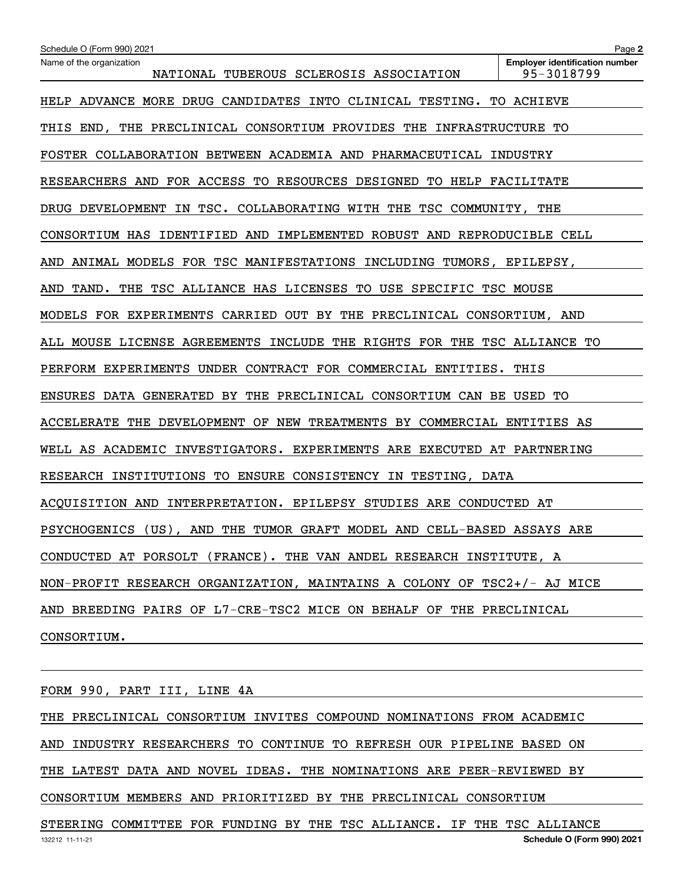| Schedule O (Form 990) 2021                                              | Page 2                                              |
|-------------------------------------------------------------------------|-----------------------------------------------------|
| Name of the organization<br>NATIONAL TUBEROUS SCLEROSIS ASSOCIATION     | <b>Employer identification number</b><br>95-3018799 |
| HELP ADVANCE MORE DRUG CANDIDATES INTO CLINICAL TESTING. TO ACHIEVE     |                                                     |
| THIS END, THE PRECLINICAL CONSORTIUM PROVIDES THE INFRASTRUCTURE TO     |                                                     |
| FOSTER COLLABORATION BETWEEN ACADEMIA AND PHARMACEUTICAL INDUSTRY       |                                                     |
| RESEARCHERS AND FOR ACCESS TO RESOURCES DESIGNED TO HELP FACILITATE     |                                                     |
| DRUG DEVELOPMENT IN TSC. COLLABORATING WITH THE TSC COMMUNITY, THE      |                                                     |
| CONSORTIUM HAS IDENTIFIED AND IMPLEMENTED ROBUST AND REPRODUCIBLE CELL  |                                                     |
| AND ANIMAL MODELS FOR TSC MANIFESTATIONS INCLUDING TUMORS, EPILEPSY,    |                                                     |
| AND TAND. THE TSC ALLIANCE HAS LICENSES TO USE SPECIFIC TSC MOUSE       |                                                     |
| MODELS FOR EXPERIMENTS CARRIED OUT BY THE PRECLINICAL CONSORTIUM, AND   |                                                     |
| ALL MOUSE LICENSE AGREEMENTS INCLUDE THE RIGHTS FOR THE TSC ALLIANCE TO |                                                     |
| PERFORM EXPERIMENTS UNDER CONTRACT FOR COMMERCIAL ENTITIES. THIS        |                                                     |
| ENSURES DATA GENERATED BY THE PRECLINICAL CONSORTIUM CAN BE USED TO     |                                                     |
| ACCELERATE THE DEVELOPMENT OF NEW TREATMENTS BY COMMERCIAL ENTITIES AS  |                                                     |
| WELL AS ACADEMIC INVESTIGATORS. EXPERIMENTS ARE EXECUTED AT PARTNERING  |                                                     |
| RESEARCH INSTITUTIONS TO ENSURE CONSISTENCY IN TESTING, DATA            |                                                     |
| ACQUISITION AND INTERPRETATION. EPILEPSY STUDIES ARE CONDUCTED AT       |                                                     |
| PSYCHOGENICS (US), AND THE TUMOR GRAFT MODEL AND CELL-BASED ASSAYS ARE  |                                                     |
| CONDUCTED AT PORSOLT (FRANCE). THE VAN ANDEL RESEARCH INSTITUTE, A      |                                                     |
| NON-PROFIT RESEARCH ORGANIZATION, MAINTAINS A COLONY OF TSC2+/- AJ MICE |                                                     |
| AND BREEDING PAIRS OF L7-CRE-TSC2 MICE ON BEHALF OF THE PRECLINICAL     |                                                     |
| CONSORTIUM.                                                             |                                                     |

FORM 990, PART III, LINE 4A

THE PRECLINICAL CONSORTIUM INVITES COMPOUND NOMINATIONS FROM ACADEMIC AND INDUSTRY RESEARCHERS TO CONTINUE TO REFRESH OUR PIPELINE BASED ON THE LATEST DATA AND NOVEL IDEAS. THE NOMINATIONS ARE PEER-REVIEWED BY CONSORTIUM MEMBERS AND PRIORITIZED BY THE PRECLINICAL CONSORTIUM STEERING COMMITTEE FOR FUNDING BY THE TSC ALLIANCE. IF THE TSC ALLIANCE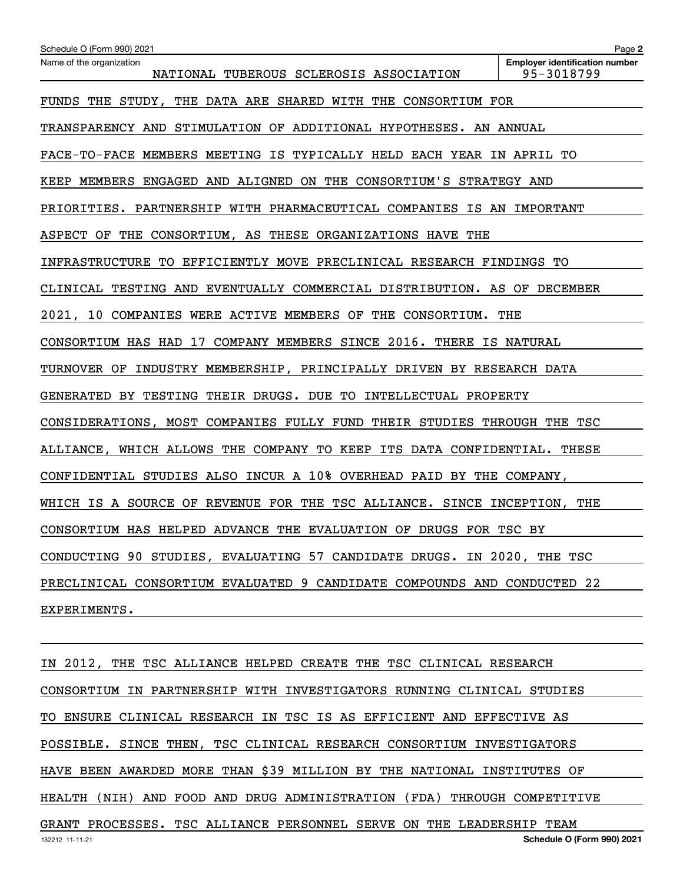| Schedule O (Form 990) 2021                                              | Page 2                                              |
|-------------------------------------------------------------------------|-----------------------------------------------------|
| Name of the organization<br>NATIONAL TUBEROUS SCLEROSIS ASSOCIATION     | <b>Employer identification number</b><br>95-3018799 |
| FUNDS THE STUDY, THE DATA ARE SHARED WITH THE CONSORTIUM FOR            |                                                     |
| TRANSPARENCY AND STIMULATION OF ADDITIONAL HYPOTHESES. AN ANNUAL        |                                                     |
| FACE-TO-FACE MEMBERS MEETING IS TYPICALLY HELD EACH YEAR IN APRIL TO    |                                                     |
| KEEP MEMBERS ENGAGED AND ALIGNED ON THE CONSORTIUM'S STRATEGY AND       |                                                     |
| PRIORITIES. PARTNERSHIP WITH PHARMACEUTICAL COMPANIES IS AN IMPORTANT   |                                                     |
| ASPECT OF THE CONSORTIUM, AS THESE ORGANIZATIONS HAVE THE               |                                                     |
| INFRASTRUCTURE TO EFFICIENTLY MOVE PRECLINICAL RESEARCH FINDINGS TO     |                                                     |
| CLINICAL TESTING AND EVENTUALLY COMMERCIAL DISTRIBUTION. AS OF DECEMBER |                                                     |
| 2021, 10 COMPANIES WERE ACTIVE MEMBERS OF THE CONSORTIUM. THE           |                                                     |
| CONSORTIUM HAS HAD 17 COMPANY MEMBERS SINCE 2016. THERE IS NATURAL      |                                                     |
| TURNOVER OF INDUSTRY MEMBERSHIP, PRINCIPALLY DRIVEN BY RESEARCH DATA    |                                                     |
| GENERATED BY TESTING THEIR DRUGS. DUE TO INTELLECTUAL PROPERTY          |                                                     |
| CONSIDERATIONS, MOST COMPANIES FULLY FUND THEIR STUDIES THROUGH THE TSC |                                                     |
| ALLIANCE, WHICH ALLOWS THE COMPANY TO KEEP ITS DATA CONFIDENTIAL. THESE |                                                     |
| CONFIDENTIAL STUDIES ALSO INCUR A 10% OVERHEAD PAID BY THE COMPANY,     |                                                     |
| WHICH IS A SOURCE OF REVENUE FOR THE TSC ALLIANCE. SINCE INCEPTION, THE |                                                     |
| CONSORTIUM HAS HELPED ADVANCE THE EVALUATION OF DRUGS FOR TSC BY        |                                                     |
| CONDUCTING 90 STUDIES, EVALUATING 57 CANDIDATE DRUGS. IN 2020, THE TSC  |                                                     |
| PRECLINICAL CONSORTIUM EVALUATED 9 CANDIDATE COMPOUNDS AND CONDUCTED 22 |                                                     |
| EXPERIMENTS.                                                            |                                                     |
|                                                                         |                                                     |

132212 11-11-21 **Schedule O (Form 990) 2021** IN 2012, THE TSC ALLIANCE HELPED CREATE THE TSC CLINICAL RESEARCH CONSORTIUM IN PARTNERSHIP WITH INVESTIGATORS RUNNING CLINICAL STUDIES TO ENSURE CLINICAL RESEARCH IN TSC IS AS EFFICIENT AND EFFECTIVE AS POSSIBLE. SINCE THEN, TSC CLINICAL RESEARCH CONSORTIUM INVESTIGATORS HAVE BEEN AWARDED MORE THAN \$39 MILLION BY THE NATIONAL INSTITUTES OF HEALTH (NIH) AND FOOD AND DRUG ADMINISTRATION (FDA) THROUGH COMPETITIVE GRANT PROCESSES. TSC ALLIANCE PERSONNEL SERVE ON THE LEADERSHIP TEAM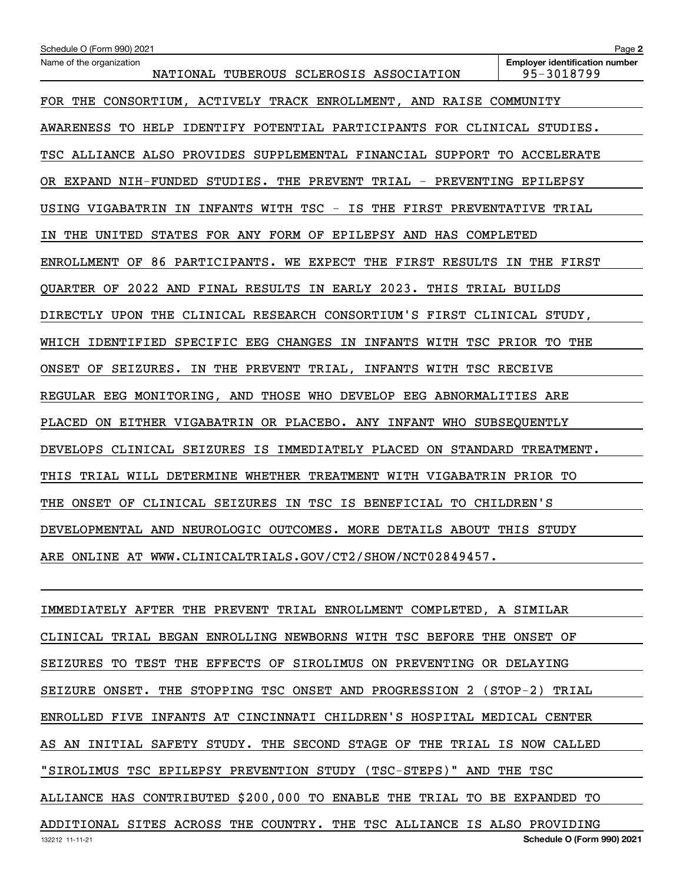| Schedule O (Form 990) 2021                                              | Page 2                                              |
|-------------------------------------------------------------------------|-----------------------------------------------------|
| Name of the organization<br>NATIONAL TUBEROUS SCLEROSIS ASSOCIATION     | <b>Employer identification number</b><br>95-3018799 |
| FOR THE CONSORTIUM, ACTIVELY TRACK ENROLLMENT, AND RAISE COMMUNITY      |                                                     |
| AWARENESS TO HELP IDENTIFY POTENTIAL PARTICIPANTS FOR CLINICAL STUDIES. |                                                     |
| TSC ALLIANCE ALSO PROVIDES SUPPLEMENTAL FINANCIAL SUPPORT TO ACCELERATE |                                                     |
| OR EXPAND NIH-FUNDED STUDIES. THE PREVENT TRIAL - PREVENTING EPILEPSY   |                                                     |
| USING VIGABATRIN IN INFANTS WITH TSC - IS THE FIRST PREVENTATIVE TRIAL  |                                                     |
| THE UNITED STATES FOR ANY FORM OF EPILEPSY AND HAS COMPLETED<br>IN.     |                                                     |
| ENROLLMENT OF 86 PARTICIPANTS. WE EXPECT THE FIRST RESULTS IN THE FIRST |                                                     |
| QUARTER OF 2022 AND FINAL RESULTS IN EARLY 2023. THIS TRIAL BUILDS      |                                                     |
| DIRECTLY UPON THE CLINICAL RESEARCH CONSORTIUM'S FIRST CLINICAL STUDY,  |                                                     |
| WHICH IDENTIFIED SPECIFIC EEG CHANGES IN INFANTS WITH TSC PRIOR TO THE  |                                                     |
| ONSET OF SEIZURES. IN THE PREVENT TRIAL, INFANTS WITH TSC RECEIVE       |                                                     |
| REGULAR EEG MONITORING, AND THOSE WHO DEVELOP EEG ABNORMALITIES ARE     |                                                     |
| PLACED ON EITHER VIGABATRIN OR PLACEBO. ANY INFANT WHO SUBSEQUENTLY     |                                                     |
| DEVELOPS CLINICAL SEIZURES IS IMMEDIATELY PLACED ON STANDARD TREATMENT. |                                                     |
| TRIAL WILL DETERMINE WHETHER TREATMENT WITH VIGABATRIN PRIOR TO<br>THIS |                                                     |
| THE ONSET OF CLINICAL SEIZURES IN TSC IS BENEFICIAL TO CHILDREN'S       |                                                     |
| DEVELOPMENTAL AND NEUROLOGIC OUTCOMES. MORE DETAILS ABOUT THIS STUDY    |                                                     |
| ARE ONLINE AT WWW.CLINICALTRIALS.GOV/CT2/SHOW/NCT02849457.              |                                                     |
|                                                                         |                                                     |

132212 11-11-21 **Schedule O (Form 990) 2021** IMMEDIATELY AFTER THE PREVENT TRIAL ENROLLMENT COMPLETED, A SIMILAR CLINICAL TRIAL BEGAN ENROLLING NEWBORNS WITH TSC BEFORE THE ONSET OF SEIZURES TO TEST THE EFFECTS OF SIROLIMUS ON PREVENTING OR DELAYING SEIZURE ONSET. THE STOPPING TSC ONSET AND PROGRESSION 2 (STOP-2) TRIAL ENROLLED FIVE INFANTS AT CINCINNATI CHILDREN'S HOSPITAL MEDICAL CENTER AS AN INITIAL SAFETY STUDY. THE SECOND STAGE OF THE TRIAL IS NOW CALLED "SIROLIMUS TSC EPILEPSY PREVENTION STUDY (TSC-STEPS)" AND THE TSC ALLIANCE HAS CONTRIBUTED \$200,000 TO ENABLE THE TRIAL TO BE EXPANDED TO ADDITIONAL SITES ACROSS THE COUNTRY. THE TSC ALLIANCE IS ALSO PROVIDING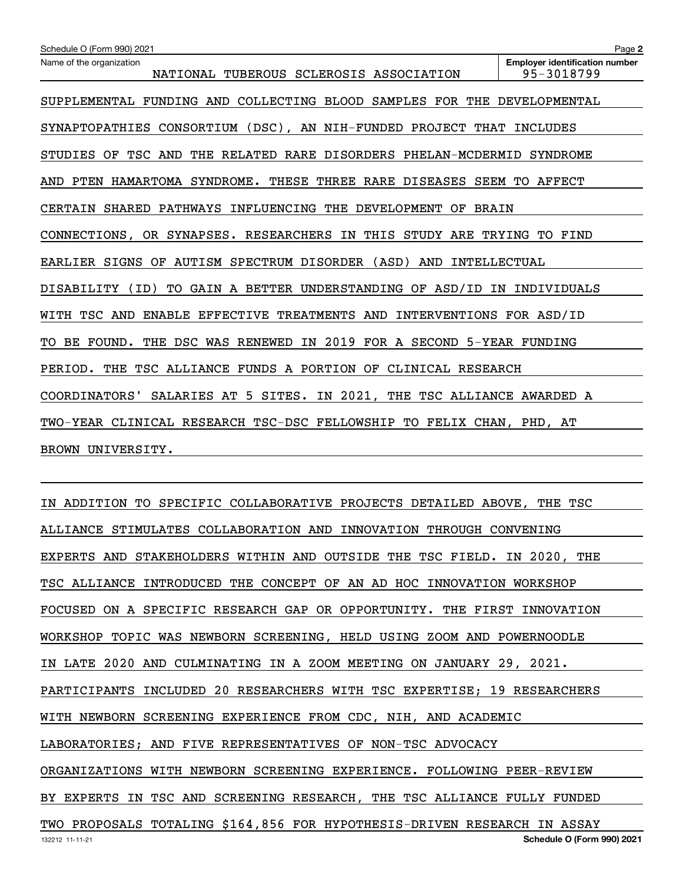| Schedule O (Form 990) 2021                                                               | Page 2                                              |
|------------------------------------------------------------------------------------------|-----------------------------------------------------|
| Name of the organization<br>NATIONAL TUBEROUS SCLEROSIS ASSOCIATION                      | <b>Employer identification number</b><br>95-3018799 |
| SUPPLEMENTAL FUNDING AND COLLECTING BLOOD SAMPLES FOR THE DEVELOPMENTAL                  |                                                     |
| SYNAPTOPATHIES CONSORTIUM (DSC), AN NIH-FUNDED PROJECT THAT INCLUDES                     |                                                     |
| STUDIES OF TSC AND<br>THE RELATED RARE DISORDERS PHELAN-MCDERMID                         | SYNDROME                                            |
| PTEN HAMARTOMA SYNDROME. THESE THREE RARE DISEASES SEEM TO AFFECT<br>AND                 |                                                     |
| CERTAIN SHARED PATHWAYS INFLUENCING THE DEVELOPMENT OF<br><b>BRAIN</b>                   |                                                     |
| CONNECTIONS, OR SYNAPSES. RESEARCHERS IN THIS STUDY ARE TRYING TO FIND                   |                                                     |
| AUTISM SPECTRUM DISORDER (ASD) AND<br>EARLIER SIGNS OF<br>INTELLECTUAL                   |                                                     |
| DISABILITY<br>(ID)<br>TO GAIN A BETTER UNDERSTANDING OF ASD/ID IN                        | INDIVIDUALS                                         |
| TSC AND<br><b>ENABLE</b><br>EFFECTIVE TREATMENTS AND<br>INTERVENTIONS FOR ASD/ID<br>WITH |                                                     |
| BE FOUND. THE DSC WAS RENEWED IN 2019 FOR A SECOND 5-YEAR FUNDING<br>TO.                 |                                                     |
| TSC ALLIANCE FUNDS A PORTION OF<br>PERIOD. THE<br>CLINICAL RESEARCH                      |                                                     |
| SALARIES AT 5 SITES. IN 2021, THE TSC ALLIANCE AWARDED A<br>COORDINATORS'                |                                                     |
| TWO-YEAR CLINICAL RESEARCH TSC-DSC FELLOWSHIP TO FELIX CHAN, PHD, AT                     |                                                     |
| BROWN UNIVERSITY.                                                                        |                                                     |

132212 11-11-21 **Schedule O (Form 990) 2021** IN ADDITION TO SPECIFIC COLLABORATIVE PROJECTS DETAILED ABOVE, THE TSC ALLIANCE STIMULATES COLLABORATION AND INNOVATION THROUGH CONVENING EXPERTS AND STAKEHOLDERS WITHIN AND OUTSIDE THE TSC FIELD. IN 2020, THE TSC ALLIANCE INTRODUCED THE CONCEPT OF AN AD HOC INNOVATION WORKSHOP FOCUSED ON A SPECIFIC RESEARCH GAP OR OPPORTUNITY. THE FIRST INNOVATION WORKSHOP TOPIC WAS NEWBORN SCREENING, HELD USING ZOOM AND POWERNOODLE IN LATE 2020 AND CULMINATING IN A ZOOM MEETING ON JANUARY 29, 2021. PARTICIPANTS INCLUDED 20 RESEARCHERS WITH TSC EXPERTISE; 19 RESEARCHERS WITH NEWBORN SCREENING EXPERIENCE FROM CDC, NIH, AND ACADEMIC LABORATORIES; AND FIVE REPRESENTATIVES OF NON-TSC ADVOCACY ORGANIZATIONS WITH NEWBORN SCREENING EXPERIENCE. FOLLOWING PEER-REVIEW BY EXPERTS IN TSC AND SCREENING RESEARCH, THE TSC ALLIANCE FULLY FUNDED TWO PROPOSALS TOTALING \$164,856 FOR HYPOTHESIS-DRIVEN RESEARCH IN ASSAY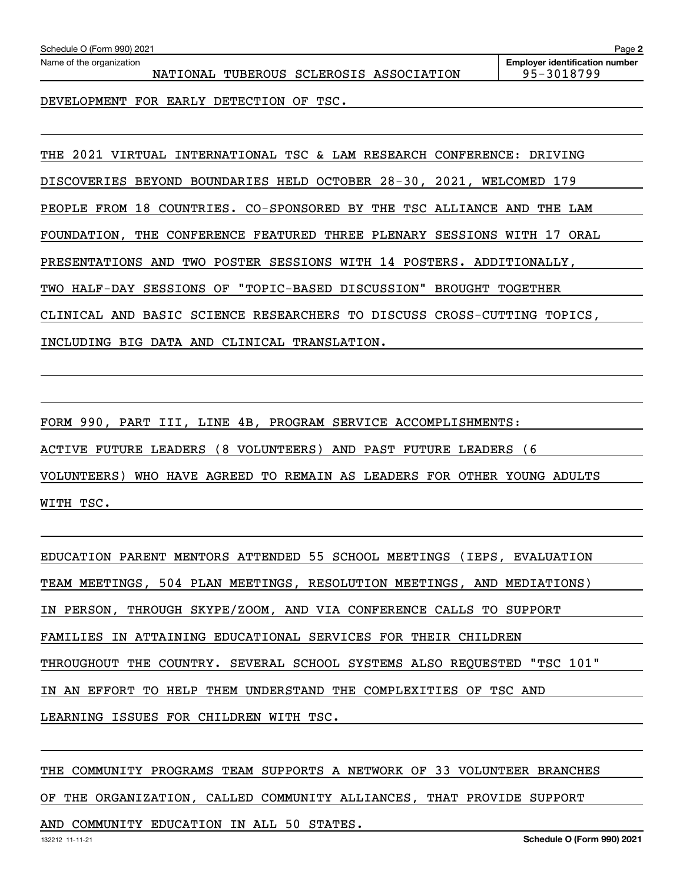DEVELOPMENT FOR EARLY DETECTION OF TSC.

THE 2021 VIRTUAL INTERNATIONAL TSC & LAM RESEARCH CONFERENCE: DRIVING DISCOVERIES BEYOND BOUNDARIES HELD OCTOBER 28-30, 2021, WELCOMED 179 PEOPLE FROM 18 COUNTRIES. CO-SPONSORED BY THE TSC ALLIANCE AND THE LAM FOUNDATION, THE CONFERENCE FEATURED THREE PLENARY SESSIONS WITH 17 ORAL PRESENTATIONS AND TWO POSTER SESSIONS WITH 14 POSTERS. ADDITIONALLY, TWO HALF-DAY SESSIONS OF "TOPIC-BASED DISCUSSION" BROUGHT TOGETHER CLINICAL AND BASIC SCIENCE RESEARCHERS TO DISCUSS CROSS-CUTTING TOPICS, INCLUDING BIG DATA AND CLINICAL TRANSLATION.

FORM 990, PART III, LINE 4B, PROGRAM SERVICE ACCOMPLISHMENTS: ACTIVE FUTURE LEADERS (8 VOLUNTEERS) AND PAST FUTURE LEADERS (6 VOLUNTEERS) WHO HAVE AGREED TO REMAIN AS LEADERS FOR OTHER YOUNG ADULTS WITH TSC.

EDUCATION PARENT MENTORS ATTENDED 55 SCHOOL MEETINGS (IEPS, EVALUATION TEAM MEETINGS, 504 PLAN MEETINGS, RESOLUTION MEETINGS, AND MEDIATIONS) IN PERSON, THROUGH SKYPE/ZOOM, AND VIA CONFERENCE CALLS TO SUPPORT FAMILIES IN ATTAINING EDUCATIONAL SERVICES FOR THEIR CHILDREN THROUGHOUT THE COUNTRY. SEVERAL SCHOOL SYSTEMS ALSO REQUESTED "TSC 101" IN AN EFFORT TO HELP THEM UNDERSTAND THE COMPLEXITIES OF TSC AND LEARNING ISSUES FOR CHILDREN WITH TSC.

THE COMMUNITY PROGRAMS TEAM SUPPORTS A NETWORK OF 33 VOLUNTEER BRANCHES OF THE ORGANIZATION, CALLED COMMUNITY ALLIANCES, THAT PROVIDE SUPPORT

AND COMMUNITY EDUCATION IN ALL 50 STATES.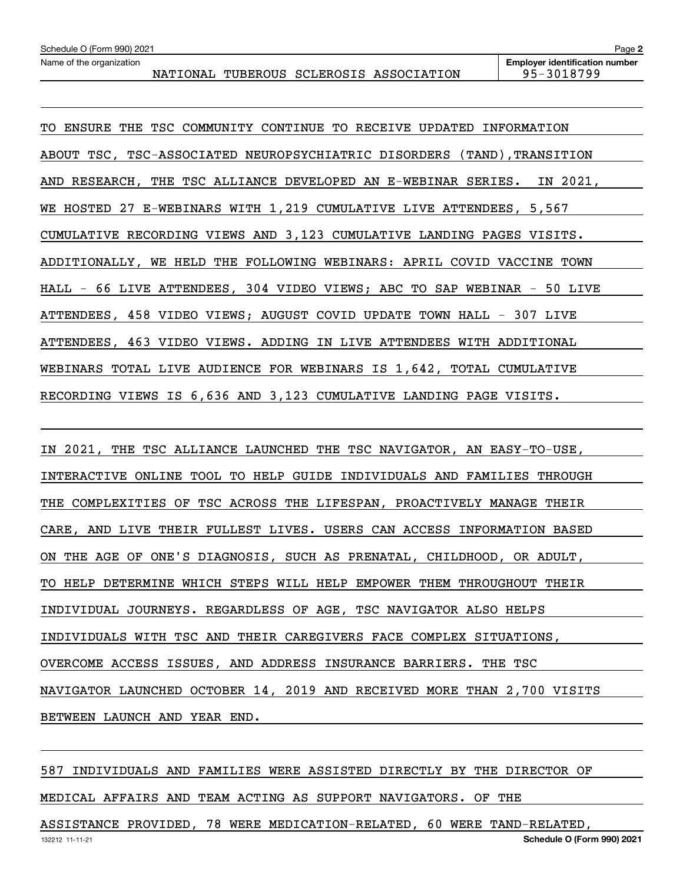TO ENSURE THE TSC COMMUNITY CONTINUE TO RECEIVE UPDATED INFORMATION ABOUT TSC, TSC-ASSOCIATED NEUROPSYCHIATRIC DISORDERS (TAND),TRANSITION AND RESEARCH, THE TSC ALLIANCE DEVELOPED AN E-WEBINAR SERIES. IN 2021, WE HOSTED 27 E-WEBINARS WITH 1,219 CUMULATIVE LIVE ATTENDEES, 5,567 CUMULATIVE RECORDING VIEWS AND 3,123 CUMULATIVE LANDING PAGES VISITS. ADDITIONALLY, WE HELD THE FOLLOWING WEBINARS: APRIL COVID VACCINE TOWN HALL - 66 LIVE ATTENDEES, 304 VIDEO VIEWS; ABC TO SAP WEBINAR - 50 LIVE ATTENDEES, 458 VIDEO VIEWS; AUGUST COVID UPDATE TOWN HALL - 307 LIVE ATTENDEES, 463 VIDEO VIEWS. ADDING IN LIVE ATTENDEES WITH ADDITIONAL WEBINARS TOTAL LIVE AUDIENCE FOR WEBINARS IS 1,642, TOTAL CUMULATIVE RECORDING VIEWS IS 6,636 AND 3,123 CUMULATIVE LANDING PAGE VISITS.

IN 2021, THE TSC ALLIANCE LAUNCHED THE TSC NAVIGATOR, AN EASY-TO-USE, INTERACTIVE ONLINE TOOL TO HELP GUIDE INDIVIDUALS AND FAMILIES THROUGH THE COMPLEXITIES OF TSC ACROSS THE LIFESPAN, PROACTIVELY MANAGE THEIR CARE, AND LIVE THEIR FULLEST LIVES. USERS CAN ACCESS INFORMATION BASED ON THE AGE OF ONE'S DIAGNOSIS, SUCH AS PRENATAL, CHILDHOOD, OR ADULT, TO HELP DETERMINE WHICH STEPS WILL HELP EMPOWER THEM THROUGHOUT THEIR INDIVIDUAL JOURNEYS. REGARDLESS OF AGE, TSC NAVIGATOR ALSO HELPS INDIVIDUALS WITH TSC AND THEIR CAREGIVERS FACE COMPLEX SITUATIONS, OVERCOME ACCESS ISSUES, AND ADDRESS INSURANCE BARRIERS. THE TSC NAVIGATOR LAUNCHED OCTOBER 14, 2019 AND RECEIVED MORE THAN 2,700 VISITS BETWEEN LAUNCH AND YEAR END.

587 INDIVIDUALS AND FAMILIES WERE ASSISTED DIRECTLY BY THE DIRECTOR OF MEDICAL AFFAIRS AND TEAM ACTING AS SUPPORT NAVIGATORS. OF THE

132212 11-11-21 **Schedule O (Form 990) 2021** ASSISTANCE PROVIDED, 78 WERE MEDICATION-RELATED, 60 WERE TAND-RELATED,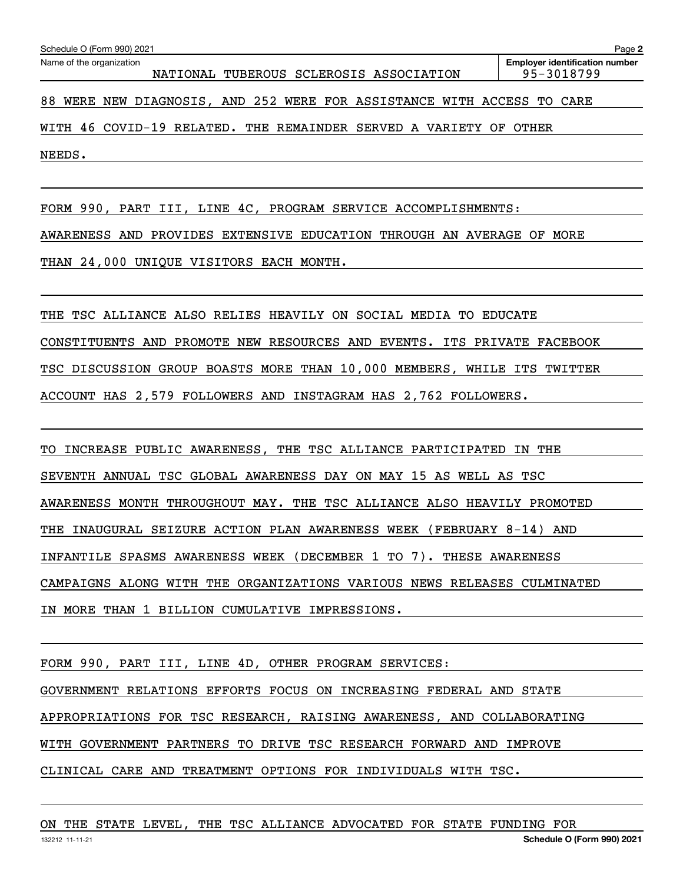NEEDS.

132212 11-11-21

FORM 990, PART III, LINE 4C, PROGRAM SERVICE ACCOMPLISHMENTS:

AWARENESS AND PROVIDES EXTENSIVE EDUCATION THROUGH AN AVERAGE OF MORE

THAN 24,000 UNIQUE VISITORS EACH MONTH.

THE TSC ALLIANCE ALSO RELIES HEAVILY ON SOCIAL MEDIA TO EDUCATE

CONSTITUENTS AND PROMOTE NEW RESOURCES AND EVENTS. ITS PRIVATE FACEBOOK

TSC DISCUSSION GROUP BOASTS MORE THAN 10,000 MEMBERS, WHILE ITS TWITTER

ACCOUNT HAS 2,579 FOLLOWERS AND INSTAGRAM HAS 2,762 FOLLOWERS.

TO INCREASE PUBLIC AWARENESS, THE TSC ALLIANCE PARTICIPATED IN THE SEVENTH ANNUAL TSC GLOBAL AWARENESS DAY ON MAY 15 AS WELL AS TSC AWARENESS MONTH THROUGHOUT MAY. THE TSC ALLIANCE ALSO HEAVILY PROMOTED THE INAUGURAL SEIZURE ACTION PLAN AWARENESS WEEK (FEBRUARY 8-14) AND INFANTILE SPASMS AWARENESS WEEK (DECEMBER 1 TO 7). THESE AWARENESS CAMPAIGNS ALONG WITH THE ORGANIZATIONS VARIOUS NEWS RELEASES CULMINATED IN MORE THAN 1 BILLION CUMULATIVE IMPRESSIONS.

FORM 990, PART III, LINE 4D, OTHER PROGRAM SERVICES: GOVERNMENT RELATIONS EFFORTS FOCUS ON INCREASING FEDERAL AND STATE APPROPRIATIONS FOR TSC RESEARCH, RAISING AWARENESS, AND COLLABORATING WITH GOVERNMENT PARTNERS TO DRIVE TSC RESEARCH FORWARD AND IMPROVE CLINICAL CARE AND TREATMENT OPTIONS FOR INDIVIDUALS WITH TSC.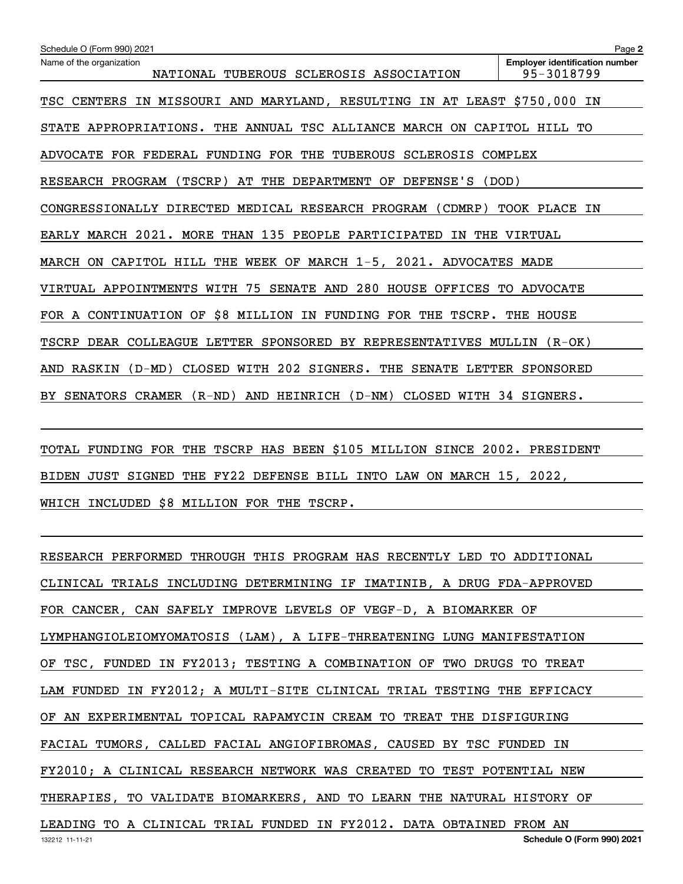| Schedule O (Form 990) 2021                                                                           | Page 2                                              |
|------------------------------------------------------------------------------------------------------|-----------------------------------------------------|
| Name of the organization<br>NATIONAL TUBEROUS SCLEROSIS ASSOCIATION                                  | <b>Employer identification number</b><br>95-3018799 |
| IN MISSOURI AND MARYLAND, RESULTING IN AT LEAST \$750,000<br>TSC<br><b>CENTERS</b>                   | ΙN                                                  |
| THE ANNUAL TSC ALLIANCE MARCH ON CAPITOL HILL TO<br>APPROPRIATIONS.<br>STATE                         |                                                     |
| <b>SCLEROSIS</b><br>ADVOCATE FOR FEDERAL FUNDING FOR THE TUBEROUS                                    | COMPLEX                                             |
| RESEARCH PROGRAM<br>(TSCRP)<br>AТ<br>THE<br>DEFENSE'S<br>DEPARTMENT<br>OF                            | (DOD)                                               |
| (CDMRP)<br>CONGRESSIONALLY DIRECTED MEDICAL RESEARCH PROGRAM                                         | TOOK PLACE<br>ΙN                                    |
| EARLY MARCH 2021. MORE THAN 135 PEOPLE PARTICIPATED<br>IN<br>THE                                     | VIRTUAL                                             |
| WEEK OF MARCH 1-5, 2021. ADVOCATES MADE<br>MARCH ON CAPITOL HILL THE                                 |                                                     |
| WITH 75<br>SENATE AND 280<br>VIRTUAL APPOINTMENTS<br>HOUSE<br>OFFICES                                | TО<br>ADVOCATE                                      |
| \$8 MILLION IN FUNDING FOR<br>FOR A CONTINUATION OF<br>THE<br>TSCRP.                                 | THE<br>HOUSE                                        |
| TSCRP DEAR COLLEAGUE LETTER SPONSORED BY REPRESENTATIVES                                             | MULLIN<br>$(R-OK)$                                  |
| CLOSED WITH 202 SIGNERS.<br>THE<br>SENATE<br>RASKIN<br>$(D-MD)$<br>LETTER<br>AND                     | SPONSORED                                           |
| CLOSED<br><b>SENATORS</b><br><b>CRAMER</b><br>$(R-ND)$<br>AND<br>HEINRICH<br>$(D-NM)$<br>WITH<br>BY. | 34<br>SIGNERS.                                      |

TOTAL FUNDING FOR THE TSCRP HAS BEEN \$105 MILLION SINCE 2002. PRESIDENT BIDEN JUST SIGNED THE FY22 DEFENSE BILL INTO LAW ON MARCH 15, 2022, WHICH INCLUDED \$8 MILLION FOR THE TSCRP.

132212 11-11-21 **Schedule O (Form 990) 2021** RESEARCH PERFORMED THROUGH THIS PROGRAM HAS RECENTLY LED TO ADDITIONAL CLINICAL TRIALS INCLUDING DETERMINING IF IMATINIB, A DRUG FDA-APPROVED FOR CANCER, CAN SAFELY IMPROVE LEVELS OF VEGF-D, A BIOMARKER OF LYMPHANGIOLEIOMYOMATOSIS (LAM), A LIFE-THREATENING LUNG MANIFESTATION OF TSC, FUNDED IN FY2013; TESTING A COMBINATION OF TWO DRUGS TO TREAT LAM FUNDED IN FY2012; A MULTI-SITE CLINICAL TRIAL TESTING THE EFFICACY OF AN EXPERIMENTAL TOPICAL RAPAMYCIN CREAM TO TREAT THE DISFIGURING FACIAL TUMORS, CALLED FACIAL ANGIOFIBROMAS, CAUSED BY TSC FUNDED IN FY2010; A CLINICAL RESEARCH NETWORK WAS CREATED TO TEST POTENTIAL NEW THERAPIES, TO VALIDATE BIOMARKERS, AND TO LEARN THE NATURAL HISTORY OF LEADING TO A CLINICAL TRIAL FUNDED IN FY2012. DATA OBTAINED FROM AN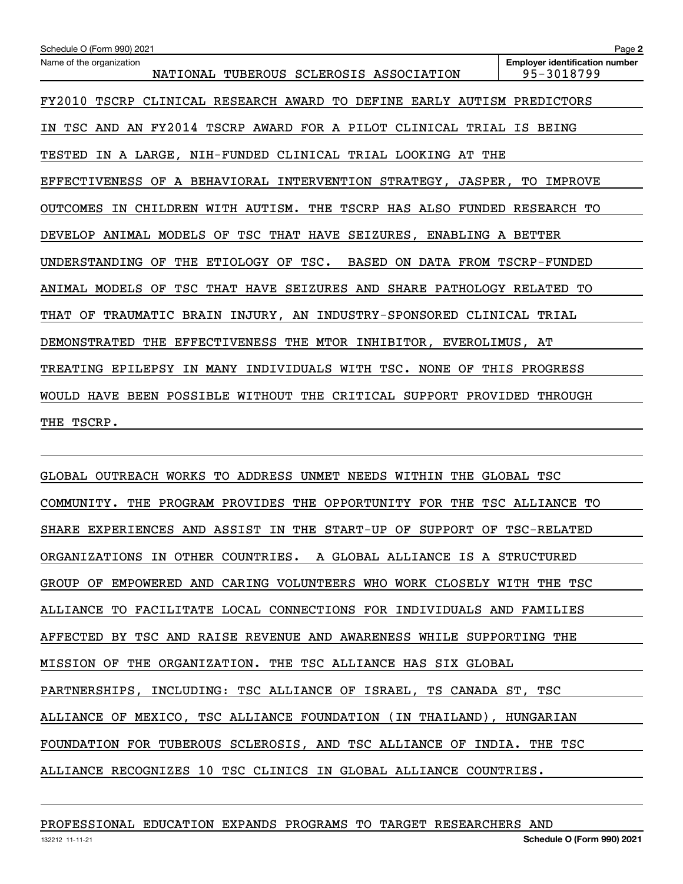| Schedule O (Form 990) 2021                                                                  | Page 2                                              |
|---------------------------------------------------------------------------------------------|-----------------------------------------------------|
| Name of the organization<br>NATIONAL TUBEROUS SCLEROSIS ASSOCIATION                         | <b>Employer identification number</b><br>95-3018799 |
| FY2010 TSCRP CLINICAL RESEARCH AWARD TO DEFINE EARLY AUTISM PREDICTORS                      |                                                     |
| TSC AND AN FY2014 TSCRP AWARD FOR A PILOT CLINICAL TRIAL IS BEING<br>IN                     |                                                     |
| TESTED IN A LARGE, NIH-FUNDED CLINICAL TRIAL LOOKING AT THE                                 |                                                     |
| EFFECTIVENESS OF A BEHAVIORAL INTERVENTION STRATEGY, JASPER, TO                             | <b>IMPROVE</b>                                      |
| OUTCOMES IN CHILDREN WITH AUTISM. THE TSCRP HAS ALSO FUNDED RESEARCH TO                     |                                                     |
| DEVELOP ANIMAL MODELS OF TSC THAT HAVE SEIZURES, ENABLING A BETTER                          |                                                     |
| THE ETIOLOGY OF<br>TSC.<br><b>BASED</b><br>ON DATA FROM TSCRP-FUNDED<br>UNDERSTANDING<br>OF |                                                     |
| ANIMAL MODELS OF<br>TSC THAT HAVE SEIZURES AND SHARE PATHOLOGY RELATED                      | TО                                                  |
| TRAUMATIC BRAIN INJURY, AN INDUSTRY-SPONSORED CLINICAL TRIAL<br>THAT<br>OF                  |                                                     |
| DEMONSTRATED THE EFFECTIVENESS THE MTOR INHIBITOR, EVEROLIMUS, AT                           |                                                     |
| TREATING EPILEPSY<br>IN MANY INDIVIDUALS WITH TSC. NONE OF                                  | THIS PROGRESS                                       |
| WOULD HAVE BEEN POSSIBLE WITHOUT THE CRITICAL SUPPORT PROVIDED THROUGH                      |                                                     |
| TSCRP.<br>THE                                                                               |                                                     |

GLOBAL OUTREACH WORKS TO ADDRESS UNMET NEEDS WITHIN THE GLOBAL TSC COMMUNITY. THE PROGRAM PROVIDES THE OPPORTUNITY FOR THE TSC ALLIANCE TO SHARE EXPERIENCES AND ASSIST IN THE START-UP OF SUPPORT OF TSC-RELATED ORGANIZATIONS IN OTHER COUNTRIES. A GLOBAL ALLIANCE IS A STRUCTURED GROUP OF EMPOWERED AND CARING VOLUNTEERS WHO WORK CLOSELY WITH THE TSC ALLIANCE TO FACILITATE LOCAL CONNECTIONS FOR INDIVIDUALS AND FAMILIES AFFECTED BY TSC AND RAISE REVENUE AND AWARENESS WHILE SUPPORTING THE MISSION OF THE ORGANIZATION. THE TSC ALLIANCE HAS SIX GLOBAL PARTNERSHIPS, INCLUDING: TSC ALLIANCE OF ISRAEL, TS CANADA ST, TSC ALLIANCE OF MEXICO, TSC ALLIANCE FOUNDATION (IN THAILAND), HUNGARIAN FOUNDATION FOR TUBEROUS SCLEROSIS, AND TSC ALLIANCE OF INDIA. THE TSC ALLIANCE RECOGNIZES 10 TSC CLINICS IN GLOBAL ALLIANCE COUNTRIES.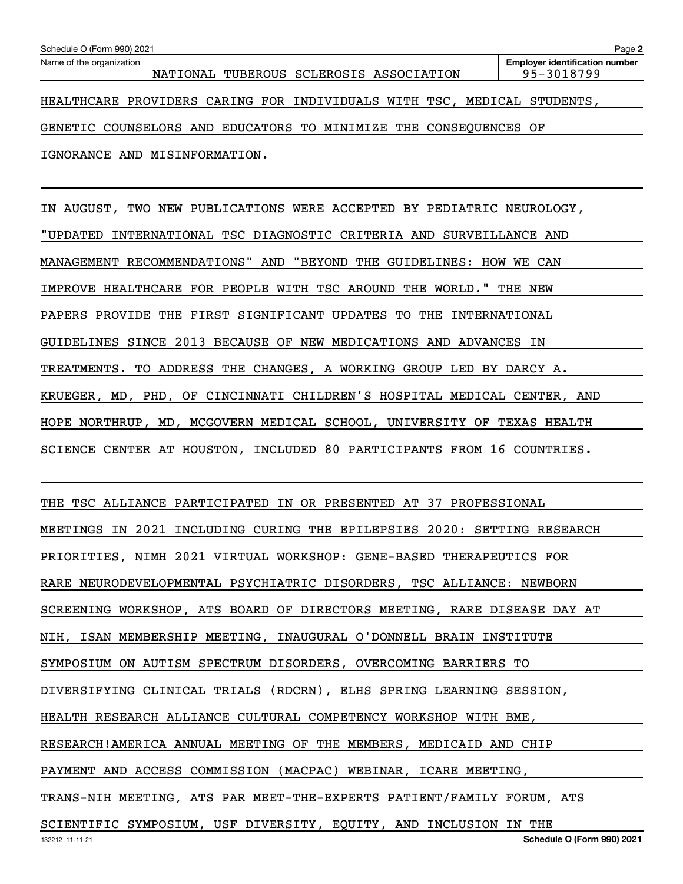| Schedule O (Form 990) 2021                                              | Page 2                                              |
|-------------------------------------------------------------------------|-----------------------------------------------------|
| Name of the organization<br>NATIONAL TUBEROUS SCLEROSIS ASSOCIATION     | <b>Employer identification number</b><br>95-3018799 |
| HEALTHCARE PROVIDERS CARING FOR INDIVIDUALS WITH TSC, MEDICAL STUDENTS, |                                                     |
| GENETIC COUNSELORS AND EDUCATORS TO MINIMIZE THE CONSEQUENCES OF        |                                                     |
| IGNORANCE AND MISINFORMATION.                                           |                                                     |

IN AUGUST, TWO NEW PUBLICATIONS WERE ACCEPTED BY PEDIATRIC NEUROLOGY, "UPDATED INTERNATIONAL TSC DIAGNOSTIC CRITERIA AND SURVEILLANCE AND MANAGEMENT RECOMMENDATIONS" AND "BEYOND THE GUIDELINES: HOW WE CAN IMPROVE HEALTHCARE FOR PEOPLE WITH TSC AROUND THE WORLD." THE NEW PAPERS PROVIDE THE FIRST SIGNIFICANT UPDATES TO THE INTERNATIONAL GUIDELINES SINCE 2013 BECAUSE OF NEW MEDICATIONS AND ADVANCES IN TREATMENTS. TO ADDRESS THE CHANGES, A WORKING GROUP LED BY DARCY A. KRUEGER, MD, PHD, OF CINCINNATI CHILDREN'S HOSPITAL MEDICAL CENTER, AND HOPE NORTHRUP, MD, MCGOVERN MEDICAL SCHOOL, UNIVERSITY OF TEXAS HEALTH SCIENCE CENTER AT HOUSTON, INCLUDED 80 PARTICIPANTS FROM 16 COUNTRIES.

THE TSC ALLIANCE PARTICIPATED IN OR PRESENTED AT 37 PROFESSIONAL MEETINGS IN 2021 INCLUDING CURING THE EPILEPSIES 2020: SETTING RESEARCH PRIORITIES, NIMH 2021 VIRTUAL WORKSHOP: GENE-BASED THERAPEUTICS FOR RARE NEURODEVELOPMENTAL PSYCHIATRIC DISORDERS, TSC ALLIANCE: NEWBORN SCREENING WORKSHOP, ATS BOARD OF DIRECTORS MEETING, RARE DISEASE DAY AT NIH, ISAN MEMBERSHIP MEETING, INAUGURAL O'DONNELL BRAIN INSTITUTE SYMPOSIUM ON AUTISM SPECTRUM DISORDERS, OVERCOMING BARRIERS TO DIVERSIFYING CLINICAL TRIALS (RDCRN), ELHS SPRING LEARNING SESSION, HEALTH RESEARCH ALLIANCE CULTURAL COMPETENCY WORKSHOP WITH BME, RESEARCH!AMERICA ANNUAL MEETING OF THE MEMBERS, MEDICAID AND CHIP PAYMENT AND ACCESS COMMISSION (MACPAC) WEBINAR, ICARE MEETING, TRANS-NIH MEETING, ATS PAR MEET-THE-EXPERTS PATIENT/FAMILY FORUM, ATS SCIENTIFIC SYMPOSIUM, USF DIVERSITY, EQUITY, AND INCLUSION IN THE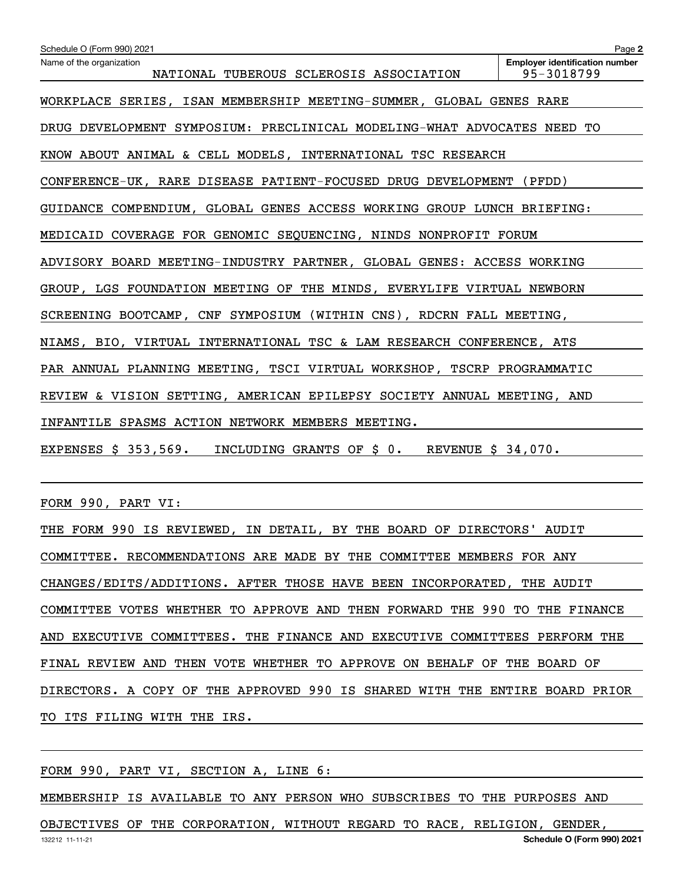| Schedule O (Form 990) 2021                                              | Page 2                                              |
|-------------------------------------------------------------------------|-----------------------------------------------------|
| Name of the organization<br>NATIONAL TUBEROUS SCLEROSIS ASSOCIATION     | <b>Employer identification number</b><br>95-3018799 |
| WORKPLACE SERIES, ISAN MEMBERSHIP MEETING-SUMMER, GLOBAL GENES RARE     |                                                     |
| DRUG DEVELOPMENT SYMPOSIUM: PRECLINICAL MODELING-WHAT ADVOCATES NEED TO |                                                     |
| KNOW ABOUT ANIMAL & CELL MODELS, INTERNATIONAL TSC RESEARCH             |                                                     |
| CONFERENCE-UK, RARE DISEASE PATIENT-FOCUSED DRUG DEVELOPMENT (PFDD)     |                                                     |
| GUIDANCE COMPENDIUM, GLOBAL GENES ACCESS WORKING GROUP LUNCH BRIEFING:  |                                                     |
| MEDICAID COVERAGE FOR GENOMIC SEQUENCING, NINDS NONPROFIT FORUM         |                                                     |
| ADVISORY BOARD MEETING-INDUSTRY PARTNER, GLOBAL GENES: ACCESS WORKING   |                                                     |
| GROUP, LGS FOUNDATION MEETING OF THE MINDS, EVERYLIFE VIRTUAL NEWBORN   |                                                     |
| SCREENING BOOTCAMP, CNF SYMPOSIUM (WITHIN CNS), RDCRN FALL MEETING,     |                                                     |
| NIAMS, BIO, VIRTUAL INTERNATIONAL TSC & LAM RESEARCH CONFERENCE, ATS    |                                                     |
| PAR ANNUAL PLANNING MEETING, TSCI VIRTUAL WORKSHOP, TSCRP PROGRAMMATIC  |                                                     |
| REVIEW & VISION SETTING, AMERICAN EPILEPSY SOCIETY ANNUAL MEETING, AND  |                                                     |
| INFANTILE SPASMS ACTION NETWORK MEMBERS MEETING.                        |                                                     |
| INCLUDING GRANTS OF \$ 0. REVENUE \$ 34,070.<br>EXPENSES $$353,569$ .   |                                                     |
|                                                                         |                                                     |

FORM 990, PART VI:

THE FORM 990 IS REVIEWED, IN DETAIL, BY THE BOARD OF DIRECTORS' AUDIT COMMITTEE. RECOMMENDATIONS ARE MADE BY THE COMMITTEE MEMBERS FOR ANY CHANGES/EDITS/ADDITIONS. AFTER THOSE HAVE BEEN INCORPORATED, THE AUDIT COMMITTEE VOTES WHETHER TO APPROVE AND THEN FORWARD THE 990 TO THE FINANCE AND EXECUTIVE COMMITTEES. THE FINANCE AND EXECUTIVE COMMITTEES PERFORM THE FINAL REVIEW AND THEN VOTE WHETHER TO APPROVE ON BEHALF OF THE BOARD OF DIRECTORS. A COPY OF THE APPROVED 990 IS SHARED WITH THE ENTIRE BOARD PRIOR TO ITS FILING WITH THE IRS.

FORM 990, PART VI, SECTION A, LINE 6:

MEMBERSHIP IS AVAILABLE TO ANY PERSON WHO SUBSCRIBES TO THE PURPOSES AND

132212 11-11-21 **Schedule O (Form 990) 2021** OBJECTIVES OF THE CORPORATION, WITHOUT REGARD TO RACE, RELIGION, GENDER,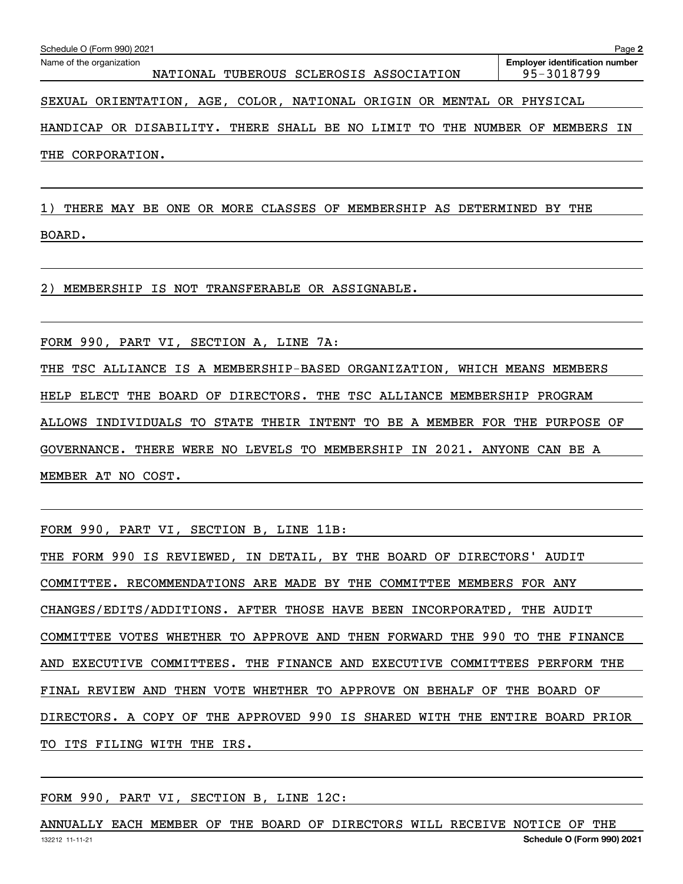HANDICAP OR DISABILITY. THERE SHALL BE NO LIMIT TO THE NUMBER OF MEMBERS IN THE CORPORATION.

1) THERE MAY BE ONE OR MORE CLASSES OF MEMBERSHIP AS DETERMINED BY THE BOARD.

2) MEMBERSHIP IS NOT TRANSFERABLE OR ASSIGNABLE.

FORM 990, PART VI, SECTION A, LINE 7A:

THE TSC ALLIANCE IS A MEMBERSHIP-BASED ORGANIZATION, WHICH MEANS MEMBERS HELP ELECT THE BOARD OF DIRECTORS. THE TSC ALLIANCE MEMBERSHIP PROGRAM ALLOWS INDIVIDUALS TO STATE THEIR INTENT TO BE A MEMBER FOR THE PURPOSE OF GOVERNANCE. THERE WERE NO LEVELS TO MEMBERSHIP IN 2021. ANYONE CAN BE A MEMBER AT NO COST.

FORM 990, PART VI, SECTION B, LINE 11B:

THE FORM 990 IS REVIEWED, IN DETAIL, BY THE BOARD OF DIRECTORS' AUDIT COMMITTEE. RECOMMENDATIONS ARE MADE BY THE COMMITTEE MEMBERS FOR ANY CHANGES/EDITS/ADDITIONS. AFTER THOSE HAVE BEEN INCORPORATED, THE AUDIT COMMITTEE VOTES WHETHER TO APPROVE AND THEN FORWARD THE 990 TO THE FINANCE AND EXECUTIVE COMMITTEES. THE FINANCE AND EXECUTIVE COMMITTEES PERFORM THE FINAL REVIEW AND THEN VOTE WHETHER TO APPROVE ON BEHALF OF THE BOARD OF DIRECTORS. A COPY OF THE APPROVED 990 IS SHARED WITH THE ENTIRE BOARD PRIOR TO ITS FILING WITH THE IRS.

FORM 990, PART VI, SECTION B, LINE 12C:

132212 11-11-21 **Schedule O (Form 990) 2021** ANNUALLY EACH MEMBER OF THE BOARD OF DIRECTORS WILL RECEIVE NOTICE OF THE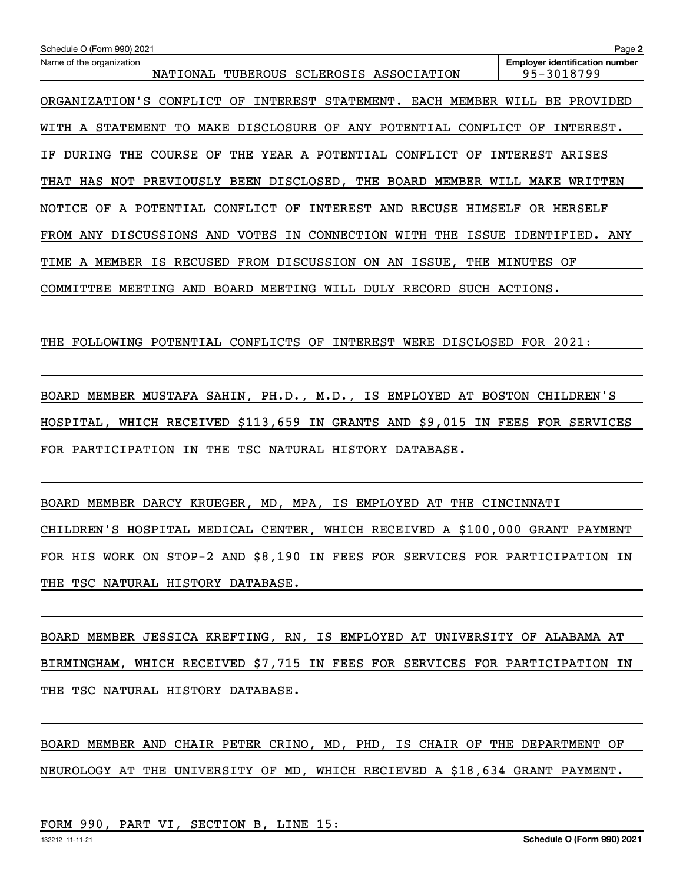| Schedule O (Form 990) 2021                                                                              | Page 2                                              |
|---------------------------------------------------------------------------------------------------------|-----------------------------------------------------|
| Name of the organization<br>SCLEROSIS ASSOCIATION<br>NATIONAL<br>TUBEROUS                               | <b>Employer identification number</b><br>95-3018799 |
| ORGANIZATION'S<br>CONFLICT<br>INTEREST<br>STATEMENT.<br>EACH MEMBER<br>ОF                               | WILL<br>BE<br>PROVIDED                              |
| <b>DISCLOSURE</b><br>POTENTIAL<br><b>STATEMENT</b><br>TO.<br>MAKE<br>ОF<br>ANY<br>CONFLICT<br>WITH<br>A | INTEREST.<br>ΟF                                     |
| OF<br>YEAR A POTENTIAL<br>CONFLICT<br>DURING<br>THE<br>COURSE<br>THE<br>OF<br>ΤF                        | INTEREST<br>ARISES                                  |
| BEEN DISCLOSED,<br>THE<br>BOARD<br>MEMBER<br>NOT<br>PREVIOUSLY<br>THAT<br>HAS                           | WILL<br>MAKE<br>WRITTEN                             |
| INTEREST<br>RECUSE<br>NOTICE<br>OF<br>POTENTIAL<br>CONFLICT<br>AND<br>HIMSELF<br>ΟF<br>A                | HERSELF<br>0R                                       |
| <b>DISCUSSIONS</b><br><b>VOTES</b><br>WITH<br>ISSUE<br>ANY<br>AND<br>ΙN<br>CONNECTION<br>THE<br>FROM    | IDENTIFIED.<br>ANY                                  |
| RECUSED<br>MEMBER<br>ΙS<br>FROM DISCUSSION<br>ON<br>ISSUE,<br>AN<br>THE<br>TIME<br>A                    | MINUTES<br>OF                                       |
| <b>BOARD</b><br>MEETING<br><b>DULY</b><br>RECORD<br>SUCH<br>COMMITTEE<br>MEETING<br>AND<br>WILL         | ACTIONS.                                            |

THE FOLLOWING POTENTIAL CONFLICTS OF INTEREST WERE DISCLOSED FOR 2021:

BOARD MEMBER MUSTAFA SAHIN, PH.D., M.D., IS EMPLOYED AT BOSTON CHILDREN'S HOSPITAL, WHICH RECEIVED \$113,659 IN GRANTS AND \$9,015 IN FEES FOR SERVICES FOR PARTICIPATION IN THE TSC NATURAL HISTORY DATABASE.

BOARD MEMBER DARCY KRUEGER, MD, MPA, IS EMPLOYED AT THE CINCINNATI CHILDREN'S HOSPITAL MEDICAL CENTER, WHICH RECEIVED A \$100,000 GRANT PAYMENT FOR HIS WORK ON STOP-2 AND \$8,190 IN FEES FOR SERVICES FOR PARTICIPATION IN THE TSC NATURAL HISTORY DATABASE.

BOARD MEMBER JESSICA KREFTING, RN, IS EMPLOYED AT UNIVERSITY OF ALABAMA AT BIRMINGHAM, WHICH RECEIVED \$7,715 IN FEES FOR SERVICES FOR PARTICIPATION IN THE TSC NATURAL HISTORY DATABASE.

BOARD MEMBER AND CHAIR PETER CRINO, MD, PHD, IS CHAIR OF THE DEPARTMENT OF NEUROLOGY AT THE UNIVERSITY OF MD, WHICH RECIEVED A \$18,634 GRANT PAYMENT.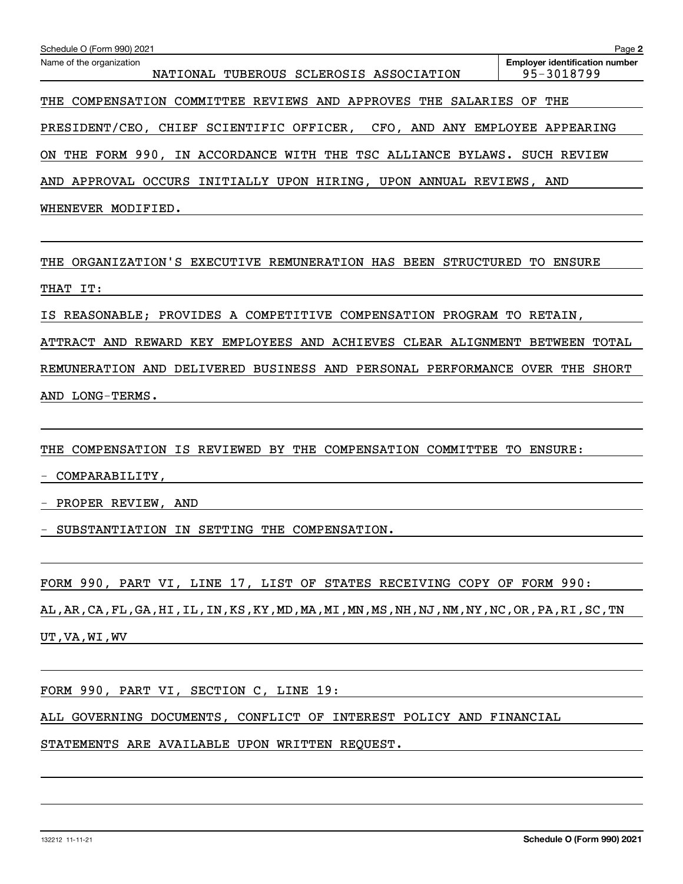| Schedule O (Form 990) 2021                                                  | Page 2                                              |
|-----------------------------------------------------------------------------|-----------------------------------------------------|
| Name of the organization<br>NATIONAL TUBEROUS SCLEROSIS ASSOCIATION         | <b>Employer identification number</b><br>95-3018799 |
| THE COMPENSATION COMMITTEE REVIEWS AND APPROVES THE SALARIES OF             | THE                                                 |
| PRESIDENT/CEO, CHIEF SCIENTIFIC OFFICER, CFO, AND ANY EMPLOYEE APPEARING    |                                                     |
| ON THE FORM 990, IN ACCORDANCE WITH THE TSC ALLIANCE BYLAWS. SUCH REVIEW    |                                                     |
| AND APPROVAL OCCURS INITIALLY UPON HIRING, UPON ANNUAL REVIEWS, AND         |                                                     |
| WHENEVER MODIFIED.                                                          |                                                     |
|                                                                             |                                                     |
| THE ORGANIZATION'S EXECUTIVE REMUNERATION HAS BEEN STRUCTURED TO            | ENSURE                                              |
| THAT IT:                                                                    |                                                     |
| IS REASONABLE; PROVIDES A COMPETITIVE COMPENSATION PROGRAM TO RETAIN,       |                                                     |
| ATTRACT AND REWARD KEY EMPLOYEES AND ACHIEVES CLEAR ALIGNMENT BETWEEN       | TOTAL                                               |
| REMUNERATION AND DELIVERED BUSINESS AND PERSONAL PERFORMANCE OVER THE SHORT |                                                     |
| AND LONG-TERMS.                                                             |                                                     |
|                                                                             |                                                     |
| THE COMPENSATION IS REVIEWED BY THE COMPENSATION COMMITTEE TO ENSURE:       |                                                     |

<u>- COMPARABILITY,</u>

<u>- PROPER REVIEW, AND</u>

- SUBSTANTIATION IN SETTING THE COMPENSATION.

FORM 990, PART VI, LINE 17, LIST OF STATES RECEIVING COPY OF FORM 990:

AL,AR,CA,FL,GA,HI,IL,IN,KS,KY,MD,MA,MI,MN,MS,NH,NJ,NM,NY,NC,OR,PA,RI,SC,TN UT,VA,WI,WV

FORM 990, PART VI, SECTION C, LINE 19:

ALL GOVERNING DOCUMENTS, CONFLICT OF INTEREST POLICY AND FINANCIAL

STATEMENTS ARE AVAILABLE UPON WRITTEN REQUEST.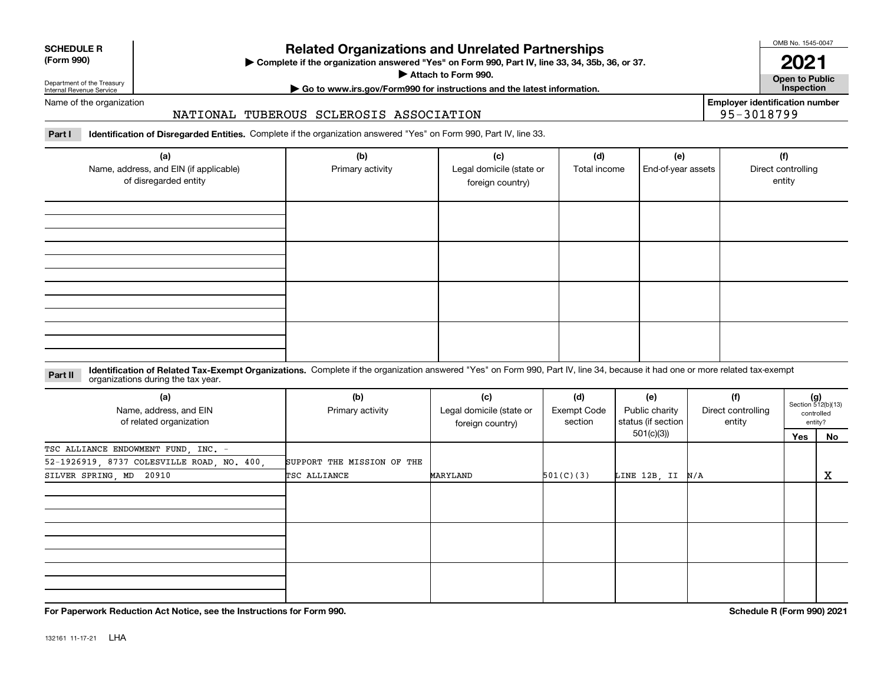| <b>SCHEDULE R</b>         |  |
|---------------------------|--|
| $\sim$ 0.00<br>$\sqrt{2}$ |  |

#### **(Form 990)**

## **Related Organizations and Unrelated Partnerships**

**Complete if the organization answered "Yes" on Form 990, Part IV, line 33, 34, 35b, 36, or 37.** |

**Attach to Form 990.**  |

OMB No. 1545-0047

**Open to Public 2021**

**Employer identification number**

95-3018799

Department of the Treasury Internal Revenue Service

# **| Go to www.irs.gov/Form990 for instructions and the latest information. Inspection**

Name of the organization

#### NATIONAL TUBEROUS SCLEROSIS ASSOCIATION

**Part I Identification of Disregarded Entities.**  Complete if the organization answered "Yes" on Form 990, Part IV, line 33.

| (a)<br>Name, address, and EIN (if applicable)<br>of disregarded entity | (b)<br>Primary activity | (c)<br>Legal domicile (state or<br>foreign country) | (d)<br>Total income | (e)<br>End-of-year assets | (f)<br>Direct controlling<br>entity |
|------------------------------------------------------------------------|-------------------------|-----------------------------------------------------|---------------------|---------------------------|-------------------------------------|
|                                                                        |                         |                                                     |                     |                           |                                     |
|                                                                        |                         |                                                     |                     |                           |                                     |
|                                                                        |                         |                                                     |                     |                           |                                     |
|                                                                        |                         |                                                     |                     |                           |                                     |

#### **Identification of Related Tax-Exempt Organizations.** Complete if the organization answered "Yes" on Form 990, Part IV, line 34, because it had one or more related tax-exempt **Part II** organizations during the tax year.

| (a)<br>Name, address, and EIN<br>of related organization | (b)<br>Primary activity    | (c)<br>Legal domicile (state or<br>foreign country) | (d)<br>Exempt Code<br>section | (e)<br>Public charity<br>status (if section | (f)<br>Direct controlling<br>entity |     | $(g)$<br>Section 512(b)(13)<br>controlled<br>entity? |
|----------------------------------------------------------|----------------------------|-----------------------------------------------------|-------------------------------|---------------------------------------------|-------------------------------------|-----|------------------------------------------------------|
|                                                          |                            |                                                     |                               | 501(c)(3))                                  |                                     | Yes | No                                                   |
| TSC ALLIANCE ENDOWMENT FUND, INC. -                      |                            |                                                     |                               |                                             |                                     |     |                                                      |
| 52-1926919, 8737 COLESVILLE ROAD, NO. 400,               | SUPPORT THE MISSION OF THE |                                                     |                               |                                             |                                     |     |                                                      |
| SILVER SPRING, MD 20910                                  | TSC ALLIANCE               | MARYLAND                                            | 501(C)(3)                     | LINE 12B, II                                | N/A                                 |     | x                                                    |
|                                                          |                            |                                                     |                               |                                             |                                     |     |                                                      |
|                                                          |                            |                                                     |                               |                                             |                                     |     |                                                      |
|                                                          |                            |                                                     |                               |                                             |                                     |     |                                                      |

**For Paperwork Reduction Act Notice, see the Instructions for Form 990. Schedule R (Form 990) 2021**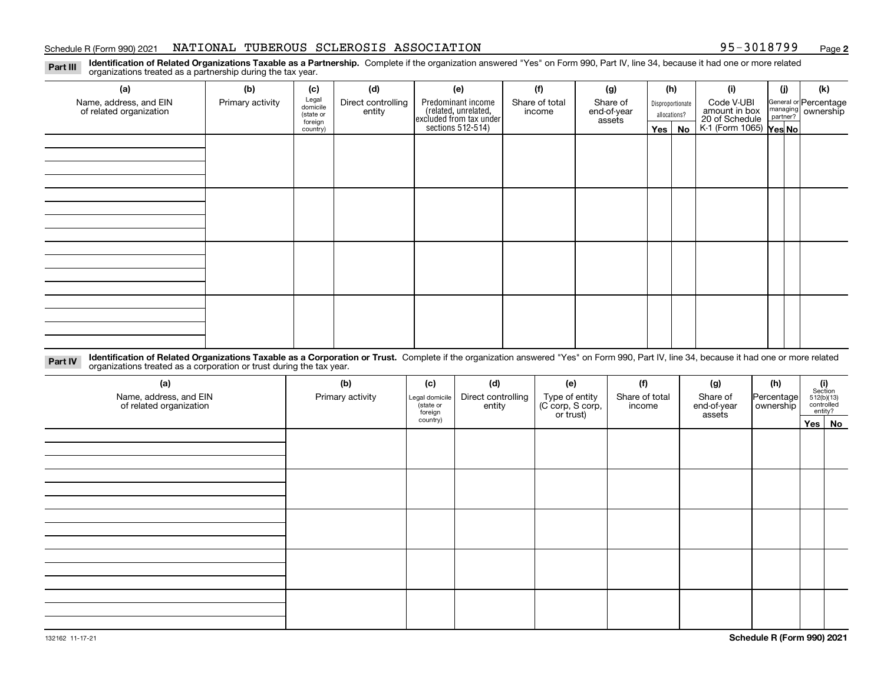#### Schedule R (Form 990) 2021 **NATIONAL TUBEROUS SCLEROSIS ASSOCIATION** 95-3018799 <sub>Page</sub>

**2**

**Identification of Related Organizations Taxable as a Partnership.** Complete if the organization answered "Yes" on Form 990, Part IV, line 34, because it had one or more related **Part III** organizations treated as a partnership during the tax year.

| (a)<br>Name, address, and EIN<br>of related organization | (b)<br>Primary activity | (c)<br>Legal<br>domicile<br>(state or<br>foreign<br>country) | (d)<br>Direct controlling<br>entity | (e) |  |  |  |  | Predominant income<br>(related, unrelated,<br>excluded from tax under<br>sections 512-514) |  |  |  |  | (f)<br>Share of total<br>income | (g)<br>Share of<br>end-of-year<br>assets | (h)<br>$Yes \mid$ | Disproportionate<br>allocations?<br>No | (i)<br>Code V-UBI<br>amount in box<br>20 of Schedule<br>K-1 (Form 1065) Yes No | (i) | (k)<br>General or Percentage<br>managing<br>partner?<br>partner? |
|----------------------------------------------------------|-------------------------|--------------------------------------------------------------|-------------------------------------|-----|--|--|--|--|--------------------------------------------------------------------------------------------|--|--|--|--|---------------------------------|------------------------------------------|-------------------|----------------------------------------|--------------------------------------------------------------------------------|-----|------------------------------------------------------------------|
|                                                          |                         |                                                              |                                     |     |  |  |  |  |                                                                                            |  |  |  |  |                                 |                                          |                   |                                        |                                                                                |     |                                                                  |
|                                                          |                         |                                                              |                                     |     |  |  |  |  |                                                                                            |  |  |  |  |                                 |                                          |                   |                                        |                                                                                |     |                                                                  |
|                                                          |                         |                                                              |                                     |     |  |  |  |  |                                                                                            |  |  |  |  |                                 |                                          |                   |                                        |                                                                                |     |                                                                  |
|                                                          |                         |                                                              |                                     |     |  |  |  |  |                                                                                            |  |  |  |  |                                 |                                          |                   |                                        |                                                                                |     |                                                                  |

**Identification of Related Organizations Taxable as a Corporation or Trust.** Complete if the organization answered "Yes" on Form 990, Part IV, line 34, because it had one or more related **Part IV** organizations treated as a corporation or trust during the tax year.

| (a)<br>Name, address, and EIN<br>of related organization | (b)<br>Primary activity | (c)<br>Legal domicile<br>state or<br>foreign | (d)<br>Direct controlling<br>entity | (e)<br>Type of entity<br>(C corp, S corp,<br>or trust) | (f)<br>Share of total<br>income | (g)<br>Share of<br>end-of-year<br>assets | (h)<br>Percentage<br>ownership | $(i)$ Section<br>512(b)(13)<br>controlled<br>entity? |  |
|----------------------------------------------------------|-------------------------|----------------------------------------------|-------------------------------------|--------------------------------------------------------|---------------------------------|------------------------------------------|--------------------------------|------------------------------------------------------|--|
|                                                          |                         | country)                                     |                                     |                                                        |                                 |                                          |                                | Yes No                                               |  |
|                                                          |                         |                                              |                                     |                                                        |                                 |                                          |                                |                                                      |  |
|                                                          |                         |                                              |                                     |                                                        |                                 |                                          |                                |                                                      |  |
|                                                          |                         |                                              |                                     |                                                        |                                 |                                          |                                |                                                      |  |
|                                                          |                         |                                              |                                     |                                                        |                                 |                                          |                                |                                                      |  |
|                                                          |                         |                                              |                                     |                                                        |                                 |                                          |                                |                                                      |  |
|                                                          |                         |                                              |                                     |                                                        |                                 |                                          |                                |                                                      |  |
|                                                          |                         |                                              |                                     |                                                        |                                 |                                          |                                |                                                      |  |
|                                                          |                         |                                              |                                     |                                                        |                                 |                                          |                                |                                                      |  |
|                                                          |                         |                                              |                                     |                                                        |                                 |                                          |                                |                                                      |  |
|                                                          |                         |                                              |                                     |                                                        |                                 |                                          |                                |                                                      |  |
|                                                          |                         |                                              |                                     |                                                        |                                 |                                          |                                |                                                      |  |
|                                                          |                         |                                              |                                     |                                                        |                                 |                                          |                                |                                                      |  |
|                                                          |                         |                                              |                                     |                                                        |                                 |                                          |                                |                                                      |  |
|                                                          |                         |                                              |                                     |                                                        |                                 |                                          |                                |                                                      |  |
|                                                          |                         |                                              |                                     |                                                        |                                 |                                          |                                |                                                      |  |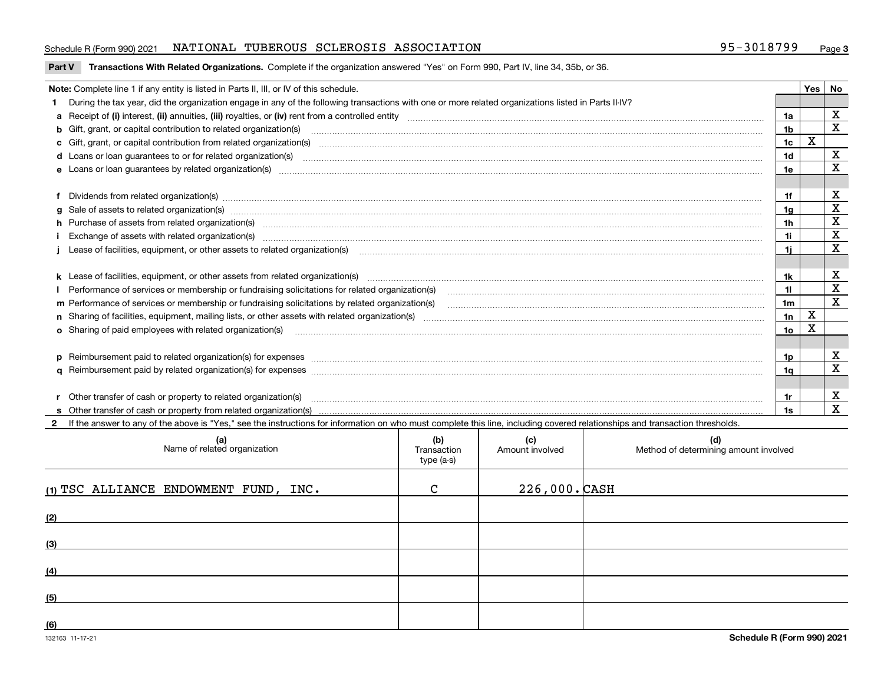#### Schedule R (Form 990) 2021 **NATIONAL TUBEROUS SCLEROSIS ASSOCIATION** 95-3018799 <sub>Page</sub>

**Part V Transactions With Related Organizations.** Complete if the organization answered "Yes" on Form 990, Part IV, line 34, 35b, or 36.<br>

| Note: Complete line 1 if any entity is listed in Parts II, III, or IV of this schedule.                                                                                                                                        |     | Yes         | <b>No</b>               |
|--------------------------------------------------------------------------------------------------------------------------------------------------------------------------------------------------------------------------------|-----|-------------|-------------------------|
| 1 During the tax year, did the organization engage in any of the following transactions with one or more related organizations listed in Parts II-IV?                                                                          |     |             |                         |
|                                                                                                                                                                                                                                | 1a  |             | $\mathbf X$             |
| b Gift, grant, or capital contribution to related organization(s) manufaction contracts and contribution to related organization(s)                                                                                            | 1b  |             | $\overline{\mathbf{x}}$ |
| c Gift, grant, or capital contribution from related organization(s) material content and contribution from related organization(s) material content and content and contribution from related organization(s) material content | 1c  | $\mathbf X$ |                         |
|                                                                                                                                                                                                                                | 1d  |             | X                       |
|                                                                                                                                                                                                                                | 1e  |             | $\mathbf X$             |
|                                                                                                                                                                                                                                |     |             |                         |
| f Dividends from related organization(s) manufactured contains and contained and contained contained and contained and contained and contained and contained and contained and contained and contained and contained and conta | 1f  |             | х                       |
|                                                                                                                                                                                                                                | 1a  |             | $\mathbf X$             |
| h Purchase of assets from related organization(s) www.assettion.com/www.assettion.com/www.assettion.com/www.assettion.com/www.assettion.com/www.assettion.com/www.assettion.com/www.assettion.com/www.assettion.com/www.assett | 1h  |             | X                       |
| Exchange of assets with related organization(s) enconversement contracts and account of the contract of assets with related organization(s)                                                                                    | 1i. |             | $\mathbf X$             |
|                                                                                                                                                                                                                                | 11  |             | $\mathbf x$             |
|                                                                                                                                                                                                                                |     |             |                         |
|                                                                                                                                                                                                                                | 1k  |             | X                       |
|                                                                                                                                                                                                                                | 11. |             | $\mathbf X$             |
| m Performance of services or membership or fundraising solicitations by related organization(s)                                                                                                                                | 1m  |             | X                       |
|                                                                                                                                                                                                                                | 1n  | X           |                         |
| <b>o</b> Sharing of paid employees with related organization(s)                                                                                                                                                                | 10  | Χ           |                         |
|                                                                                                                                                                                                                                |     |             |                         |
| p Reimbursement paid to related organization(s) for expenses [11111] [12] reasonal content of the separation (s) for expenses [11111] [12] reasonal content of the separation (s) for expenses [1111] [12] reasonal content of | 1p. |             | х                       |
|                                                                                                                                                                                                                                | 1q  |             | X                       |
|                                                                                                                                                                                                                                |     |             |                         |
| r Other transfer of cash or property to related organization(s)                                                                                                                                                                | 1r  |             | X                       |
| r Other transfer of cash or property to related organization(s) www.communities.communities content transfer of cash or property from related organization(s) www.communities.communities content transfer of cash or property | 1s  |             | $\mathbf{x}$            |
| 2 If the answer to any of the above is "Yes," see the instructions for information on who must complete this line, including covered relationships and transaction thresholds.                                                 |     |             |                         |

| (a)<br>Name of related organization   | (b)<br>Transaction<br>type (a-s) | (c)<br>Amount involved | (d)<br>Method of determining amount involved |
|---------------------------------------|----------------------------------|------------------------|----------------------------------------------|
| (1) TSC ALLIANCE ENDOWMENT FUND, INC. | $\mathcal{C}$                    | $226,000.$ CASH        |                                              |
| (2)                                   |                                  |                        |                                              |
| (3)                                   |                                  |                        |                                              |
| (4)                                   |                                  |                        |                                              |
| (5)                                   |                                  |                        |                                              |
| (6)                                   |                                  |                        |                                              |

 $\overline{\phantom{a}}$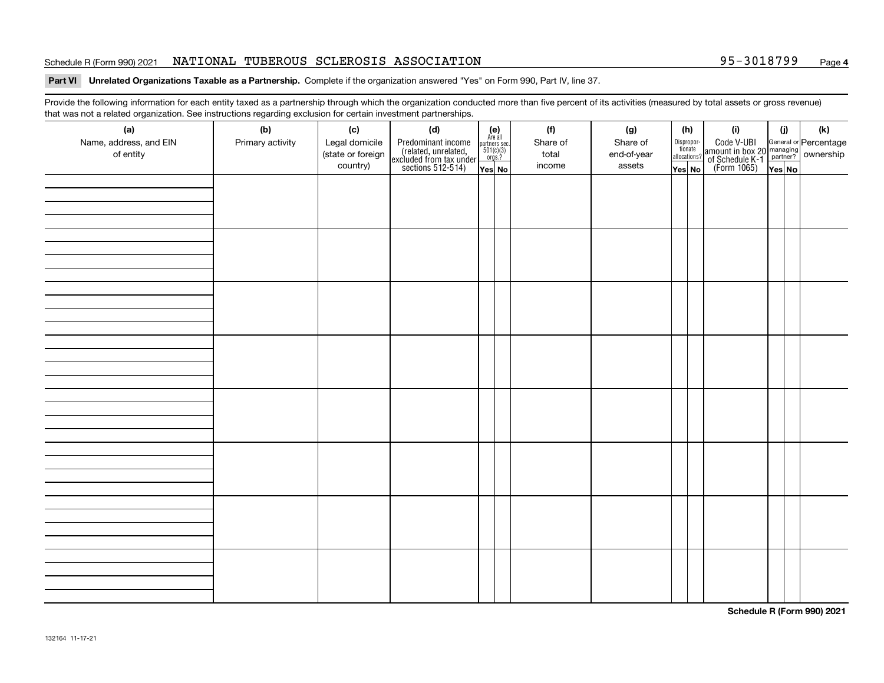#### Schedule R (Form 990) 2021 **NATIONAL TUBEROUS SCLEROSIS ASSOCIATION** 95-3018799 <sub>Page</sub>

# **Part VI Unrelated Organizations Taxable as a Partnership.**  Complete if the organization answered "Yes" on Form 990, Part IV, line 37.

Provide the following information for each entity taxed as a partnership through which the organization conducted more than five percent of its activities (measured by total assets or gross revenue) that was not a related organization. See instructions regarding exclusion for certain investment partnerships.

| that was not a related erganization. Occupations regarding exclusion for cortain investment partnerships.<br>(a)<br>Name, address, and EIN<br>of entity | (b)<br>Primary activity | (c)<br>Legal domicile<br>(state or foreign<br>country) | (d)<br>Predominant income<br>(related, unrelated,<br>excluded from tax under<br>sections 512-514) | (e)<br>Are all<br>$\begin{array}{c}\n\text{partners} & \text{sec.} \\ 501(c)(3) & \text{orgs.?} \\ \end{array}$<br>Yes No | (f)<br>Share of<br>total<br>income | (g)<br>Share of<br>end-of-year<br>assets | (h)<br>Disproportionate<br>allocations?<br>Yes No | (i)<br>Code V-UBI<br>amount in box 20 managing<br>of Schedule K-1<br>(Form 1065)<br>$\overline{Yes}$ No | (j)<br>Yes NO | (k) |
|---------------------------------------------------------------------------------------------------------------------------------------------------------|-------------------------|--------------------------------------------------------|---------------------------------------------------------------------------------------------------|---------------------------------------------------------------------------------------------------------------------------|------------------------------------|------------------------------------------|---------------------------------------------------|---------------------------------------------------------------------------------------------------------|---------------|-----|
|                                                                                                                                                         |                         |                                                        |                                                                                                   |                                                                                                                           |                                    |                                          |                                                   |                                                                                                         |               |     |
|                                                                                                                                                         |                         |                                                        |                                                                                                   |                                                                                                                           |                                    |                                          |                                                   |                                                                                                         |               |     |
|                                                                                                                                                         |                         |                                                        |                                                                                                   |                                                                                                                           |                                    |                                          |                                                   |                                                                                                         |               |     |
|                                                                                                                                                         |                         |                                                        |                                                                                                   |                                                                                                                           |                                    |                                          |                                                   |                                                                                                         |               |     |
|                                                                                                                                                         |                         |                                                        |                                                                                                   |                                                                                                                           |                                    |                                          |                                                   |                                                                                                         |               |     |
|                                                                                                                                                         |                         |                                                        |                                                                                                   |                                                                                                                           |                                    |                                          |                                                   |                                                                                                         |               |     |
|                                                                                                                                                         |                         |                                                        |                                                                                                   |                                                                                                                           |                                    |                                          |                                                   |                                                                                                         |               |     |
|                                                                                                                                                         |                         |                                                        |                                                                                                   |                                                                                                                           |                                    |                                          |                                                   |                                                                                                         |               |     |

**Schedule R (Form 990) 2021**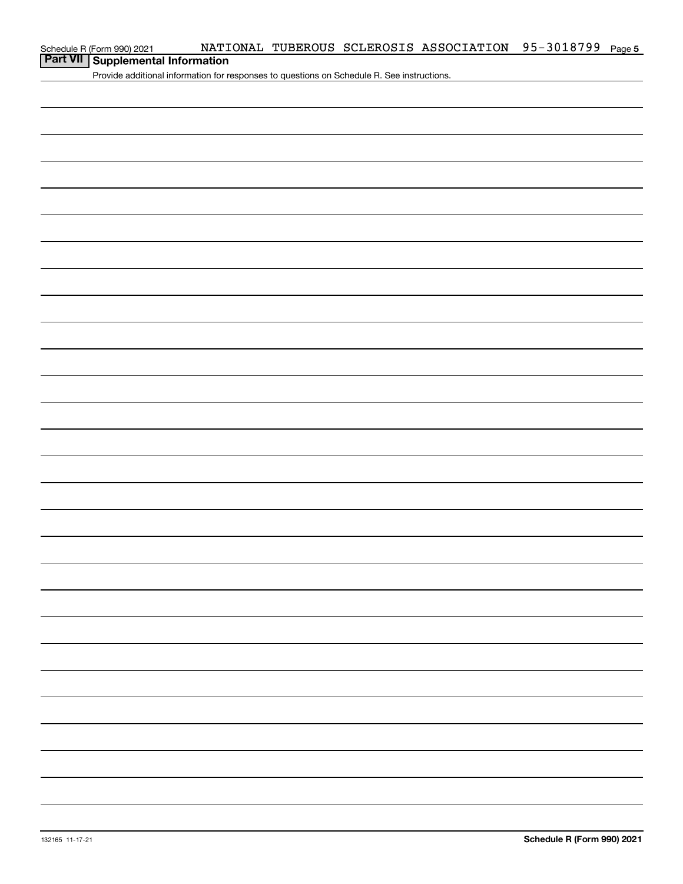| Schedule R (Form 990) 2021 |  |
|----------------------------|--|
|                            |  |

# **Part VII Supplemental Information**

Provide additional information for responses to questions on Schedule R. See instructions.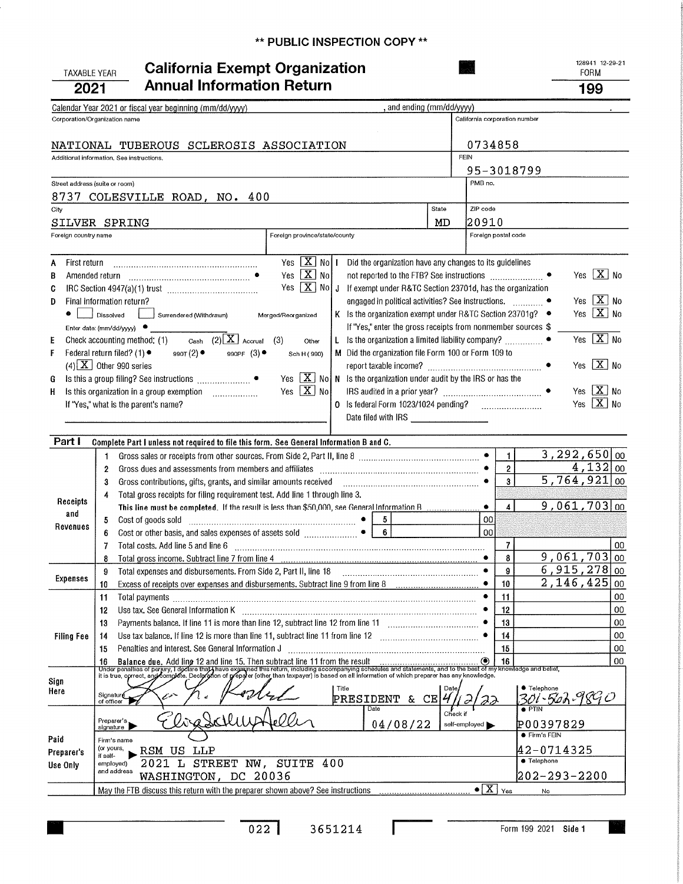## \*\* PUBLIC INSPECTION COPY \*\*

#### TAXABLE YEAR ^02T California Exempt Organization Annual Information Return

128941 12-29-21 FORM

| 2021                                                                                  | <b>Annual Information Return</b>                                                                                                                                                                                                                                  |                               |                                                                                   | 199                                                        |  |  |  |
|---------------------------------------------------------------------------------------|-------------------------------------------------------------------------------------------------------------------------------------------------------------------------------------------------------------------------------------------------------------------|-------------------------------|-----------------------------------------------------------------------------------|------------------------------------------------------------|--|--|--|
| , and ending (mm/dd/yyyy)<br>Calendar Year 2021 or fiscal year beginning (mm/dd/yyyy) |                                                                                                                                                                                                                                                                   |                               |                                                                                   |                                                            |  |  |  |
|                                                                                       | Corporation/Organization name                                                                                                                                                                                                                                     | California corporation number |                                                                                   |                                                            |  |  |  |
|                                                                                       |                                                                                                                                                                                                                                                                   |                               |                                                                                   |                                                            |  |  |  |
|                                                                                       | NATIONAL TUBEROUS SCLEROSIS ASSOCIATION                                                                                                                                                                                                                           | 0734858<br>FEIN               |                                                                                   |                                                            |  |  |  |
|                                                                                       | Additional information. See instructions.                                                                                                                                                                                                                         |                               | 95-3018799                                                                        |                                                            |  |  |  |
|                                                                                       | Street address (suite or room)                                                                                                                                                                                                                                    |                               | PMB no.                                                                           |                                                            |  |  |  |
|                                                                                       | 8737 COLESVILLE ROAD, NO. 400                                                                                                                                                                                                                                     |                               |                                                                                   |                                                            |  |  |  |
| City                                                                                  |                                                                                                                                                                                                                                                                   | State                         | ZIP code                                                                          |                                                            |  |  |  |
|                                                                                       | SILVER SPRING                                                                                                                                                                                                                                                     | MD                            | 20910                                                                             |                                                            |  |  |  |
| Foreign country name                                                                  | Foreign province/state/county                                                                                                                                                                                                                                     |                               | Foreign postal code                                                               |                                                            |  |  |  |
|                                                                                       |                                                                                                                                                                                                                                                                   |                               |                                                                                   |                                                            |  |  |  |
| A<br>First return                                                                     | Yes $X$ No $1$<br>Did the organization have any changes to its guidelines                                                                                                                                                                                         |                               |                                                                                   | Yes $X$ No                                                 |  |  |  |
| B                                                                                     | Yes $X$ No<br>not reported to the FTB? See instructions<br>Amended return                                                                                                                                                                                         |                               |                                                                                   |                                                            |  |  |  |
| C                                                                                     | Yes $\boxed{\mathbf{X}}$ No $\boxed{\mathbf{J}}$ If exempt under R&TC Section 23701d, has the organization                                                                                                                                                        |                               |                                                                                   |                                                            |  |  |  |
| Ð                                                                                     | Final information return?                                                                                                                                                                                                                                         |                               | Yes $\boxed{\mathbf{X}}$ No<br>engaged in political activities? See instructions. |                                                            |  |  |  |
|                                                                                       | K Is the organization exempt under R&TC Section 23701g? .<br>Dissolved<br>Surrendered (Withdrawn)<br>Merged/Reorganized                                                                                                                                           |                               |                                                                                   | Yes $X$ No                                                 |  |  |  |
|                                                                                       | If "Yes," enter the gross receipts from nonmember sources \$<br>Enter date: (mm/dd/yyyy) ●                                                                                                                                                                        |                               |                                                                                   | Yes X No                                                   |  |  |  |
| E<br>F                                                                                | Cash $(2)$ $\overline{X}$ Accrual<br>L Is the organization a limited liability company?<br>Check accounting method: (1)<br>(3)<br>Other<br>M Did the organization file Form 100 or Form 109 to<br>Federal return filed? (1) ●<br>990T(2)<br>990PF $(3)$ $\bullet$ |                               |                                                                                   |                                                            |  |  |  |
|                                                                                       | Sch H (990)                                                                                                                                                                                                                                                       |                               |                                                                                   | Yes $\boxed{\mathbf{X}}$ No                                |  |  |  |
| G                                                                                     | $(4)$ X Other 990 series<br>Yes $[X]$ No N Is the organization under audit by the IRS or has the                                                                                                                                                                  |                               |                                                                                   |                                                            |  |  |  |
| H                                                                                     | Yes $X$ No<br>Is this organization in a group exemption<br>$\overline{\phantom{a}}$                                                                                                                                                                               |                               |                                                                                   | Yes $ X $ No                                               |  |  |  |
|                                                                                       | If "Yes," what is the parent's name?<br>0 Is federal Form 1023/1024 pending?                                                                                                                                                                                      |                               |                                                                                   | Yes $X$ No                                                 |  |  |  |
|                                                                                       | Date filed with IRS New York Control and Date filed with IRS                                                                                                                                                                                                      |                               |                                                                                   |                                                            |  |  |  |
|                                                                                       |                                                                                                                                                                                                                                                                   |                               |                                                                                   |                                                            |  |  |  |
| Part I                                                                                | Complete Part I unless not required to file this form. See General Information B and C.                                                                                                                                                                           |                               | $\bullet$                                                                         | $3,292,650$ 00                                             |  |  |  |
|                                                                                       | Gross sales or receipts from other sources. From Side 2, Part II, line 8 [11] content to the series of receipts from other sources. From Side 2, Part II, line 8<br>1<br>Gross dues and assessments from members and affiliates                                   |                               |                                                                                   | 1<br>$4,132$ 00<br>$\overline{2}$                          |  |  |  |
|                                                                                       | $\mathbf{2}$<br>Gross contributions, gifts, grants, and similar amounts received<br>3                                                                                                                                                                             |                               |                                                                                   | $\overline{5,764,921}\sqrt{00}$<br>$\overline{\mathbf{3}}$ |  |  |  |
|                                                                                       | Total gross receipts for filing requirement test. Add line 1 through line 3.<br>4                                                                                                                                                                                 |                               |                                                                                   |                                                            |  |  |  |
| Receipts                                                                              | This line must be completed. If the result is less than \$50,000, see General Information B                                                                                                                                                                       |                               | $\bullet$                                                                         | $9,061,703$ 00<br>$\overline{4}$                           |  |  |  |
| and                                                                                   | 5<br>Cost of goods sold<br>5                                                                                                                                                                                                                                      |                               | 00                                                                                |                                                            |  |  |  |
| Revenues                                                                              | $6\phantom{a}$<br>6                                                                                                                                                                                                                                               |                               | 00                                                                                |                                                            |  |  |  |
|                                                                                       | 7                                                                                                                                                                                                                                                                 |                               |                                                                                   | 7<br>00                                                    |  |  |  |
|                                                                                       | Total gross income. Subtract line 7 from line 4<br>8                                                                                                                                                                                                              |                               |                                                                                   | 9,061,703<br>8<br>00                                       |  |  |  |
| <b>Expenses</b>                                                                       | Total expenses and disbursements. From Side 2, Part II, line 18 [10] [10] [10] [10] [10] [10] Total expenses and disbursements. From Side 2, Part II, line 18<br>9                                                                                                |                               | ٠                                                                                 | $6,915,278$ 00<br>9                                        |  |  |  |
|                                                                                       | 10<br>Excess of receipts over expenses and disbursements. Subtract line 9 from line 8                                                                                                                                                                             |                               | 10                                                                                | 2,146,425<br>00                                            |  |  |  |
|                                                                                       | 11<br>Total payments                                                                                                                                                                                                                                              |                               | 11                                                                                | 00                                                         |  |  |  |
|                                                                                       | Use tax. See General Information K<br>12<br>Payments balance. If line 11 is more than line 12, subtract line 12 from line 11                                                                                                                                      |                               | 12<br>-13                                                                         | 00<br>00                                                   |  |  |  |
| <b>Filing Fee</b>                                                                     | 13<br>Use tax balance. If line 12 is more than line 11, subtract line 11 from line 12<br>14                                                                                                                                                                       |                               | 14                                                                                | 00                                                         |  |  |  |
|                                                                                       | Penalties and interest, See General Information J<br>15                                                                                                                                                                                                           |                               | 15                                                                                | 00                                                         |  |  |  |
|                                                                                       | Balance due. Add ling 12 and line 15. Then subtract line 11 from the result<br>16                                                                                                                                                                                 |                               | 16                                                                                | 00                                                         |  |  |  |
|                                                                                       | Under penalties of perjury, I declare that have examined this return, including accompanying schedules and statements, and to the best of my knowledge and belief,<br>It is true, correct, and complete. Declaration of greps er                                  |                               |                                                                                   |                                                            |  |  |  |
| Sign<br>Here                                                                          | Title                                                                                                                                                                                                                                                             |                               |                                                                                   | ● Telephone                                                |  |  |  |
|                                                                                       | Signature<br><b>PRESIDENT &amp; CE</b><br>of officer                                                                                                                                                                                                              |                               |                                                                                   | 301-568                                                    |  |  |  |
|                                                                                       | Date<br>$\bullet$ PTIN<br>Check it<br>Preparer's<br>04/08/22<br>self-employed                                                                                                                                                                                     |                               |                                                                                   |                                                            |  |  |  |
|                                                                                       | P00397829<br>● Firm's FEIN                                                                                                                                                                                                                                        |                               |                                                                                   |                                                            |  |  |  |
| Paid                                                                                  | Firm's name<br>(or yours,<br>42-0714325                                                                                                                                                                                                                           |                               |                                                                                   |                                                            |  |  |  |
| Preparer's                                                                            | RSM US LLP<br>if self-<br><b>C</b> Telephone<br>2021 L STREET NW, SUITE 400<br>employed)                                                                                                                                                                          |                               |                                                                                   |                                                            |  |  |  |
| Use Only                                                                              | and address<br>WASHINGTON, DC 20036                                                                                                                                                                                                                               |                               |                                                                                   | 202-293-2200                                               |  |  |  |
|                                                                                       | May the FTB discuss this return with the preparer shown above? See instructions                                                                                                                                                                                   |                               | $\bullet$ $\boxed{X}$ $_{\text{Yes}}$                                             | No                                                         |  |  |  |
|                                                                                       |                                                                                                                                                                                                                                                                   |                               |                                                                                   |                                                            |  |  |  |